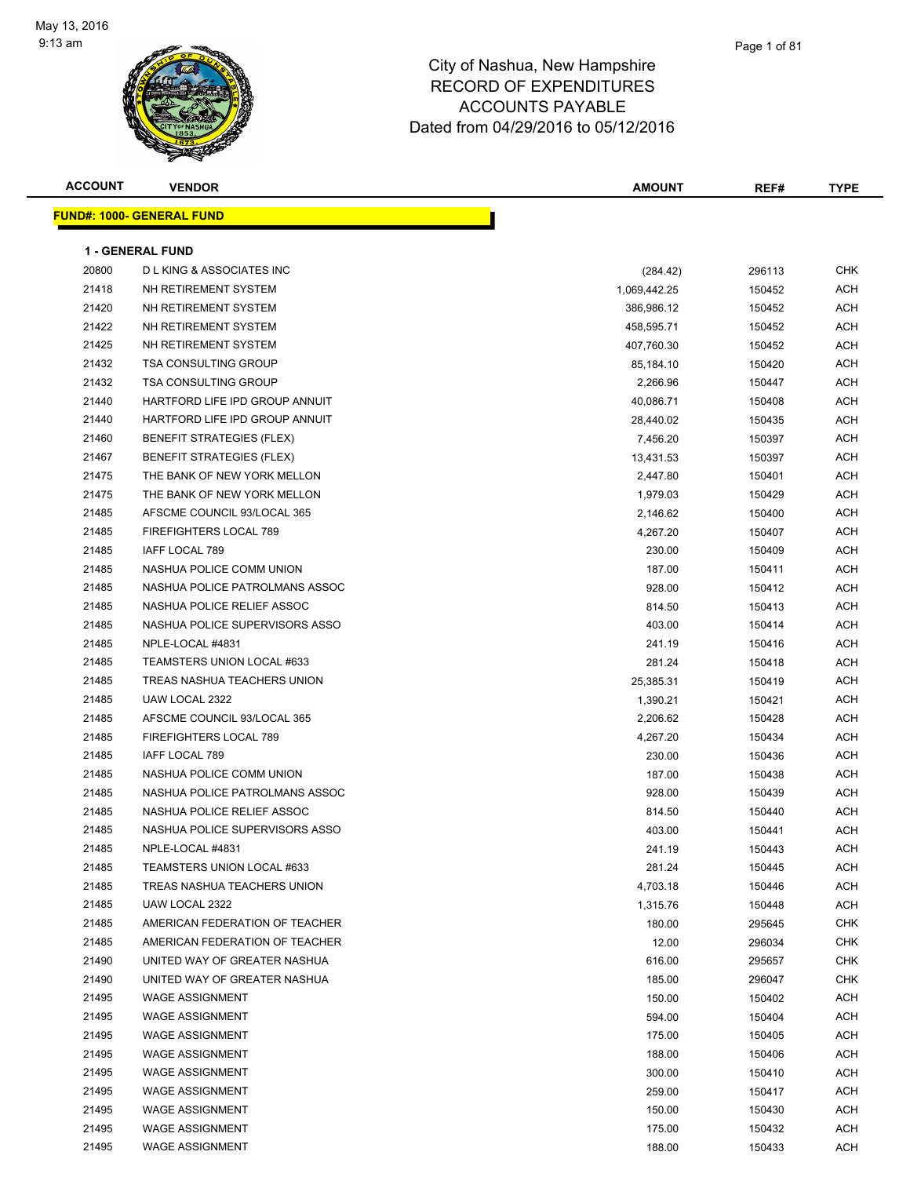

| <b>ACCOUNT</b> | <b>VENDOR</b>                      | <b>AMOUNT</b> | REF#   | <b>TYPE</b> |
|----------------|------------------------------------|---------------|--------|-------------|
|                | <b>FUND#: 1000- GENERAL FUND</b>   |               |        |             |
|                |                                    |               |        |             |
|                | <b>1 - GENERAL FUND</b>            |               |        |             |
| 20800          | <b>DLKING &amp; ASSOCIATES INC</b> | (284.42)      | 296113 | <b>CHK</b>  |
| 21418          | NH RETIREMENT SYSTEM               | 1,069,442.25  | 150452 | <b>ACH</b>  |
| 21420          | NH RETIREMENT SYSTEM               | 386,986.12    | 150452 | ACH         |
| 21422          | NH RETIREMENT SYSTEM               | 458,595.71    | 150452 | <b>ACH</b>  |
| 21425          | NH RETIREMENT SYSTEM               | 407,760.30    | 150452 | <b>ACH</b>  |
| 21432          | <b>TSA CONSULTING GROUP</b>        | 85,184.10     | 150420 | ACH         |
| 21432          | <b>TSA CONSULTING GROUP</b>        | 2,266.96      | 150447 | <b>ACH</b>  |
| 21440          | HARTFORD LIFE IPD GROUP ANNUIT     | 40,086.71     | 150408 | ACH         |
| 21440          | HARTFORD LIFE IPD GROUP ANNUIT     | 28,440.02     | 150435 | <b>ACH</b>  |
| 21460          | <b>BENEFIT STRATEGIES (FLEX)</b>   | 7,456.20      | 150397 | <b>ACH</b>  |
| 21467          | <b>BENEFIT STRATEGIES (FLEX)</b>   | 13,431.53     | 150397 | <b>ACH</b>  |
| 21475          | THE BANK OF NEW YORK MELLON        | 2,447.80      | 150401 | <b>ACH</b>  |
| 21475          | THE BANK OF NEW YORK MELLON        | 1,979.03      | 150429 | <b>ACH</b>  |
| 21485          | AFSCME COUNCIL 93/LOCAL 365        | 2,146.62      | 150400 | ACH         |
| 21485          | FIREFIGHTERS LOCAL 789             | 4,267.20      | 150407 | <b>ACH</b>  |
| 21485          | IAFF LOCAL 789                     | 230.00        | 150409 | ACH         |
| 21485          | NASHUA POLICE COMM UNION           | 187.00        | 150411 | ACH         |
| 21485          | NASHUA POLICE PATROLMANS ASSOC     | 928.00        | 150412 | ACH         |
| 21485          | NASHUA POLICE RELIEF ASSOC         | 814.50        | 150413 | ACH         |
| 21485          | NASHUA POLICE SUPERVISORS ASSO     | 403.00        | 150414 | ACH         |
| 21485          | NPLE-LOCAL #4831                   | 241.19        | 150416 | <b>ACH</b>  |
| 21485          | TEAMSTERS UNION LOCAL #633         | 281.24        | 150418 | <b>ACH</b>  |
| 21485          | TREAS NASHUA TEACHERS UNION        | 25,385.31     | 150419 | <b>ACH</b>  |
| 21485          | UAW LOCAL 2322                     | 1,390.21      | 150421 | <b>ACH</b>  |
| 21485          | AFSCME COUNCIL 93/LOCAL 365        | 2,206.62      | 150428 | <b>ACH</b>  |
| 21485          | FIREFIGHTERS LOCAL 789             | 4,267.20      | 150434 | <b>ACH</b>  |
| 21485          | IAFF LOCAL 789                     | 230.00        | 150436 | <b>ACH</b>  |
| 21485          | NASHUA POLICE COMM UNION           | 187.00        | 150438 | ACH         |
| 21485          | NASHUA POLICE PATROLMANS ASSOC     | 928.00        | 150439 | ACH         |
| 21485          | NASHUA POLICE RELIEF ASSOC         | 814.50        | 150440 | ACH         |
| 21485          | NASHUA POLICE SUPERVISORS ASSO     | 403.00        | 150441 | ACH         |
| 21485          | NPLE-LOCAL #4831                   | 241.19        | 150443 | ACH         |
| 21485          | TEAMSTERS UNION LOCAL #633         | 281.24        | 150445 | <b>ACH</b>  |
| 21485          | TREAS NASHUA TEACHERS UNION        | 4,703.18      | 150446 | <b>ACH</b>  |
| 21485          | UAW LOCAL 2322                     | 1,315.76      | 150448 | <b>ACH</b>  |
| 21485          | AMERICAN FEDERATION OF TEACHER     | 180.00        | 295645 | <b>CHK</b>  |
| 21485          | AMERICAN FEDERATION OF TEACHER     | 12.00         | 296034 | <b>CHK</b>  |
| 21490          | UNITED WAY OF GREATER NASHUA       | 616.00        | 295657 | <b>CHK</b>  |
| 21490          | UNITED WAY OF GREATER NASHUA       | 185.00        | 296047 | <b>CHK</b>  |
| 21495          | <b>WAGE ASSIGNMENT</b>             | 150.00        | 150402 | ACH         |
| 21495          | <b>WAGE ASSIGNMENT</b>             | 594.00        | 150404 | ACH         |
| 21495          | <b>WAGE ASSIGNMENT</b>             | 175.00        | 150405 | ACH         |
| 21495          | <b>WAGE ASSIGNMENT</b>             | 188.00        | 150406 | ACH         |
| 21495          | <b>WAGE ASSIGNMENT</b>             | 300.00        | 150410 | ACH         |
| 21495          | <b>WAGE ASSIGNMENT</b>             | 259.00        | 150417 | <b>ACH</b>  |
| 21495          | <b>WAGE ASSIGNMENT</b>             | 150.00        | 150430 | <b>ACH</b>  |
| 21495          | <b>WAGE ASSIGNMENT</b>             | 175.00        | 150432 | <b>ACH</b>  |
| 21495          | <b>WAGE ASSIGNMENT</b>             | 188.00        | 150433 | <b>ACH</b>  |
|                |                                    |               |        |             |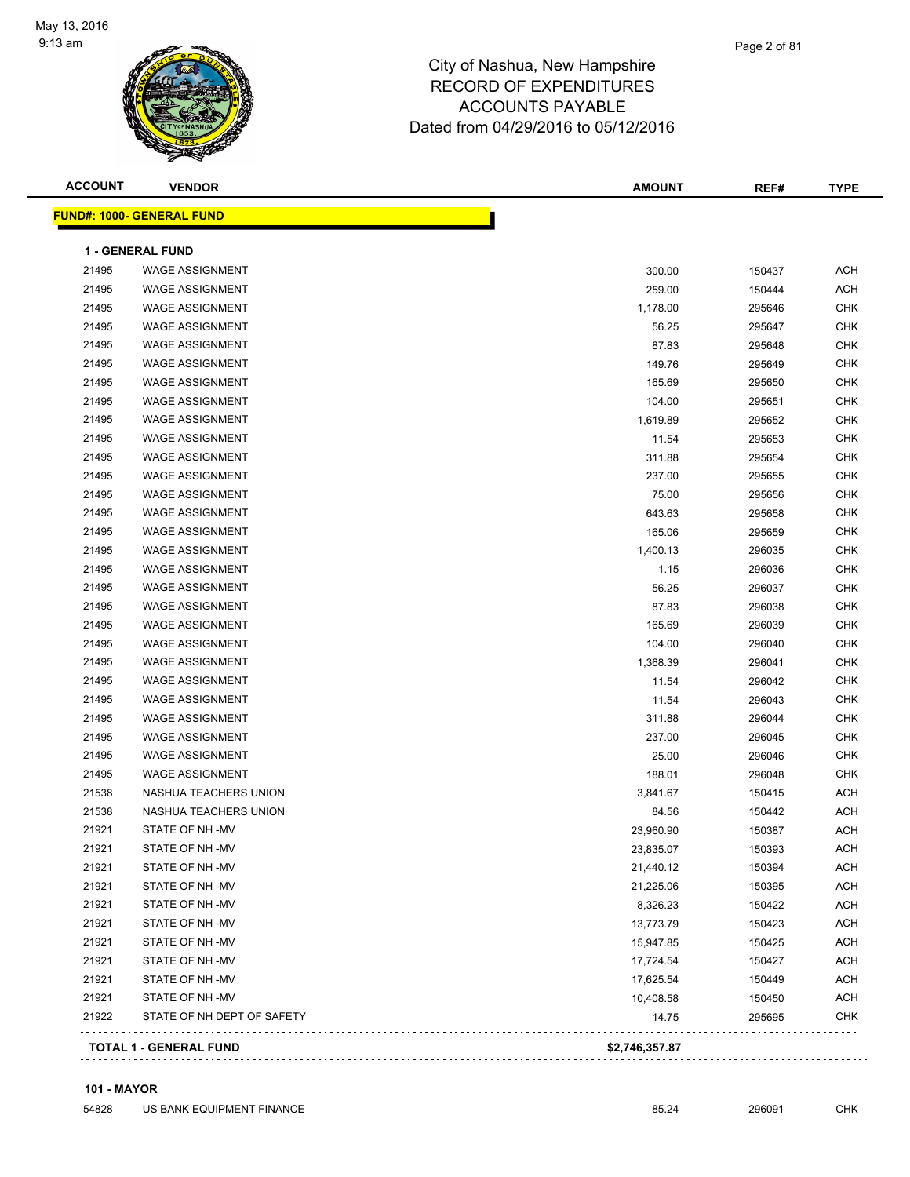

| <b>ACCOUNT</b> | <b>VENDOR</b>                    | <b>AMOUNT</b> | REF#   | <b>TYPE</b> |
|----------------|----------------------------------|---------------|--------|-------------|
|                | <b>FUND#: 1000- GENERAL FUND</b> |               |        |             |
|                | <b>1 - GENERAL FUND</b>          |               |        |             |
| 21495          | <b>WAGE ASSIGNMENT</b>           | 300.00        | 150437 | <b>ACH</b>  |
| 21495          | <b>WAGE ASSIGNMENT</b>           | 259.00        | 150444 | <b>ACH</b>  |
| 21495          | <b>WAGE ASSIGNMENT</b>           | 1,178.00      | 295646 | <b>CHK</b>  |
| 21495          | <b>WAGE ASSIGNMENT</b>           | 56.25         | 295647 | <b>CHK</b>  |
| 21495          | <b>WAGE ASSIGNMENT</b>           | 87.83         | 295648 | <b>CHK</b>  |
| 21495          | <b>WAGE ASSIGNMENT</b>           | 149.76        | 295649 | <b>CHK</b>  |
| 21495          | <b>WAGE ASSIGNMENT</b>           | 165.69        | 295650 | <b>CHK</b>  |
| 21495          | <b>WAGE ASSIGNMENT</b>           | 104.00        | 295651 | <b>CHK</b>  |
| 21495          | <b>WAGE ASSIGNMENT</b>           | 1,619.89      | 295652 | <b>CHK</b>  |
| 21495          | <b>WAGE ASSIGNMENT</b>           | 11.54         | 295653 | <b>CHK</b>  |
| 21495          | <b>WAGE ASSIGNMENT</b>           | 311.88        | 295654 | <b>CHK</b>  |
| 21495          | <b>WAGE ASSIGNMENT</b>           | 237.00        | 295655 | <b>CHK</b>  |
| 21495          | <b>WAGE ASSIGNMENT</b>           | 75.00         | 295656 | <b>CHK</b>  |
| 21495          | <b>WAGE ASSIGNMENT</b>           | 643.63        | 295658 | <b>CHK</b>  |
| 21495          | <b>WAGE ASSIGNMENT</b>           | 165.06        | 295659 | <b>CHK</b>  |
| 21495          | <b>WAGE ASSIGNMENT</b>           | 1,400.13      | 296035 | <b>CHK</b>  |
| 21495          | <b>WAGE ASSIGNMENT</b>           | 1.15          | 296036 | <b>CHK</b>  |
| 21495          | <b>WAGE ASSIGNMENT</b>           | 56.25         | 296037 | <b>CHK</b>  |
| 21495          | <b>WAGE ASSIGNMENT</b>           | 87.83         | 296038 | <b>CHK</b>  |
| 21495          | <b>WAGE ASSIGNMENT</b>           | 165.69        | 296039 | <b>CHK</b>  |
| 21495          | <b>WAGE ASSIGNMENT</b>           | 104.00        | 296040 | <b>CHK</b>  |
| 21495          | <b>WAGE ASSIGNMENT</b>           | 1,368.39      | 296041 | <b>CHK</b>  |
| 21495          | <b>WAGE ASSIGNMENT</b>           | 11.54         | 296042 | <b>CHK</b>  |
| 21495          | <b>WAGE ASSIGNMENT</b>           | 11.54         | 296043 | <b>CHK</b>  |
| 21495          | <b>WAGE ASSIGNMENT</b>           | 311.88        | 296044 | <b>CHK</b>  |
| 21495          | <b>WAGE ASSIGNMENT</b>           | 237.00        | 296045 | <b>CHK</b>  |
| 21495          | <b>WAGE ASSIGNMENT</b>           | 25.00         | 296046 | <b>CHK</b>  |
| 21495          | <b>WAGE ASSIGNMENT</b>           | 188.01        | 296048 | <b>CHK</b>  |
| 21538          | NASHUA TEACHERS UNION            | 3,841.67      | 150415 | <b>ACH</b>  |
| 21538          | NASHUA TEACHERS UNION            | 84.56         | 150442 | <b>ACH</b>  |
| 21921          | STATE OF NH-MV                   | 23,960.90     | 150387 | ACH         |
| 21921          | STATE OF NH-MV                   | 23,835.07     | 150393 | ACH         |
| 21921          | STATE OF NH-MV                   | 21,440.12     | 150394 | ACH         |
| 21921          | STATE OF NH-MV                   | 21,225.06     | 150395 | ACH         |
| 21921          | STATE OF NH-MV                   | 8,326.23      | 150422 | ACH         |
| 21921          | STATE OF NH-MV                   | 13,773.79     | 150423 | ACH         |
| 21921          | STATE OF NH-MV                   | 15,947.85     | 150425 | ACH         |
| 21921          | STATE OF NH-MV                   | 17,724.54     | 150427 | <b>ACH</b>  |
| 21921          | STATE OF NH-MV                   | 17,625.54     | 150449 | <b>ACH</b>  |
| 21921          | STATE OF NH-MV                   | 10,408.58     | 150450 | <b>ACH</b>  |
| 21922          | STATE OF NH DEPT OF SAFETY       | 14.75         | 295695 | <b>CHK</b>  |

#### **101 - MAYOR**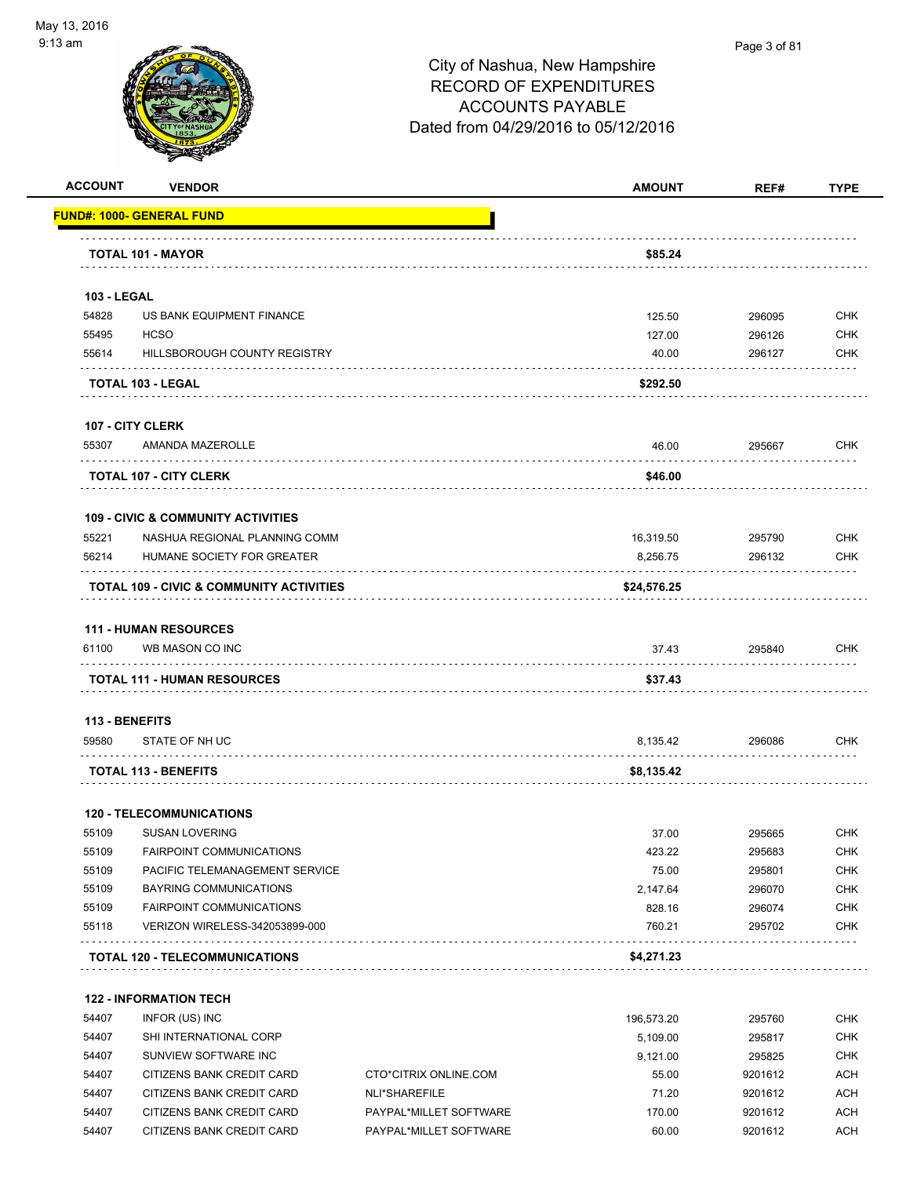

#### Page 3 of 81

## City of Nashua, New Hampshire RECORD OF EXPENDITURES ACCOUNTS PAYABLE Dated from 04/29/2016 to 05/12/2016

| <b>ACCOUNT</b>     | <b>VENDOR</b>                                   |                       | <b>AMOUNT</b> | REF#    | <b>TYPE</b> |
|--------------------|-------------------------------------------------|-----------------------|---------------|---------|-------------|
|                    | <b>FUND#: 1000- GENERAL FUND</b>                |                       |               |         |             |
|                    | TOTAL 101 - MAYOR                               |                       | \$85.24       |         |             |
| <b>103 - LEGAL</b> |                                                 |                       |               |         |             |
| 54828              | US BANK EQUIPMENT FINANCE                       |                       | 125.50        | 296095  | <b>CHK</b>  |
| 55495              | <b>HCSO</b>                                     |                       | 127.00        | 296126  | <b>CHK</b>  |
| 55614              | HILLSBOROUGH COUNTY REGISTRY                    |                       | 40.00         | 296127  | <b>CHK</b>  |
|                    | <b>TOTAL 103 - LEGAL</b>                        |                       | \$292.50      |         |             |
|                    | <b>107 - CITY CLERK</b>                         |                       |               |         |             |
| 55307              | AMANDA MAZEROLLE                                |                       | 46.00         | 295667  | <b>CHK</b>  |
|                    | <b>TOTAL 107 - CITY CLERK</b>                   |                       | \$46.00       |         |             |
|                    | <b>109 - CIVIC &amp; COMMUNITY ACTIVITIES</b>   |                       |               |         |             |
| 55221              | NASHUA REGIONAL PLANNING COMM                   |                       | 16,319.50     | 295790  | <b>CHK</b>  |
| 56214              | HUMANE SOCIETY FOR GREATER                      |                       | 8,256.75      | 296132  | <b>CHK</b>  |
|                    | TOTAL 109 - CIVIC & COMMUNITY ACTIVITIES        |                       | \$24,576.25   |         |             |
|                    |                                                 |                       |               |         |             |
| 61100              | <b>111 - HUMAN RESOURCES</b><br>WB MASON CO INC |                       | 37.43         | 295840  | <b>CHK</b>  |
|                    | <b>TOTAL 111 - HUMAN RESOURCES</b>              |                       | \$37.43       |         |             |
|                    |                                                 |                       |               |         |             |
| 113 - BENEFITS     |                                                 |                       |               |         |             |
| 59580              | STATE OF NH UC                                  |                       | 8,135.42      | 296086  | <b>CHK</b>  |
|                    | <b>TOTAL 113 - BENEFITS</b>                     |                       | \$8,135.42    |         |             |
|                    | <b>120 - TELECOMMUNICATIONS</b>                 |                       |               |         |             |
| 55109              | <b>SUSAN LOVERING</b>                           |                       | 37.00         | 295665  | <b>CHK</b>  |
| 55109              | <b>FAIRPOINT COMMUNICATIONS</b>                 |                       | 423.22        | 295683  | <b>CHK</b>  |
| 55109              | PACIFIC TELEMANAGEMENT SERVICE                  |                       | 75.00         | 295801  | CHK         |
| 55109              | BAYRING COMMUNICATIONS                          |                       | 2,147.64      | 296070  | <b>CHK</b>  |
| 55109              | FAIRPOINT COMMUNICATIONS                        |                       | 828.16        | 296074  | <b>CHK</b>  |
| 55118              | VERIZON WIRELESS-342053899-000                  |                       | 760.21        | 295702  | <b>CHK</b>  |
|                    | <b>TOTAL 120 - TELECOMMUNICATIONS</b>           |                       | \$4,271.23    |         |             |
|                    | <b>122 - INFORMATION TECH</b>                   |                       |               |         |             |
| 54407              | INFOR (US) INC                                  |                       | 196,573.20    | 295760  | <b>CHK</b>  |
| 54407              | SHI INTERNATIONAL CORP                          |                       | 5,109.00      | 295817  | <b>CHK</b>  |
| 54407              | SUNVIEW SOFTWARE INC                            |                       | 9,121.00      | 295825  | <b>CHK</b>  |
| 54407              | CITIZENS BANK CREDIT CARD                       | CTO*CITRIX ONLINE.COM | 55.00         | 9201612 | <b>ACH</b>  |
| 54407              | CITIZENS BANK CREDIT CARD                       | NLI*SHAREFILE         | 71.20         | 9201612 | <b>ACH</b>  |

54407 CITIZENS BANK CREDIT CARD PAYPAL\*MILLET SOFTWARE 170.00 9201612 ACH 54407 CITIZENS BANK CREDIT CARD PAYPAL\*MILLET SOFTWARE 60.00 9201612 ACH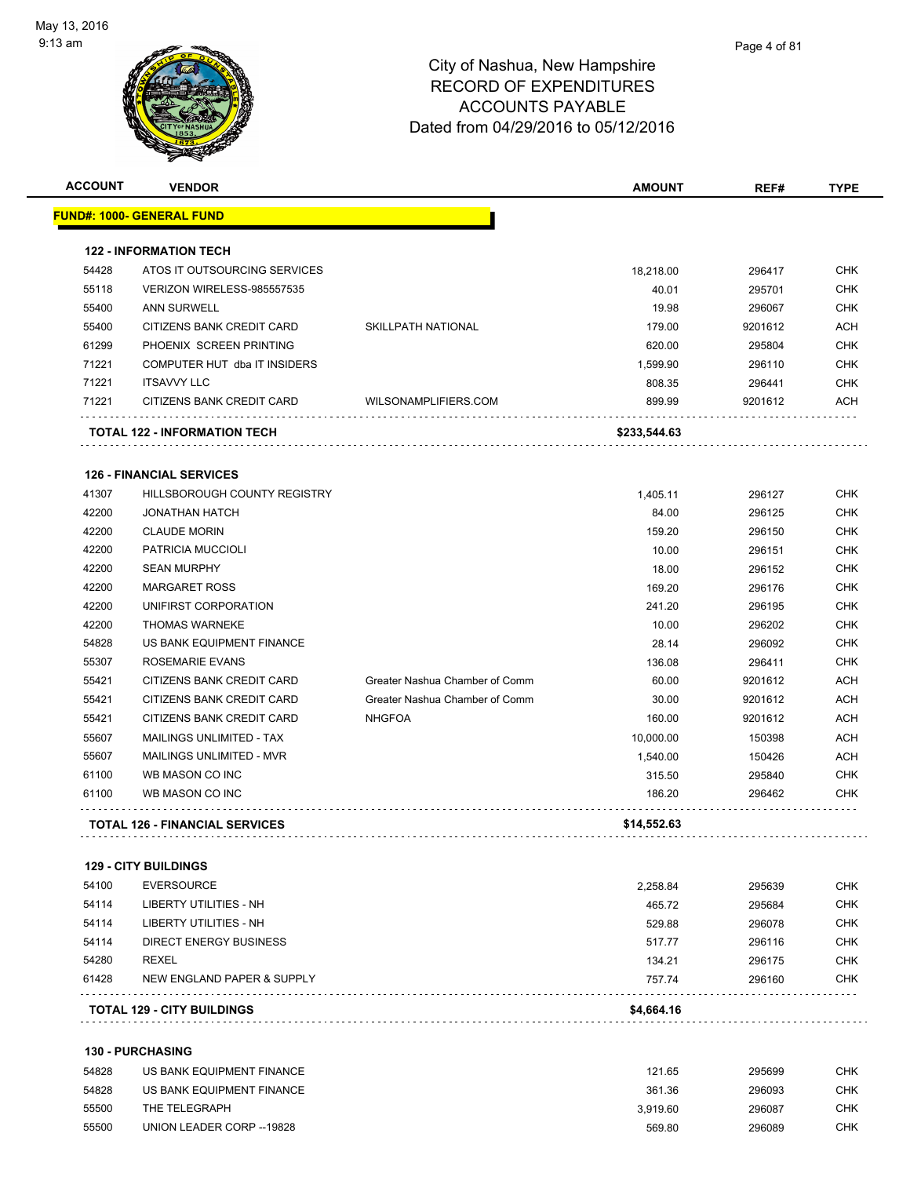

| <b>ACCOUNT</b> | <b>VENDOR</b>                                    |                                | <b>AMOUNT</b>      | REF#             | <b>TYPE</b>                     |
|----------------|--------------------------------------------------|--------------------------------|--------------------|------------------|---------------------------------|
|                | FUND#: 1000- GENERAL FUND                        |                                |                    |                  |                                 |
|                | <b>122 - INFORMATION TECH</b>                    |                                |                    |                  |                                 |
| 54428          | ATOS IT OUTSOURCING SERVICES                     |                                | 18,218.00          | 296417           | <b>CHK</b>                      |
| 55118          | VERIZON WIRELESS-985557535                       |                                | 40.01              | 295701           | <b>CHK</b>                      |
| 55400          | <b>ANN SURWELL</b>                               |                                | 19.98              | 296067           | <b>CHK</b>                      |
| 55400          | CITIZENS BANK CREDIT CARD                        | <b>SKILLPATH NATIONAL</b>      | 179.00             | 9201612          | <b>ACH</b>                      |
| 61299          | PHOENIX SCREEN PRINTING                          |                                | 620.00             | 295804           | <b>CHK</b>                      |
| 71221          | COMPUTER HUT dba IT INSIDERS                     |                                | 1,599.90           | 296110           | <b>CHK</b>                      |
| 71221          | <b>ITSAVVY LLC</b>                               |                                | 808.35             | 296441           | <b>CHK</b>                      |
| 71221          | CITIZENS BANK CREDIT CARD                        | WILSONAMPLIFIERS.COM           | 899.99             | 9201612          | ACH                             |
|                | TOTAL 122 - INFORMATION TECH                     |                                | \$233,544.63       |                  |                                 |
|                | <b>126 - FINANCIAL SERVICES</b>                  |                                |                    |                  |                                 |
| 41307          | HILLSBOROUGH COUNTY REGISTRY                     |                                | 1.405.11           | 296127           | <b>CHK</b>                      |
| 42200          | <b>JONATHAN HATCH</b>                            |                                | 84.00              | 296125           | <b>CHK</b>                      |
| 42200          | <b>CLAUDE MORIN</b>                              |                                | 159.20             | 296150           | <b>CHK</b>                      |
| 42200          | PATRICIA MUCCIOLI                                |                                | 10.00              | 296151           | <b>CHK</b>                      |
| 42200          | <b>SEAN MURPHY</b>                               |                                | 18.00              | 296152           | <b>CHK</b>                      |
| 42200          | <b>MARGARET ROSS</b>                             |                                | 169.20             | 296176           | <b>CHK</b>                      |
| 42200          | UNIFIRST CORPORATION                             |                                | 241.20             | 296195           | <b>CHK</b>                      |
| 42200          | <b>THOMAS WARNEKE</b>                            |                                | 10.00              | 296202           | <b>CHK</b>                      |
| 54828          | US BANK EQUIPMENT FINANCE                        |                                | 28.14              | 296092           | <b>CHK</b>                      |
| 55307          | ROSEMARIE EVANS                                  |                                | 136.08             | 296411           | <b>CHK</b>                      |
| 55421          | CITIZENS BANK CREDIT CARD                        | Greater Nashua Chamber of Comm | 60.00              | 9201612          | ACH                             |
| 55421          | CITIZENS BANK CREDIT CARD                        | Greater Nashua Chamber of Comm | 30.00              | 9201612          | <b>ACH</b>                      |
| 55421          | CITIZENS BANK CREDIT CARD                        | <b>NHGFOA</b>                  | 160.00             | 9201612          | <b>ACH</b>                      |
| 55607          | MAILINGS UNLIMITED - TAX                         |                                | 10,000.00          | 150398           | <b>ACH</b>                      |
| 55607          | MAILINGS UNLIMITED - MVR                         |                                | 1,540.00           | 150426           | ACH                             |
| 61100          | WB MASON CO INC                                  |                                | 315.50             | 295840           | <b>CHK</b>                      |
| 61100          | WB MASON CO INC                                  |                                | 186.20             | 296462           | <b>CHK</b>                      |
|                | <b>TOTAL 126 - FINANCIAL SERVICES</b>            |                                | \$14,552.63        |                  |                                 |
|                |                                                  |                                |                    |                  |                                 |
| 54100          | <b>129 - CITY BUILDINGS</b><br><b>EVERSOURCE</b> |                                | 2,258.84           | 295639           | <b>CHK</b>                      |
| 54114          | LIBERTY UTILITIES - NH                           |                                | 465.72             | 295684           | <b>CHK</b>                      |
| 54114          | LIBERTY UTILITIES - NH                           |                                | 529.88             | 296078           | CHK                             |
| 54114          | <b>DIRECT ENERGY BUSINESS</b>                    |                                | 517.77             | 296116           | CHK                             |
| 54280          | REXEL                                            |                                | 134.21             | 296175           | CHK                             |
| 61428          | NEW ENGLAND PAPER & SUPPLY                       |                                | 757.74             | 296160           | CHK                             |
|                | <b>TOTAL 129 - CITY BUILDINGS</b>                |                                | \$4,664.16         |                  |                                 |
|                |                                                  |                                |                    |                  |                                 |
|                |                                                  |                                |                    |                  |                                 |
|                | <b>130 - PURCHASING</b>                          |                                |                    |                  |                                 |
| 54828          | US BANK EQUIPMENT FINANCE                        |                                | 121.65             | 295699           |                                 |
| 54828<br>55500 | US BANK EQUIPMENT FINANCE<br>THE TELEGRAPH       |                                | 361.36<br>3,919.60 | 296093<br>296087 | <b>CHK</b><br><b>CHK</b><br>CHK |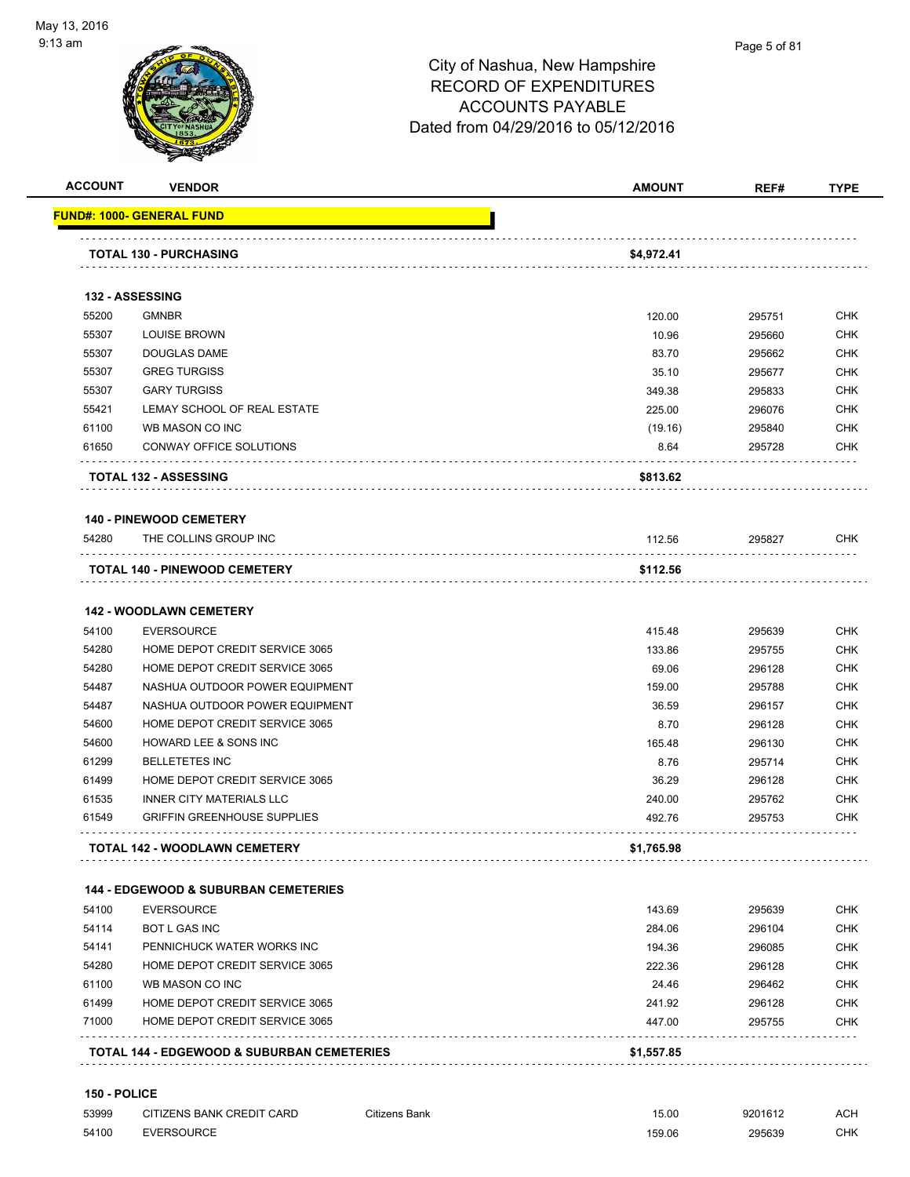

| <b>ACCOUNT</b> | <b>VENDOR</b>                                         | <b>AMOUNT</b> | REF#   | <b>TYPE</b> |
|----------------|-------------------------------------------------------|---------------|--------|-------------|
|                | <u> FUND#: 1000- GENERAL FUND</u>                     |               |        |             |
|                | <b>TOTAL 130 - PURCHASING</b>                         | \$4,972.41    |        |             |
|                | 132 - ASSESSING                                       |               |        |             |
| 55200          | <b>GMNBR</b>                                          | 120.00        | 295751 | <b>CHK</b>  |
| 55307          | <b>LOUISE BROWN</b>                                   | 10.96         | 295660 | CHK         |
| 55307          | <b>DOUGLAS DAME</b>                                   | 83.70         | 295662 | <b>CHK</b>  |
| 55307          | <b>GREG TURGISS</b>                                   | 35.10         | 295677 | <b>CHK</b>  |
| 55307          | <b>GARY TURGISS</b>                                   | 349.38        | 295833 | CHK         |
| 55421          | LEMAY SCHOOL OF REAL ESTATE                           | 225.00        | 296076 | <b>CHK</b>  |
| 61100          | WB MASON CO INC                                       | (19.16)       | 295840 | CHK         |
| 61650          | CONWAY OFFICE SOLUTIONS                               | 8.64          | 295728 | CHK         |
|                | <b>TOTAL 132 - ASSESSING</b>                          | \$813.62      |        |             |
|                | <b>140 - PINEWOOD CEMETERY</b>                        |               |        |             |
| 54280          | THE COLLINS GROUP INC                                 | 112.56        | 295827 | CHK         |
|                | TOTAL 140 - PINEWOOD CEMETERY                         | \$112.56      |        |             |
|                | <b>142 - WOODLAWN CEMETERY</b>                        |               |        |             |
| 54100          | <b>EVERSOURCE</b>                                     | 415.48        | 295639 | CHK         |
| 54280          | HOME DEPOT CREDIT SERVICE 3065                        | 133.86        | 295755 | <b>CHK</b>  |
| 54280          | HOME DEPOT CREDIT SERVICE 3065                        | 69.06         | 296128 | <b>CHK</b>  |
| 54487          | NASHUA OUTDOOR POWER EQUIPMENT                        | 159.00        | 295788 | CHK         |
| 54487          | NASHUA OUTDOOR POWER EQUIPMENT                        | 36.59         | 296157 | <b>CHK</b>  |
| 54600          | HOME DEPOT CREDIT SERVICE 3065                        | 8.70          | 296128 | <b>CHK</b>  |
| 54600          | HOWARD LEE & SONS INC                                 | 165.48        | 296130 | CHK         |
| 61299          | <b>BELLETETES INC</b>                                 | 8.76          | 295714 | <b>CHK</b>  |
| 61499          | HOME DEPOT CREDIT SERVICE 3065                        | 36.29         | 296128 | CHK         |
| 61535          | <b>INNER CITY MATERIALS LLC</b>                       | 240.00        | 295762 | CHK         |
| 61549          | <b>GRIFFIN GREENHOUSE SUPPLIES</b><br>.               | 492.76        | 295753 | CHK         |
|                | <b>TOTAL 142 - WOODLAWN CEMETERY</b>                  | \$1,765.98    |        |             |
|                | <b>144 - EDGEWOOD &amp; SUBURBAN CEMETERIES</b>       |               |        |             |
| 54100          | <b>EVERSOURCE</b>                                     | 143.69        | 295639 | <b>CHK</b>  |
| 54114          | <b>BOT L GAS INC</b>                                  | 284.06        | 296104 | <b>CHK</b>  |
| 54141          | PENNICHUCK WATER WORKS INC                            | 194.36        | 296085 | <b>CHK</b>  |
| 54280          | HOME DEPOT CREDIT SERVICE 3065                        | 222.36        | 296128 | <b>CHK</b>  |
| 61100          | WB MASON CO INC                                       | 24.46         | 296462 | <b>CHK</b>  |
| 61499          | HOME DEPOT CREDIT SERVICE 3065                        | 241.92        | 296128 | <b>CHK</b>  |
| 71000          | HOME DEPOT CREDIT SERVICE 3065                        | 447.00        | 295755 | <b>CHK</b>  |
|                | <b>TOTAL 144 - EDGEWOOD &amp; SUBURBAN CEMETERIES</b> | \$1,557.85    |        |             |

| 53999 | CITIZENS BANK CREDIT CARD | Citizens Bank | $\sqrt{2}$<br>ט.טי | 9201612 | <b>ACH</b> |
|-------|---------------------------|---------------|--------------------|---------|------------|
| 54100 | <b>EVERSOURCE</b><br>.    |               | 159.06             | 295639  | СНК        |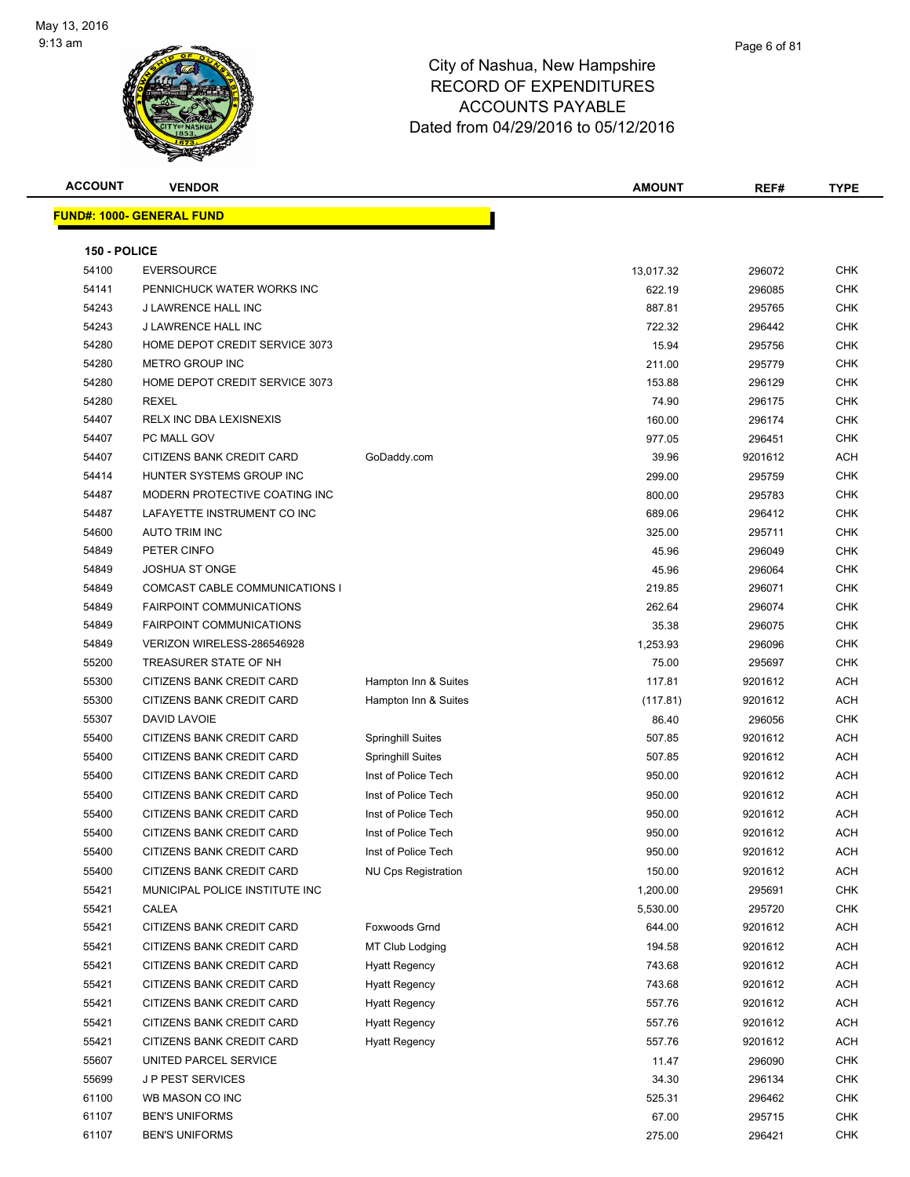

| <b>ACCOUNT</b> | <b>VENDOR</b>                    |                            | AMOUNT    | REF#    | <b>TYPE</b> |
|----------------|----------------------------------|----------------------------|-----------|---------|-------------|
|                | <b>FUND#: 1000- GENERAL FUND</b> |                            |           |         |             |
|                |                                  |                            |           |         |             |
| 150 - POLICE   |                                  |                            |           |         |             |
| 54100          | <b>EVERSOURCE</b>                |                            | 13,017.32 | 296072  | <b>CHK</b>  |
| 54141          | PENNICHUCK WATER WORKS INC       |                            | 622.19    | 296085  | <b>CHK</b>  |
| 54243          | J LAWRENCE HALL INC              |                            | 887.81    | 295765  | <b>CHK</b>  |
| 54243          | J LAWRENCE HALL INC              |                            | 722.32    | 296442  | <b>CHK</b>  |
| 54280          | HOME DEPOT CREDIT SERVICE 3073   |                            | 15.94     | 295756  | <b>CHK</b>  |
| 54280          | <b>METRO GROUP INC</b>           |                            | 211.00    | 295779  | <b>CHK</b>  |
| 54280          | HOME DEPOT CREDIT SERVICE 3073   |                            | 153.88    | 296129  | CHK         |
| 54280          | <b>REXEL</b>                     |                            | 74.90     | 296175  | CHK         |
| 54407          | RELX INC DBA LEXISNEXIS          |                            | 160.00    | 296174  | <b>CHK</b>  |
| 54407          | PC MALL GOV                      |                            | 977.05    | 296451  | <b>CHK</b>  |
| 54407          | CITIZENS BANK CREDIT CARD        | GoDaddy.com                | 39.96     | 9201612 | <b>ACH</b>  |
| 54414          | HUNTER SYSTEMS GROUP INC         |                            | 299.00    | 295759  | <b>CHK</b>  |
| 54487          | MODERN PROTECTIVE COATING INC    |                            | 800.00    | 295783  | <b>CHK</b>  |
| 54487          | LAFAYETTE INSTRUMENT CO INC      |                            | 689.06    | 296412  | <b>CHK</b>  |
| 54600          | <b>AUTO TRIM INC</b>             |                            | 325.00    | 295711  | <b>CHK</b>  |
| 54849          | PETER CINFO                      |                            | 45.96     | 296049  | <b>CHK</b>  |
| 54849          | <b>JOSHUA ST ONGE</b>            |                            | 45.96     | 296064  | <b>CHK</b>  |
| 54849          | COMCAST CABLE COMMUNICATIONS I   |                            | 219.85    | 296071  | CHK         |
| 54849          | <b>FAIRPOINT COMMUNICATIONS</b>  |                            | 262.64    | 296074  | <b>CHK</b>  |
| 54849          | <b>FAIRPOINT COMMUNICATIONS</b>  |                            | 35.38     | 296075  | <b>CHK</b>  |
| 54849          | VERIZON WIRELESS-286546928       |                            | 1,253.93  | 296096  | <b>CHK</b>  |
| 55200          | TREASURER STATE OF NH            |                            | 75.00     | 295697  | <b>CHK</b>  |
| 55300          | CITIZENS BANK CREDIT CARD        | Hampton Inn & Suites       | 117.81    | 9201612 | <b>ACH</b>  |
| 55300          | CITIZENS BANK CREDIT CARD        | Hampton Inn & Suites       | (117.81)  | 9201612 | <b>ACH</b>  |
| 55307          | DAVID LAVOIE                     |                            | 86.40     | 296056  | <b>CHK</b>  |
| 55400          | CITIZENS BANK CREDIT CARD        | <b>Springhill Suites</b>   | 507.85    | 9201612 | <b>ACH</b>  |
| 55400          | CITIZENS BANK CREDIT CARD        | Springhill Suites          | 507.85    | 9201612 | <b>ACH</b>  |
| 55400          | CITIZENS BANK CREDIT CARD        | Inst of Police Tech        | 950.00    | 9201612 | ACH         |
| 55400          | CITIZENS BANK CREDIT CARD        | Inst of Police Tech        | 950.00    | 9201612 | ACH         |
| 55400          | CITIZENS BANK CREDIT CARD        | Inst of Police Tech        | 950.00    | 9201612 | <b>ACH</b>  |
| 55400          | CITIZENS BANK CREDIT CARD        | Inst of Police Tech        | 950.00    | 9201612 | <b>ACH</b>  |
| 55400          | CITIZENS BANK CREDIT CARD        | Inst of Police Tech        | 950.00    | 9201612 | <b>ACH</b>  |
| 55400          | CITIZENS BANK CREDIT CARD        | <b>NU Cps Registration</b> | 150.00    | 9201612 | <b>ACH</b>  |
| 55421          | MUNICIPAL POLICE INSTITUTE INC   |                            | 1,200.00  | 295691  | <b>CHK</b>  |
| 55421          | CALEA                            |                            | 5,530.00  | 295720  | CHK         |
| 55421          | CITIZENS BANK CREDIT CARD        | Foxwoods Grnd              | 644.00    | 9201612 | ACH         |
| 55421          | CITIZENS BANK CREDIT CARD        | MT Club Lodging            | 194.58    | 9201612 | <b>ACH</b>  |
| 55421          | CITIZENS BANK CREDIT CARD        | <b>Hyatt Regency</b>       | 743.68    | 9201612 | ACH         |
| 55421          | CITIZENS BANK CREDIT CARD        | <b>Hyatt Regency</b>       | 743.68    | 9201612 | <b>ACH</b>  |
| 55421          | CITIZENS BANK CREDIT CARD        | <b>Hyatt Regency</b>       | 557.76    | 9201612 | <b>ACH</b>  |
| 55421          | CITIZENS BANK CREDIT CARD        | <b>Hyatt Regency</b>       | 557.76    | 9201612 | <b>ACH</b>  |
| 55421          | CITIZENS BANK CREDIT CARD        | <b>Hyatt Regency</b>       | 557.76    | 9201612 | <b>ACH</b>  |
| 55607          | UNITED PARCEL SERVICE            |                            | 11.47     | 296090  | CHK         |
| 55699          | <b>JP PEST SERVICES</b>          |                            | 34.30     | 296134  | CHK         |
| 61100          | WB MASON CO INC                  |                            | 525.31    | 296462  | <b>CHK</b>  |
| 61107          | <b>BEN'S UNIFORMS</b>            |                            | 67.00     | 295715  | <b>CHK</b>  |
| 61107          | <b>BEN'S UNIFORMS</b>            |                            | 275.00    | 296421  | <b>CHK</b>  |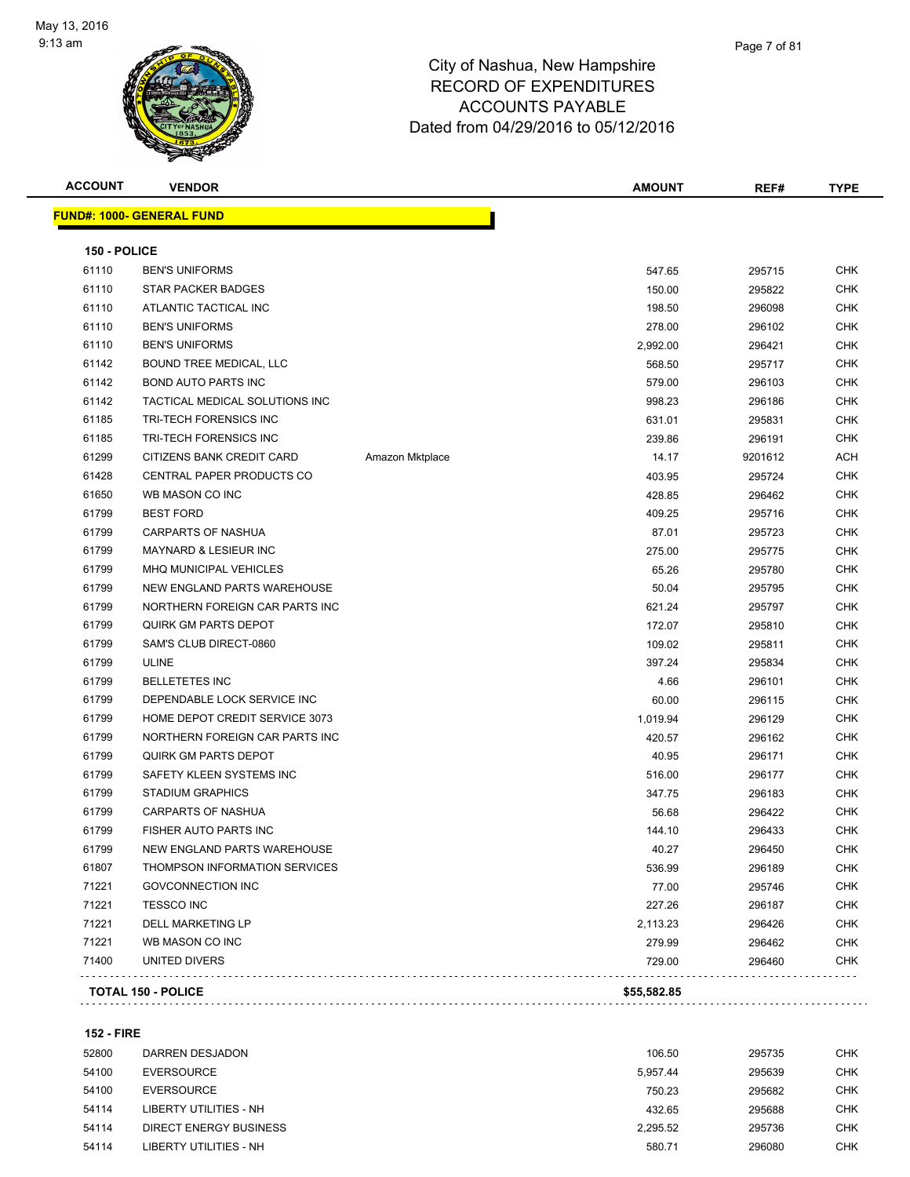

| <b>ACCOUNT</b> | <b>VENDOR</b>                    |                 | <b>AMOUNT</b> | REF#    | <b>TYPE</b> |
|----------------|----------------------------------|-----------------|---------------|---------|-------------|
|                | <b>FUND#: 1000- GENERAL FUND</b> |                 |               |         |             |
| 150 - POLICE   |                                  |                 |               |         |             |
| 61110          | <b>BEN'S UNIFORMS</b>            |                 | 547.65        | 295715  | CHK         |
| 61110          | STAR PACKER BADGES               |                 | 150.00        | 295822  | <b>CHK</b>  |
| 61110          | ATLANTIC TACTICAL INC            |                 | 198.50        | 296098  | <b>CHK</b>  |
| 61110          | <b>BEN'S UNIFORMS</b>            |                 | 278.00        | 296102  | <b>CHK</b>  |
| 61110          | <b>BEN'S UNIFORMS</b>            |                 | 2,992.00      | 296421  | <b>CHK</b>  |
| 61142          | BOUND TREE MEDICAL, LLC          |                 | 568.50        | 295717  | <b>CHK</b>  |
| 61142          | <b>BOND AUTO PARTS INC</b>       |                 | 579.00        | 296103  | <b>CHK</b>  |
| 61142          | TACTICAL MEDICAL SOLUTIONS INC   |                 | 998.23        | 296186  | <b>CHK</b>  |
| 61185          | TRI-TECH FORENSICS INC           |                 | 631.01        | 295831  | <b>CHK</b>  |
| 61185          | TRI-TECH FORENSICS INC           |                 | 239.86        | 296191  | <b>CHK</b>  |
| 61299          | CITIZENS BANK CREDIT CARD        | Amazon Mktplace | 14.17         | 9201612 | ACH         |
| 61428          | <b>CENTRAL PAPER PRODUCTS CO</b> |                 | 403.95        | 295724  | <b>CHK</b>  |
| 61650          | WB MASON CO INC                  |                 | 428.85        | 296462  | <b>CHK</b>  |
| 61799          | <b>BEST FORD</b>                 |                 | 409.25        | 295716  | <b>CHK</b>  |
| 61799          | <b>CARPARTS OF NASHUA</b>        |                 | 87.01         | 295723  | <b>CHK</b>  |
| 61799          | <b>MAYNARD &amp; LESIEUR INC</b> |                 | 275.00        | 295775  | <b>CHK</b>  |
| 61799          | <b>MHQ MUNICIPAL VEHICLES</b>    |                 | 65.26         | 295780  | <b>CHK</b>  |
| 61799          | NEW ENGLAND PARTS WAREHOUSE      |                 | 50.04         | 295795  | <b>CHK</b>  |
| 61799          | NORTHERN FOREIGN CAR PARTS INC   |                 | 621.24        | 295797  | <b>CHK</b>  |
| 61799          | <b>QUIRK GM PARTS DEPOT</b>      |                 | 172.07        | 295810  | <b>CHK</b>  |
| 61799          | SAM'S CLUB DIRECT-0860           |                 | 109.02        | 295811  | <b>CHK</b>  |
| 61799          | ULINE                            |                 | 397.24        | 295834  | <b>CHK</b>  |
| 61799          | <b>BELLETETES INC</b>            |                 | 4.66          | 296101  | <b>CHK</b>  |
| 61799          | DEPENDABLE LOCK SERVICE INC      |                 | 60.00         | 296115  | <b>CHK</b>  |
| 61799          | HOME DEPOT CREDIT SERVICE 3073   |                 | 1,019.94      | 296129  | <b>CHK</b>  |
| 61799          | NORTHERN FOREIGN CAR PARTS INC   |                 | 420.57        | 296162  | <b>CHK</b>  |
| 61799          | <b>QUIRK GM PARTS DEPOT</b>      |                 | 40.95         | 296171  | <b>CHK</b>  |
| 61799          | SAFETY KLEEN SYSTEMS INC         |                 | 516.00        | 296177  | <b>CHK</b>  |
| 61799          | <b>STADIUM GRAPHICS</b>          |                 | 347.75        | 296183  | <b>CHK</b>  |
| 61799          | <b>CARPARTS OF NASHUA</b>        |                 | 56.68         | 296422  | <b>CHK</b>  |
| 61799          | FISHER AUTO PARTS INC            |                 | 144.10        | 296433  | <b>CHK</b>  |
| 61799          | NEW ENGLAND PARTS WAREHOUSE      |                 | 40.27         | 296450  | <b>CHK</b>  |
| 61807          | THOMPSON INFORMATION SERVICES    |                 | 536.99        | 296189  | <b>CHK</b>  |
| 71221          | <b>GOVCONNECTION INC</b>         |                 | 77.00         | 295746  | <b>CHK</b>  |
| 71221          | <b>TESSCO INC</b>                |                 | 227.26        | 296187  | <b>CHK</b>  |
| 71221          | <b>DELL MARKETING LP</b>         |                 | 2,113.23      | 296426  | <b>CHK</b>  |
| 71221          | WB MASON CO INC                  |                 | 279.99        | 296462  | <b>CHK</b>  |
| 71400          | UNITED DIVERS                    |                 | 729.00        | 296460  | <b>CHK</b>  |
|                |                                  |                 |               |         |             |

**152 - FIRE**

| 52800 | DARREN DESJADON        | 106.50   | 295735 | CHK        |
|-------|------------------------|----------|--------|------------|
| 54100 | <b>EVERSOURCE</b>      | 5.957.44 | 295639 | CHK        |
| 54100 | EVERSOURCE             | 750.23   | 295682 | <b>CHK</b> |
| 54114 | LIBERTY UTILITIES - NH | 432.65   | 295688 | CHK        |
| 54114 | DIRECT ENERGY BUSINESS | 2.295.52 | 295736 | CHK        |
| 54114 | LIBERTY UTILITIES - NH | 580.71   | 296080 | CHK        |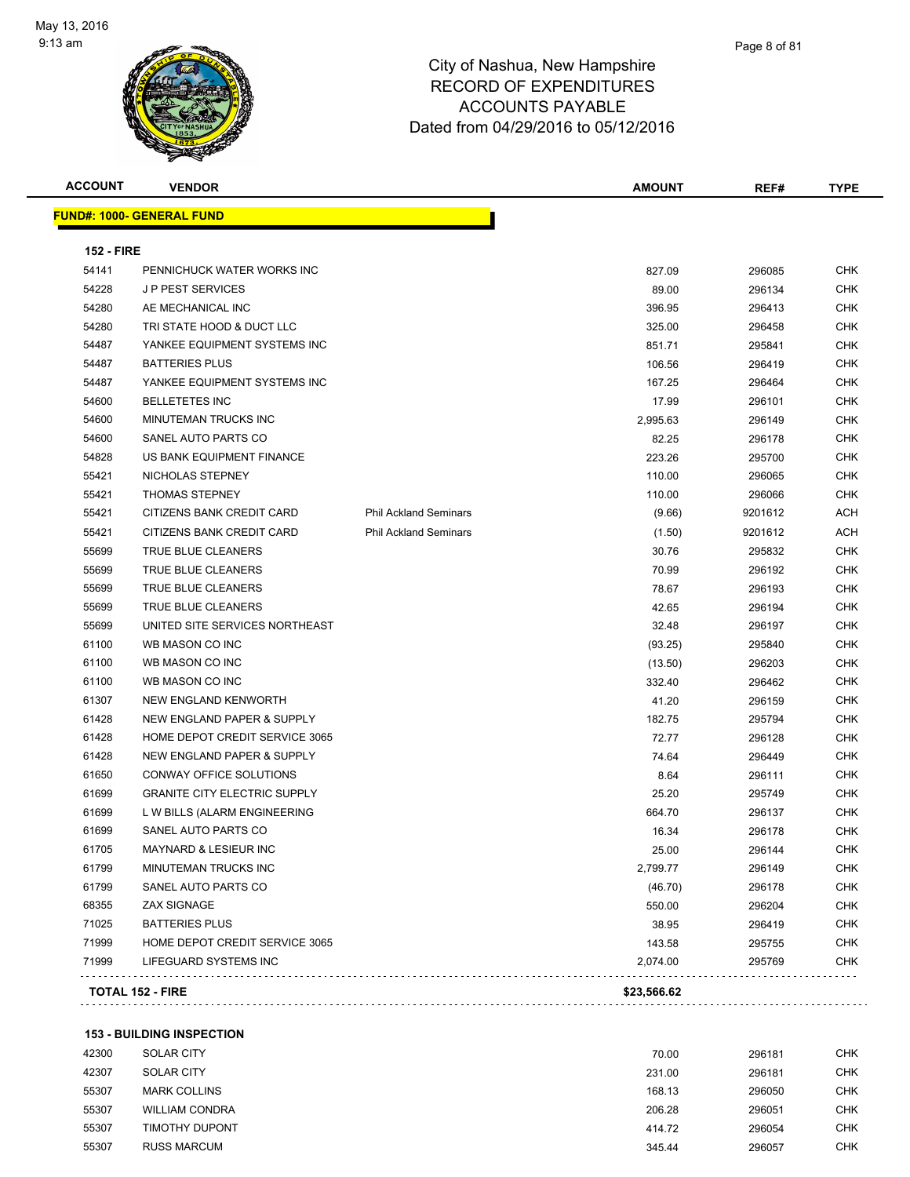

| <b>ACCOUNT</b>    | <b>VENDOR</b>                         |                              | <b>AMOUNT</b> | REF#    | <b>TYPE</b> |
|-------------------|---------------------------------------|------------------------------|---------------|---------|-------------|
|                   | <u> FUND#: 1000- GENERAL FUND</u>     |                              |               |         |             |
| <b>152 - FIRE</b> |                                       |                              |               |         |             |
| 54141             | PENNICHUCK WATER WORKS INC            |                              | 827.09        | 296085  | CHK         |
| 54228             | <b>JP PEST SERVICES</b>               |                              | 89.00         | 296134  | <b>CHK</b>  |
| 54280             | AE MECHANICAL INC                     |                              | 396.95        | 296413  | <b>CHK</b>  |
| 54280             | TRI STATE HOOD & DUCT LLC             |                              | 325.00        | 296458  | <b>CHK</b>  |
| 54487             | YANKEE EQUIPMENT SYSTEMS INC          |                              | 851.71        | 295841  | <b>CHK</b>  |
| 54487             | <b>BATTERIES PLUS</b>                 |                              | 106.56        | 296419  | <b>CHK</b>  |
| 54487             | YANKEE EQUIPMENT SYSTEMS INC          |                              | 167.25        | 296464  | <b>CHK</b>  |
| 54600             | <b>BELLETETES INC</b>                 |                              | 17.99         | 296101  | <b>CHK</b>  |
| 54600             | MINUTEMAN TRUCKS INC                  |                              | 2,995.63      | 296149  | <b>CHK</b>  |
| 54600             | SANEL AUTO PARTS CO                   |                              | 82.25         | 296178  | <b>CHK</b>  |
| 54828             | US BANK EQUIPMENT FINANCE             |                              | 223.26        | 295700  | CHK         |
| 55421             | NICHOLAS STEPNEY                      |                              | 110.00        | 296065  | CHK         |
| 55421             | <b>THOMAS STEPNEY</b>                 |                              | 110.00        | 296066  | <b>CHK</b>  |
| 55421             | CITIZENS BANK CREDIT CARD             | <b>Phil Ackland Seminars</b> | (9.66)        | 9201612 | ACH         |
| 55421             | CITIZENS BANK CREDIT CARD             | <b>Phil Ackland Seminars</b> | (1.50)        | 9201612 | <b>ACH</b>  |
| 55699             | TRUE BLUE CLEANERS                    |                              | 30.76         | 295832  | CHK         |
| 55699             | TRUE BLUE CLEANERS                    |                              | 70.99         | 296192  | <b>CHK</b>  |
| 55699             | TRUE BLUE CLEANERS                    |                              | 78.67         | 296193  | <b>CHK</b>  |
| 55699             | TRUE BLUE CLEANERS                    |                              | 42.65         | 296194  | <b>CHK</b>  |
| 55699             | UNITED SITE SERVICES NORTHEAST        |                              | 32.48         | 296197  | CHK         |
| 61100             | WB MASON CO INC                       |                              | (93.25)       | 295840  | CHK         |
| 61100             | WB MASON CO INC                       |                              | (13.50)       | 296203  | CHK         |
| 61100             | WB MASON CO INC                       |                              | 332.40        | 296462  | CHK         |
| 61307             | <b>NEW ENGLAND KENWORTH</b>           |                              | 41.20         | 296159  | CHK         |
| 61428             | NEW ENGLAND PAPER & SUPPLY            |                              | 182.75        | 295794  | <b>CHK</b>  |
| 61428             | HOME DEPOT CREDIT SERVICE 3065        |                              | 72.77         | 296128  | <b>CHK</b>  |
| 61428             | NEW ENGLAND PAPER & SUPPLY            |                              | 74.64         | 296449  | CHK         |
| 61650             | CONWAY OFFICE SOLUTIONS               |                              | 8.64          | 296111  | <b>CHK</b>  |
| 61699             | <b>GRANITE CITY ELECTRIC SUPPLY</b>   |                              | 25.20         | 295749  | CHK         |
| 61699             | L W BILLS (ALARM ENGINEERING          |                              | 664.70        | 296137  | <b>CHK</b>  |
| 61699             | SANEL AUTO PARTS CO                   |                              | 16.34         | 296178  | CHK         |
| 61705             | MAYNARD & LESIEUR INC                 |                              | 25.00         | 296144  | <b>CHK</b>  |
| 61799             | MINUTEMAN TRUCKS INC                  |                              | 2,799.77      | 296149  | CHK         |
| 61799             | SANEL AUTO PARTS CO                   |                              | (46.70)       | 296178  | <b>CHK</b>  |
| 68355             | <b>ZAX SIGNAGE</b>                    |                              | 550.00        | 296204  | <b>CHK</b>  |
| 71025             | <b>BATTERIES PLUS</b>                 |                              | 38.95         | 296419  | <b>CHK</b>  |
| 71999             | <b>HOME DEPOT CREDIT SERVICE 3065</b> |                              | 143.58        | 295755  | <b>CHK</b>  |
| 71999             | LIFEGUARD SYSTEMS INC                 |                              | 2,074.00      | 295769  | <b>CHK</b>  |
|                   | <b>TOTAL 152 - FIRE</b>               |                              | \$23,566.62   |         |             |

#### **153 - BUILDING INSPECTION**

| 42300 | <b>SOLAR CITY</b>     | 70.00  | 296181 | <b>CHK</b> |
|-------|-----------------------|--------|--------|------------|
| 42307 | <b>SOLAR CITY</b>     | 231.00 | 296181 | CHK        |
| 55307 | <b>MARK COLLINS</b>   | 168.13 | 296050 | <b>CHK</b> |
| 55307 | <b>WILLIAM CONDRA</b> | 206.28 | 296051 | CHK        |
| 55307 | <b>TIMOTHY DUPONT</b> | 414.72 | 296054 | CHK        |
| 55307 | <b>RUSS MARCUM</b>    | 345.44 | 296057 | СНК        |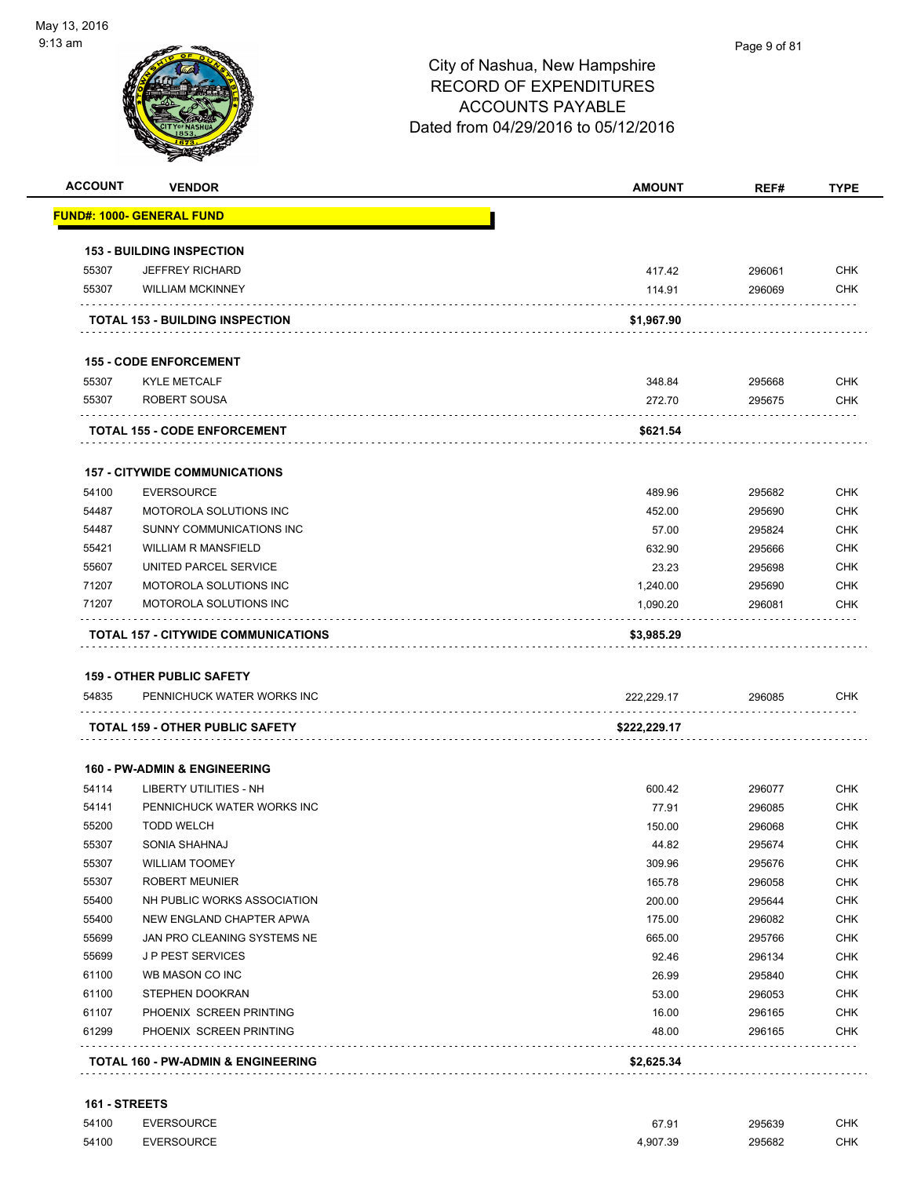

|                                                                                                 | <b>VENDOR</b>                                                  | <b>AMOUNT</b>  | REF#             | <b>TYPE</b>                                                                                                                                                                                             |
|-------------------------------------------------------------------------------------------------|----------------------------------------------------------------|----------------|------------------|---------------------------------------------------------------------------------------------------------------------------------------------------------------------------------------------------------|
|                                                                                                 | FUND#: 1000- GENERAL FUND                                      |                |                  |                                                                                                                                                                                                         |
|                                                                                                 | <b>153 - BUILDING INSPECTION</b>                               |                |                  |                                                                                                                                                                                                         |
| 55307                                                                                           | <b>JEFFREY RICHARD</b>                                         | 417.42         | 296061           | <b>CHK</b>                                                                                                                                                                                              |
| 55307                                                                                           | <b>WILLIAM MCKINNEY</b>                                        | 114.91         | 296069           | <b>CHK</b>                                                                                                                                                                                              |
|                                                                                                 | <b>TOTAL 153 - BUILDING INSPECTION</b>                         | \$1,967.90     |                  |                                                                                                                                                                                                         |
|                                                                                                 | <b>155 - CODE ENFORCEMENT</b>                                  |                |                  |                                                                                                                                                                                                         |
| 55307                                                                                           | <b>KYLE METCALF</b>                                            | 348.84         | 295668           | <b>CHK</b>                                                                                                                                                                                              |
| 55307                                                                                           | ROBERT SOUSA                                                   | 272.70         | 295675           | <b>CHK</b>                                                                                                                                                                                              |
|                                                                                                 | <b>TOTAL 155 - CODE ENFORCEMENT</b>                            | \$621.54       |                  |                                                                                                                                                                                                         |
|                                                                                                 | <b>157 - CITYWIDE COMMUNICATIONS</b>                           |                |                  |                                                                                                                                                                                                         |
| 54100                                                                                           | <b>EVERSOURCE</b>                                              | 489.96         | 295682           | <b>CHK</b>                                                                                                                                                                                              |
| 54487                                                                                           | MOTOROLA SOLUTIONS INC                                         | 452.00         | 295690           | <b>CHK</b>                                                                                                                                                                                              |
| 54487                                                                                           | SUNNY COMMUNICATIONS INC                                       | 57.00          | 295824           | <b>CHK</b>                                                                                                                                                                                              |
| 55421                                                                                           | <b>WILLIAM R MANSFIELD</b>                                     | 632.90         | 295666           | <b>CHK</b>                                                                                                                                                                                              |
| 55607                                                                                           | UNITED PARCEL SERVICE                                          | 23.23          | 295698           | <b>CHK</b>                                                                                                                                                                                              |
| 71207                                                                                           | <b>MOTOROLA SOLUTIONS INC</b>                                  | 1,240.00       | 295690           | <b>CHK</b>                                                                                                                                                                                              |
|                                                                                                 |                                                                |                | 296081           | <b>CHK</b>                                                                                                                                                                                              |
| 71207                                                                                           | MOTOROLA SOLUTIONS INC                                         | 1,090.20       |                  |                                                                                                                                                                                                         |
|                                                                                                 | TOTAL 157 - CITYWIDE COMMUNICATIONS                            | \$3,985.29     |                  |                                                                                                                                                                                                         |
|                                                                                                 |                                                                |                |                  |                                                                                                                                                                                                         |
| 54835                                                                                           | <b>159 - OTHER PUBLIC SAFETY</b><br>PENNICHUCK WATER WORKS INC | 222,229.17     | 296085           |                                                                                                                                                                                                         |
|                                                                                                 | TOTAL 159 - OTHER PUBLIC SAFETY                                | \$222,229.17   |                  |                                                                                                                                                                                                         |
|                                                                                                 |                                                                |                |                  |                                                                                                                                                                                                         |
|                                                                                                 | <b>160 - PW-ADMIN &amp; ENGINEERING</b>                        |                |                  |                                                                                                                                                                                                         |
|                                                                                                 | <b>LIBERTY UTILITIES - NH</b>                                  | 600.42         | 296077           |                                                                                                                                                                                                         |
|                                                                                                 | PENNICHUCK WATER WORKS INC                                     | 77.91          | 296085           |                                                                                                                                                                                                         |
|                                                                                                 | <b>TODD WELCH</b>                                              | 150.00         | 296068           |                                                                                                                                                                                                         |
|                                                                                                 | SONIA SHAHNAJ                                                  | 44.82          | 295674           |                                                                                                                                                                                                         |
|                                                                                                 | <b>WILLIAM TOOMEY</b>                                          | 309.96         | 295676           |                                                                                                                                                                                                         |
|                                                                                                 | <b>ROBERT MEUNIER</b>                                          | 165.78         | 296058           |                                                                                                                                                                                                         |
|                                                                                                 | NH PUBLIC WORKS ASSOCIATION                                    | 200.00         | 295644           |                                                                                                                                                                                                         |
|                                                                                                 | NEW ENGLAND CHAPTER APWA<br>JAN PRO CLEANING SYSTEMS NE        | 175.00         | 296082           |                                                                                                                                                                                                         |
|                                                                                                 | <b>JP PEST SERVICES</b>                                        | 665.00         | 295766           |                                                                                                                                                                                                         |
| 54114<br>54141<br>55200<br>55307<br>55307<br>55307<br>55400<br>55400<br>55699<br>55699<br>61100 | WB MASON CO INC                                                | 92.46          | 296134           |                                                                                                                                                                                                         |
|                                                                                                 | STEPHEN DOOKRAN                                                | 26.99<br>53.00 | 295840           |                                                                                                                                                                                                         |
| 61100<br>61107                                                                                  | PHOENIX SCREEN PRINTING                                        | 16.00          | 296053<br>296165 |                                                                                                                                                                                                         |
| 61299                                                                                           | PHOENIX SCREEN PRINTING                                        | 48.00          | 296165           | CHK<br><b>CHK</b><br><b>CHK</b><br><b>CHK</b><br><b>CHK</b><br><b>CHK</b><br><b>CHK</b><br><b>CHK</b><br><b>CHK</b><br><b>CHK</b><br><b>CHK</b><br><b>CHK</b><br><b>CHK</b><br><b>CHK</b><br><b>CHK</b> |

**161 - STREETS** 54100 EVERSOURCE 67.91 295639 CHK

| 54 IUU | EVERSUURUE        | 07.YI                | ∠ອວດວລ      | <b>UHN</b> |
|--------|-------------------|----------------------|-------------|------------|
|        | .                 | $\sim$ $\sim$ $\sim$ | .           |            |
| 54100  | <b>EVERSOURCE</b> | 4.907.39<br>.        | 295682<br>. | СНК        |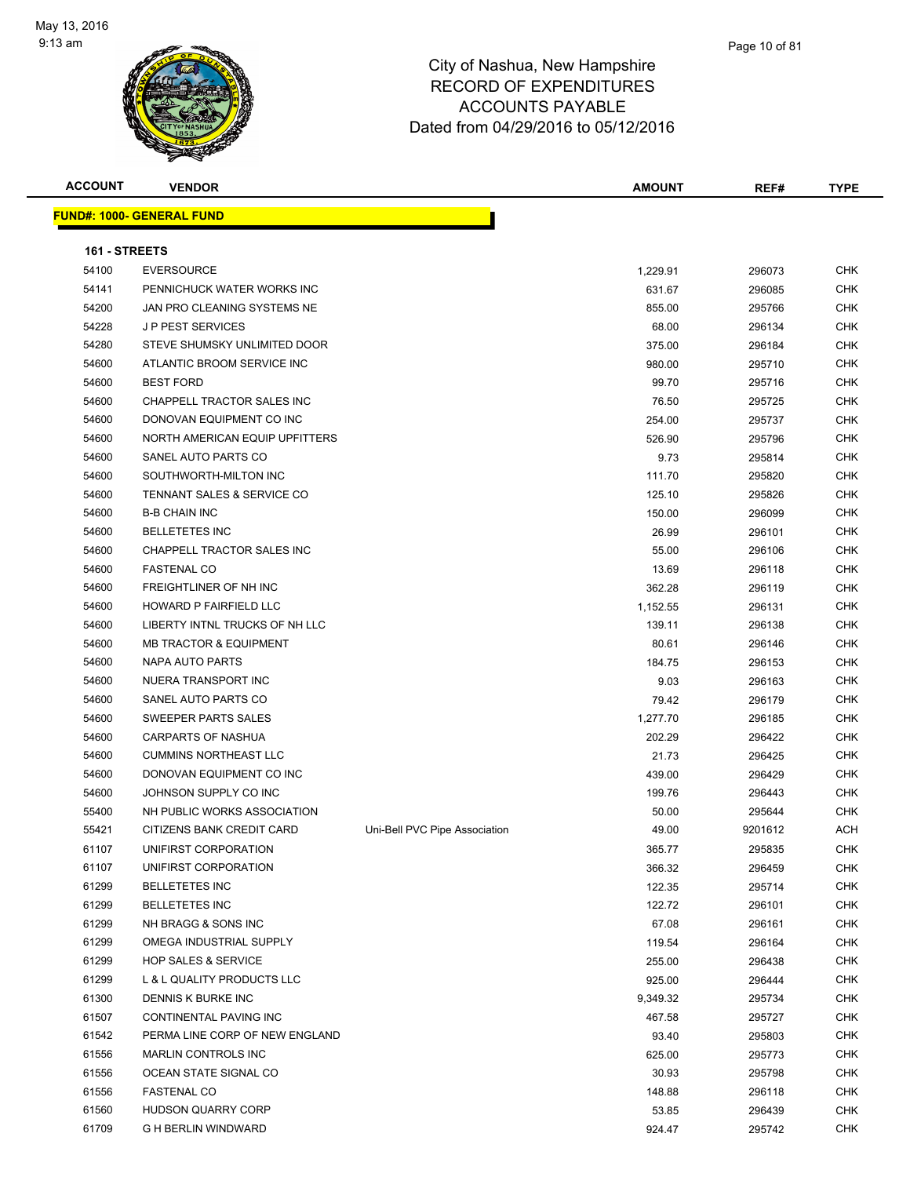

| <b>ACCOUNT</b> | <b>VENDOR</b>                     |                               | <b>AMOUNT</b> | REF#    | <b>TYPE</b> |
|----------------|-----------------------------------|-------------------------------|---------------|---------|-------------|
|                | <u> FUND#: 1000- GENERAL FUND</u> |                               |               |         |             |
|                |                                   |                               |               |         |             |
| 161 - STREETS  |                                   |                               |               |         |             |
| 54100          | <b>EVERSOURCE</b>                 |                               | 1,229.91      | 296073  | <b>CHK</b>  |
| 54141          | PENNICHUCK WATER WORKS INC        |                               | 631.67        | 296085  | <b>CHK</b>  |
| 54200          | JAN PRO CLEANING SYSTEMS NE       |                               | 855.00        | 295766  | <b>CHK</b>  |
| 54228          | <b>JP PEST SERVICES</b>           |                               | 68.00         | 296134  | <b>CHK</b>  |
| 54280          | STEVE SHUMSKY UNLIMITED DOOR      |                               | 375.00        | 296184  | CHK         |
| 54600          | ATLANTIC BROOM SERVICE INC        |                               | 980.00        | 295710  | CHK         |
| 54600          | <b>BEST FORD</b>                  |                               | 99.70         | 295716  | CHK         |
| 54600          | CHAPPELL TRACTOR SALES INC        |                               | 76.50         | 295725  | CHK         |
| 54600          | DONOVAN EQUIPMENT CO INC          |                               | 254.00        | 295737  | <b>CHK</b>  |
| 54600          | NORTH AMERICAN EQUIP UPFITTERS    |                               | 526.90        | 295796  | <b>CHK</b>  |
| 54600          | SANEL AUTO PARTS CO               |                               | 9.73          | 295814  | CHK         |
| 54600          | SOUTHWORTH-MILTON INC             |                               | 111.70        | 295820  | <b>CHK</b>  |
| 54600          | TENNANT SALES & SERVICE CO        |                               | 125.10        | 295826  | CHK         |
| 54600          | <b>B-B CHAIN INC</b>              |                               | 150.00        | 296099  | CHK         |
| 54600          | <b>BELLETETES INC</b>             |                               | 26.99         | 296101  | <b>CHK</b>  |
| 54600          | CHAPPELL TRACTOR SALES INC        |                               | 55.00         | 296106  | CHK         |
| 54600          | <b>FASTENAL CO</b>                |                               | 13.69         | 296118  | CHK         |
| 54600          | FREIGHTLINER OF NH INC            |                               | 362.28        | 296119  | CHK         |
| 54600          | HOWARD P FAIRFIELD LLC            |                               | 1,152.55      | 296131  | CHK         |
| 54600          | LIBERTY INTNL TRUCKS OF NH LLC    |                               | 139.11        | 296138  | <b>CHK</b>  |
| 54600          | <b>MB TRACTOR &amp; EQUIPMENT</b> |                               | 80.61         | 296146  | <b>CHK</b>  |
| 54600          | NAPA AUTO PARTS                   |                               | 184.75        | 296153  | <b>CHK</b>  |
| 54600          | NUERA TRANSPORT INC               |                               | 9.03          | 296163  | <b>CHK</b>  |
| 54600          | SANEL AUTO PARTS CO               |                               | 79.42         | 296179  | CHK         |
| 54600          | SWEEPER PARTS SALES               |                               | 1,277.70      | 296185  | <b>CHK</b>  |
| 54600          | CARPARTS OF NASHUA                |                               | 202.29        | 296422  | <b>CHK</b>  |
| 54600          | <b>CUMMINS NORTHEAST LLC</b>      |                               | 21.73         | 296425  | CHK         |
| 54600          | DONOVAN EQUIPMENT CO INC          |                               | 439.00        | 296429  | CHK         |
| 54600          | JOHNSON SUPPLY CO INC             |                               | 199.76        | 296443  | CHK         |
| 55400          | NH PUBLIC WORKS ASSOCIATION       |                               | 50.00         | 295644  | CHK         |
| 55421          | CITIZENS BANK CREDIT CARD         | Uni-Bell PVC Pipe Association | 49.00         | 9201612 | ACH         |
| 61107          | UNIFIRST CORPORATION              |                               | 365.77        | 295835  | CHK         |
| 61107          | UNIFIRST CORPORATION              |                               | 366.32        | 296459  | <b>CHK</b>  |
| 61299          | <b>BELLETETES INC</b>             |                               | 122.35        | 295714  | <b>CHK</b>  |
| 61299          | <b>BELLETETES INC</b>             |                               | 122.72        | 296101  | <b>CHK</b>  |
| 61299          | NH BRAGG & SONS INC               |                               | 67.08         | 296161  | <b>CHK</b>  |
| 61299          | OMEGA INDUSTRIAL SUPPLY           |                               | 119.54        | 296164  | CHK         |
| 61299          | <b>HOP SALES &amp; SERVICE</b>    |                               | 255.00        | 296438  | <b>CHK</b>  |
| 61299          | L & L QUALITY PRODUCTS LLC        |                               | 925.00        | 296444  | CHK         |
| 61300          | DENNIS K BURKE INC                |                               | 9,349.32      | 295734  | CHK         |
| 61507          | CONTINENTAL PAVING INC            |                               | 467.58        | 295727  | CHK         |
| 61542          | PERMA LINE CORP OF NEW ENGLAND    |                               | 93.40         | 295803  | <b>CHK</b>  |
| 61556          | <b>MARLIN CONTROLS INC</b>        |                               | 625.00        | 295773  | <b>CHK</b>  |
| 61556          | OCEAN STATE SIGNAL CO             |                               | 30.93         | 295798  | <b>CHK</b>  |
| 61556          | <b>FASTENAL CO</b>                |                               | 148.88        | 296118  | <b>CHK</b>  |
| 61560          | HUDSON QUARRY CORP                |                               | 53.85         | 296439  | <b>CHK</b>  |
| 61709          | G H BERLIN WINDWARD               |                               | 924.47        | 295742  | <b>CHK</b>  |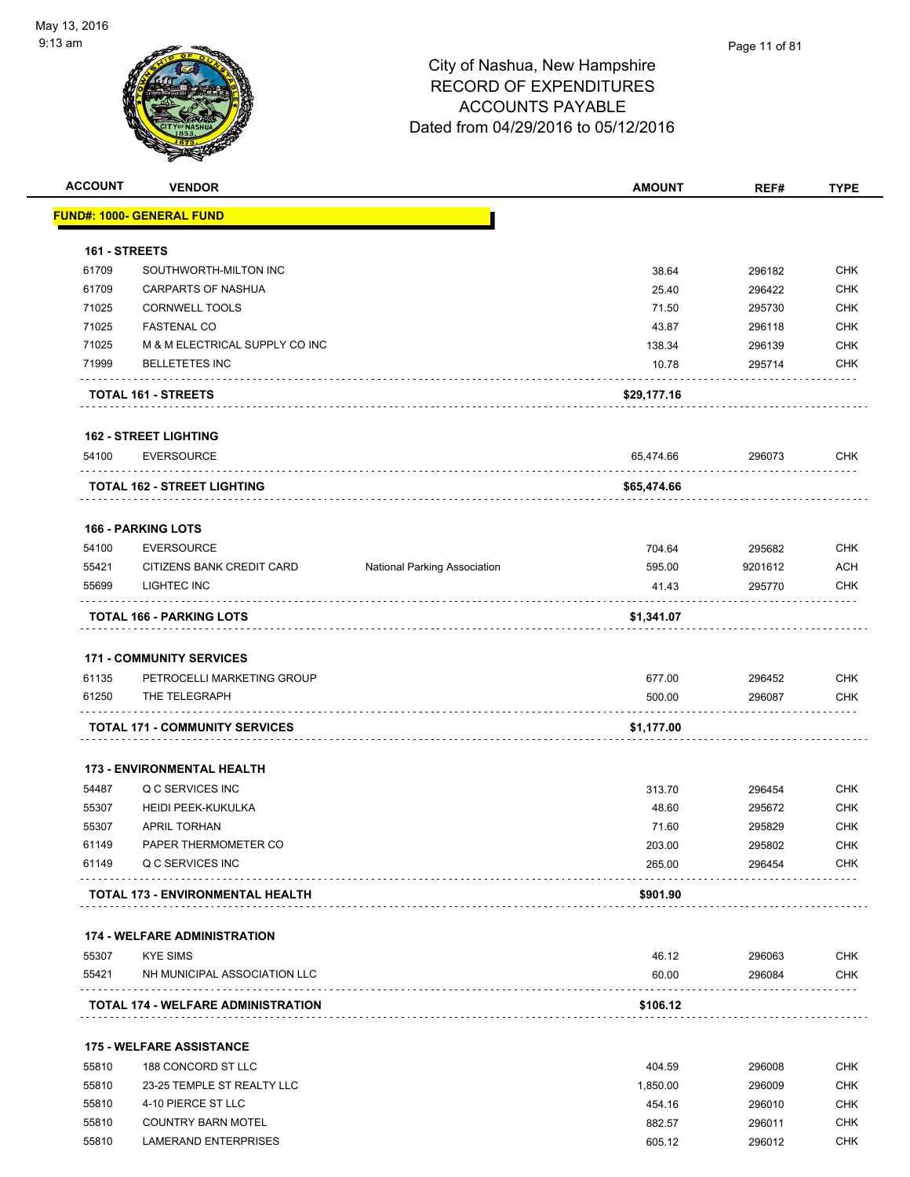

| <b>ACCOUNT</b> | <b>VENDOR</b>                               |                                     | <b>AMOUNT</b>    | REF#             | <b>TYPE</b>              |
|----------------|---------------------------------------------|-------------------------------------|------------------|------------------|--------------------------|
|                | <b>FUND#: 1000- GENERAL FUND</b>            |                                     |                  |                  |                          |
| 161 - STREETS  |                                             |                                     |                  |                  |                          |
| 61709          | SOUTHWORTH-MILTON INC                       |                                     | 38.64            | 296182           | <b>CHK</b>               |
| 61709          | <b>CARPARTS OF NASHUA</b>                   |                                     | 25.40            | 296422           | <b>CHK</b>               |
| 71025          | <b>CORNWELL TOOLS</b>                       |                                     | 71.50            | 295730           | <b>CHK</b>               |
| 71025          | <b>FASTENAL CO</b>                          |                                     | 43.87            | 296118           | <b>CHK</b>               |
| 71025          | M & M ELECTRICAL SUPPLY CO INC              |                                     | 138.34           | 296139           | <b>CHK</b>               |
| 71999          | <b>BELLETETES INC</b>                       |                                     | 10.78            | 295714           | <b>CHK</b>               |
|                | TOTAL 161 - STREETS                         |                                     | \$29,177.16      |                  |                          |
|                | <b>162 - STREET LIGHTING</b>                |                                     |                  |                  |                          |
| 54100          | <b>EVERSOURCE</b>                           |                                     | 65,474.66        | 296073           | <b>CHK</b>               |
|                | <b>TOTAL 162 - STREET LIGHTING</b>          |                                     | \$65,474.66      |                  |                          |
|                | <b>166 - PARKING LOTS</b>                   |                                     |                  |                  |                          |
| 54100          | <b>EVERSOURCE</b>                           |                                     | 704.64           | 295682           | <b>CHK</b>               |
| 55421          | CITIZENS BANK CREDIT CARD                   | <b>National Parking Association</b> | 595.00           | 9201612          | <b>ACH</b>               |
| 55699          | LIGHTEC INC                                 |                                     | 41.43            | 295770           | <b>CHK</b>               |
|                | .<br>TOTAL 166 - PARKING LOTS               |                                     | \$1,341.07       |                  |                          |
|                |                                             |                                     |                  |                  |                          |
|                | <b>171 - COMMUNITY SERVICES</b>             |                                     |                  |                  |                          |
| 61135<br>61250 | PETROCELLI MARKETING GROUP<br>THE TELEGRAPH |                                     | 677.00<br>500.00 | 296452<br>296087 | <b>CHK</b><br><b>CHK</b> |
|                |                                             |                                     |                  |                  |                          |
|                | <b>TOTAL 171 - COMMUNITY SERVICES</b>       |                                     | \$1,177.00       |                  |                          |
|                | <b>173 - ENVIRONMENTAL HEALTH</b>           |                                     |                  |                  |                          |
| 54487          | Q C SERVICES INC                            |                                     | 313.70           | 296454           | <b>CHK</b>               |
| 55307          | <b>HEIDI PEEK-KUKULKA</b>                   |                                     | 48.60            | 295672           | <b>CHK</b>               |
| 55307          | <b>APRIL TORHAN</b>                         |                                     | 71.60            | 295829           | <b>CHK</b>               |
| 61149          | PAPER THERMOMETER CO                        |                                     | 203.00           | 295802           | <b>CHK</b>               |
| 61149          | Q C SERVICES INC                            |                                     | 265.00           | 296454           | CHK                      |
|                | TOTAL 173 - ENVIRONMENTAL HEALTH            |                                     | \$901.90         |                  |                          |
|                | <b>174 - WELFARE ADMINISTRATION</b>         |                                     |                  |                  |                          |
| 55307          | <b>KYE SIMS</b>                             |                                     | 46.12            | 296063           | <b>CHK</b>               |
| 55421          | NH MUNICIPAL ASSOCIATION LLC                |                                     | 60.00            | 296084           | <b>CHK</b>               |
|                | <b>TOTAL 174 - WELFARE ADMINISTRATION</b>   |                                     | \$106.12         |                  |                          |
|                | <b>175 - WELFARE ASSISTANCE</b>             |                                     |                  |                  |                          |
| 55810          | 188 CONCORD ST LLC                          |                                     | 404.59           | 296008           | <b>CHK</b>               |
| 55810          | 23-25 TEMPLE ST REALTY LLC                  |                                     | 1,850.00         | 296009           | <b>CHK</b>               |
| 55810          | 4-10 PIERCE ST LLC                          |                                     | 454.16           | 296010           | <b>CHK</b>               |

Example of the COUNTRY BARN MOTEL that the state of the state of the state of the state of the state of the state of the state of the state of the state of the state of the state of the state of the state of the state of t 55810 LAMERAND ENTERPRISES 605.12 296012 CHK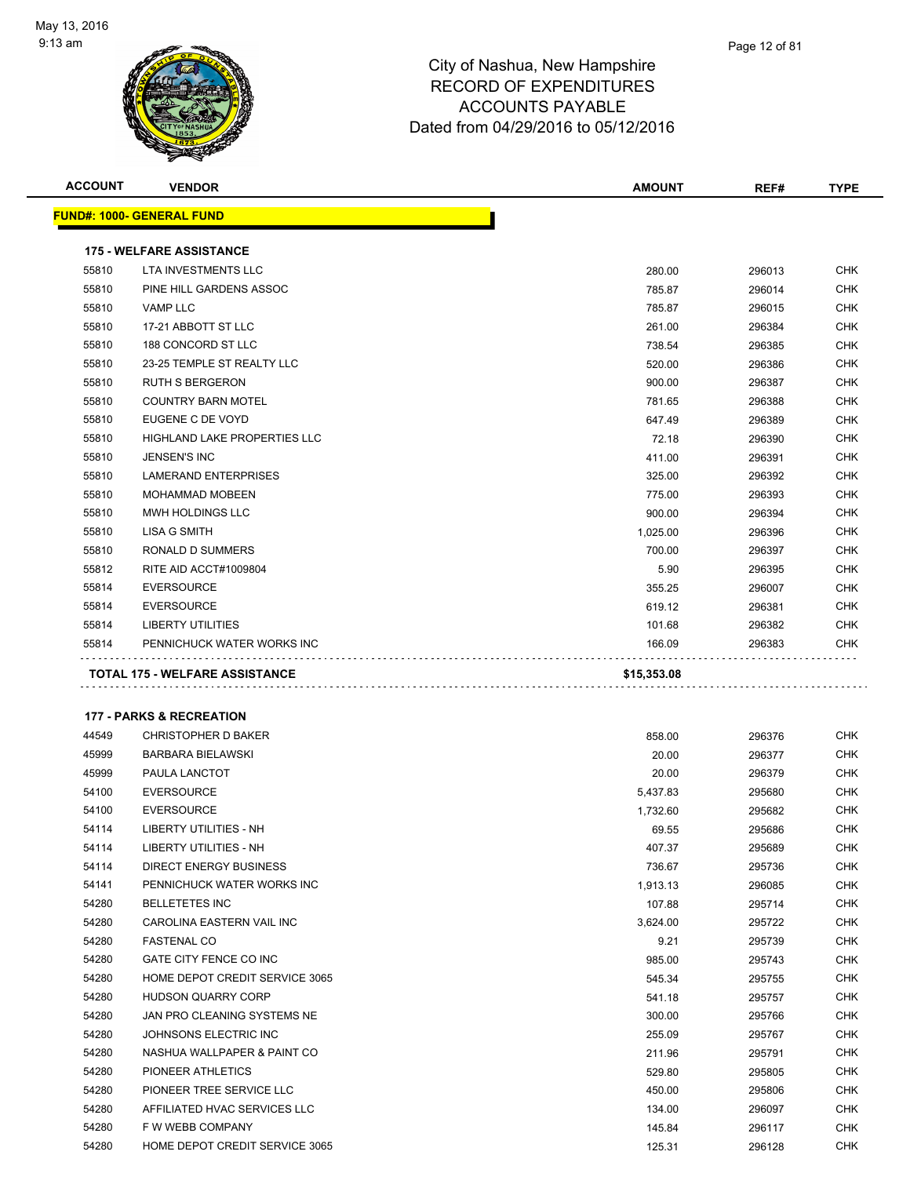

| <b>ACCOUNT</b> | <b>VENDOR</b>                         | <b>AMOUNT</b> | REF#   | <b>TYPE</b> |
|----------------|---------------------------------------|---------------|--------|-------------|
|                | <u> FUND#: 1000- GENERAL FUND</u>     |               |        |             |
|                | <b>175 - WELFARE ASSISTANCE</b>       |               |        |             |
| 55810          | LTA INVESTMENTS LLC                   | 280.00        | 296013 | CHK         |
| 55810          | PINE HILL GARDENS ASSOC               | 785.87        | 296014 | CHK         |
| 55810          | <b>VAMP LLC</b>                       | 785.87        | 296015 | CHK         |
| 55810          | 17-21 ABBOTT ST LLC                   | 261.00        | 296384 | <b>CHK</b>  |
| 55810          | 188 CONCORD ST LLC                    | 738.54        | 296385 | CHK         |
| 55810          | 23-25 TEMPLE ST REALTY LLC            | 520.00        | 296386 | CHK         |
| 55810          | <b>RUTH S BERGERON</b>                | 900.00        | 296387 | <b>CHK</b>  |
| 55810          | <b>COUNTRY BARN MOTEL</b>             | 781.65        | 296388 | CHK         |
| 55810          | EUGENE C DE VOYD                      | 647.49        | 296389 | <b>CHK</b>  |
| 55810          | HIGHLAND LAKE PROPERTIES LLC          | 72.18         | 296390 | <b>CHK</b>  |
| 55810          | <b>JENSEN'S INC</b>                   | 411.00        | 296391 | CHK         |
| 55810          | <b>LAMERAND ENTERPRISES</b>           | 325.00        | 296392 | CHK         |
| 55810          | <b>MOHAMMAD MOBEEN</b>                | 775.00        | 296393 | CHK         |
| 55810          | MWH HOLDINGS LLC                      | 900.00        | 296394 | CHK         |
| 55810          | <b>LISA G SMITH</b>                   | 1,025.00      | 296396 | <b>CHK</b>  |
| 55810          | RONALD D SUMMERS                      | 700.00        | 296397 | CHK         |
| 55812          | RITE AID ACCT#1009804                 | 5.90          | 296395 | CHK         |
| 55814          | <b>EVERSOURCE</b>                     | 355.25        | 296007 | CHK         |
| 55814          | <b>EVERSOURCE</b>                     | 619.12        | 296381 | CHK         |
| 55814          | LIBERTY UTILITIES                     | 101.68        | 296382 | CHK         |
| 55814          | PENNICHUCK WATER WORKS INC            | 166.09        | 296383 | CHK         |
|                | .                                     |               |        |             |
|                | <b>TOTAL 175 - WELFARE ASSISTANCE</b> | \$15,353.08   |        |             |
|                |                                       |               |        |             |
|                | <b>177 - PARKS &amp; RECREATION</b>   |               |        |             |
| 44549          | <b>CHRISTOPHER D BAKER</b>            | 858.00        | 296376 | <b>CHK</b>  |
| 45999          | <b>BARBARA BIELAWSKI</b>              | 20.00         | 296377 | CHK         |
| 45999          | PAULA LANCTOT                         | 20.00         | 296379 | CHK         |
| 54100          | <b>EVERSOURCE</b>                     | 5,437.83      | 295680 | CHK         |
| 54100          | <b>EVERSOURCE</b>                     | 1,732.60      | 295682 | CHK         |
| 54114          | LIBERTY UTILITIES - NH                | 69.55         | 295686 | <b>CHK</b>  |
| 54114          | LIBERTY UTILITIES - NH                | 407.37        | 295689 | <b>CHK</b>  |
| 54114          | DIRECT ENERGY BUSINESS                | 736.67        | 295736 | CHK         |
| 54141          | PENNICHUCK WATER WORKS INC            | 1,913.13      | 296085 | CHK         |
| 54280          | <b>BELLETETES INC</b>                 | 107.88        | 295714 | CHK         |
| 54280          | CAROLINA EASTERN VAIL INC             | 3,624.00      | 295722 | CHK         |
| 54280          | <b>FASTENAL CO</b>                    | 9.21          | 295739 | <b>CHK</b>  |
| 54280          | GATE CITY FENCE CO INC                | 985.00        | 295743 | CHK         |
| 54280          | HOME DEPOT CREDIT SERVICE 3065        | 545.34        | 295755 | CHK         |
| 54280          | <b>HUDSON QUARRY CORP</b>             | 541.18        | 295757 | CHK         |
| 54280          | JAN PRO CLEANING SYSTEMS NE           | 300.00        | 295766 | <b>CHK</b>  |
| 54280          | JOHNSONS ELECTRIC INC                 | 255.09        | 295767 | CHK         |
| 54280          | NASHUA WALLPAPER & PAINT CO           | 211.96        | 295791 | CHK         |
| 54280          | PIONEER ATHLETICS                     | 529.80        | 295805 | <b>CHK</b>  |
| 54280          | PIONEER TREE SERVICE LLC              | 450.00        | 295806 | CHK         |
| 54280          | AFFILIATED HVAC SERVICES LLC          | 134.00        | 296097 | CHK         |
| 54280          | F W WEBB COMPANY                      | 145.84        | 296117 | CHK         |
| 54280          | HOME DEPOT CREDIT SERVICE 3065        | 125.31        | 296128 | CHK         |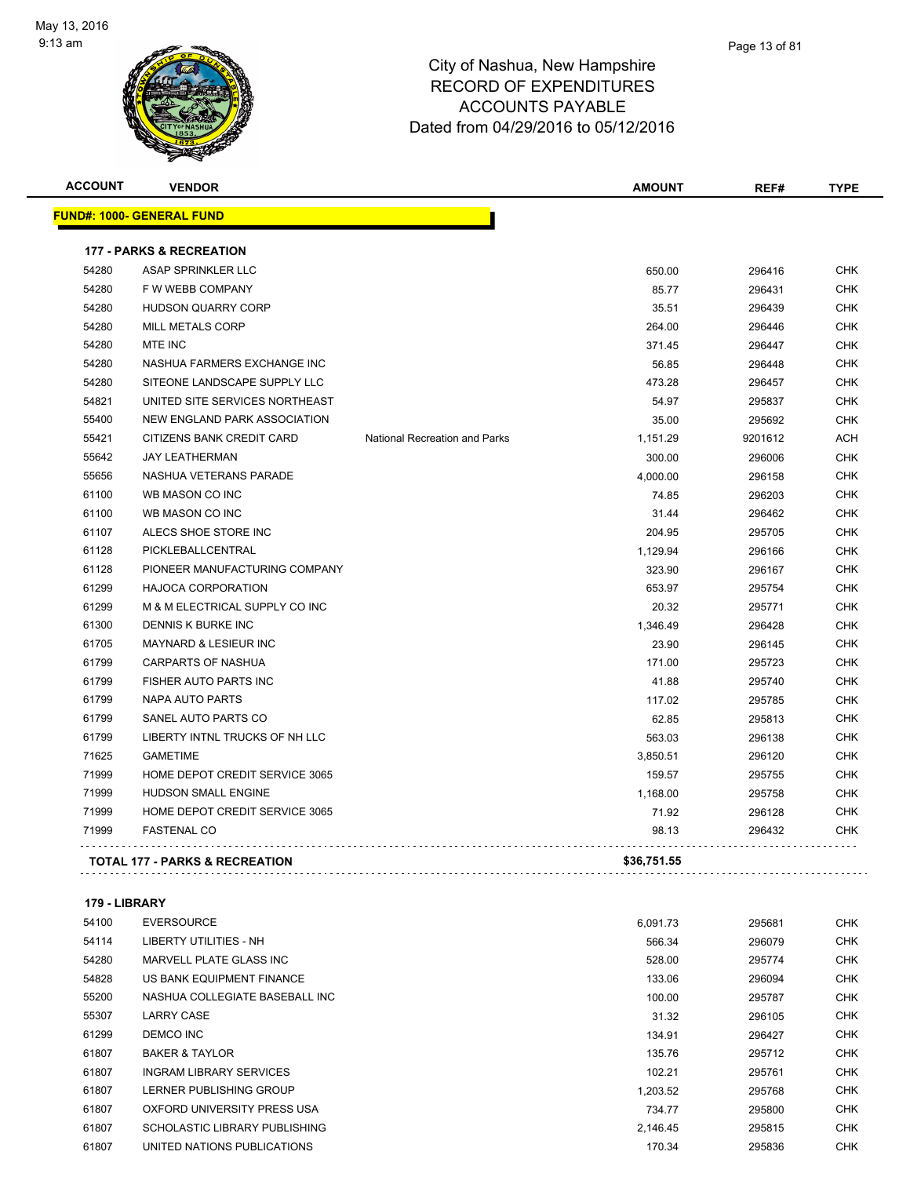

| <b>ACCOUNT</b> | <b>VENDOR</b>                             |                               | <b>AMOUNT</b> | REF#    | <b>TYPE</b> |
|----------------|-------------------------------------------|-------------------------------|---------------|---------|-------------|
|                | <b>FUND#: 1000- GENERAL FUND</b>          |                               |               |         |             |
|                | <b>177 - PARKS &amp; RECREATION</b>       |                               |               |         |             |
| 54280          | ASAP SPRINKLER LLC                        |                               | 650.00        | 296416  | <b>CHK</b>  |
| 54280          | F W WEBB COMPANY                          |                               | 85.77         | 296431  | <b>CHK</b>  |
| 54280          | <b>HUDSON QUARRY CORP</b>                 |                               | 35.51         | 296439  | CHK         |
| 54280          | <b>MILL METALS CORP</b>                   |                               | 264.00        | 296446  | <b>CHK</b>  |
| 54280          | <b>MTE INC</b>                            |                               | 371.45        | 296447  | <b>CHK</b>  |
| 54280          | NASHUA FARMERS EXCHANGE INC               |                               | 56.85         | 296448  | <b>CHK</b>  |
| 54280          | SITEONE LANDSCAPE SUPPLY LLC              |                               | 473.28        | 296457  | <b>CHK</b>  |
| 54821          | UNITED SITE SERVICES NORTHEAST            |                               | 54.97         | 295837  | <b>CHK</b>  |
| 55400          | NEW ENGLAND PARK ASSOCIATION              |                               | 35.00         | 295692  | <b>CHK</b>  |
| 55421          | CITIZENS BANK CREDIT CARD                 | National Recreation and Parks | 1,151.29      | 9201612 | <b>ACH</b>  |
| 55642          | <b>JAY LEATHERMAN</b>                     |                               | 300.00        | 296006  | <b>CHK</b>  |
| 55656          | NASHUA VETERANS PARADE                    |                               | 4,000.00      | 296158  | <b>CHK</b>  |
| 61100          | WB MASON CO INC                           |                               | 74.85         | 296203  | <b>CHK</b>  |
| 61100          | WB MASON CO INC                           |                               | 31.44         | 296462  | <b>CHK</b>  |
| 61107          | ALECS SHOE STORE INC                      |                               | 204.95        | 295705  | CHK         |
| 61128          | PICKLEBALLCENTRAL                         |                               | 1,129.94      | 296166  | <b>CHK</b>  |
| 61128          | PIONEER MANUFACTURING COMPANY             |                               | 323.90        | 296167  | CHK         |
| 61299          | <b>HAJOCA CORPORATION</b>                 |                               | 653.97        | 295754  | <b>CHK</b>  |
| 61299          | M & M ELECTRICAL SUPPLY CO INC            |                               | 20.32         | 295771  | <b>CHK</b>  |
| 61300          | DENNIS K BURKE INC                        |                               | 1,346.49      | 296428  | CHK         |
| 61705          | MAYNARD & LESIEUR INC                     |                               | 23.90         | 296145  | <b>CHK</b>  |
| 61799          | <b>CARPARTS OF NASHUA</b>                 |                               | 171.00        | 295723  | <b>CHK</b>  |
| 61799          | FISHER AUTO PARTS INC                     |                               | 41.88         | 295740  | <b>CHK</b>  |
| 61799          | NAPA AUTO PARTS                           |                               | 117.02        | 295785  | CHK         |
| 61799          | SANEL AUTO PARTS CO                       |                               | 62.85         | 295813  | <b>CHK</b>  |
| 61799          | LIBERTY INTNL TRUCKS OF NH LLC            |                               | 563.03        | 296138  | <b>CHK</b>  |
| 71625          | <b>GAMETIME</b>                           |                               | 3,850.51      | 296120  | <b>CHK</b>  |
| 71999          | HOME DEPOT CREDIT SERVICE 3065            |                               | 159.57        | 295755  | CHK         |
| 71999          | <b>HUDSON SMALL ENGINE</b>                |                               | 1,168.00      | 295758  | <b>CHK</b>  |
| 71999          | HOME DEPOT CREDIT SERVICE 3065            |                               | 71.92         | 296128  | <b>CHK</b>  |
| 71999          | <b>FASTENAL CO</b>                        |                               | 98.13         | 296432  | <b>CHK</b>  |
|                | <b>TOTAL 177 - PARKS &amp; RECREATION</b> |                               | \$36,751.55   |         |             |
|                |                                           |                               |               |         |             |

**179 - LIBRARY**

| 54100 | <b>EVERSOURCE</b>              | 6.091.73 | 295681 | <b>CHK</b> |
|-------|--------------------------------|----------|--------|------------|
| 54114 | LIBERTY UTILITIES - NH         | 566.34   | 296079 | <b>CHK</b> |
| 54280 | MARVELL PLATE GLASS INC        | 528.00   | 295774 | <b>CHK</b> |
| 54828 | US BANK EQUIPMENT FINANCE      | 133.06   | 296094 | <b>CHK</b> |
| 55200 | NASHUA COLLEGIATE BASEBALL INC | 100.00   | 295787 | <b>CHK</b> |
| 55307 | <b>LARRY CASE</b>              | 31.32    | 296105 | <b>CHK</b> |
| 61299 | DEMCO INC                      | 134.91   | 296427 | <b>CHK</b> |
| 61807 | <b>BAKER &amp; TAYLOR</b>      | 135.76   | 295712 | <b>CHK</b> |
| 61807 | <b>INGRAM LIBRARY SERVICES</b> | 102.21   | 295761 | <b>CHK</b> |
| 61807 | LERNER PUBLISHING GROUP        | 1.203.52 | 295768 | <b>CHK</b> |
| 61807 | OXFORD UNIVERSITY PRESS USA    | 734.77   | 295800 | <b>CHK</b> |
| 61807 | SCHOLASTIC LIBRARY PUBLISHING  | 2.146.45 | 295815 | <b>CHK</b> |
| 61807 | UNITED NATIONS PUBLICATIONS    | 170.34   | 295836 | <b>CHK</b> |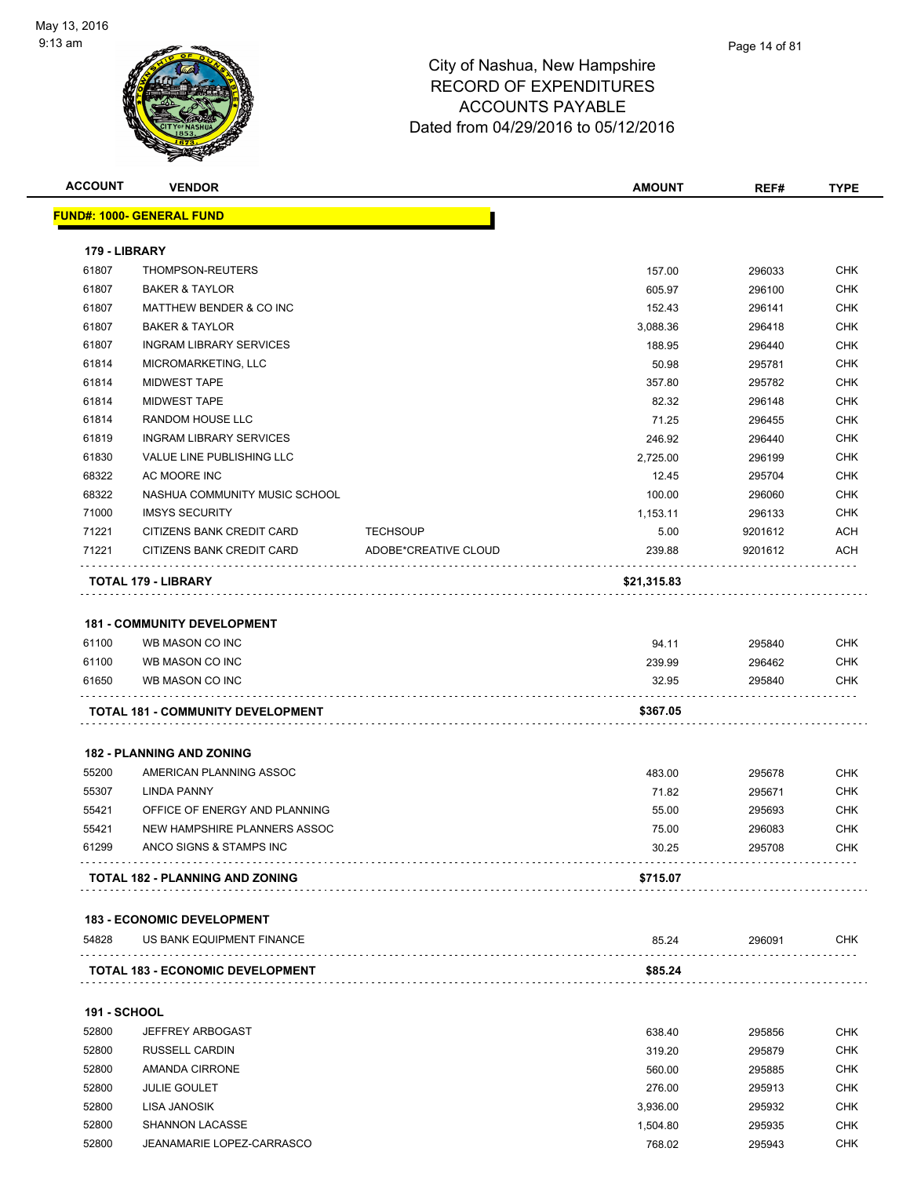

|                              | <b>VENDOR</b>                      |                      | <b>AMOUNT</b>        | REF#             | <b>TYPE</b>       |
|------------------------------|------------------------------------|----------------------|----------------------|------------------|-------------------|
|                              | <u> FUND#: 1000- GENERAL FUND</u>  |                      |                      |                  |                   |
| 179 - LIBRARY                |                                    |                      |                      |                  |                   |
| 61807                        | THOMPSON-REUTERS                   |                      | 157.00               | 296033           | CHK               |
| 61807                        | <b>BAKER &amp; TAYLOR</b>          |                      | 605.97               | 296100           | <b>CHK</b>        |
| 61807                        | MATTHEW BENDER & CO INC            |                      | 152.43               | 296141           | CHK               |
| 61807                        | <b>BAKER &amp; TAYLOR</b>          |                      | 3,088.36             | 296418           | <b>CHK</b>        |
| 61807                        | <b>INGRAM LIBRARY SERVICES</b>     |                      | 188.95               | 296440           | <b>CHK</b>        |
| 61814                        | MICROMARKETING, LLC                |                      | 50.98                | 295781           | <b>CHK</b>        |
| 61814                        | <b>MIDWEST TAPE</b>                |                      | 357.80               | 295782           | <b>CHK</b>        |
| 61814                        | <b>MIDWEST TAPE</b>                |                      | 82.32                | 296148           | <b>CHK</b>        |
| 61814                        | RANDOM HOUSE LLC                   |                      | 71.25                | 296455           | <b>CHK</b>        |
| 61819                        | <b>INGRAM LIBRARY SERVICES</b>     |                      | 246.92               | 296440           | <b>CHK</b>        |
| 61830                        | VALUE LINE PUBLISHING LLC          |                      | 2,725.00             | 296199           | CHK               |
| 68322                        | AC MOORE INC                       |                      | 12.45                | 295704           | CHK               |
| 68322                        | NASHUA COMMUNITY MUSIC SCHOOL      |                      | 100.00               | 296060           | <b>CHK</b>        |
| 71000                        | <b>IMSYS SECURITY</b>              |                      | 1,153.11             | 296133           | <b>CHK</b>        |
| 71221                        | CITIZENS BANK CREDIT CARD          | <b>TECHSOUP</b>      | 5.00                 | 9201612          | ACH               |
| 71221                        | CITIZENS BANK CREDIT CARD          | ADOBE*CREATIVE CLOUD | 239.88               | 9201612          | ACH               |
|                              | <b>TOTAL 179 - LIBRARY</b>         |                      | \$21,315.83          |                  |                   |
|                              |                                    |                      |                      |                  |                   |
|                              | <b>181 - COMMUNITY DEVELOPMENT</b> |                      |                      |                  |                   |
| 61100                        | WB MASON CO INC                    |                      | 94.11                | 295840           | <b>CHK</b>        |
| 61100                        | WB MASON CO INC                    |                      | 239.99               | 296462           | CHK               |
|                              | WB MASON CO INC                    |                      | 32.95                | 295840           | CHK               |
| 61650                        |                                    |                      |                      |                  |                   |
|                              | TOTAL 181 - COMMUNITY DEVELOPMENT  |                      | \$367.05             |                  |                   |
|                              |                                    |                      |                      |                  |                   |
|                              | <b>182 - PLANNING AND ZONING</b>   |                      |                      |                  |                   |
| 55200                        | AMERICAN PLANNING ASSOC            |                      | 483.00               | 295678           | <b>CHK</b>        |
| 55307                        | <b>LINDA PANNY</b>                 |                      | 71.82                | 295671           | <b>CHK</b>        |
| 55421                        | OFFICE OF ENERGY AND PLANNING      |                      | 55.00                | 295693           | CHK               |
| 55421                        | NEW HAMPSHIRE PLANNERS ASSOC       |                      | 75.00                | 296083           | <b>CHK</b>        |
| 61299                        | ANCO SIGNS & STAMPS INC            |                      | 30.25                | 295708           | <b>CHK</b>        |
|                              | TOTAL 182 - PLANNING AND ZONING    |                      | \$715.07             |                  |                   |
|                              |                                    |                      |                      |                  |                   |
|                              | <b>183 - ECONOMIC DEVELOPMENT</b>  |                      |                      |                  |                   |
| 54828                        | US BANK EQUIPMENT FINANCE          |                      | 85.24                | 296091<br>.      | CHK               |
|                              | TOTAL 183 - ECONOMIC DEVELOPMENT   |                      | \$85.24              |                  |                   |
|                              |                                    |                      |                      |                  |                   |
| <b>191 - SCHOOL</b><br>52800 | <b>JEFFREY ARBOGAST</b>            |                      | 638.40               |                  |                   |
|                              |                                    |                      |                      | 295856           | <b>CHK</b>        |
| 52800                        | <b>RUSSELL CARDIN</b>              |                      | 319.20               | 295879           | <b>CHK</b>        |
| 52800                        | <b>AMANDA CIRRONE</b>              |                      | 560.00               | 295885           | <b>CHK</b>        |
| 52800                        | <b>JULIE GOULET</b>                |                      | 276.00               | 295913           | CHK               |
| 52800<br>52800               | LISA JANOSIK<br>SHANNON LACASSE    |                      | 3,936.00<br>1,504.80 | 295932<br>295935 | <b>CHK</b><br>CHK |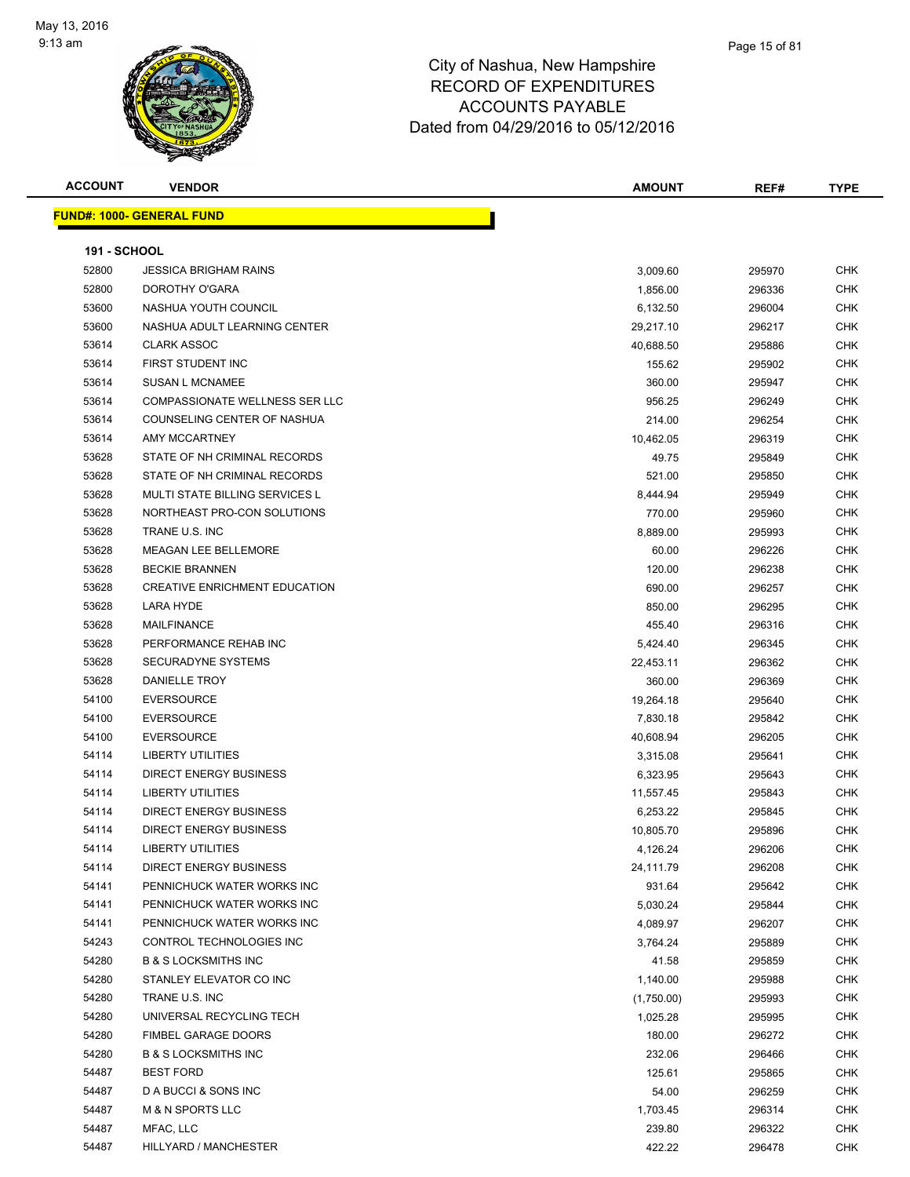

| <b>ACCOUNT</b>      | <b>VENDOR</b>                        | <b>AMOUNT</b> | REF#   | <b>TYPE</b> |
|---------------------|--------------------------------------|---------------|--------|-------------|
|                     | <b>FUND#: 1000- GENERAL FUND</b>     |               |        |             |
| <b>191 - SCHOOL</b> |                                      |               |        |             |
| 52800               | <b>JESSICA BRIGHAM RAINS</b>         | 3,009.60      | 295970 | <b>CHK</b>  |
| 52800               | DOROTHY O'GARA                       | 1,856.00      | 296336 | <b>CHK</b>  |
| 53600               | NASHUA YOUTH COUNCIL                 | 6,132.50      | 296004 | <b>CHK</b>  |
| 53600               | NASHUA ADULT LEARNING CENTER         | 29,217.10     | 296217 | <b>CHK</b>  |
| 53614               | <b>CLARK ASSOC</b>                   | 40,688.50     | 295886 | <b>CHK</b>  |
| 53614               | FIRST STUDENT INC                    | 155.62        | 295902 | <b>CHK</b>  |
| 53614               | <b>SUSAN L MCNAMEE</b>               | 360.00        | 295947 | <b>CHK</b>  |
| 53614               | COMPASSIONATE WELLNESS SER LLC       | 956.25        | 296249 | <b>CHK</b>  |
| 53614               | COUNSELING CENTER OF NASHUA          | 214.00        | 296254 | <b>CHK</b>  |
| 53614               | AMY MCCARTNEY                        | 10,462.05     | 296319 | <b>CHK</b>  |
| 53628               | STATE OF NH CRIMINAL RECORDS         | 49.75         | 295849 | <b>CHK</b>  |
| 53628               | STATE OF NH CRIMINAL RECORDS         | 521.00        | 295850 | <b>CHK</b>  |
| 53628               | MULTI STATE BILLING SERVICES L       | 8,444.94      | 295949 | <b>CHK</b>  |
| 53628               | NORTHEAST PRO-CON SOLUTIONS          | 770.00        | 295960 | <b>CHK</b>  |
| 53628               | TRANE U.S. INC                       | 8,889.00      | 295993 | <b>CHK</b>  |
| 53628               | <b>MEAGAN LEE BELLEMORE</b>          | 60.00         | 296226 | <b>CHK</b>  |
| 53628               | <b>BECKIE BRANNEN</b>                | 120.00        | 296238 | <b>CHK</b>  |
| 53628               | <b>CREATIVE ENRICHMENT EDUCATION</b> | 690.00        | 296257 | <b>CHK</b>  |
| 53628               | LARA HYDE                            | 850.00        | 296295 | <b>CHK</b>  |
| 53628               | <b>MAILFINANCE</b>                   | 455.40        | 296316 | <b>CHK</b>  |
| 53628               | PERFORMANCE REHAB INC                | 5,424.40      | 296345 | <b>CHK</b>  |
| 53628               | <b>SECURADYNE SYSTEMS</b>            | 22,453.11     | 296362 | <b>CHK</b>  |
| 53628               | DANIELLE TROY                        | 360.00        | 296369 | <b>CHK</b>  |
| 54100               | <b>EVERSOURCE</b>                    | 19,264.18     | 295640 | <b>CHK</b>  |
| 54100               | <b>EVERSOURCE</b>                    | 7,830.18      | 295842 | <b>CHK</b>  |
| 54100               | <b>EVERSOURCE</b>                    | 40,608.94     | 296205 | <b>CHK</b>  |
| 54114               | <b>LIBERTY UTILITIES</b>             | 3,315.08      | 295641 | <b>CHK</b>  |
| 54114               | <b>DIRECT ENERGY BUSINESS</b>        | 6,323.95      | 295643 | <b>CHK</b>  |
| 54114               | <b>LIBERTY UTILITIES</b>             | 11,557.45     | 295843 | <b>CHK</b>  |
| 54114               | <b>DIRECT ENERGY BUSINESS</b>        | 6,253.22      | 295845 | CHK         |
| 54114               | <b>DIRECT ENERGY BUSINESS</b>        | 10,805.70     | 295896 | <b>CHK</b>  |
| 54114               | <b>LIBERTY UTILITIES</b>             | 4,126.24      | 296206 | <b>CHK</b>  |
| 54114               | <b>DIRECT ENERGY BUSINESS</b>        | 24,111.79     | 296208 | CHK         |
| 54141               | PENNICHUCK WATER WORKS INC           | 931.64        | 295642 | <b>CHK</b>  |
| 54141               | PENNICHUCK WATER WORKS INC           | 5,030.24      | 295844 | <b>CHK</b>  |
| 54141               | PENNICHUCK WATER WORKS INC           | 4,089.97      | 296207 | <b>CHK</b>  |
| 54243               | CONTROL TECHNOLOGIES INC             | 3,764.24      | 295889 | <b>CHK</b>  |
| 54280               | <b>B &amp; S LOCKSMITHS INC</b>      | 41.58         | 295859 | <b>CHK</b>  |
| 54280               | STANLEY ELEVATOR CO INC              | 1,140.00      | 295988 | <b>CHK</b>  |
| 54280               | TRANE U.S. INC                       | (1,750.00)    | 295993 | <b>CHK</b>  |
| 54280               | UNIVERSAL RECYCLING TECH             | 1,025.28      | 295995 | <b>CHK</b>  |
| 54280               | <b>FIMBEL GARAGE DOORS</b>           | 180.00        | 296272 | <b>CHK</b>  |
| 54280               | <b>B &amp; S LOCKSMITHS INC</b>      | 232.06        | 296466 | <b>CHK</b>  |
| 54487               | <b>BEST FORD</b>                     | 125.61        | 295865 | <b>CHK</b>  |
| 54487               | D A BUCCI & SONS INC                 | 54.00         | 296259 | <b>CHK</b>  |
| 54487               | <b>M &amp; N SPORTS LLC</b>          | 1,703.45      | 296314 | <b>CHK</b>  |
| 54487               | MFAC, LLC                            | 239.80        | 296322 | <b>CHK</b>  |
| 54487               | HILLYARD / MANCHESTER                | 422.22        | 296478 | <b>CHK</b>  |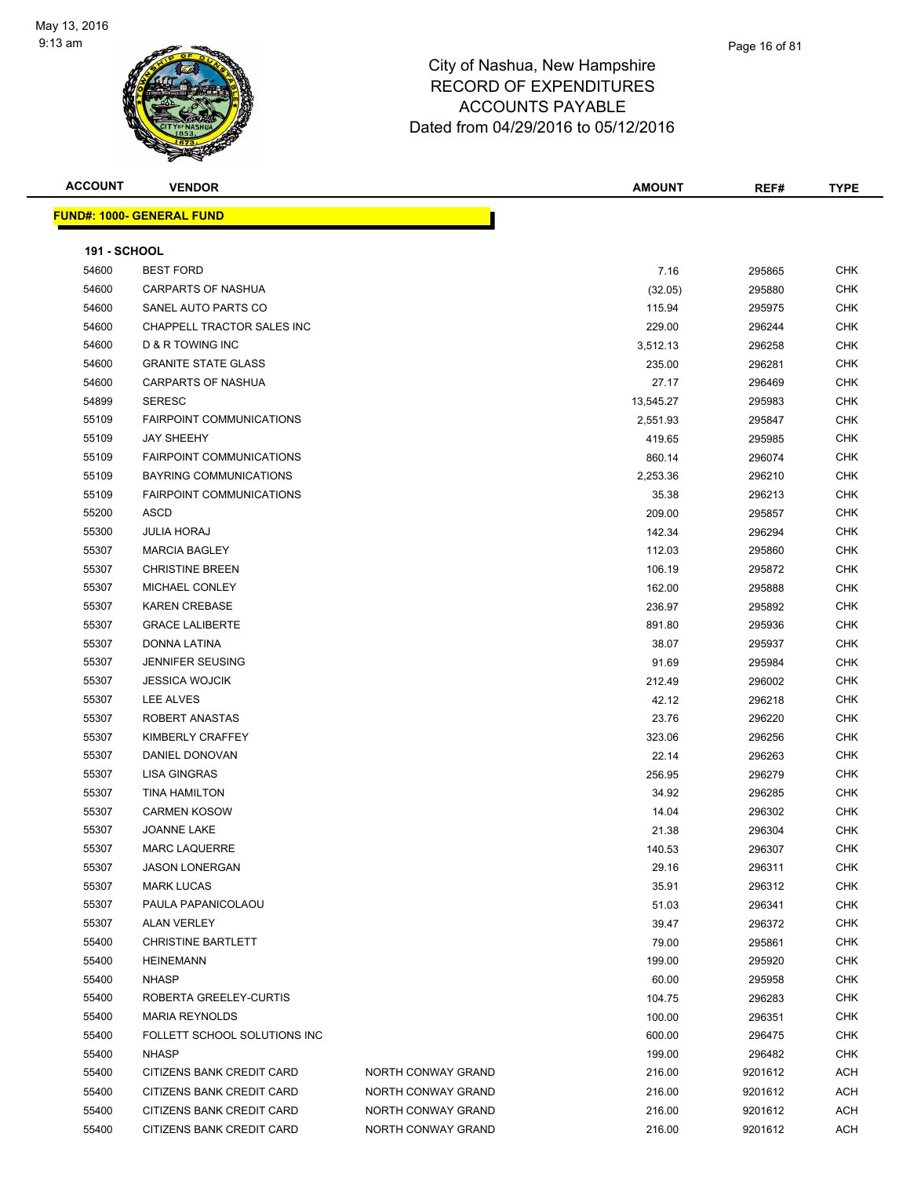

| <b>ACCOUNT</b>      | <b>VENDOR</b>                     |                    | <b>AMOUNT</b> | REF#    | <b>TYPE</b> |
|---------------------|-----------------------------------|--------------------|---------------|---------|-------------|
|                     | <u> FUND#: 1000- GENERAL FUND</u> |                    |               |         |             |
|                     |                                   |                    |               |         |             |
| <b>191 - SCHOOL</b> |                                   |                    |               |         |             |
| 54600               | <b>BEST FORD</b>                  |                    | 7.16          | 295865  | CHK         |
| 54600               | CARPARTS OF NASHUA                |                    | (32.05)       | 295880  | <b>CHK</b>  |
| 54600               | SANEL AUTO PARTS CO               |                    | 115.94        | 295975  | <b>CHK</b>  |
| 54600               | CHAPPELL TRACTOR SALES INC        |                    | 229.00        | 296244  | <b>CHK</b>  |
| 54600               | <b>D &amp; R TOWING INC</b>       |                    | 3,512.13      | 296258  | <b>CHK</b>  |
| 54600               | <b>GRANITE STATE GLASS</b>        |                    | 235.00        | 296281  | <b>CHK</b>  |
| 54600               | <b>CARPARTS OF NASHUA</b>         |                    | 27.17         | 296469  | CHK         |
| 54899               | <b>SERESC</b>                     |                    | 13,545.27     | 295983  | <b>CHK</b>  |
| 55109               | <b>FAIRPOINT COMMUNICATIONS</b>   |                    | 2,551.93      | 295847  | <b>CHK</b>  |
| 55109               | <b>JAY SHEEHY</b>                 |                    | 419.65        | 295985  | <b>CHK</b>  |
| 55109               | <b>FAIRPOINT COMMUNICATIONS</b>   |                    | 860.14        | 296074  | <b>CHK</b>  |
| 55109               | <b>BAYRING COMMUNICATIONS</b>     |                    | 2,253.36      | 296210  | <b>CHK</b>  |
| 55109               | <b>FAIRPOINT COMMUNICATIONS</b>   |                    | 35.38         | 296213  | CHK         |
| 55200               | ASCD                              |                    | 209.00        | 295857  | CHK         |
| 55300               | <b>JULIA HORAJ</b>                |                    | 142.34        | 296294  | CHK         |
| 55307               | <b>MARCIA BAGLEY</b>              |                    | 112.03        | 295860  | <b>CHK</b>  |
| 55307               | <b>CHRISTINE BREEN</b>            |                    | 106.19        | 295872  | CHK         |
| 55307               | MICHAEL CONLEY                    |                    | 162.00        | 295888  | CHK         |
| 55307               | <b>KAREN CREBASE</b>              |                    | 236.97        | 295892  | CHK         |
| 55307               | <b>GRACE LALIBERTE</b>            |                    | 891.80        | 295936  | <b>CHK</b>  |
| 55307               | DONNA LATINA                      |                    | 38.07         | 295937  | <b>CHK</b>  |
| 55307               | <b>JENNIFER SEUSING</b>           |                    | 91.69         | 295984  | <b>CHK</b>  |
| 55307               | <b>JESSICA WOJCIK</b>             |                    | 212.49        | 296002  | <b>CHK</b>  |
| 55307               | LEE ALVES                         |                    | 42.12         | 296218  | <b>CHK</b>  |
| 55307               | ROBERT ANASTAS                    |                    | 23.76         | 296220  | <b>CHK</b>  |
| 55307               | KIMBERLY CRAFFEY                  |                    | 323.06        | 296256  | <b>CHK</b>  |
| 55307               | DANIEL DONOVAN                    |                    | 22.14         | 296263  | <b>CHK</b>  |
| 55307               | LISA GINGRAS                      |                    | 256.95        | 296279  | CHK         |
| 55307               | <b>TINA HAMILTON</b>              |                    | 34.92         | 296285  | CHK         |
| 55307               | <b>CARMEN KOSOW</b>               |                    | 14.04         | 296302  | <b>CHK</b>  |
| 55307               | <b>JOANNE LAKE</b>                |                    | 21.38         | 296304  | <b>CHK</b>  |
| 55307               | <b>MARC LAQUERRE</b>              |                    | 140.53        | 296307  | <b>CHK</b>  |
| 55307               | <b>JASON LONERGAN</b>             |                    | 29.16         | 296311  | <b>CHK</b>  |
| 55307               | <b>MARK LUCAS</b>                 |                    | 35.91         | 296312  | <b>CHK</b>  |
| 55307               | PAULA PAPANICOLAOU                |                    | 51.03         | 296341  | <b>CHK</b>  |
| 55307               | <b>ALAN VERLEY</b>                |                    | 39.47         | 296372  | <b>CHK</b>  |
| 55400               | <b>CHRISTINE BARTLETT</b>         |                    | 79.00         | 295861  | <b>CHK</b>  |
| 55400               | <b>HEINEMANN</b>                  |                    | 199.00        | 295920  | <b>CHK</b>  |
| 55400               | <b>NHASP</b>                      |                    | 60.00         | 295958  | <b>CHK</b>  |
| 55400               | ROBERTA GREELEY-CURTIS            |                    | 104.75        | 296283  | <b>CHK</b>  |
| 55400               | <b>MARIA REYNOLDS</b>             |                    | 100.00        | 296351  | <b>CHK</b>  |
| 55400               | FOLLETT SCHOOL SOLUTIONS INC      |                    | 600.00        | 296475  | <b>CHK</b>  |
| 55400               | <b>NHASP</b>                      |                    | 199.00        | 296482  | <b>CHK</b>  |
| 55400               | CITIZENS BANK CREDIT CARD         | NORTH CONWAY GRAND | 216.00        | 9201612 | <b>ACH</b>  |
| 55400               | CITIZENS BANK CREDIT CARD         | NORTH CONWAY GRAND | 216.00        | 9201612 | <b>ACH</b>  |
| 55400               | CITIZENS BANK CREDIT CARD         | NORTH CONWAY GRAND | 216.00        | 9201612 | <b>ACH</b>  |
| 55400               | CITIZENS BANK CREDIT CARD         | NORTH CONWAY GRAND | 216.00        | 9201612 | <b>ACH</b>  |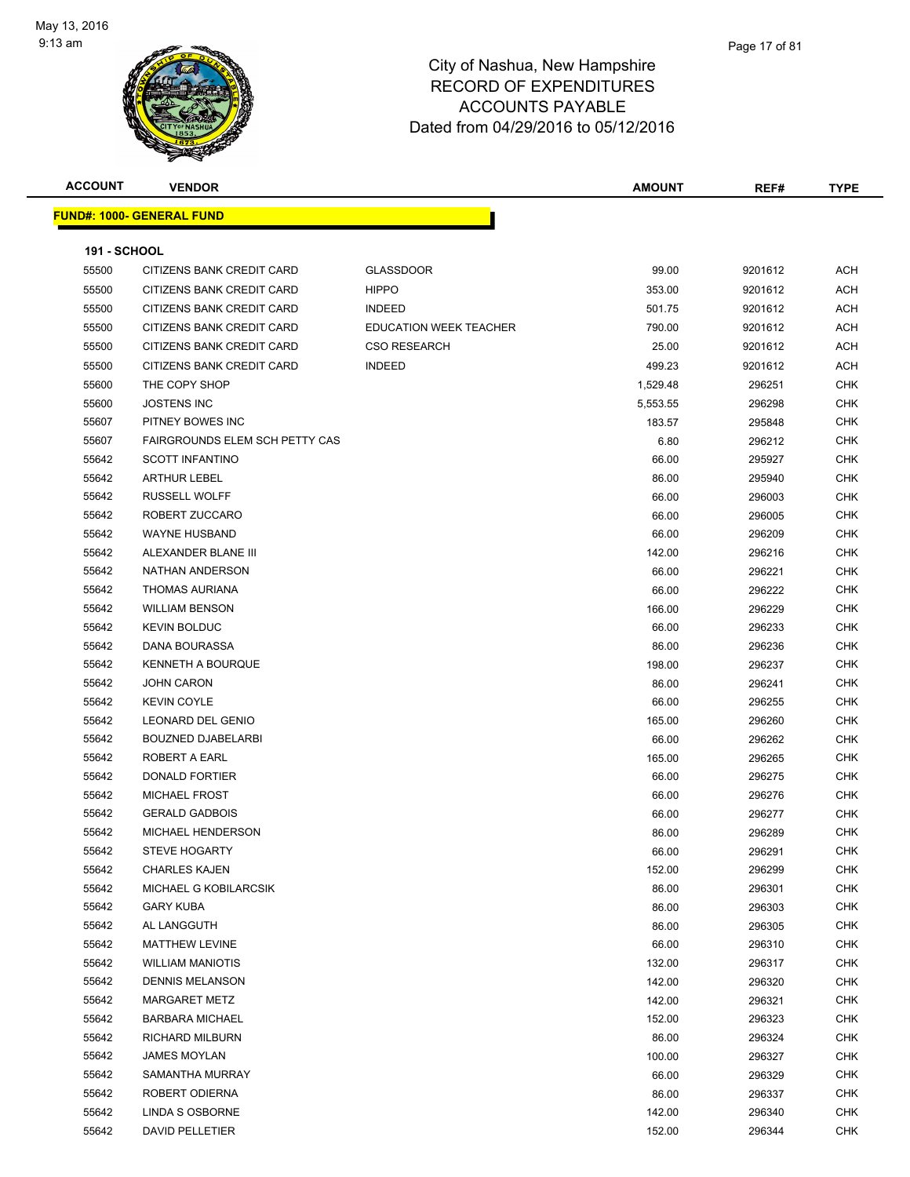

| <b>ACCOUNT</b>      | <b>VENDOR</b>                     |                               | <b>AMOUNT</b> | REF#    | <b>TYPE</b> |
|---------------------|-----------------------------------|-------------------------------|---------------|---------|-------------|
|                     | <u> FUND#: 1000- GENERAL FUND</u> |                               |               |         |             |
|                     |                                   |                               |               |         |             |
| <b>191 - SCHOOL</b> |                                   |                               |               |         |             |
| 55500               | CITIZENS BANK CREDIT CARD         | <b>GLASSDOOR</b>              | 99.00         | 9201612 | <b>ACH</b>  |
| 55500               | CITIZENS BANK CREDIT CARD         | <b>HIPPO</b>                  | 353.00        | 9201612 | <b>ACH</b>  |
| 55500               | CITIZENS BANK CREDIT CARD         | <b>INDEED</b>                 | 501.75        | 9201612 | <b>ACH</b>  |
| 55500               | CITIZENS BANK CREDIT CARD         | <b>EDUCATION WEEK TEACHER</b> | 790.00        | 9201612 | <b>ACH</b>  |
| 55500               | CITIZENS BANK CREDIT CARD         | <b>CSO RESEARCH</b>           | 25.00         | 9201612 | <b>ACH</b>  |
| 55500               | CITIZENS BANK CREDIT CARD         | <b>INDEED</b>                 | 499.23        | 9201612 | ACH         |
| 55600               | THE COPY SHOP                     |                               | 1,529.48      | 296251  | <b>CHK</b>  |
| 55600               | <b>JOSTENS INC</b>                |                               | 5,553.55      | 296298  | <b>CHK</b>  |
| 55607               | PITNEY BOWES INC                  |                               | 183.57        | 295848  | <b>CHK</b>  |
| 55607               | FAIRGROUNDS ELEM SCH PETTY CAS    |                               | 6.80          | 296212  | <b>CHK</b>  |
| 55642               | <b>SCOTT INFANTINO</b>            |                               | 66.00         | 295927  | <b>CHK</b>  |
| 55642               | <b>ARTHUR LEBEL</b>               |                               | 86.00         | 295940  | <b>CHK</b>  |
| 55642               | <b>RUSSELL WOLFF</b>              |                               | 66.00         | 296003  | <b>CHK</b>  |
| 55642               | ROBERT ZUCCARO                    |                               | 66.00         | 296005  | <b>CHK</b>  |
| 55642               | <b>WAYNE HUSBAND</b>              |                               | 66.00         | 296209  | <b>CHK</b>  |
| 55642               | ALEXANDER BLANE III               |                               | 142.00        | 296216  | <b>CHK</b>  |
| 55642               | NATHAN ANDERSON                   |                               | 66.00         | 296221  | CHK         |
| 55642               | THOMAS AURIANA                    |                               | 66.00         | 296222  | <b>CHK</b>  |
| 55642               | <b>WILLIAM BENSON</b>             |                               | 166.00        | 296229  | <b>CHK</b>  |
| 55642               | <b>KEVIN BOLDUC</b>               |                               | 66.00         | 296233  | <b>CHK</b>  |
| 55642               | DANA BOURASSA                     |                               | 86.00         | 296236  | <b>CHK</b>  |
| 55642               | KENNETH A BOURQUE                 |                               | 198.00        | 296237  | <b>CHK</b>  |
| 55642               | <b>JOHN CARON</b>                 |                               | 86.00         | 296241  | <b>CHK</b>  |
| 55642               | <b>KEVIN COYLE</b>                |                               | 66.00         | 296255  | <b>CHK</b>  |
| 55642               | LEONARD DEL GENIO                 |                               | 165.00        | 296260  | <b>CHK</b>  |
| 55642               | <b>BOUZNED DJABELARBI</b>         |                               | 66.00         | 296262  | <b>CHK</b>  |
| 55642               | ROBERT A EARL                     |                               | 165.00        | 296265  | <b>CHK</b>  |
| 55642               | <b>DONALD FORTIER</b>             |                               | 66.00         | 296275  | <b>CHK</b>  |
| 55642               | <b>MICHAEL FROST</b>              |                               | 66.00         | 296276  | <b>CHK</b>  |
| 55642               | <b>GERALD GADBOIS</b>             |                               | 66.00         | 296277  | <b>CHK</b>  |
| 55642               | <b>MICHAEL HENDERSON</b>          |                               | 86.00         | 296289  | <b>CHK</b>  |
| 55642               | STEVE HOGARTY                     |                               | 66.00         | 296291  | CHK         |
| 55642               | <b>CHARLES KAJEN</b>              |                               | 152.00        | 296299  | <b>CHK</b>  |
| 55642               | MICHAEL G KOBILARCSIK             |                               | 86.00         | 296301  | <b>CHK</b>  |
| 55642               | <b>GARY KUBA</b>                  |                               | 86.00         | 296303  | <b>CHK</b>  |
| 55642               | AL LANGGUTH                       |                               | 86.00         | 296305  | <b>CHK</b>  |
| 55642               | <b>MATTHEW LEVINE</b>             |                               | 66.00         | 296310  | <b>CHK</b>  |
| 55642               | <b>WILLIAM MANIOTIS</b>           |                               | 132.00        | 296317  | <b>CHK</b>  |
| 55642               | <b>DENNIS MELANSON</b>            |                               | 142.00        | 296320  | <b>CHK</b>  |
| 55642               | MARGARET METZ                     |                               | 142.00        | 296321  | CHK         |
| 55642               | <b>BARBARA MICHAEL</b>            |                               | 152.00        | 296323  | <b>CHK</b>  |
| 55642               | RICHARD MILBURN                   |                               | 86.00         | 296324  | <b>CHK</b>  |
| 55642               | <b>JAMES MOYLAN</b>               |                               | 100.00        | 296327  | <b>CHK</b>  |
| 55642               | SAMANTHA MURRAY                   |                               | 66.00         | 296329  | <b>CHK</b>  |
| 55642               | ROBERT ODIERNA                    |                               | 86.00         | 296337  | <b>CHK</b>  |
| 55642               | LINDA S OSBORNE                   |                               | 142.00        | 296340  | CHK         |
| 55642               | DAVID PELLETIER                   |                               | 152.00        | 296344  | <b>CHK</b>  |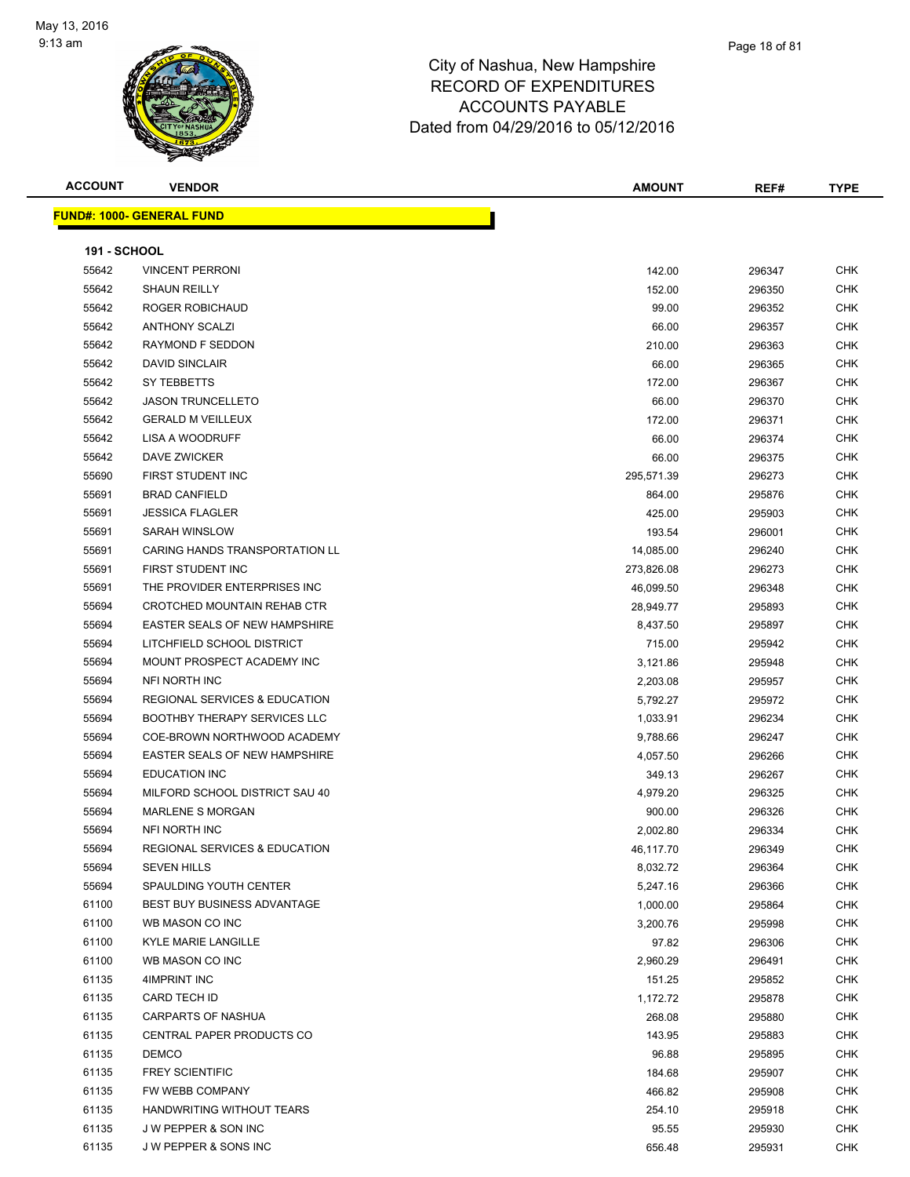

|                                   | <b>VENDOR</b>                            | <b>AMOUNT</b> | REF#   | <b>TYPE</b> |
|-----------------------------------|------------------------------------------|---------------|--------|-------------|
| <u> FUND#: 1000- GENERAL FUND</u> |                                          |               |        |             |
|                                   |                                          |               |        |             |
| <b>191 - SCHOOL</b>               |                                          |               |        |             |
| 55642                             | <b>VINCENT PERRONI</b>                   | 142.00        | 296347 | <b>CHK</b>  |
| 55642                             | <b>SHAUN REILLY</b>                      | 152.00        | 296350 | CHK         |
| 55642                             | ROGER ROBICHAUD                          | 99.00         | 296352 | <b>CHK</b>  |
| 55642                             | <b>ANTHONY SCALZI</b>                    | 66.00         | 296357 | <b>CHK</b>  |
| 55642                             | RAYMOND F SEDDON                         | 210.00        | 296363 | CHK         |
| 55642                             | <b>DAVID SINCLAIR</b>                    | 66.00         | 296365 | CHK         |
| 55642                             | SY TEBBETTS                              | 172.00        | 296367 | CHK         |
| 55642                             | <b>JASON TRUNCELLETO</b>                 | 66.00         | 296370 | CHK         |
| 55642                             | <b>GERALD M VEILLEUX</b>                 | 172.00        | 296371 | CHK         |
| 55642                             | <b>LISA A WOODRUFF</b>                   | 66.00         | 296374 | CHK         |
| 55642                             | DAVE ZWICKER                             | 66.00         | 296375 | CHK         |
| 55690                             | FIRST STUDENT INC                        | 295,571.39    | 296273 | <b>CHK</b>  |
| 55691                             | <b>BRAD CANFIELD</b>                     | 864.00        | 295876 | CHK         |
| 55691                             | <b>JESSICA FLAGLER</b>                   | 425.00        | 295903 | CHK         |
| 55691                             | <b>SARAH WINSLOW</b>                     | 193.54        | 296001 | CHK         |
| 55691                             | CARING HANDS TRANSPORTATION LL           | 14,085.00     | 296240 | CHK         |
| 55691                             | FIRST STUDENT INC                        | 273,826.08    | 296273 | CHK         |
| 55691                             | THE PROVIDER ENTERPRISES INC             | 46,099.50     | 296348 | CHK         |
| 55694                             | CROTCHED MOUNTAIN REHAB CTR              | 28,949.77     | 295893 | CHK         |
| 55694                             | EASTER SEALS OF NEW HAMPSHIRE            | 8,437.50      | 295897 | CHK         |
| 55694                             | LITCHFIELD SCHOOL DISTRICT               | 715.00        | 295942 | CHK         |
| 55694                             | MOUNT PROSPECT ACADEMY INC               | 3,121.86      | 295948 | <b>CHK</b>  |
| 55694                             | NFI NORTH INC                            | 2,203.08      | 295957 | <b>CHK</b>  |
| 55694                             | <b>REGIONAL SERVICES &amp; EDUCATION</b> | 5,792.27      | 295972 | CHK         |
| 55694                             | <b>BOOTHBY THERAPY SERVICES LLC</b>      | 1,033.91      | 296234 | <b>CHK</b>  |
| 55694                             | COE-BROWN NORTHWOOD ACADEMY              | 9,788.66      | 296247 | <b>CHK</b>  |
| 55694                             | EASTER SEALS OF NEW HAMPSHIRE            | 4,057.50      | 296266 | CHK         |
| 55694                             | <b>EDUCATION INC</b>                     | 349.13        | 296267 | <b>CHK</b>  |
| 55694                             | MILFORD SCHOOL DISTRICT SAU 40           | 4,979.20      | 296325 | CHK         |
| 55694                             | <b>MARLENE S MORGAN</b>                  | 900.00        | 296326 | CHK         |
| 55694                             | NFI NORTH INC                            | 2,002.80      | 296334 | <b>CHK</b>  |
| 55694                             | REGIONAL SERVICES & EDUCATION            | 46,117.70     | 296349 | CHK.        |
| 55694                             | <b>SEVEN HILLS</b>                       | 8,032.72      | 296364 | <b>CHK</b>  |
| 55694                             | SPAULDING YOUTH CENTER                   | 5,247.16      | 296366 | <b>CHK</b>  |
| 61100                             | <b>BEST BUY BUSINESS ADVANTAGE</b>       | 1,000.00      | 295864 | CHK         |
| 61100                             | WB MASON CO INC                          | 3,200.76      | 295998 | <b>CHK</b>  |
| 61100                             | <b>KYLE MARIE LANGILLE</b>               | 97.82         | 296306 | <b>CHK</b>  |
| 61100                             | WB MASON CO INC                          | 2,960.29      | 296491 | CHK         |
| 61135                             | 4IMPRINT INC                             | 151.25        | 295852 | <b>CHK</b>  |
| 61135                             | CARD TECH ID                             | 1,172.72      | 295878 | CHK         |
| 61135                             | <b>CARPARTS OF NASHUA</b>                | 268.08        | 295880 | CHK         |
| 61135                             | CENTRAL PAPER PRODUCTS CO                | 143.95        | 295883 | <b>CHK</b>  |
| 61135                             | DEMCO                                    | 96.88         | 295895 | CHK         |
| 61135                             | <b>FREY SCIENTIFIC</b>                   | 184.68        | 295907 | <b>CHK</b>  |
| 61135                             | FW WEBB COMPANY                          | 466.82        | 295908 | CHK         |
| 61135                             | HANDWRITING WITHOUT TEARS                | 254.10        | 295918 | CHK         |
| 61135                             | J W PEPPER & SON INC                     | 95.55         | 295930 | CHK         |
| 61135                             | J W PEPPER & SONS INC                    | 656.48        | 295931 | <b>CHK</b>  |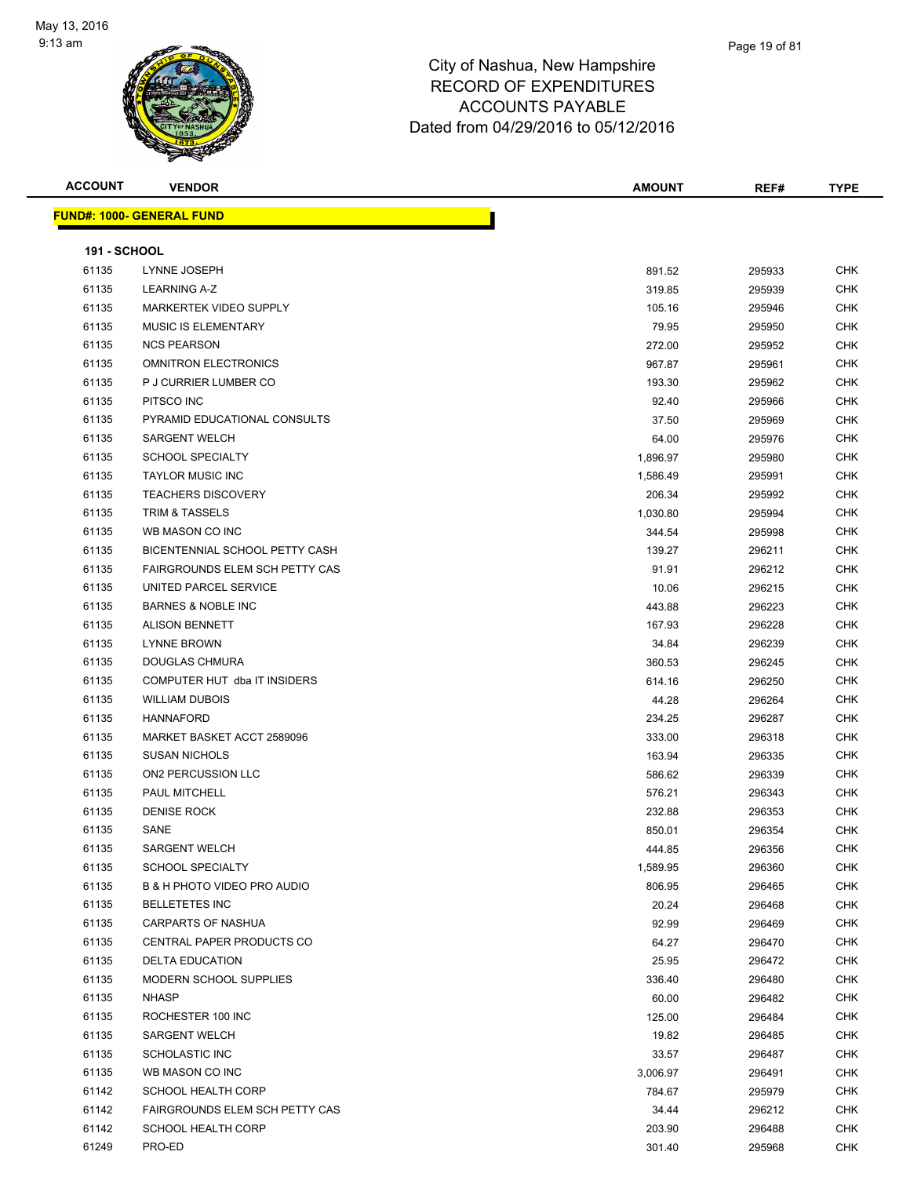

| <b>ACCOUNT</b>      | <b>VENDOR</b>                         | <b>AMOUNT</b> | REF#   | <b>TYPE</b> |
|---------------------|---------------------------------------|---------------|--------|-------------|
|                     | <b>FUND#: 1000- GENERAL FUND</b>      |               |        |             |
|                     |                                       |               |        |             |
| <b>191 - SCHOOL</b> |                                       |               |        |             |
| 61135               | LYNNE JOSEPH                          | 891.52        | 295933 | <b>CHK</b>  |
| 61135               | <b>LEARNING A-Z</b>                   | 319.85        | 295939 | <b>CHK</b>  |
| 61135               | MARKERTEK VIDEO SUPPLY                | 105.16        | 295946 | <b>CHK</b>  |
| 61135               | MUSIC IS ELEMENTARY                   | 79.95         | 295950 | <b>CHK</b>  |
| 61135               | <b>NCS PEARSON</b>                    | 272.00        | 295952 | <b>CHK</b>  |
| 61135               | <b>OMNITRON ELECTRONICS</b>           | 967.87        | 295961 | <b>CHK</b>  |
| 61135               | P J CURRIER LUMBER CO                 | 193.30        | 295962 | <b>CHK</b>  |
| 61135               | PITSCO INC                            | 92.40         | 295966 | <b>CHK</b>  |
| 61135               | PYRAMID EDUCATIONAL CONSULTS          | 37.50         | 295969 | <b>CHK</b>  |
| 61135               | <b>SARGENT WELCH</b>                  | 64.00         | 295976 | <b>CHK</b>  |
| 61135               | <b>SCHOOL SPECIALTY</b>               | 1,896.97      | 295980 | <b>CHK</b>  |
| 61135               | <b>TAYLOR MUSIC INC</b>               | 1,586.49      | 295991 | <b>CHK</b>  |
| 61135               | <b>TEACHERS DISCOVERY</b>             | 206.34        | 295992 | <b>CHK</b>  |
| 61135               | TRIM & TASSELS                        | 1,030.80      | 295994 | <b>CHK</b>  |
| 61135               | WB MASON CO INC                       | 344.54        | 295998 | <b>CHK</b>  |
| 61135               | BICENTENNIAL SCHOOL PETTY CASH        | 139.27        | 296211 | <b>CHK</b>  |
| 61135               | <b>FAIRGROUNDS ELEM SCH PETTY CAS</b> | 91.91         | 296212 | <b>CHK</b>  |
| 61135               | UNITED PARCEL SERVICE                 | 10.06         | 296215 | <b>CHK</b>  |
| 61135               | <b>BARNES &amp; NOBLE INC</b>         | 443.88        | 296223 | <b>CHK</b>  |
| 61135               | <b>ALISON BENNETT</b>                 | 167.93        | 296228 | <b>CHK</b>  |
| 61135               | <b>LYNNE BROWN</b>                    | 34.84         | 296239 | <b>CHK</b>  |
| 61135               | DOUGLAS CHMURA                        | 360.53        | 296245 | <b>CHK</b>  |
| 61135               | COMPUTER HUT dba IT INSIDERS          | 614.16        | 296250 | <b>CHK</b>  |
| 61135               | <b>WILLIAM DUBOIS</b>                 | 44.28         | 296264 | <b>CHK</b>  |
| 61135               | <b>HANNAFORD</b>                      | 234.25        | 296287 | <b>CHK</b>  |
| 61135               | MARKET BASKET ACCT 2589096            | 333.00        | 296318 | <b>CHK</b>  |
| 61135               | <b>SUSAN NICHOLS</b>                  | 163.94        | 296335 | <b>CHK</b>  |
| 61135               | ON2 PERCUSSION LLC                    | 586.62        | 296339 | <b>CHK</b>  |
| 61135               | PAUL MITCHELL                         | 576.21        | 296343 | <b>CHK</b>  |
| 61135               | <b>DENISE ROCK</b>                    | 232.88        | 296353 | <b>CHK</b>  |
| 61135               | SANE                                  | 850.01        | 296354 | <b>CHK</b>  |
| 61135               | SARGENT WELCH                         | 444.85        | 296356 | CHK         |
| 61135               | <b>SCHOOL SPECIALTY</b>               | 1,589.95      | 296360 | <b>CHK</b>  |
| 61135               | B & H PHOTO VIDEO PRO AUDIO           | 806.95        | 296465 | <b>CHK</b>  |
| 61135               | <b>BELLETETES INC</b>                 | 20.24         | 296468 | <b>CHK</b>  |
| 61135               | <b>CARPARTS OF NASHUA</b>             | 92.99         | 296469 | <b>CHK</b>  |
| 61135               | CENTRAL PAPER PRODUCTS CO             | 64.27         | 296470 | <b>CHK</b>  |
| 61135               | <b>DELTA EDUCATION</b>                | 25.95         | 296472 | <b>CHK</b>  |
| 61135               | MODERN SCHOOL SUPPLIES                | 336.40        | 296480 | <b>CHK</b>  |
| 61135               | <b>NHASP</b>                          | 60.00         | 296482 | <b>CHK</b>  |
| 61135               | ROCHESTER 100 INC                     | 125.00        | 296484 | <b>CHK</b>  |
| 61135               | <b>SARGENT WELCH</b>                  | 19.82         | 296485 | <b>CHK</b>  |
| 61135               | <b>SCHOLASTIC INC</b>                 | 33.57         | 296487 | <b>CHK</b>  |
| 61135               | WB MASON CO INC                       | 3,006.97      | 296491 | <b>CHK</b>  |
| 61142               | <b>SCHOOL HEALTH CORP</b>             | 784.67        | 295979 | <b>CHK</b>  |
| 61142               | FAIRGROUNDS ELEM SCH PETTY CAS        | 34.44         | 296212 | <b>CHK</b>  |
| 61142               | <b>SCHOOL HEALTH CORP</b>             | 203.90        | 296488 | <b>CHK</b>  |
| 61249               | PRO-ED                                | 301.40        | 295968 | <b>CHK</b>  |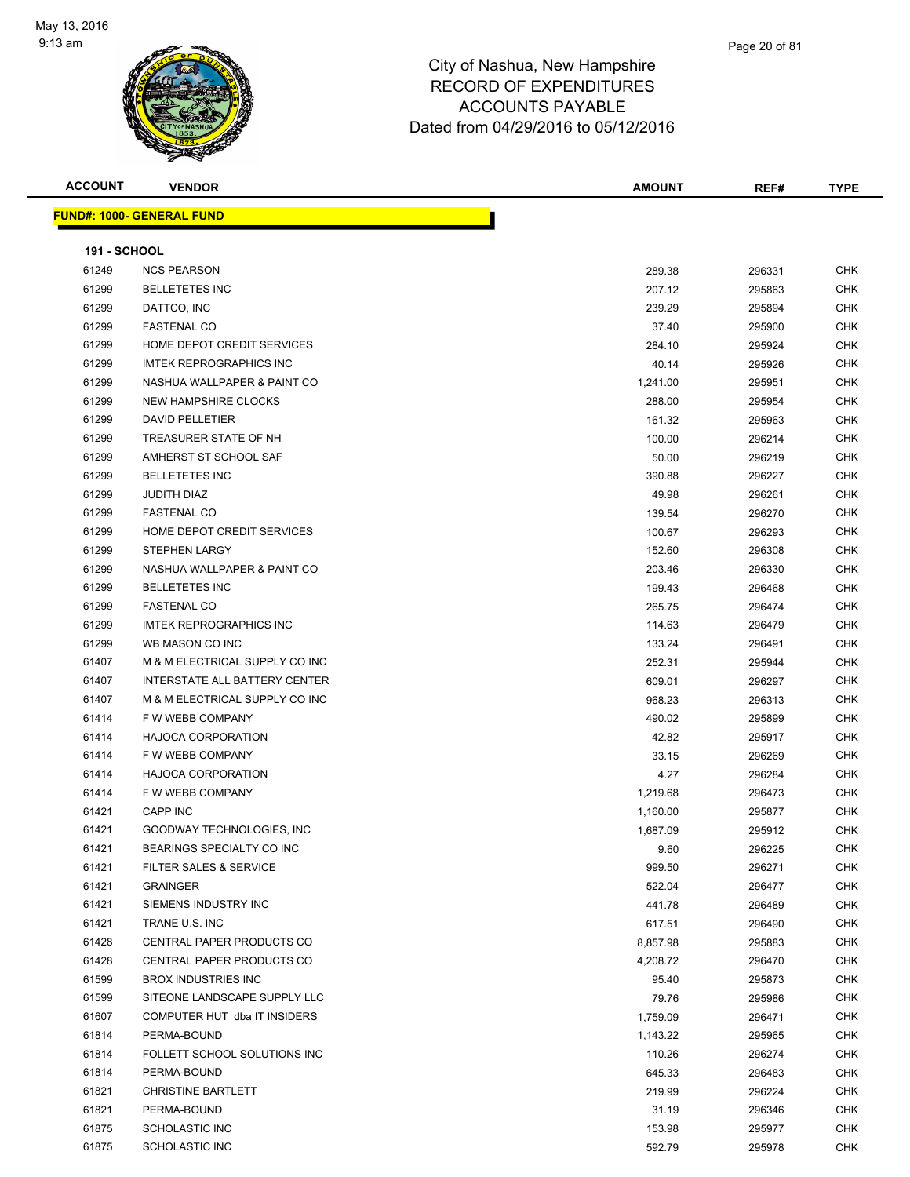

| ACCOUNT             | <b>VENDOR</b>                    | <b>AMOUNT</b> | REF#   | <b>TYPE</b> |
|---------------------|----------------------------------|---------------|--------|-------------|
|                     | <u> IND#: 1000- GENERAL FUND</u> |               |        |             |
|                     |                                  |               |        |             |
| <b>191 - SCHOOL</b> |                                  |               |        |             |
| 61249               | <b>NCS PEARSON</b>               | 289.38        | 296331 | <b>CHK</b>  |
| 61299               | <b>BELLETETES INC</b>            | 207.12        | 295863 | <b>CHK</b>  |
| 61299               | DATTCO, INC                      | 239.29        | 295894 | <b>CHK</b>  |
| 61299               | <b>FASTENAL CO</b>               | 37.40         | 295900 | <b>CHK</b>  |
| 61299               | HOME DEPOT CREDIT SERVICES       | 284.10        | 295924 | <b>CHK</b>  |
| 61299               | <b>IMTEK REPROGRAPHICS INC</b>   | 40.14         | 295926 | <b>CHK</b>  |
| 61299               | NASHUA WALLPAPER & PAINT CO      | 1,241.00      | 295951 | <b>CHK</b>  |
| 61299               | NEW HAMPSHIRE CLOCKS             | 288.00        | 295954 | <b>CHK</b>  |
| 61299               | <b>DAVID PELLETIER</b>           | 161.32        | 295963 | <b>CHK</b>  |
| 61299               | TREASURER STATE OF NH            | 100.00        | 296214 | <b>CHK</b>  |
| 61299               | AMHERST ST SCHOOL SAF            | 50.00         | 296219 | <b>CHK</b>  |
| 61299               | <b>BELLETETES INC</b>            | 390.88        | 296227 | <b>CHK</b>  |
| 61299               | <b>JUDITH DIAZ</b>               | 49.98         | 296261 | <b>CHK</b>  |
| 61299               | <b>FASTENAL CO</b>               | 139.54        | 296270 | <b>CHK</b>  |
| 61299               | HOME DEPOT CREDIT SERVICES       | 100.67        | 296293 | <b>CHK</b>  |
| 61299               | <b>STEPHEN LARGY</b>             | 152.60        | 296308 | <b>CHK</b>  |
| 61299               | NASHUA WALLPAPER & PAINT CO      | 203.46        | 296330 | <b>CHK</b>  |
| 61299               | <b>BELLETETES INC</b>            | 199.43        | 296468 | <b>CHK</b>  |
| 61299               | <b>FASTENAL CO</b>               | 265.75        | 296474 | <b>CHK</b>  |
| 61299               | <b>IMTEK REPROGRAPHICS INC</b>   | 114.63        | 296479 | <b>CHK</b>  |
| 61299               | WB MASON CO INC                  | 133.24        | 296491 | <b>CHK</b>  |
| 61407               | M & M ELECTRICAL SUPPLY CO INC   | 252.31        | 295944 | <b>CHK</b>  |
| 61407               | INTERSTATE ALL BATTERY CENTER    | 609.01        | 296297 | <b>CHK</b>  |
| 61407               | M & M ELECTRICAL SUPPLY CO INC   | 968.23        | 296313 | <b>CHK</b>  |
| 61414               | F W WEBB COMPANY                 | 490.02        | 295899 | <b>CHK</b>  |
| 61414               | <b>HAJOCA CORPORATION</b>        | 42.82         | 295917 | <b>CHK</b>  |
| 61414               | F W WEBB COMPANY                 | 33.15         | 296269 | <b>CHK</b>  |
| 61414               | <b>HAJOCA CORPORATION</b>        | 4.27          | 296284 | CHK         |
| 61414               | F W WEBB COMPANY                 | 1,219.68      | 296473 | <b>CHK</b>  |
| 61421               | <b>CAPP INC</b>                  | 1,160.00      | 295877 | <b>CHK</b>  |
| 61421               | GOODWAY TECHNOLOGIES, INC        | 1,687.09      | 295912 | <b>CHK</b>  |
| 61421               | BEARINGS SPECIALTY CO INC        | 9.60          | 296225 | CHK         |
| 61421               | FILTER SALES & SERVICE           | 999.50        | 296271 | CHK         |
| 61421               | <b>GRAINGER</b>                  | 522.04        | 296477 | <b>CHK</b>  |
| 61421               | SIEMENS INDUSTRY INC             | 441.78        | 296489 | <b>CHK</b>  |
| 61421               | TRANE U.S. INC                   | 617.51        | 296490 | <b>CHK</b>  |
| 61428               | CENTRAL PAPER PRODUCTS CO        | 8,857.98      | 295883 | <b>CHK</b>  |
| 61428               | CENTRAL PAPER PRODUCTS CO        | 4,208.72      | 296470 | <b>CHK</b>  |
| 61599               | <b>BROX INDUSTRIES INC</b>       | 95.40         | 295873 | <b>CHK</b>  |
| 61599               | SITEONE LANDSCAPE SUPPLY LLC     | 79.76         | 295986 | <b>CHK</b>  |
| 61607               | COMPUTER HUT dba IT INSIDERS     | 1,759.09      | 296471 | <b>CHK</b>  |
| 61814               | PERMA-BOUND                      | 1,143.22      | 295965 | <b>CHK</b>  |
| 61814               | FOLLETT SCHOOL SOLUTIONS INC     | 110.26        | 296274 | <b>CHK</b>  |
| 61814               | PERMA-BOUND                      | 645.33        | 296483 | <b>CHK</b>  |
| 61821               | <b>CHRISTINE BARTLETT</b>        | 219.99        | 296224 | <b>CHK</b>  |
| 61821               | PERMA-BOUND                      | 31.19         | 296346 | <b>CHK</b>  |
| 61875               | <b>SCHOLASTIC INC</b>            | 153.98        | 295977 | <b>CHK</b>  |
| 61875               | <b>SCHOLASTIC INC</b>            | 592.79        | 295978 | <b>CHK</b>  |
|                     |                                  |               |        |             |

**FUND#: 1000- GENERAL FUND**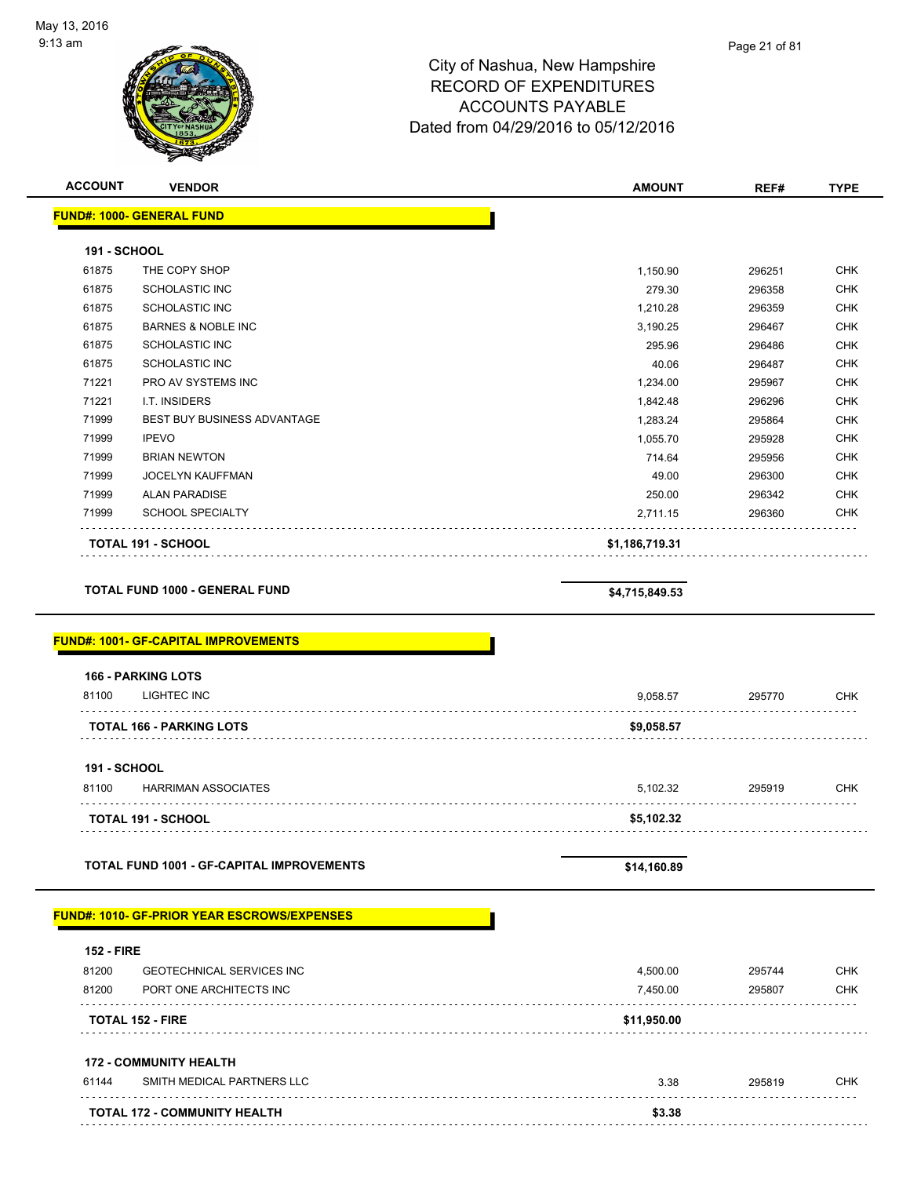

| <b>ACCOUNT</b>      | <b>VENDOR</b>                                               | <b>AMOUNT</b>        | REF#             | <b>TYPE</b> |
|---------------------|-------------------------------------------------------------|----------------------|------------------|-------------|
|                     | <b>FUND#: 1000- GENERAL FUND</b>                            |                      |                  |             |
| 191 - SCHOOL        |                                                             |                      |                  |             |
| 61875               | THE COPY SHOP                                               | 1,150.90             | 296251           | <b>CHK</b>  |
| 61875               | <b>SCHOLASTIC INC</b>                                       | 279.30               | 296358           | <b>CHK</b>  |
| 61875               | <b>SCHOLASTIC INC</b>                                       | 1,210.28             | 296359           | <b>CHK</b>  |
| 61875               | <b>BARNES &amp; NOBLE INC</b>                               | 3,190.25             | 296467           | <b>CHK</b>  |
| 61875               | <b>SCHOLASTIC INC</b>                                       | 295.96               | 296486           | <b>CHK</b>  |
| 61875               | <b>SCHOLASTIC INC</b>                                       | 40.06                | 296487           | <b>CHK</b>  |
| 71221               | PRO AV SYSTEMS INC                                          | 1,234.00             | 295967           | <b>CHK</b>  |
| 71221               | I.T. INSIDERS                                               | 1,842.48             | 296296           | <b>CHK</b>  |
| 71999               | BEST BUY BUSINESS ADVANTAGE                                 | 1,283.24             | 295864           | <b>CHK</b>  |
| 71999               | <b>IPEVO</b>                                                | 1,055.70             | 295928           | <b>CHK</b>  |
| 71999               | <b>BRIAN NEWTON</b>                                         | 714.64               | 295956           | <b>CHK</b>  |
| 71999               | <b>JOCELYN KAUFFMAN</b>                                     | 49.00                | 296300           | <b>CHK</b>  |
| 71999               | <b>ALAN PARADISE</b>                                        | 250.00               | 296342           | <b>CHK</b>  |
| 71999               | <b>SCHOOL SPECIALTY</b>                                     | 2,711.15             | 296360           | <b>CHK</b>  |
|                     | <b>TOTAL 191 - SCHOOL</b>                                   | \$1,186,719.31       |                  |             |
|                     | <b>TOTAL FUND 1000 - GENERAL FUND</b>                       | \$4,715,849.53       |                  |             |
|                     | <b>FUND#: 1001- GF-CAPITAL IMPROVEMENTS</b>                 |                      |                  |             |
|                     | <b>166 - PARKING LOTS</b>                                   |                      |                  |             |
| 81100               | LIGHTEC INC                                                 | 9,058.57             | 295770           | <b>CHK</b>  |
|                     | <b>TOTAL 166 - PARKING LOTS</b>                             | \$9,058.57           |                  |             |
| <b>191 - SCHOOL</b> |                                                             |                      |                  |             |
| 81100               | <b>HARRIMAN ASSOCIATES</b>                                  | 5,102.32             | 295919           | <b>CHK</b>  |
|                     | <b>TOTAL 191 - SCHOOL</b>                                   | \$5,102.32           |                  |             |
|                     | <b>TOTAL FUND 1001 - GF-CAPITAL IMPROVEMENTS</b>            | \$14,160.89          |                  |             |
|                     |                                                             |                      |                  |             |
| <b>152 - FIRE</b>   | <b>FUND#: 1010- GF-PRIOR YEAR ESCROWS/EXPENSES</b>          |                      |                  |             |
| 81200               | <b>GEOTECHNICAL SERVICES INC</b>                            |                      |                  | <b>CHK</b>  |
| 81200               | PORT ONE ARCHITECTS INC                                     | 4,500.00<br>7,450.00 | 295744<br>295807 | <b>CHK</b>  |
|                     | <b>TOTAL 152 - FIRE</b>                                     | \$11,950.00          |                  |             |
|                     |                                                             |                      |                  |             |
| 61144               | <b>172 - COMMUNITY HEALTH</b><br>SMITH MEDICAL PARTNERS LLC | 3.38                 |                  |             |
|                     |                                                             |                      | 295819           | <b>CHK</b>  |
|                     | TOTAL 172 - COMMUNITY HEALTH                                | \$3.38               |                  |             |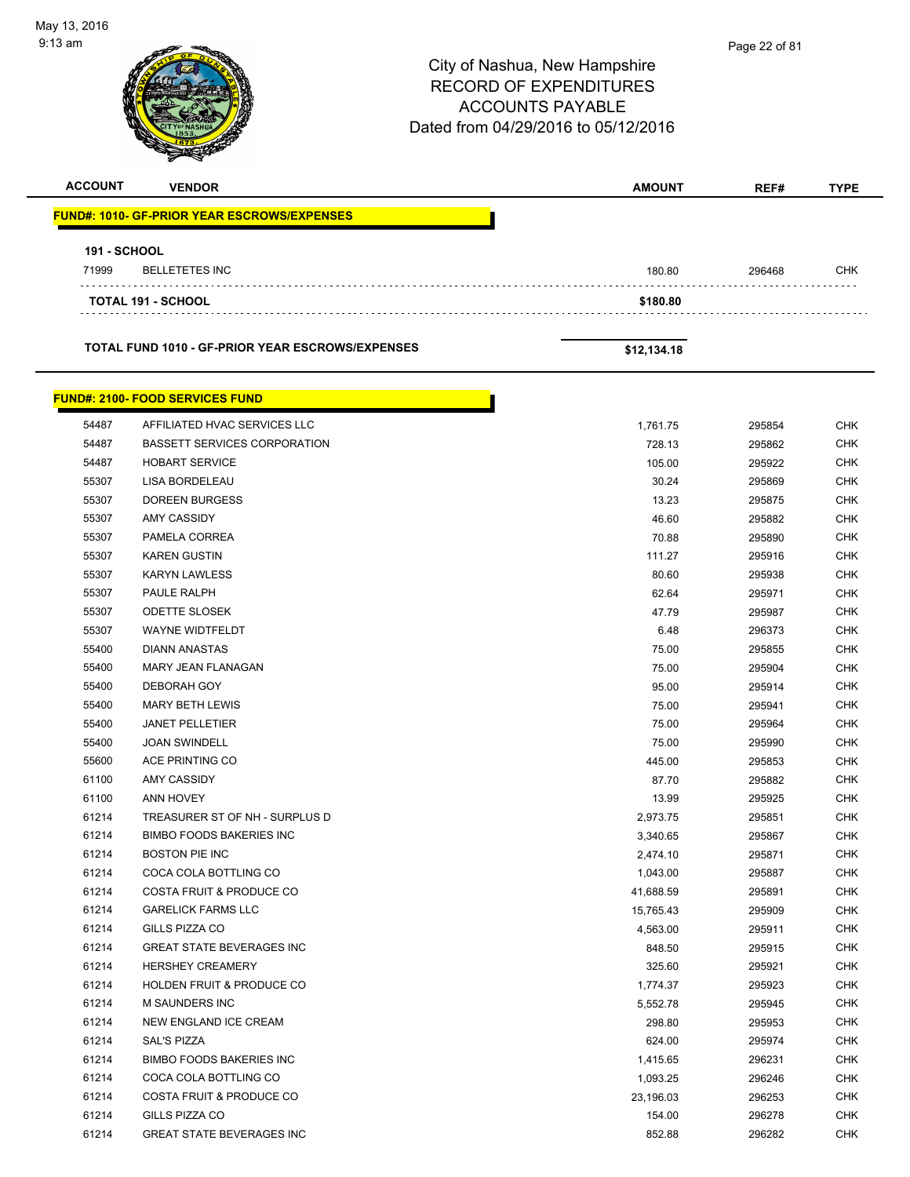| $9:13 \text{ am}$<br><b>ACCOUNT</b> | <b>VENDOR</b><br><b>FUND#: 1010- GF-PRIOR YEAR ESCROWS/EXPENSES</b> | City of Nashua, New Hampshire<br><b>RECORD OF EXPENDITURES</b><br><b>ACCOUNTS PAYABLE</b><br>Dated from 04/29/2016 to 05/12/2016<br><b>AMOUNT</b> | Page 22 of 81<br>REF# | <b>TYPE</b>       |
|-------------------------------------|---------------------------------------------------------------------|---------------------------------------------------------------------------------------------------------------------------------------------------|-----------------------|-------------------|
| <b>191 - SCHOOL</b>                 |                                                                     |                                                                                                                                                   |                       |                   |
| 71999                               | <b>BELLETETES INC</b>                                               | 180.80                                                                                                                                            | 296468                | CHK               |
|                                     | <b>TOTAL 191 - SCHOOL</b>                                           | \$180.80                                                                                                                                          |                       |                   |
|                                     | <b>TOTAL FUND 1010 - GF-PRIOR YEAR ESCROWS/EXPENSES</b>             | \$12,134.18                                                                                                                                       |                       |                   |
|                                     | <b>FUND#: 2100- FOOD SERVICES FUND</b>                              |                                                                                                                                                   |                       |                   |
| 54487                               | AFFILIATED HVAC SERVICES LLC                                        | 1,761.75                                                                                                                                          | 295854                | <b>CHK</b>        |
| 54487                               | <b>BASSETT SERVICES CORPORATION</b>                                 | 728.13                                                                                                                                            | 295862                | <b>CHK</b>        |
| 54487                               | <b>HOBART SERVICE</b>                                               | 105.00                                                                                                                                            | 295922                | <b>CHK</b>        |
| 55307                               | LISA BORDELEAU                                                      | 30.24                                                                                                                                             | 295869                | <b>CHK</b>        |
| 55307                               | <b>DOREEN BURGESS</b>                                               | 13.23                                                                                                                                             | 295875                | <b>CHK</b>        |
| 55307                               | AMY CASSIDY                                                         | 46.60                                                                                                                                             | 295882                | <b>CHK</b>        |
| 55307                               | PAMELA CORREA                                                       | 70.88                                                                                                                                             | 295890                | <b>CHK</b>        |
| 55307                               | <b>KAREN GUSTIN</b>                                                 | 111.27                                                                                                                                            | 295916                | <b>CHK</b>        |
| 55307                               | <b>KARYN LAWLESS</b>                                                | 80.60                                                                                                                                             | 295938                | <b>CHK</b>        |
| 55307                               | PAULE RALPH                                                         | 62.64                                                                                                                                             | 295971                | <b>CHK</b>        |
| 55307                               | <b>ODETTE SLOSEK</b>                                                | 47.79                                                                                                                                             | 295987                | <b>CHK</b>        |
| 55307                               | <b>WAYNE WIDTFELDT</b>                                              | 6.48                                                                                                                                              | 296373                | <b>CHK</b>        |
| 55400                               | <b>DIANN ANASTAS</b>                                                | 75.00                                                                                                                                             | 295855                | <b>CHK</b>        |
| 55400                               | <b>MARY JEAN FLANAGAN</b>                                           | 75.00                                                                                                                                             | 295904                | <b>CHK</b>        |
| 55400                               | <b>DEBORAH GOY</b>                                                  | 95.00                                                                                                                                             | 295914                | <b>CHK</b>        |
| 55400                               | <b>MARY BETH LEWIS</b><br><b>JANET PELLETIER</b>                    | 75.00                                                                                                                                             | 295941                | CHK<br><b>CHK</b> |
| 55400<br>55400                      | <b>JOAN SWINDELL</b>                                                | 75.00<br>75.00                                                                                                                                    | 295964<br>295990      | CHK               |
| 55600                               | ACE PRINTING CO                                                     | 445.00                                                                                                                                            | 295853                | <b>CHK</b>        |
| 61100                               | AMY CASSIDY                                                         | 87.70                                                                                                                                             | 295882                | <b>CHK</b>        |
| 61100                               | ANN HOVEY                                                           | 13.99                                                                                                                                             | 295925                | <b>CHK</b>        |
| 61214                               | TREASURER ST OF NH - SURPLUS D                                      | 2,973.75                                                                                                                                          | 295851                | <b>CHK</b>        |
| 61214                               | <b>BIMBO FOODS BAKERIES INC</b>                                     | 3,340.65                                                                                                                                          | 295867                | <b>CHK</b>        |
| 61214                               | <b>BOSTON PIE INC</b>                                               | 2,474.10                                                                                                                                          | 295871                | <b>CHK</b>        |
| 61214                               | COCA COLA BOTTLING CO                                               | 1,043.00                                                                                                                                          | 295887                | <b>CHK</b>        |
| 61214                               | COSTA FRUIT & PRODUCE CO                                            | 41,688.59                                                                                                                                         | 295891                | <b>CHK</b>        |
| 61214                               | <b>GARELICK FARMS LLC</b>                                           | 15,765.43                                                                                                                                         | 295909                | <b>CHK</b>        |
| 61214                               | GILLS PIZZA CO                                                      | 4,563.00                                                                                                                                          | 295911                | <b>CHK</b>        |
| 61214                               | <b>GREAT STATE BEVERAGES INC</b>                                    | 848.50                                                                                                                                            | 295915                | <b>CHK</b>        |
| 61214                               | HERSHEY CREAMERY                                                    | 325.60                                                                                                                                            | 295921                | <b>CHK</b>        |
| 61214                               | HOLDEN FRUIT & PRODUCE CO                                           | 1,774.37                                                                                                                                          | 295923                | <b>CHK</b>        |
| 61214                               | M SAUNDERS INC                                                      | 5,552.78                                                                                                                                          | 295945                | <b>CHK</b>        |
| 61214                               | NEW ENGLAND ICE CREAM                                               | 298.80                                                                                                                                            | 295953                | <b>CHK</b>        |
| 61214                               | SAL'S PIZZA                                                         | 624.00                                                                                                                                            | 295974                | <b>CHK</b>        |
| 61214                               | <b>BIMBO FOODS BAKERIES INC</b>                                     | 1,415.65                                                                                                                                          | 296231                | <b>CHK</b>        |
| 61214                               | COCA COLA BOTTLING CO                                               | 1,093.25                                                                                                                                          | 296246                | <b>CHK</b>        |
| 61214                               | COSTA FRUIT & PRODUCE CO                                            | 23,196.03                                                                                                                                         | 296253                | <b>CHK</b>        |
| 61214                               | GILLS PIZZA CO                                                      | 154.00                                                                                                                                            | 296278                | <b>CHK</b>        |
| 61214                               | <b>GREAT STATE BEVERAGES INC</b>                                    | 852.88                                                                                                                                            | 296282                | <b>CHK</b>        |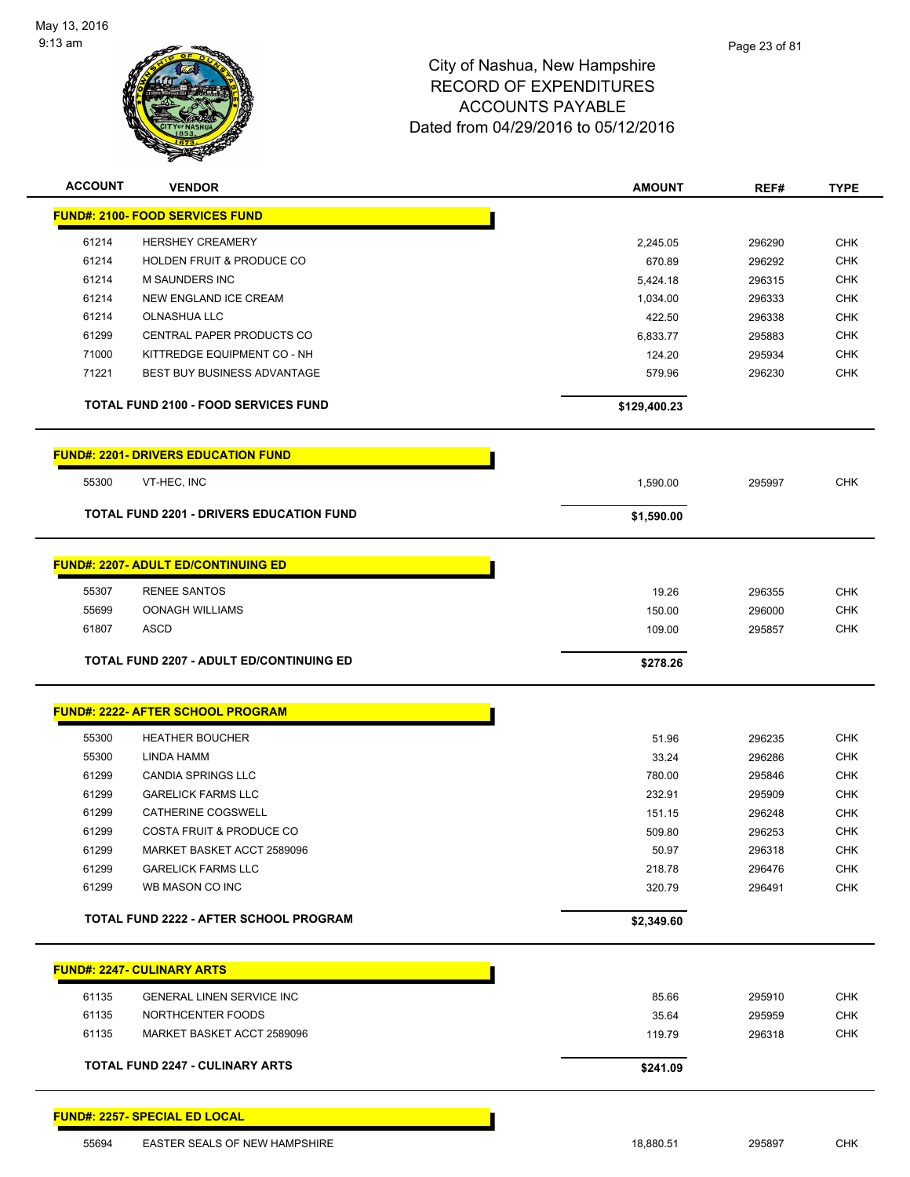

| <b>ACCOUNT</b> | <b>VENDOR</b>                                        | <b>AMOUNT</b>      | REF#             | <b>TYPE</b>              |
|----------------|------------------------------------------------------|--------------------|------------------|--------------------------|
|                | <b>FUND#: 2100- FOOD SERVICES FUND</b>               |                    |                  |                          |
|                |                                                      |                    |                  |                          |
| 61214<br>61214 | <b>HERSHEY CREAMERY</b><br>HOLDEN FRUIT & PRODUCE CO | 2,245.05           | 296290           | <b>CHK</b>               |
| 61214          | M SAUNDERS INC                                       | 670.89             | 296292           | <b>CHK</b>               |
| 61214          | NEW ENGLAND ICE CREAM                                | 5,424.18           | 296315           | <b>CHK</b><br><b>CHK</b> |
| 61214          | <b>OLNASHUA LLC</b>                                  | 1,034.00<br>422.50 | 296333<br>296338 | <b>CHK</b>               |
| 61299          | <b>CENTRAL PAPER PRODUCTS CO</b>                     | 6,833.77           | 295883           | <b>CHK</b>               |
| 71000          | KITTREDGE EQUIPMENT CO - NH                          | 124.20             | 295934           | <b>CHK</b>               |
| 71221          | BEST BUY BUSINESS ADVANTAGE                          | 579.96             | 296230           | <b>CHK</b>               |
|                |                                                      |                    |                  |                          |
|                | <b>TOTAL FUND 2100 - FOOD SERVICES FUND</b>          | \$129,400.23       |                  |                          |
|                | <b>FUND#: 2201- DRIVERS EDUCATION FUND</b>           |                    |                  |                          |
| 55300          | VT-HEC, INC                                          | 1,590.00           | 295997           | <b>CHK</b>               |
|                | <b>TOTAL FUND 2201 - DRIVERS EDUCATION FUND</b>      | \$1,590.00         |                  |                          |
|                |                                                      |                    |                  |                          |
|                | <b>FUND#: 2207- ADULT ED/CONTINUING ED</b>           |                    |                  |                          |
| 55307          | <b>RENEE SANTOS</b>                                  | 19.26              | 296355           | <b>CHK</b>               |
| 55699          | <b>OONAGH WILLIAMS</b>                               | 150.00             | 296000           | <b>CHK</b>               |
| 61807          | <b>ASCD</b>                                          | 109.00             | 295857           | <b>CHK</b>               |
|                | <b>TOTAL FUND 2207 - ADULT ED/CONTINUING ED</b>      | \$278.26           |                  |                          |
|                |                                                      |                    |                  |                          |
|                | <b>FUND#: 2222- AFTER SCHOOL PROGRAM</b>             |                    |                  |                          |
| 55300          | <b>HEATHER BOUCHER</b>                               | 51.96              | 296235           | <b>CHK</b>               |
| 55300          | LINDA HAMM                                           | 33.24              | 296286           | <b>CHK</b>               |
| 61299          | <b>CANDIA SPRINGS LLC</b>                            | 780.00             | 295846           | <b>CHK</b>               |
| 61299          | <b>GARELICK FARMS LLC</b>                            | 232.91             | 295909           | <b>CHK</b>               |
| 61299          | CATHERINE COGSWELL                                   | 151.15             | 296248           | <b>CHK</b>               |
| 61299          | <b>COSTA FRUIT &amp; PRODUCE CO</b>                  | 509.80             | 296253           | <b>CHK</b>               |
| 61299          | MARKET BASKET ACCT 2589096                           | 50.97              | 296318           | <b>CHK</b>               |
| 61299          | <b>GARELICK FARMS LLC</b>                            | 218.78             | 296476           | <b>CHK</b>               |
| 61299          | WB MASON CO INC                                      | 320.79             | 296491           | <b>CHK</b>               |
|                | TOTAL FUND 2222 - AFTER SCHOOL PROGRAM               | \$2,349.60         |                  |                          |
|                | <b>FUND#: 2247- CULINARY ARTS</b>                    |                    |                  |                          |
| 61135          | <b>GENERAL LINEN SERVICE INC</b>                     | 85.66              | 295910           | <b>CHK</b>               |
| 61135          | NORTHCENTER FOODS                                    | 35.64              | 295959           | <b>CHK</b>               |
| 61135          | MARKET BASKET ACCT 2589096                           | 119.79             | 296318           | <b>CHK</b>               |
|                | <b>TOTAL FUND 2247 - CULINARY ARTS</b>               | \$241.09           |                  |                          |
|                |                                                      |                    |                  |                          |
|                | <b>FUND#: 2257- SPECIAL ED LOCAL</b>                 |                    |                  |                          |
|                |                                                      |                    |                  |                          |

55694 EASTER SEALS OF NEW HAMPSHIRE **18,880.51** 18,880.51 295897 CHK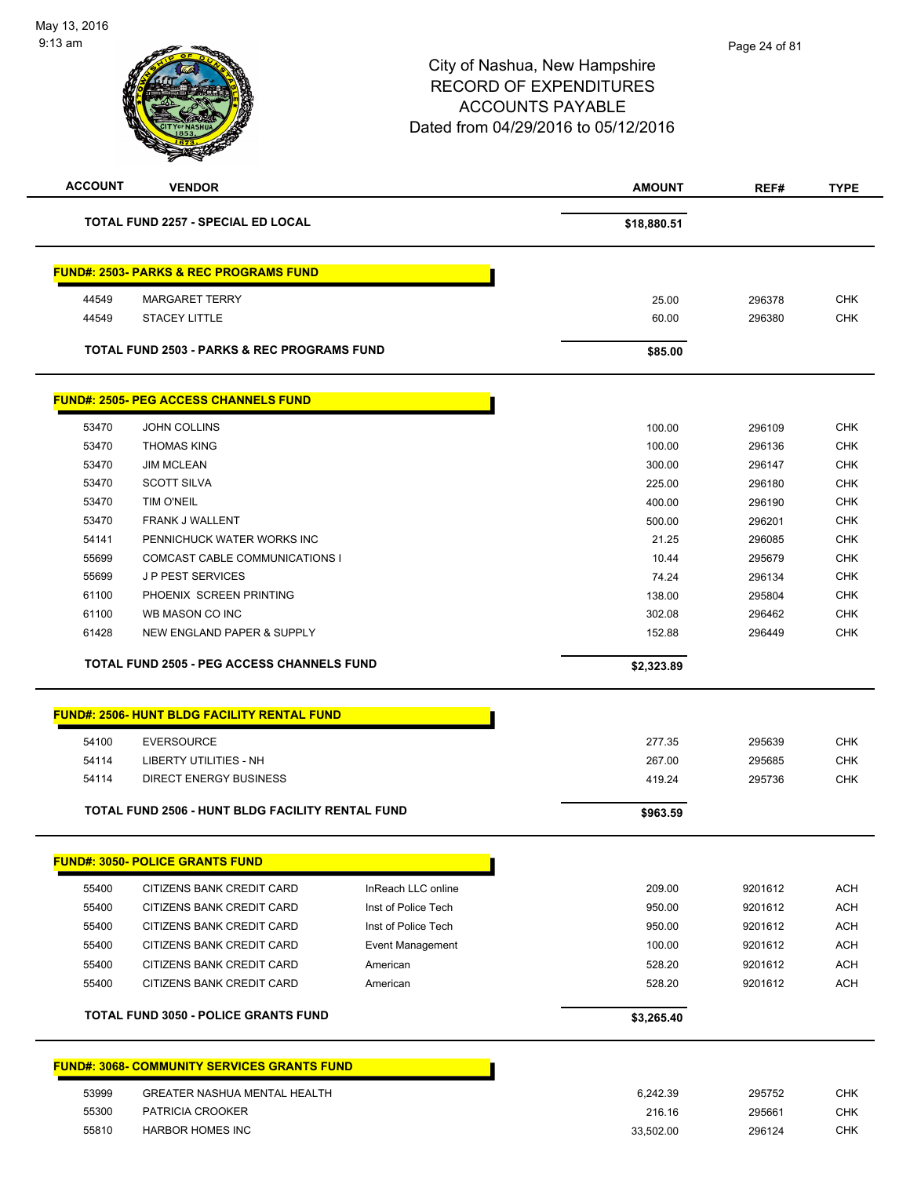

| <b>ACCOUNT</b> | <b>VENDOR</b>                                           |                     | <b>AMOUNT</b> | REF#             | <b>TYPE</b> |
|----------------|---------------------------------------------------------|---------------------|---------------|------------------|-------------|
|                | <b>TOTAL FUND 2257 - SPECIAL ED LOCAL</b>               |                     | \$18,880.51   |                  |             |
|                | <b>FUND#: 2503- PARKS &amp; REC PROGRAMS FUND</b>       |                     |               |                  |             |
| 44549          | <b>MARGARET TERRY</b>                                   |                     | 25.00         | 296378           | <b>CHK</b>  |
| 44549          | <b>STACEY LITTLE</b>                                    |                     | 60.00         | 296380           | <b>CHK</b>  |
|                | <b>TOTAL FUND 2503 - PARKS &amp; REC PROGRAMS FUND</b>  |                     | \$85.00       |                  |             |
|                | <b>FUND#: 2505- PEG ACCESS CHANNELS FUND</b>            |                     |               |                  |             |
| 53470          | JOHN COLLINS                                            |                     | 100.00        | 296109           | <b>CHK</b>  |
| 53470          | <b>THOMAS KING</b>                                      |                     | 100.00        | 296136           | <b>CHK</b>  |
| 53470          | <b>JIM MCLEAN</b>                                       |                     | 300.00        | 296147           | <b>CHK</b>  |
| 53470          | <b>SCOTT SILVA</b>                                      |                     | 225.00        | 296180           | <b>CHK</b>  |
| 53470          | <b>TIM O'NEIL</b>                                       |                     | 400.00        | 296190           | <b>CHK</b>  |
| 53470          | FRANK J WALLENT                                         |                     | 500.00        | 296201           | <b>CHK</b>  |
| 54141          | PENNICHUCK WATER WORKS INC                              |                     | 21.25         | 296085           | <b>CHK</b>  |
| 55699          | COMCAST CABLE COMMUNICATIONS I                          |                     | 10.44         | 295679           | <b>CHK</b>  |
| 55699          | <b>JP PEST SERVICES</b>                                 |                     | 74.24         | 296134           | <b>CHK</b>  |
| 61100          | PHOENIX SCREEN PRINTING                                 |                     | 138.00        | 295804           | <b>CHK</b>  |
| 61100          | WB MASON CO INC                                         |                     | 302.08        | 296462           | <b>CHK</b>  |
| 61428          | <b>NEW ENGLAND PAPER &amp; SUPPLY</b>                   |                     | 152.88        | 296449           | <b>CHK</b>  |
|                | <b>TOTAL FUND 2505 - PEG ACCESS CHANNELS FUND</b>       |                     | \$2,323.89    |                  |             |
|                | <b>FUND#: 2506- HUNT BLDG FACILITY RENTAL FUND</b>      |                     |               |                  |             |
| 54100          | <b>EVERSOURCE</b>                                       |                     | 277.35        |                  | <b>CHK</b>  |
| 54114          | <b>LIBERTY UTILITIES - NH</b>                           |                     | 267.00        | 295639<br>295685 | <b>CHK</b>  |
| 54114          | <b>DIRECT ENERGY BUSINESS</b>                           |                     | 419.24        | 295736           | CHK         |
|                |                                                         |                     |               |                  |             |
|                | <b>TOTAL FUND 2506 - HUNT BLDG FACILITY RENTAL FUND</b> |                     | \$963.59      |                  |             |
|                | <b>FUND#: 3050- POLICE GRANTS FUND</b>                  |                     |               |                  |             |
| 55400          | <b>CITIZENS BANK CREDIT CARD</b>                        | InReach LLC online  | 209.00        | 9201612          | <b>ACH</b>  |
| 55400          | CITIZENS BANK CREDIT CARD                               | Inst of Police Tech | 950.00        | 9201612          | <b>ACH</b>  |
| 55400          | CITIZENS BANK CREDIT CARD                               | Inst of Police Tech | 950.00        | 9201612          | <b>ACH</b>  |
| 55400          | CITIZENS BANK CREDIT CARD                               | Event Management    | 100.00        | 9201612          | <b>ACH</b>  |
| 55400          | CITIZENS BANK CREDIT CARD                               | American            | 528.20        | 9201612          | <b>ACH</b>  |
| 55400          | CITIZENS BANK CREDIT CARD                               | American            | 528.20        | 9201612          | <b>ACH</b>  |
|                | <b>TOTAL FUND 3050 - POLICE GRANTS FUND</b>             |                     | \$3,265.40    |                  |             |
|                | <b>FUND#: 3068- COMMUNITY SERVICES GRANTS FUND</b>      |                     |               |                  |             |
|                |                                                         |                     |               |                  |             |
| 53999          | <b>GREATER NASHUA MENTAL HEALTH</b>                     |                     | 6,242.39      | 295752           | CHK         |
| 55300          | PATRICIA CROOKER                                        |                     | 216.16        | 295661           | <b>CHK</b>  |
| 55810          | <b>HARBOR HOMES INC</b>                                 |                     | 33,502.00     | 296124           | CHK         |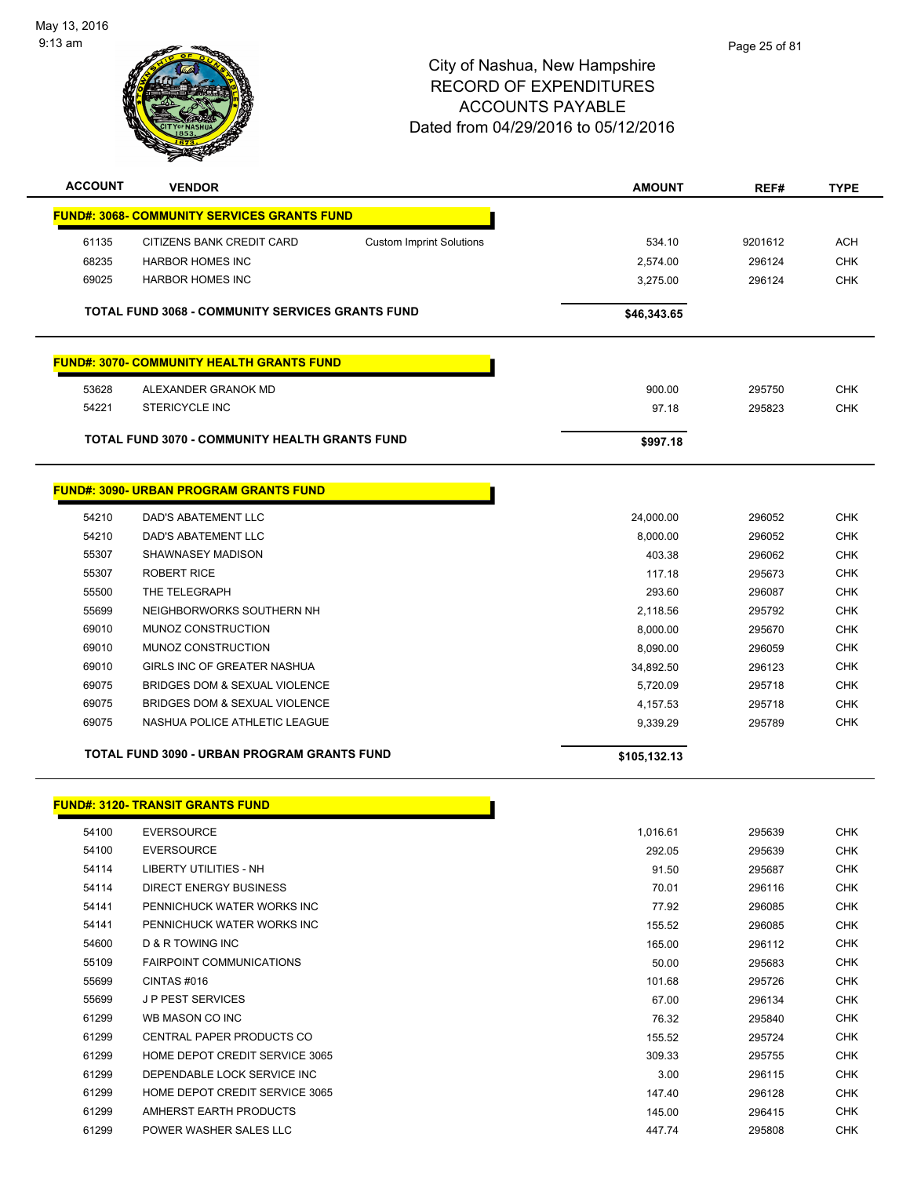

| <b>ACCOUNT</b> | <b>VENDOR</b>                                           |                                 | <b>AMOUNT</b> | REF#    | <b>TYPE</b> |
|----------------|---------------------------------------------------------|---------------------------------|---------------|---------|-------------|
|                | <u> FUND#: 3068- COMMUNITY SERVICES GRANTS FUND</u>     |                                 |               |         |             |
| 61135          | CITIZENS BANK CREDIT CARD                               | <b>Custom Imprint Solutions</b> | 534.10        | 9201612 | <b>ACH</b>  |
| 68235          | <b>HARBOR HOMES INC</b>                                 |                                 | 2,574.00      | 296124  | <b>CHK</b>  |
| 69025          | <b>HARBOR HOMES INC</b>                                 |                                 | 3,275.00      | 296124  | <b>CHK</b>  |
|                | <b>TOTAL FUND 3068 - COMMUNITY SERVICES GRANTS FUND</b> |                                 | \$46,343.65   |         |             |
|                | <b>FUND#: 3070- COMMUNITY HEALTH GRANTS FUND</b>        |                                 |               |         |             |
| 53628          | ALEXANDER GRANOK MD                                     |                                 | 900.00        | 295750  | <b>CHK</b>  |
| 54221          | <b>STERICYCLE INC</b>                                   |                                 | 97.18         | 295823  | <b>CHK</b>  |
|                | TOTAL FUND 3070 - COMMUNITY HEALTH GRANTS FUND          |                                 | \$997.18      |         |             |
|                | <b>FUND#: 3090- URBAN PROGRAM GRANTS FUND</b>           |                                 |               |         |             |
| 54210          | <b>DAD'S ABATEMENT LLC</b>                              |                                 | 24,000.00     | 296052  | <b>CHK</b>  |
| 54210          | DAD'S ABATEMENT LLC                                     |                                 | 8,000.00      | 296052  | <b>CHK</b>  |
| 55307          | SHAWNASEY MADISON                                       |                                 | 403.38        | 296062  | <b>CHK</b>  |
| 55307          | <b>ROBERT RICE</b>                                      |                                 | 117.18        | 295673  | <b>CHK</b>  |
| 55500          | THE TELEGRAPH                                           |                                 | 293.60        | 296087  | <b>CHK</b>  |
| 55699          | NEIGHBORWORKS SOUTHERN NH                               |                                 | 2,118.56      | 295792  | <b>CHK</b>  |
| 69010          | MUNOZ CONSTRUCTION                                      |                                 | 8,000.00      | 295670  | <b>CHK</b>  |
| 69010          | MUNOZ CONSTRUCTION                                      |                                 | 8,090.00      | 296059  | <b>CHK</b>  |
| 69010          | GIRLS INC OF GREATER NASHUA                             |                                 | 34,892.50     | 296123  | <b>CHK</b>  |
| 69075          | BRIDGES DOM & SEXUAL VIOLENCE                           |                                 | 5,720.09      | 295718  | <b>CHK</b>  |
| 69075          | BRIDGES DOM & SEXUAL VIOLENCE                           |                                 | 4,157.53      | 295718  | <b>CHK</b>  |
| 69075          | NASHUA POLICE ATHLETIC LEAGUE                           |                                 | 9,339.29      | 295789  | <b>CHK</b>  |
|                | TOTAL FUND 3090 - URBAN PROGRAM GRANTS FUND             |                                 | \$105,132.13  |         |             |
|                | <u>FUND#: 3120- TRANSIT GRANTS FUND</u>                 |                                 |               |         |             |
| 54100          | <b>EVERSOURCE</b>                                       |                                 | 1,016.61      | 295639  | CHK         |
| 54100          | <b>EVERSOURCE</b>                                       |                                 | 292.05        | 295639  | <b>CHK</b>  |
| 54114          | <b>LIBERTY UTILITIES - NH</b>                           |                                 | 91.50         | 295687  | CHK         |
| 54114          | <b>DIRECT ENERGY BUSINESS</b>                           |                                 | 70.01         | 296116  | CHK         |
| 54141          | PENNICHUCK WATER WORKS INC                              |                                 | 77.92         | 296085  | <b>CHK</b>  |
| 54141          | PENNICHUCK WATER WORKS INC                              |                                 | 155.52        | 296085  | CHK         |
| 54600          | D & R TOWING INC                                        |                                 | 165.00        | 296112  | <b>CHK</b>  |
| 55109          | FAIRPOINT COMMUNICATIONS                                |                                 | 50.00         | 295683  | <b>CHK</b>  |
| 55699          | CINTAS #016                                             |                                 | 101.68        | 295726  | <b>CHK</b>  |
| 55699          | <b>JP PEST SERVICES</b>                                 |                                 | 67.00         | 296134  | <b>CHK</b>  |
| 61299          | WB MASON CO INC                                         |                                 | 76.32         | 295840  | <b>CHK</b>  |
| 61299          | <b>CENTRAL PAPER PRODUCTS CO</b>                        |                                 | 155.52        | 295724  | CHK         |
| 61299          | HOME DEPOT CREDIT SERVICE 3065                          |                                 | 309.33        | 295755  | CHK         |
| 61299          | DEPENDABLE LOCK SERVICE INC                             |                                 | 3.00          | 296115  | <b>CHK</b>  |
| 61299          | HOME DEPOT CREDIT SERVICE 3065                          |                                 | 147.40        | 296128  | CHK         |
| 61299          | AMHERST EARTH PRODUCTS                                  |                                 | 145.00        | 296415  | <b>CHK</b>  |
| 61299          | POWER WASHER SALES LLC                                  |                                 | 447.74        | 295808  | <b>CHK</b>  |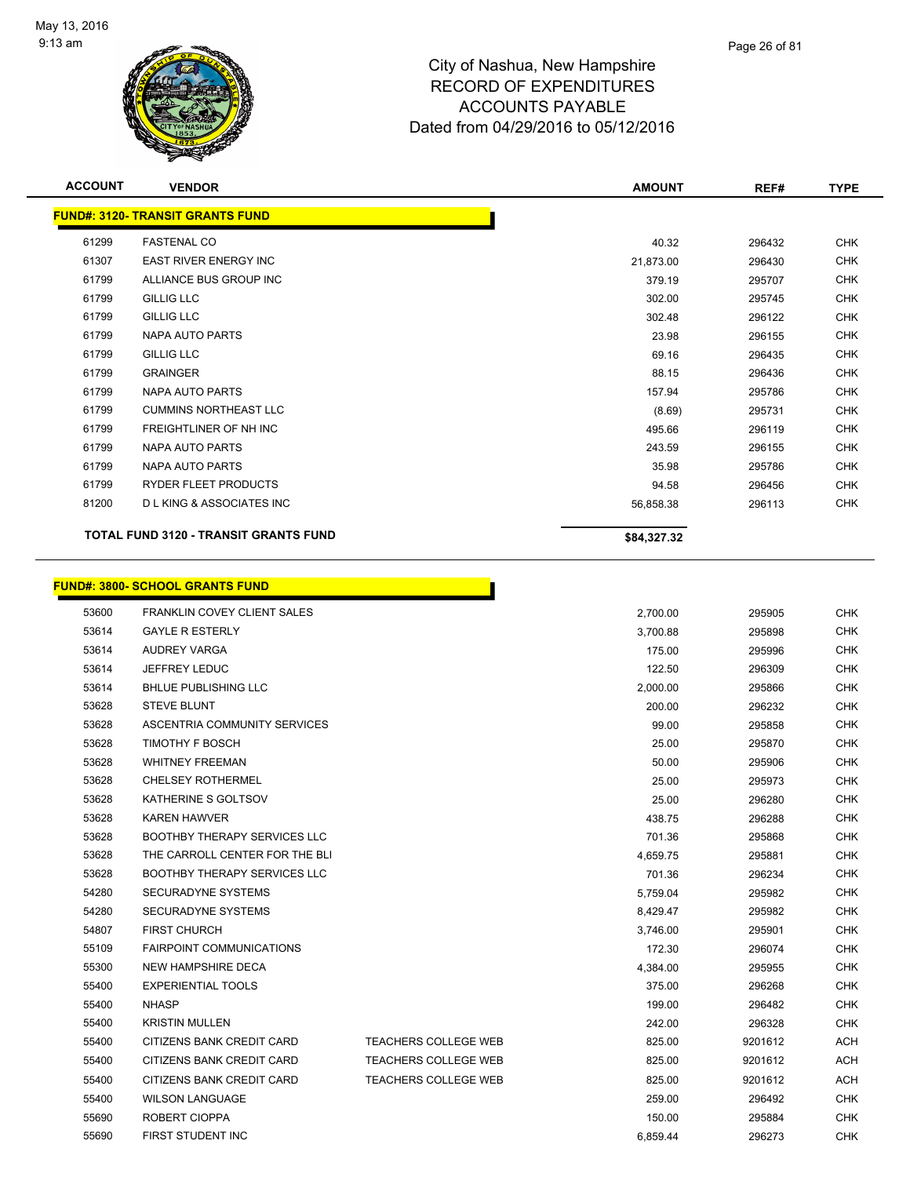

| <b>ACCOUNT</b> | <b>VENDOR</b>                                | <b>AMOUNT</b> | REF#   | <b>TYPE</b> |
|----------------|----------------------------------------------|---------------|--------|-------------|
|                | <b>FUND#: 3120- TRANSIT GRANTS FUND</b>      |               |        |             |
| 61299          | <b>FASTENAL CO</b>                           | 40.32         | 296432 | <b>CHK</b>  |
| 61307          | <b>EAST RIVER ENERGY INC</b>                 | 21,873.00     | 296430 | <b>CHK</b>  |
| 61799          | ALLIANCE BUS GROUP INC                       | 379.19        | 295707 | <b>CHK</b>  |
| 61799          | <b>GILLIG LLC</b>                            | 302.00        | 295745 | <b>CHK</b>  |
| 61799          | <b>GILLIG LLC</b>                            | 302.48        | 296122 | <b>CHK</b>  |
| 61799          | <b>NAPA AUTO PARTS</b>                       | 23.98         | 296155 | <b>CHK</b>  |
| 61799          | <b>GILLIG LLC</b>                            | 69.16         | 296435 | <b>CHK</b>  |
| 61799          | <b>GRAINGER</b>                              | 88.15         | 296436 | <b>CHK</b>  |
| 61799          | NAPA AUTO PARTS                              | 157.94        | 295786 | <b>CHK</b>  |
| 61799          | <b>CUMMINS NORTHEAST LLC</b>                 | (8.69)        | 295731 | <b>CHK</b>  |
| 61799          | <b>FREIGHTLINER OF NH INC</b>                | 495.66        | 296119 | <b>CHK</b>  |
| 61799          | NAPA AUTO PARTS                              | 243.59        | 296155 | <b>CHK</b>  |
| 61799          | <b>NAPA AUTO PARTS</b>                       | 35.98         | 295786 | <b>CHK</b>  |
| 61799          | RYDER FLEET PRODUCTS                         | 94.58         | 296456 | <b>CHK</b>  |
| 81200          | <b>DLKING &amp; ASSOCIATES INC</b>           | 56,858.38     | 296113 | <b>CHK</b>  |
|                | <b>TOTAL FUND 3120 - TRANSIT GRANTS FUND</b> | \$84,327.32   |        |             |
|                | <b>FUND#: 3800- SCHOOL GRANTS FUND</b>       |               |        |             |
| 53600          | FRANKLIN COVEY CLIENT SALES                  | 2,700.00      | 295905 | <b>CHK</b>  |
| 53614          | <b>GAYLE R ESTERLY</b>                       | 3,700.88      | 295898 | <b>CHK</b>  |
| 53614          | <b>AUDREY VARGA</b>                          | 175.00        | 295996 | <b>CHK</b>  |
| 53614          | <b>JEFFREY LEDUC</b>                         | 122.50        | 296309 | <b>CHK</b>  |
| 53614          | <b>BHLUE PUBLISHING LLC</b>                  | 2,000.00      | 295866 | <b>CHK</b>  |
| 53628          | <b>STEVE BLUNT</b>                           | 200.00        | 296232 | <b>CHK</b>  |
| 53628          | ASCENTRIA COMMUNITY SERVICES                 | 99.00         | 295858 | <b>CHK</b>  |
| 53628          | TIMOTHY F BOSCH                              | 25.00         | 295870 | <b>CHK</b>  |
| 53628          | <b>WHITNEY FREEMAN</b>                       | 50.00         | 295906 | <b>CHK</b>  |
| 53628          | <b>CHELSEY ROTHERMEL</b>                     | 25.00         | 295973 | <b>CHK</b>  |
| 53628          | KATHERINE S GOLTSOV                          | 25.00         | 296280 | <b>CHK</b>  |
| 53628          | <b>KAREN HAWVER</b>                          | 438.75        | 296288 | <b>CHK</b>  |
| 53628          | BOOTHBY THERAPY SERVICES LLC                 | 701.36        | 295868 | <b>CHK</b>  |

 THE CARROLL CENTER FOR THE BLI 4,659.75 295881 CHK 53628 BOOTHBY THERAPY SERVICES LLC **CHING A SERVICES AND A SERVICE SERVICE SERVICE SERVICES** LLC SECURADYNE SYSTEMS 5,759.04 295982 CHK SECURADYNE SYSTEMS 8,429.47 295982 CHK FIRST CHURCH 3,746.00 295901 CHK FAIRPOINT COMMUNICATIONS 172.30 296074 CHK NEW HAMPSHIRE DECA 4,384.00 295955 CHK EXPERIENTIAL TOOLS 375.00 296268 CHK NHASP 199.00 296482 CHK KRISTIN MULLEN 242.00 296328 CHK 55400 CITIZENS BANK CREDIT CARD TEACHERS COLLEGE WEB 825.00 9201612 ACH 55400 CITIZENS BANK CREDIT CARD TEACHERS COLLEGE WEB 825.00 9201612 ACH 55400 CITIZENS BANK CREDIT CARD TEACHERS COLLEGE WEB 825.00 9201612 ACH WILSON LANGUAGE 259.00 296492 CHK ROBERT CIOPPA 150.00 295884 CHK FIRST STUDENT INC 6,859.44 296273 CHK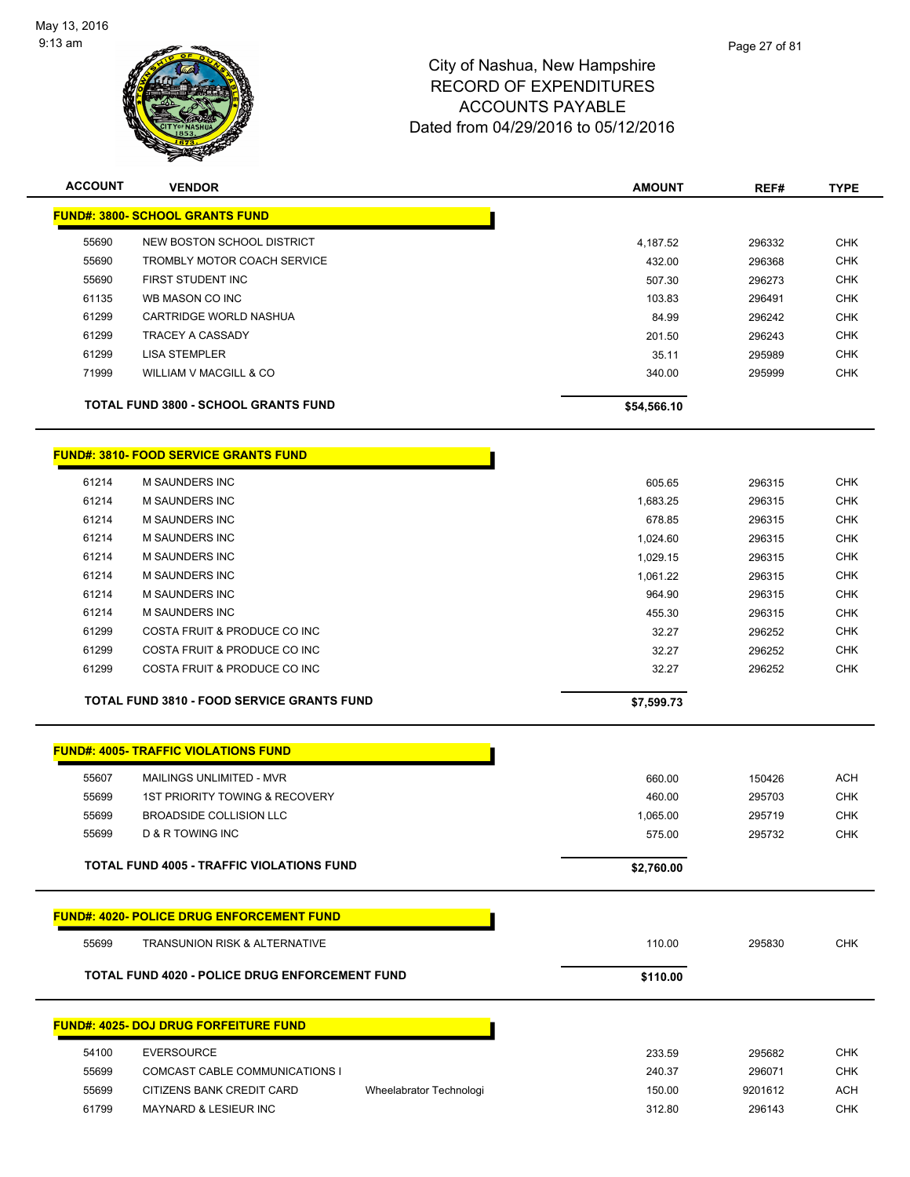

| <b>ACCOUNT</b> | <b>VENDOR</b>                               | <b>AMOUNT</b> | REF#   | <b>TYPE</b> |
|----------------|---------------------------------------------|---------------|--------|-------------|
|                | <b>FUND#: 3800- SCHOOL GRANTS FUND</b>      |               |        |             |
| 55690          | NEW BOSTON SCHOOL DISTRICT                  | 4,187.52      | 296332 | <b>CHK</b>  |
| 55690          | TROMBLY MOTOR COACH SERVICE                 | 432.00        | 296368 | <b>CHK</b>  |
| 55690          | FIRST STUDENT INC                           | 507.30        | 296273 | <b>CHK</b>  |
| 61135          | WB MASON CO INC                             | 103.83        | 296491 | <b>CHK</b>  |
| 61299          | CARTRIDGE WORLD NASHUA                      | 84.99         | 296242 | <b>CHK</b>  |
| 61299          | <b>TRACEY A CASSADY</b>                     | 201.50        | 296243 | <b>CHK</b>  |
| 61299          | <b>LISA STEMPLER</b>                        | 35.11         | 295989 | <b>CHK</b>  |
| 71999          | WILLIAM V MACGILL & CO                      | 340.00        | 295999 | <b>CHK</b>  |
|                | <b>TOTAL FUND 3800 - SCHOOL GRANTS FUND</b> | \$54,566.10   |        |             |

**FUND#: 3810- FOOD SERVICE GRANTS FUND**

|       | <b>TOTAL FUND 3810 - FOOD SERVICE GRANTS FUND</b> | \$7,599.73 |        |            |
|-------|---------------------------------------------------|------------|--------|------------|
| 61299 | COSTA FRUIT & PRODUCE CO INC                      | 32.27      | 296252 | <b>CHK</b> |
| 61299 | COSTA FRUIT & PRODUCE CO INC                      | 32.27      | 296252 | <b>CHK</b> |
| 61299 | COSTA FRUIT & PRODUCE CO INC                      | 32.27      | 296252 | <b>CHK</b> |
| 61214 | M SAUNDERS INC                                    | 455.30     | 296315 | <b>CHK</b> |
| 61214 | M SAUNDERS INC                                    | 964.90     | 296315 | <b>CHK</b> |
| 61214 | M SAUNDERS INC                                    | 1,061.22   | 296315 | <b>CHK</b> |
| 61214 | M SAUNDERS INC                                    | 1,029.15   | 296315 | <b>CHK</b> |
| 61214 | M SAUNDERS INC                                    | 1,024.60   | 296315 | <b>CHK</b> |
| 61214 | <b>M SAUNDERS INC</b>                             | 678.85     | 296315 | <b>CHK</b> |
| 61214 | M SAUNDERS INC                                    | 1,683.25   | 296315 | <b>CHK</b> |
| 61214 | M SAUNDERS INC                                    | 605.65     | 296315 | <b>CHK</b> |
|       |                                                   |            |        |            |

|       | <b>FUND#: 4005- TRAFFIC VIOLATIONS FUND</b>           |                         |            |         |            |
|-------|-------------------------------------------------------|-------------------------|------------|---------|------------|
| 55607 | MAILINGS UNLIMITED - MVR                              |                         | 660.00     | 150426  | <b>ACH</b> |
| 55699 | 1ST PRIORITY TOWING & RECOVERY                        |                         | 460.00     | 295703  | <b>CHK</b> |
| 55699 | BROADSIDE COLLISION LLC                               |                         | 1,065.00   | 295719  | <b>CHK</b> |
| 55699 | <b>D &amp; R TOWING INC</b>                           |                         | 575.00     | 295732  | <b>CHK</b> |
|       | <b>TOTAL FUND 4005 - TRAFFIC VIOLATIONS FUND</b>      |                         | \$2,760.00 |         |            |
|       | <b>FUND#: 4020- POLICE DRUG ENFORCEMENT FUND</b>      |                         |            |         |            |
| 55699 | <b>TRANSUNION RISK &amp; ALTERNATIVE</b>              |                         | 110.00     | 295830  | <b>CHK</b> |
|       | <b>TOTAL FUND 4020 - POLICE DRUG ENFORCEMENT FUND</b> |                         | \$110.00   |         |            |
|       | <b>FUND#: 4025- DOJ DRUG FORFEITURE FUND</b>          |                         |            |         |            |
| 54100 | <b>EVERSOURCE</b>                                     |                         | 233.59     | 295682  | <b>CHK</b> |
| 55699 | COMCAST CABLE COMMUNICATIONS I                        |                         | 240.37     | 296071  | <b>CHK</b> |
| 55699 | CITIZENS BANK CREDIT CARD                             | Wheelabrator Technologi | 150.00     | 9201612 | <b>ACH</b> |
| 61799 | <b>MAYNARD &amp; LESIEUR INC</b>                      |                         | 312.80     | 296143  | <b>CHK</b> |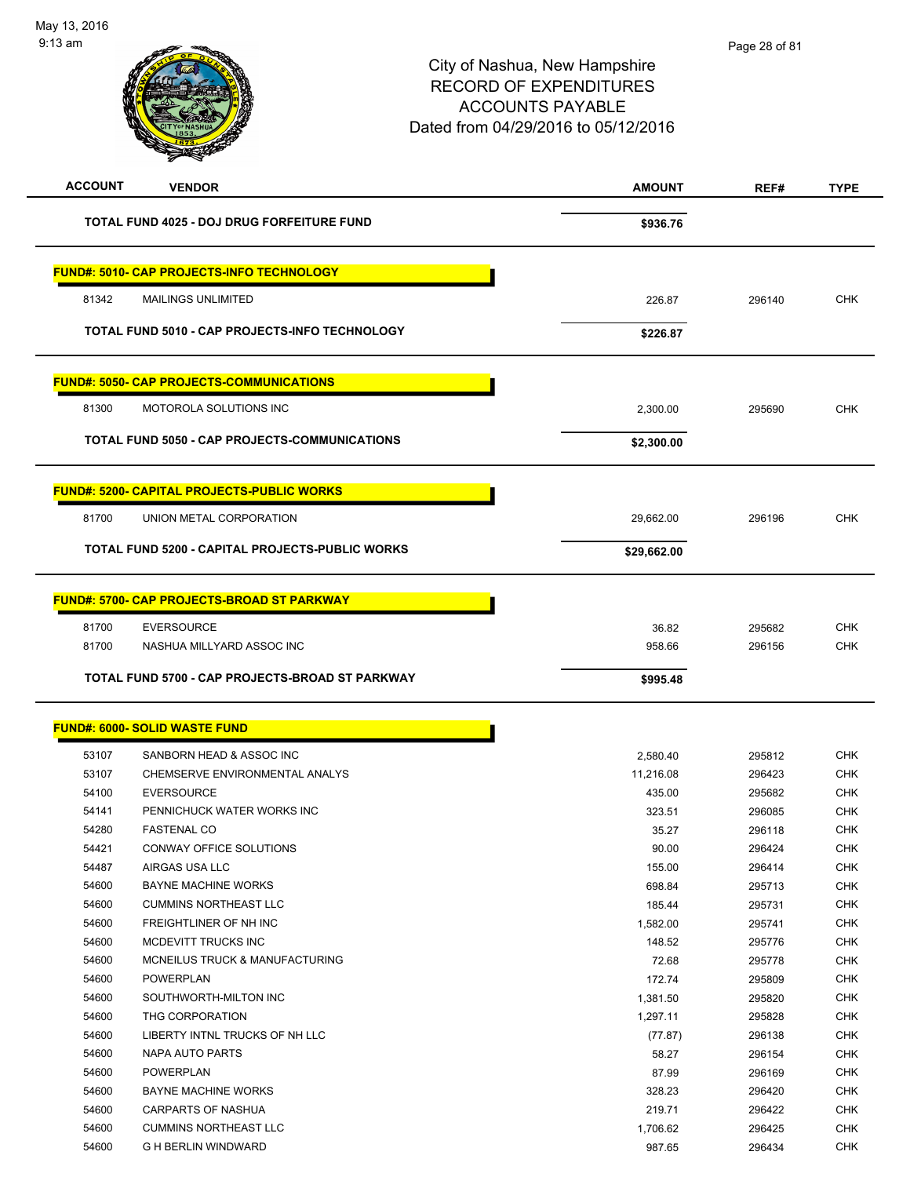| <b>ACCOUNT</b> | <b>VENDOR</b>                                              | <b>AMOUNT</b> | REF#   | <b>TYPE</b>              |
|----------------|------------------------------------------------------------|---------------|--------|--------------------------|
|                | <b>TOTAL FUND 4025 - DOJ DRUG FORFEITURE FUND</b>          | \$936.76      |        |                          |
|                | <b>FUND#: 5010- CAP PROJECTS-INFO TECHNOLOGY</b>           |               |        |                          |
| 81342          | <b>MAILINGS UNLIMITED</b>                                  | 226.87        | 296140 | <b>CHK</b>               |
|                | TOTAL FUND 5010 - CAP PROJECTS-INFO TECHNOLOGY             | \$226.87      |        |                          |
|                | <b>FUND#: 5050- CAP PROJECTS-COMMUNICATIONS</b>            |               |        |                          |
| 81300          | MOTOROLA SOLUTIONS INC                                     | 2,300.00      | 295690 | CHK                      |
|                | TOTAL FUND 5050 - CAP PROJECTS-COMMUNICATIONS              | \$2,300.00    |        |                          |
|                |                                                            |               |        |                          |
|                | <b>FUND#: 5200- CAPITAL PROJECTS-PUBLIC WORKS</b>          |               |        |                          |
| 81700          | UNION METAL CORPORATION                                    | 29,662.00     | 296196 | <b>CHK</b>               |
|                | TOTAL FUND 5200 - CAPITAL PROJECTS-PUBLIC WORKS            | \$29,662.00   |        |                          |
|                | <b>FUND#: 5700- CAP PROJECTS-BROAD ST PARKWAY</b>          |               |        |                          |
| 81700          | <b>EVERSOURCE</b>                                          | 36.82         | 295682 | <b>CHK</b>               |
| 81700          | NASHUA MILLYARD ASSOC INC                                  | 958.66        | 296156 | <b>CHK</b>               |
|                | TOTAL FUND 5700 - CAP PROJECTS-BROAD ST PARKWAY            | \$995.48      |        |                          |
|                | <b>FUND#: 6000- SOLID WASTE FUND</b>                       |               |        |                          |
| 53107          | SANBORN HEAD & ASSOC INC                                   | 2,580.40      | 295812 | <b>CHK</b>               |
| 53107          | CHEMSERVE ENVIRONMENTAL ANALYS                             | 11,216.08     | 296423 | <b>CHK</b>               |
| 54100          | <b>EVERSOURCE</b>                                          | 435.00        | 295682 | CHK                      |
| 54141          | PENNICHUCK WATER WORKS INC                                 | 323.51        | 296085 | <b>CHK</b>               |
| 54280          | <b>FASTENAL CO</b>                                         | 35.27         | 296118 | <b>CHK</b>               |
| 54421          | CONWAY OFFICE SOLUTIONS                                    | 90.00         | 296424 | <b>CHK</b>               |
| 54487          | AIRGAS USA LLC                                             | 155.00        | 296414 | <b>CHK</b>               |
| 54600          | <b>BAYNE MACHINE WORKS</b>                                 | 698.84        | 295713 | <b>CHK</b>               |
| 54600          | <b>CUMMINS NORTHEAST LLC</b>                               | 185.44        | 295731 | <b>CHK</b>               |
| 54600          | FREIGHTLINER OF NH INC                                     | 1,582.00      | 295741 | <b>CHK</b>               |
| 54600          | MCDEVITT TRUCKS INC                                        | 148.52        | 295776 | <b>CHK</b>               |
| 54600          | MCNEILUS TRUCK & MANUFACTURING                             | 72.68         | 295778 | <b>CHK</b>               |
| 54600          | POWERPLAN                                                  | 172.74        | 295809 | <b>CHK</b>               |
| 54600          | SOUTHWORTH-MILTON INC                                      | 1,381.50      | 295820 | <b>CHK</b>               |
| 54600          | THG CORPORATION                                            | 1,297.11      | 295828 | <b>CHK</b>               |
| 54600          | LIBERTY INTNL TRUCKS OF NH LLC                             | (77.87)       | 296138 | <b>CHK</b>               |
| 54600          | NAPA AUTO PARTS                                            | 58.27         | 296154 | <b>CHK</b>               |
| 54600          | POWERPLAN                                                  | 87.99         | 296169 | <b>CHK</b>               |
| 54600          | <b>BAYNE MACHINE WORKS</b>                                 | 328.23        | 296420 | <b>CHK</b>               |
| 54600          |                                                            |               |        |                          |
|                | CARPARTS OF NASHUA                                         | 219.71        | 296422 | <b>CHK</b>               |
| 54600<br>54600 | <b>CUMMINS NORTHEAST LLC</b><br><b>G H BERLIN WINDWARD</b> | 1,706.62      | 296425 | <b>CHK</b><br><b>CHK</b> |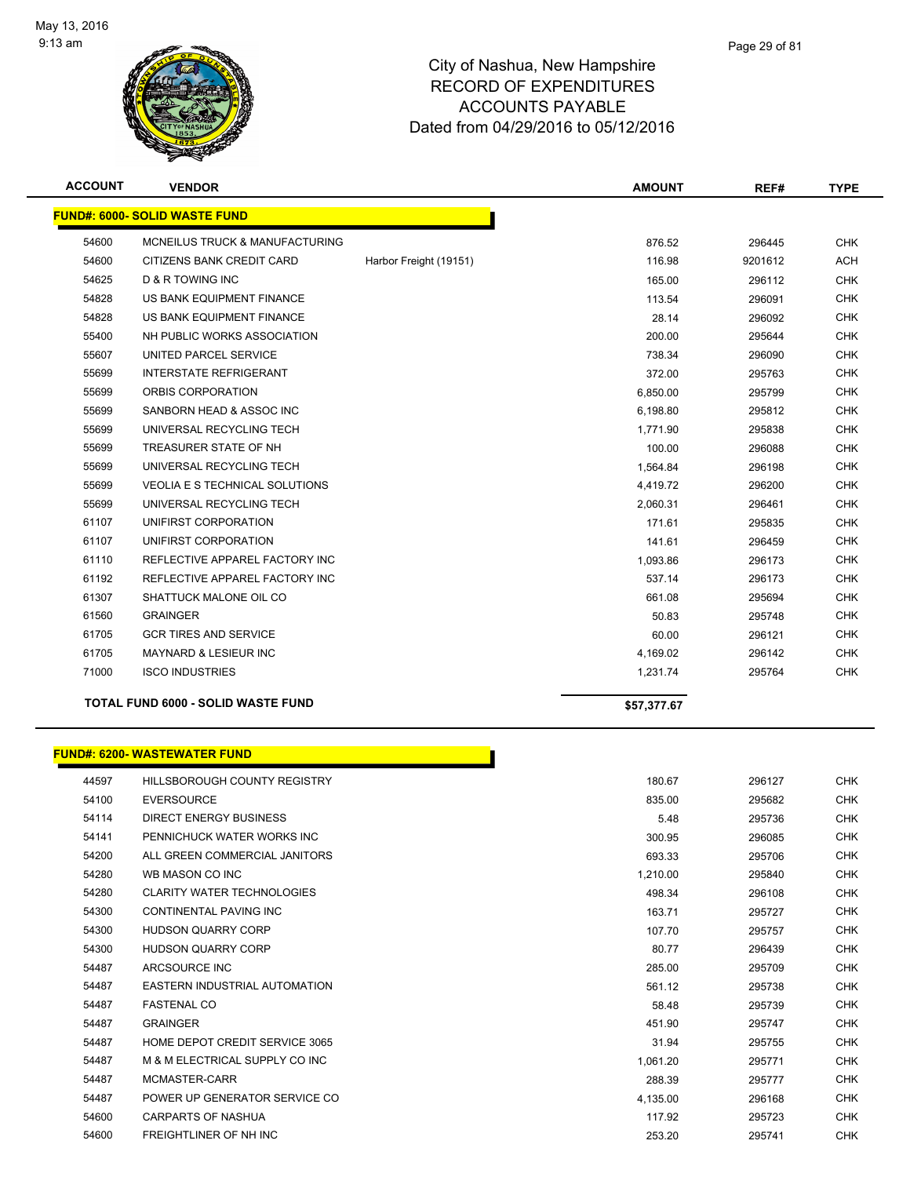

| <b>ACCOUNT</b> | <b>VENDOR</b>                             |                        | <b>AMOUNT</b> | REF#    | <b>TYPE</b> |
|----------------|-------------------------------------------|------------------------|---------------|---------|-------------|
|                | <b>FUND#: 6000- SOLID WASTE FUND</b>      |                        |               |         |             |
| 54600          | <b>MCNEILUS TRUCK &amp; MANUFACTURING</b> |                        | 876.52        | 296445  | <b>CHK</b>  |
| 54600          | CITIZENS BANK CREDIT CARD                 | Harbor Freight (19151) | 116.98        | 9201612 | <b>ACH</b>  |
| 54625          | <b>D &amp; R TOWING INC</b>               |                        | 165.00        | 296112  | <b>CHK</b>  |
| 54828          | US BANK EQUIPMENT FINANCE                 |                        | 113.54        | 296091  | <b>CHK</b>  |
| 54828          | US BANK EQUIPMENT FINANCE                 |                        | 28.14         | 296092  | <b>CHK</b>  |
| 55400          | NH PUBLIC WORKS ASSOCIATION               |                        | 200.00        | 295644  | <b>CHK</b>  |
| 55607          | UNITED PARCEL SERVICE                     |                        | 738.34        | 296090  | <b>CHK</b>  |
| 55699          | <b>INTERSTATE REFRIGERANT</b>             |                        | 372.00        | 295763  | <b>CHK</b>  |
| 55699          | ORBIS CORPORATION                         |                        | 6,850.00      | 295799  | <b>CHK</b>  |
| 55699          | SANBORN HEAD & ASSOC INC                  |                        | 6,198.80      | 295812  | <b>CHK</b>  |
| 55699          | UNIVERSAL RECYCLING TECH                  |                        | 1,771.90      | 295838  | <b>CHK</b>  |
| 55699          | TREASURER STATE OF NH                     |                        | 100.00        | 296088  | <b>CHK</b>  |
| 55699          | UNIVERSAL RECYCLING TECH                  |                        | 1,564.84      | 296198  | <b>CHK</b>  |
| 55699          | <b>VEOLIA E S TECHNICAL SOLUTIONS</b>     |                        | 4,419.72      | 296200  | <b>CHK</b>  |
| 55699          | UNIVERSAL RECYCLING TECH                  |                        | 2,060.31      | 296461  | <b>CHK</b>  |
| 61107          | UNIFIRST CORPORATION                      |                        | 171.61        | 295835  | <b>CHK</b>  |
| 61107          | UNIFIRST CORPORATION                      |                        | 141.61        | 296459  | <b>CHK</b>  |
| 61110          | REFLECTIVE APPAREL FACTORY INC            |                        | 1,093.86      | 296173  | <b>CHK</b>  |
| 61192          | REFLECTIVE APPAREL FACTORY INC            |                        | 537.14        | 296173  | <b>CHK</b>  |
| 61307          | SHATTUCK MALONE OIL CO                    |                        | 661.08        | 295694  | <b>CHK</b>  |
| 61560          | <b>GRAINGER</b>                           |                        | 50.83         | 295748  | <b>CHK</b>  |
| 61705          | <b>GCR TIRES AND SERVICE</b>              |                        | 60.00         | 296121  | <b>CHK</b>  |
| 61705          | <b>MAYNARD &amp; LESIEUR INC</b>          |                        | 4,169.02      | 296142  | <b>CHK</b>  |
| 71000          | <b>ISCO INDUSTRIES</b>                    |                        | 1,231.74      | 295764  | <b>CHK</b>  |
|                | <b>TOTAL FUND 6000 - SOLID WASTE FUND</b> |                        | \$57,377.67   |         |             |

|       | <b>FUND#: 6200-WASTEWATER FUND</b>  |          |        |            |
|-------|-------------------------------------|----------|--------|------------|
| 44597 | <b>HILLSBOROUGH COUNTY REGISTRY</b> | 180.67   | 296127 | <b>CHK</b> |
| 54100 | <b>EVERSOURCE</b>                   | 835.00   | 295682 |            |
| 54114 | <b>DIRECT ENERGY BUSINESS</b>       | 5.48     | 295736 |            |
| 54141 | PENNICHUCK WATER WORKS INC          | 300.95   | 296085 |            |
| 54200 | ALL GREEN COMMERCIAL JANITORS       | 693.33   | 295706 |            |
| 54280 | WB MASON CO INC                     | 1,210.00 | 295840 |            |
| 54280 | <b>CLARITY WATER TECHNOLOGIES</b>   | 498.34   | 296108 |            |
| 54300 | <b>CONTINENTAL PAVING INC</b>       | 163.71   | 295727 |            |
| 54300 | <b>HUDSON QUARRY CORP</b>           | 107.70   | 295757 |            |
| 54300 | <b>HUDSON QUARRY CORP</b>           | 80.77    | 296439 |            |
| 54487 | ARCSOURCE INC                       | 285.00   | 295709 |            |
| 54487 | EASTERN INDUSTRIAL AUTOMATION       | 561.12   | 295738 |            |
| 54487 | <b>FASTENAL CO</b>                  | 58.48    | 295739 |            |
| 54487 | <b>GRAINGER</b>                     | 451.90   | 295747 |            |
| 54487 | HOME DEPOT CREDIT SERVICE 3065      | 31.94    | 295755 |            |
| 54487 | M & M ELECTRICAL SUPPLY CO INC      | 1,061.20 | 295771 |            |
| 54487 | MCMASTER-CARR                       | 288.39   | 295777 |            |
| 54487 | POWER UP GENERATOR SERVICE CO       | 4,135.00 | 296168 |            |
| 54600 | <b>CARPARTS OF NASHUA</b>           | 117.92   | 295723 |            |
| 54600 | <b>FREIGHTLINER OF NH INC</b>       | 253.20   | 295741 |            |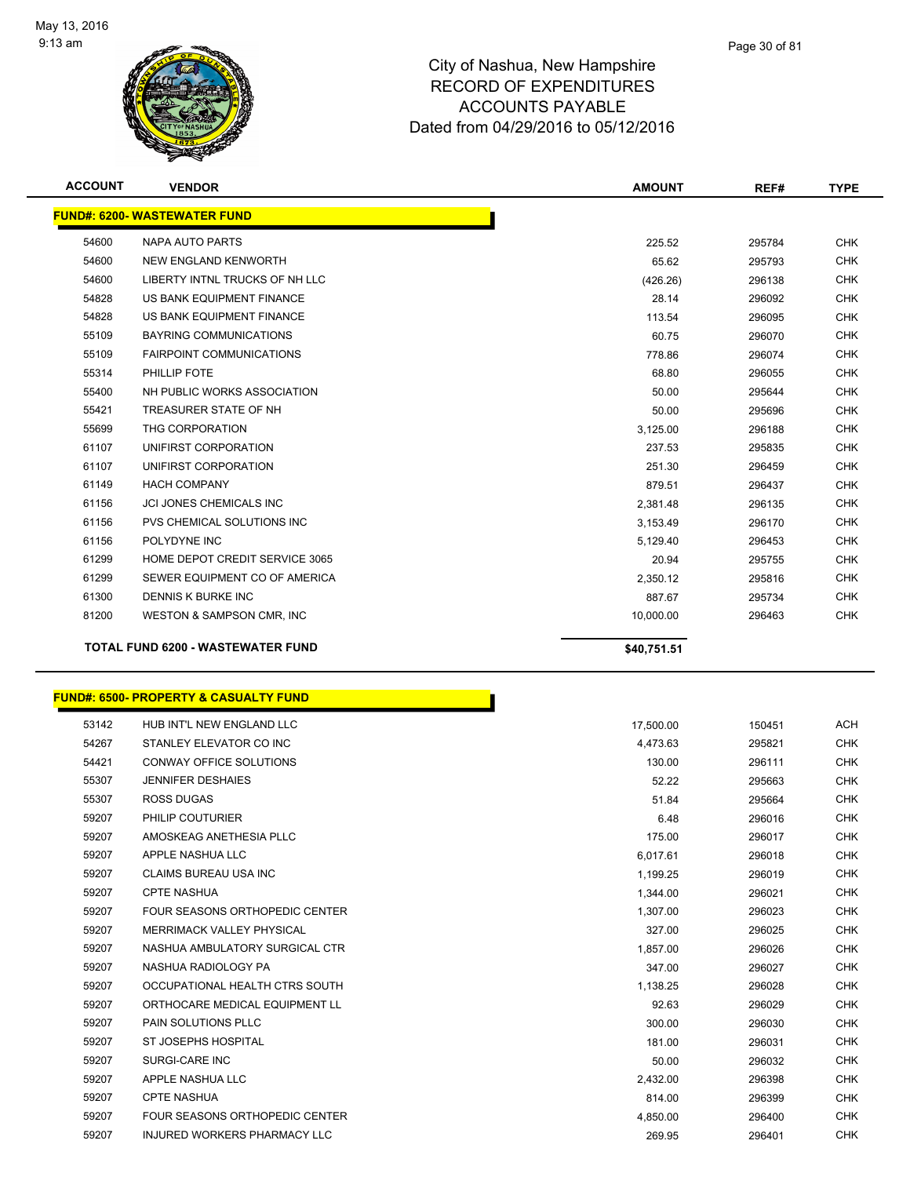

| <b>ACCOUNT</b> | <b>VENDOR</b>                            | <b>AMOUNT</b> | REF#   | <b>TYPE</b> |
|----------------|------------------------------------------|---------------|--------|-------------|
|                | <b>FUND#: 6200- WASTEWATER FUND</b>      |               |        |             |
| 54600          | NAPA AUTO PARTS                          | 225.52        | 295784 | <b>CHK</b>  |
| 54600          | NEW ENGLAND KENWORTH                     | 65.62         | 295793 | <b>CHK</b>  |
| 54600          | LIBERTY INTNL TRUCKS OF NH LLC           | (426.26)      | 296138 | <b>CHK</b>  |
| 54828          | US BANK EQUIPMENT FINANCE                | 28.14         | 296092 | <b>CHK</b>  |
| 54828          | US BANK EQUIPMENT FINANCE                | 113.54        | 296095 | <b>CHK</b>  |
| 55109          | <b>BAYRING COMMUNICATIONS</b>            | 60.75         | 296070 | <b>CHK</b>  |
| 55109          | <b>FAIRPOINT COMMUNICATIONS</b>          | 778.86        | 296074 | <b>CHK</b>  |
| 55314          | PHILLIP FOTE                             | 68.80         | 296055 | <b>CHK</b>  |
| 55400          | NH PUBLIC WORKS ASSOCIATION              | 50.00         | 295644 | <b>CHK</b>  |
| 55421          | TREASURER STATE OF NH                    | 50.00         | 295696 | <b>CHK</b>  |
| 55699          | THG CORPORATION                          | 3,125.00      | 296188 | <b>CHK</b>  |
| 61107          | UNIFIRST CORPORATION                     | 237.53        | 295835 | <b>CHK</b>  |
| 61107          | UNIFIRST CORPORATION                     | 251.30        | 296459 | <b>CHK</b>  |
| 61149          | <b>HACH COMPANY</b>                      | 879.51        | 296437 | <b>CHK</b>  |
| 61156          | <b>JCI JONES CHEMICALS INC</b>           | 2,381.48      | 296135 | <b>CHK</b>  |
| 61156          | PVS CHEMICAL SOLUTIONS INC               | 3,153.49      | 296170 | <b>CHK</b>  |
| 61156          | POLYDYNE INC                             | 5,129.40      | 296453 | <b>CHK</b>  |
| 61299          | HOME DEPOT CREDIT SERVICE 3065           | 20.94         | 295755 | <b>CHK</b>  |
| 61299          | SEWER EQUIPMENT CO OF AMERICA            | 2,350.12      | 295816 | <b>CHK</b>  |
| 61300          | DENNIS K BURKE INC                       | 887.67        | 295734 | <b>CHK</b>  |
| 81200          | WESTON & SAMPSON CMR, INC                | 10,000.00     | 296463 | <b>CHK</b>  |
|                | <b>TOTAL FUND 6200 - WASTEWATER FUND</b> | \$40,751.51   |        |             |
|                |                                          |               |        |             |

|       | <u> FUND#: 6500- PROPERTY &amp; CASUALTY FUND</u> |           |        |            |
|-------|---------------------------------------------------|-----------|--------|------------|
| 53142 | HUB INT'L NEW ENGLAND LLC                         | 17,500.00 | 150451 | <b>ACH</b> |
| 54267 | STANLEY ELEVATOR CO INC                           | 4,473.63  | 295821 | <b>CHK</b> |
| 54421 | <b>CONWAY OFFICE SOLUTIONS</b>                    | 130.00    | 296111 | <b>CHK</b> |
| 55307 | <b>JENNIFER DESHAIES</b>                          | 52.22     | 295663 | <b>CHK</b> |
| 55307 | <b>ROSS DUGAS</b>                                 | 51.84     | 295664 | <b>CHK</b> |
| 59207 | <b>PHILIP COUTURIER</b>                           | 6.48      | 296016 | <b>CHK</b> |
| 59207 | AMOSKEAG ANETHESIA PLLC                           | 175.00    | 296017 | <b>CHK</b> |
| 59207 | APPLE NASHUA LLC                                  | 6,017.61  | 296018 | CHK        |
| 59207 | <b>CLAIMS BUREAU USA INC</b>                      | 1,199.25  | 296019 | <b>CHK</b> |
| 59207 | <b>CPTE NASHUA</b>                                | 1,344.00  | 296021 | <b>CHK</b> |
| 59207 | FOUR SEASONS ORTHOPEDIC CENTER                    | 1,307.00  | 296023 | <b>CHK</b> |
| 59207 | MERRIMACK VALLEY PHYSICAL                         | 327.00    | 296025 | <b>CHK</b> |
| 59207 | NASHUA AMBULATORY SURGICAL CTR                    | 1,857.00  | 296026 | <b>CHK</b> |
| 59207 | NASHUA RADIOLOGY PA                               | 347.00    | 296027 | <b>CHK</b> |
| 59207 | OCCUPATIONAL HEALTH CTRS SOUTH                    | 1,138.25  | 296028 | <b>CHK</b> |
| 59207 | ORTHOCARE MEDICAL EQUIPMENT LL                    | 92.63     | 296029 | <b>CHK</b> |
| 59207 | <b>PAIN SOLUTIONS PLLC</b>                        | 300.00    | 296030 | <b>CHK</b> |
| 59207 | ST JOSEPHS HOSPITAL                               | 181.00    | 296031 | <b>CHK</b> |
| 59207 | SURGI-CARE INC                                    | 50.00     | 296032 | <b>CHK</b> |
| 59207 | APPLE NASHUA LLC                                  | 2,432.00  | 296398 | <b>CHK</b> |
| 59207 | <b>CPTE NASHUA</b>                                | 814.00    | 296399 | <b>CHK</b> |
| 59207 | FOUR SEASONS ORTHOPEDIC CENTER                    | 4,850.00  | 296400 | <b>CHK</b> |
| 59207 | <b>INJURED WORKERS PHARMACY LLC</b>               | 269.95    | 296401 | <b>CHK</b> |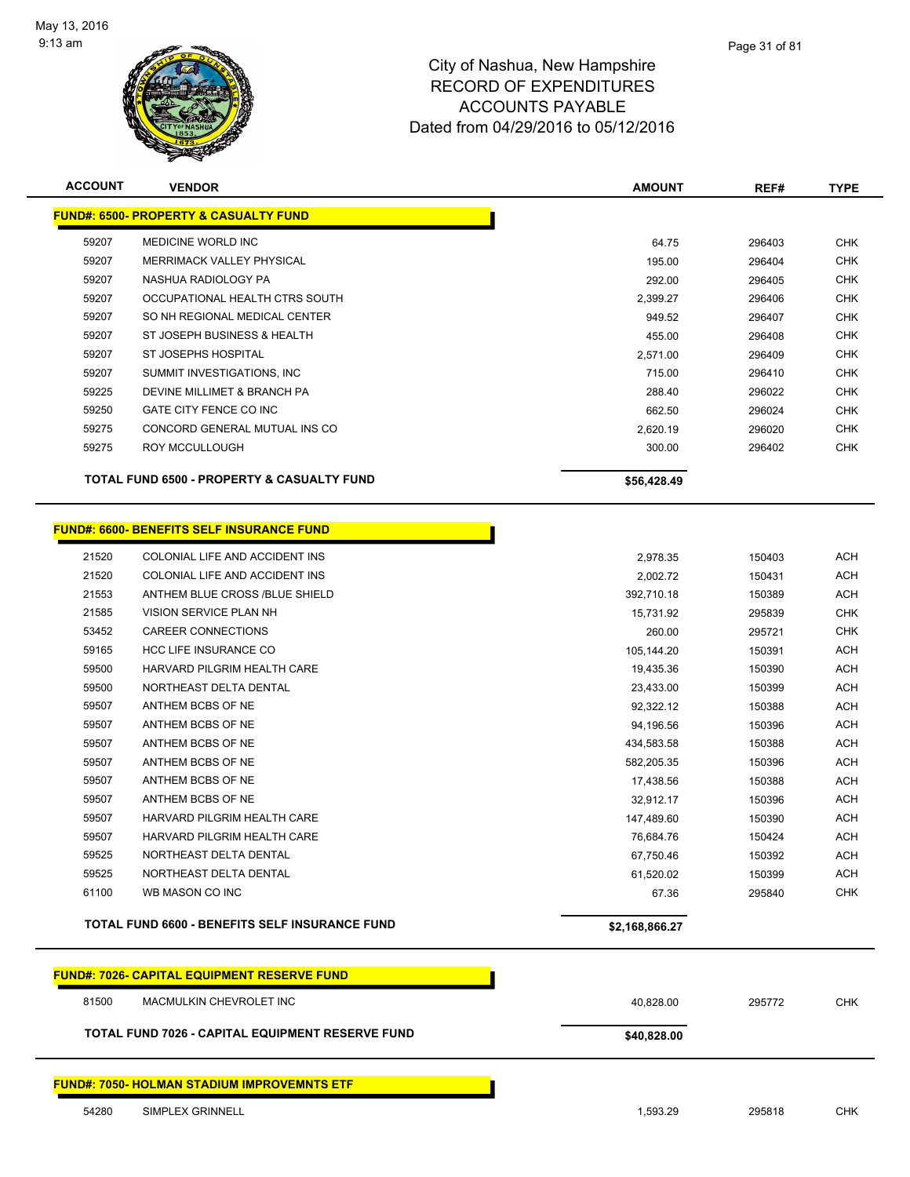

| <b>ACCOUNT</b> | <b>VENDOR</b>                                                   |                | REF#   | <b>TYPE</b> |  |  |
|----------------|-----------------------------------------------------------------|----------------|--------|-------------|--|--|
|                | <b>FUND#: 6500- PROPERTY &amp; CASUALTY FUND</b>                |                |        |             |  |  |
| 59207          | MEDICINE WORLD INC                                              | 64.75          | 296403 | <b>CHK</b>  |  |  |
| 59207          | <b>MERRIMACK VALLEY PHYSICAL</b>                                | 195.00         | 296404 | <b>CHK</b>  |  |  |
| 59207          | NASHUA RADIOLOGY PA                                             | 292.00         | 296405 | <b>CHK</b>  |  |  |
| 59207          | OCCUPATIONAL HEALTH CTRS SOUTH                                  | 2,399.27       | 296406 | <b>CHK</b>  |  |  |
| 59207          | SO NH REGIONAL MEDICAL CENTER                                   | 949.52         | 296407 | <b>CHK</b>  |  |  |
| 59207          | ST JOSEPH BUSINESS & HEALTH                                     | 455.00         | 296408 | <b>CHK</b>  |  |  |
| 59207          | ST JOSEPHS HOSPITAL                                             | 2,571.00       | 296409 | <b>CHK</b>  |  |  |
| 59207          | SUMMIT INVESTIGATIONS, INC.                                     | 715.00         | 296410 | <b>CHK</b>  |  |  |
| 59225          | DEVINE MILLIMET & BRANCH PA                                     | 288.40         | 296022 | <b>CHK</b>  |  |  |
| 59250          | GATE CITY FENCE CO INC                                          | 662.50         | 296024 | <b>CHK</b>  |  |  |
| 59275          | CONCORD GENERAL MUTUAL INS CO                                   | 2,620.19       | 296020 | <b>CHK</b>  |  |  |
| 59275          | ROY MCCULLOUGH                                                  | 300.00         | 296402 | <b>CHK</b>  |  |  |
|                | <b>TOTAL FUND 6500 - PROPERTY &amp; CASUALTY FUND</b>           | \$56,428.49    |        |             |  |  |
|                | <b>FUND#: 6600- BENEFITS SELF INSURANCE FUND</b>                |                |        |             |  |  |
| 21520          | COLONIAL LIFE AND ACCIDENT INS                                  | 2,978.35       | 150403 | <b>ACH</b>  |  |  |
| 21520          | COLONIAL LIFE AND ACCIDENT INS                                  | 2,002.72       | 150431 | <b>ACH</b>  |  |  |
| 21553          | ANTHEM BLUE CROSS /BLUE SHIELD                                  | 392,710.18     | 150389 | <b>ACH</b>  |  |  |
| 21585          | VISION SERVICE PLAN NH                                          | 15,731.92      | 295839 | <b>CHK</b>  |  |  |
| 53452          | CAREER CONNECTIONS                                              | 260.00         | 295721 | <b>CHK</b>  |  |  |
| 59165          | HCC LIFE INSURANCE CO                                           | 105,144.20     | 150391 | <b>ACH</b>  |  |  |
| 59500          | HARVARD PILGRIM HEALTH CARE                                     | 19,435.36      | 150390 | <b>ACH</b>  |  |  |
| 59500          | NORTHEAST DELTA DENTAL                                          | 23,433.00      | 150399 | <b>ACH</b>  |  |  |
| 59507          | ANTHEM BCBS OF NE                                               | 92,322.12      | 150388 | ACH         |  |  |
| 59507          | ANTHEM BCBS OF NE                                               | 94,196.56      | 150396 | <b>ACH</b>  |  |  |
| 59507          | ANTHEM BCBS OF NE                                               | 434,583.58     | 150388 | <b>ACH</b>  |  |  |
| 59507          | ANTHEM BCBS OF NE                                               | 582,205.35     | 150396 | <b>ACH</b>  |  |  |
| 59507          | ANTHEM BCBS OF NE                                               | 17,438.56      | 150388 | <b>ACH</b>  |  |  |
| 59507          | ANTHEM BCBS OF NE                                               | 32,912.17      | 150396 | <b>ACH</b>  |  |  |
| 59507          | HARVARD PILGRIM HEALTH CARE                                     | 147,489.60     | 150390 | <b>ACH</b>  |  |  |
| 59507          | HARVARD PILGRIM HEALTH CARE                                     | 76,684.76      | 150424 | <b>ACH</b>  |  |  |
| 59525          | NORTHEAST DELTA DENTAL                                          | 67,750.46      | 150392 | ACH         |  |  |
| 59525          | NORTHEAST DELTA DENTAL                                          | 61,520.02      | 150399 | <b>ACH</b>  |  |  |
| 61100          | WB MASON CO INC                                                 | 67.36          | 295840 | <b>CHK</b>  |  |  |
|                | <b>TOTAL FUND 6600 - BENEFITS SELF INSURANCE FUND</b>           | \$2,168,866.27 |        |             |  |  |
|                | <b>FUND#: 7026- CAPITAL EQUIPMENT RESERVE FUND</b>              |                |        |             |  |  |
| 81500          | MACMULKIN CHEVROLET INC                                         | 40,828.00      | 295772 | <b>CHK</b>  |  |  |
|                |                                                                 |                |        |             |  |  |
|                | TOTAL FUND 7026 - CAPITAL EQUIPMENT RESERVE FUND<br>\$40,828.00 |                |        |             |  |  |
|                | <b>FUND#: 7050- HOLMAN STADIUM IMPROVEMNTS ETF</b>              |                |        |             |  |  |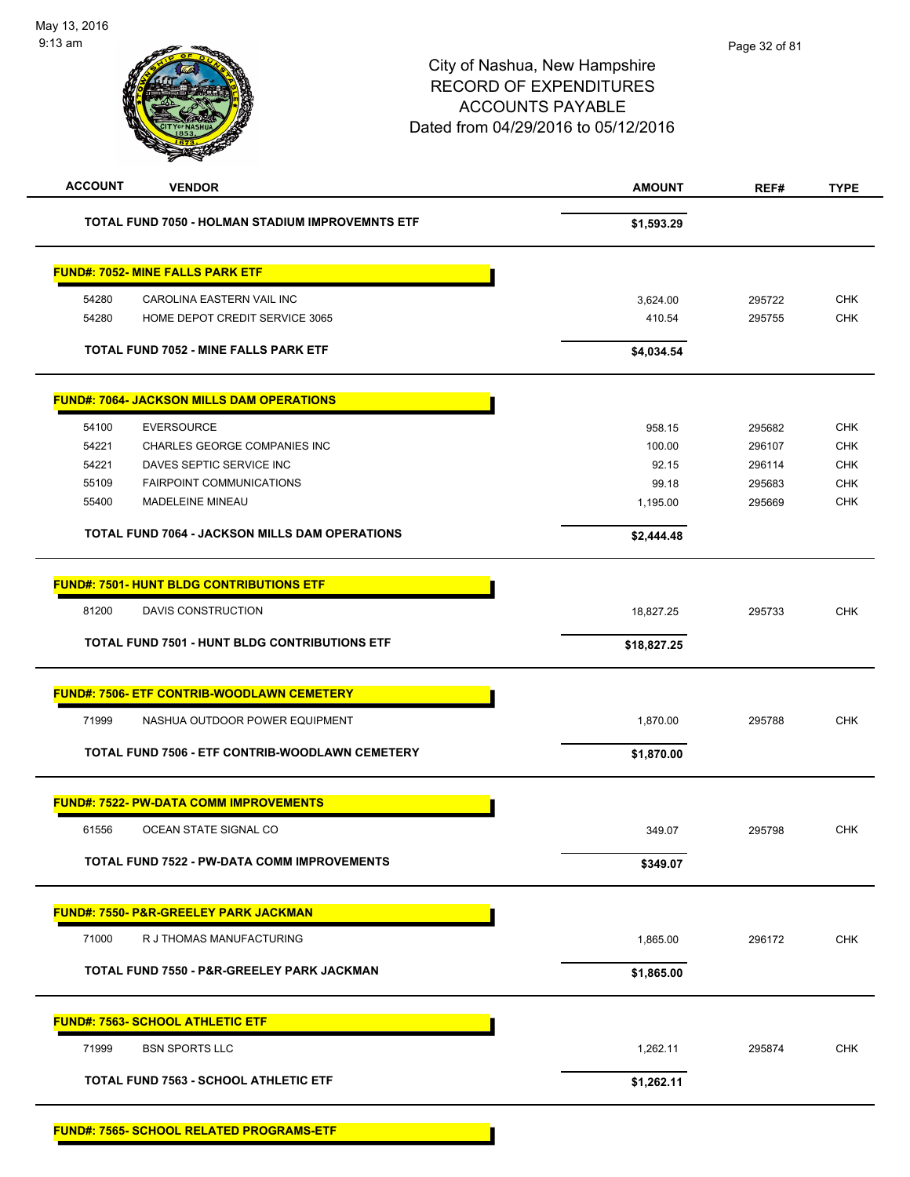| <b>ACCOUNT</b><br><b>VENDOR</b>                       | <b>AMOUNT</b> | REF#   | <b>TYPE</b> |
|-------------------------------------------------------|---------------|--------|-------------|
| TOTAL FUND 7050 - HOLMAN STADIUM IMPROVEMNTS ETF      | \$1,593.29    |        |             |
| <b>FUND#: 7052- MINE FALLS PARK ETF</b>               |               |        |             |
| 54280<br>CAROLINA EASTERN VAIL INC                    | 3,624.00      | 295722 | <b>CHK</b>  |
| 54280<br>HOME DEPOT CREDIT SERVICE 3065               | 410.54        | 295755 | <b>CHK</b>  |
| <b>TOTAL FUND 7052 - MINE FALLS PARK ETF</b>          | \$4,034.54    |        |             |
| <b>FUND#: 7064- JACKSON MILLS DAM OPERATIONS</b>      |               |        |             |
| 54100<br><b>EVERSOURCE</b>                            | 958.15        | 295682 | <b>CHK</b>  |
| 54221<br>CHARLES GEORGE COMPANIES INC                 | 100.00        | 296107 | <b>CHK</b>  |
| 54221<br>DAVES SEPTIC SERVICE INC                     | 92.15         | 296114 | <b>CHK</b>  |
| 55109<br><b>FAIRPOINT COMMUNICATIONS</b>              | 99.18         | 295683 | <b>CHK</b>  |
| MADELEINE MINEAU<br>55400                             | 1,195.00      | 295669 | <b>CHK</b>  |
| <b>TOTAL FUND 7064 - JACKSON MILLS DAM OPERATIONS</b> | \$2,444.48    |        |             |
| <b>FUND#: 7501- HUNT BLDG CONTRIBUTIONS ETF</b>       |               |        |             |
| 81200<br>DAVIS CONSTRUCTION                           | 18,827.25     | 295733 | <b>CHK</b>  |
| TOTAL FUND 7501 - HUNT BLDG CONTRIBUTIONS ETF         | \$18,827.25   |        |             |
| FUND#: 7506- ETF CONTRIB-WOODLAWN CEMETERY            |               |        |             |
| 71999<br>NASHUA OUTDOOR POWER EQUIPMENT               | 1,870.00      | 295788 | <b>CHK</b>  |
| TOTAL FUND 7506 - ETF CONTRIB-WOODLAWN CEMETERY       | \$1,870.00    |        |             |
| <b>FUND#: 7522- PW-DATA COMM IMPROVEMENTS</b>         |               |        |             |
| 61556<br>OCEAN STATE SIGNAL CO                        | 349.07        | 295798 | <b>CHK</b>  |
| <b>TOTAL FUND 7522 - PW-DATA COMM IMPROVEMENTS</b>    | \$349.07      |        |             |
| <u> FUND#: 7550- P&amp;R-GREELEY PARK JACKMAN</u>     |               |        |             |
| 71000<br>R J THOMAS MANUFACTURING                     | 1,865.00      | 296172 | <b>CHK</b>  |
| TOTAL FUND 7550 - P&R-GREELEY PARK JACKMAN            | \$1,865.00    |        |             |
| <b>FUND#: 7563- SCHOOL ATHLETIC ETF</b>               |               |        |             |
| 71999<br><b>BSN SPORTS LLC</b>                        | 1,262.11      | 295874 | <b>CHK</b>  |
| <b>TOTAL FUND 7563 - SCHOOL ATHLETIC ETF</b>          | \$1,262.11    |        |             |
| <b>FUND#: 7565- SCHOOL RELATED PROGRAMS-ETF</b>       |               |        |             |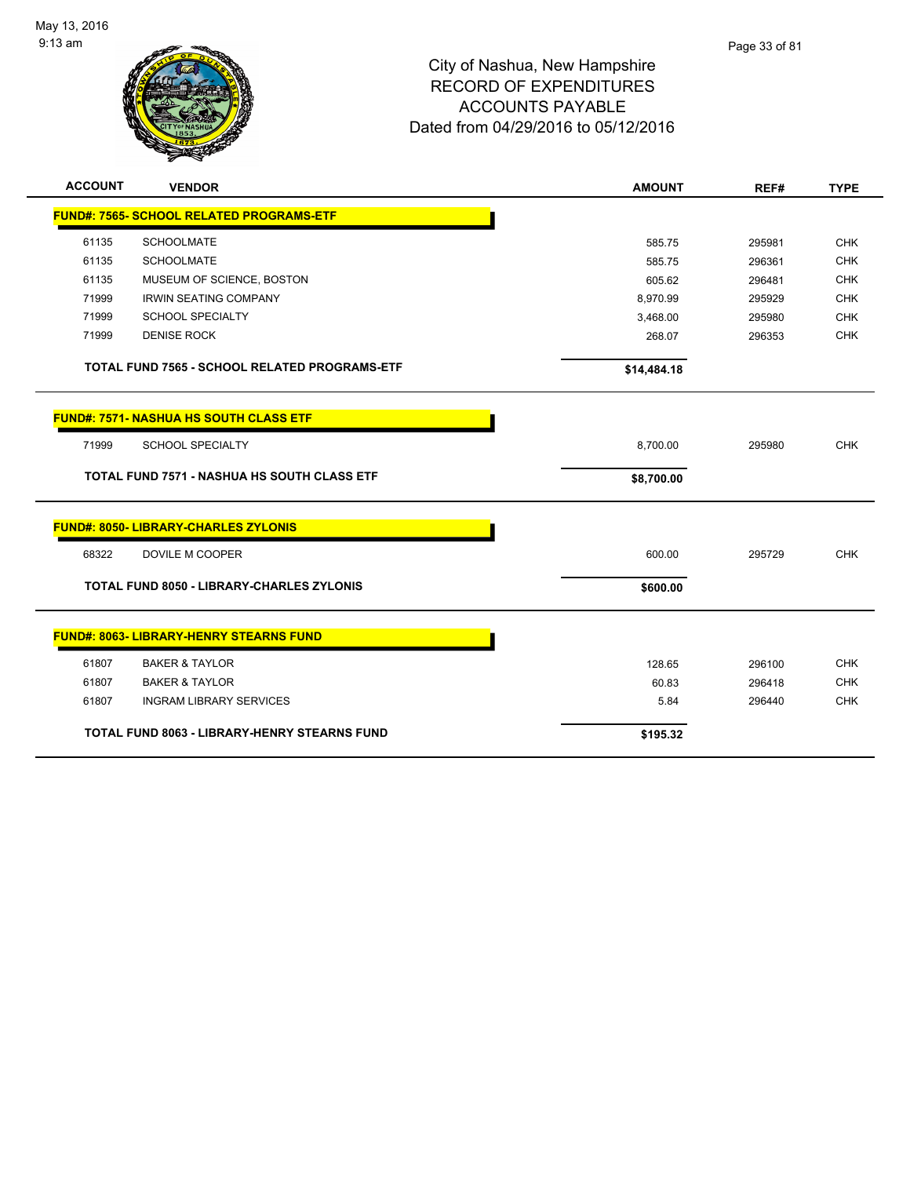

| <b>ACCOUNT</b>                                      | <b>VENDOR</b>                                      | <b>AMOUNT</b> | REF#   | <b>TYPE</b> |
|-----------------------------------------------------|----------------------------------------------------|---------------|--------|-------------|
|                                                     | <b>FUND#: 7565- SCHOOL RELATED PROGRAMS-ETF</b>    |               |        |             |
| 61135                                               | <b>SCHOOLMATE</b>                                  | 585.75        | 295981 | <b>CHK</b>  |
| 61135                                               | <b>SCHOOLMATE</b>                                  | 585.75        | 296361 | <b>CHK</b>  |
| 61135                                               | MUSEUM OF SCIENCE, BOSTON                          | 605.62        | 296481 | <b>CHK</b>  |
| 71999                                               | <b>IRWIN SEATING COMPANY</b>                       | 8,970.99      | 295929 | <b>CHK</b>  |
| 71999                                               | <b>SCHOOL SPECIALTY</b>                            | 3,468.00      | 295980 | <b>CHK</b>  |
| 71999                                               | <b>DENISE ROCK</b>                                 | 268.07        | 296353 | <b>CHK</b>  |
|                                                     | TOTAL FUND 7565 - SCHOOL RELATED PROGRAMS-ETF      | \$14,484.18   |        |             |
|                                                     | <b>FUND#: 7571- NASHUA HS SOUTH CLASS ETF</b>      |               |        |             |
| 71999                                               | <b>SCHOOL SPECIALTY</b>                            | 8,700.00      | 295980 | <b>CHK</b>  |
|                                                     | <b>TOTAL FUND 7571 - NASHUA HS SOUTH CLASS ETF</b> | \$8,700.00    |        |             |
|                                                     | <b>FUND#: 8050- LIBRARY-CHARLES ZYLONIS</b>        |               |        |             |
| 68322                                               | DOVILE M COOPER                                    | 600.00        | 295729 | <b>CHK</b>  |
|                                                     | <b>TOTAL FUND 8050 - LIBRARY-CHARLES ZYLONIS</b>   | \$600.00      |        |             |
|                                                     | <b>FUND#: 8063- LIBRARY-HENRY STEARNS FUND</b>     |               |        |             |
| 61807                                               | <b>BAKER &amp; TAYLOR</b>                          | 128.65        | 296100 | <b>CHK</b>  |
| 61807                                               | <b>BAKER &amp; TAYLOR</b>                          | 60.83         | 296418 | <b>CHK</b>  |
| 61807                                               | <b>INGRAM LIBRARY SERVICES</b>                     | 5.84          | 296440 | <b>CHK</b>  |
| <b>TOTAL FUND 8063 - LIBRARY-HENRY STEARNS FUND</b> |                                                    | \$195.32      |        |             |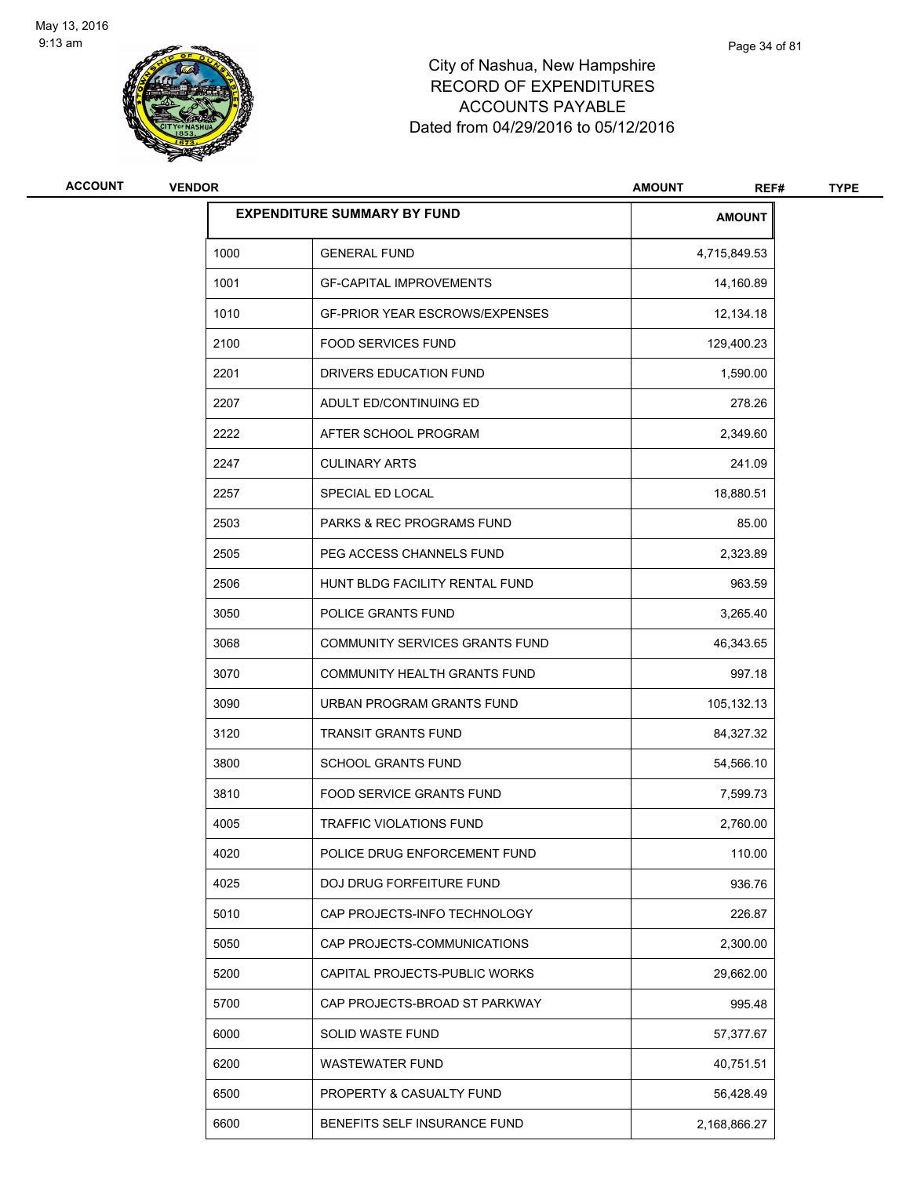

| ACCOUNT | <b>VENDOR</b> |                                       | <b>AMOUNT</b><br>REF# | <b>TYPE</b> |
|---------|---------------|---------------------------------------|-----------------------|-------------|
|         |               | <b>EXPENDITURE SUMMARY BY FUND</b>    | <b>AMOUNT</b>         |             |
|         | 1000          | <b>GENERAL FUND</b>                   | 4,715,849.53          |             |
|         | 1001          | <b>GF-CAPITAL IMPROVEMENTS</b>        | 14,160.89             |             |
|         | 1010          | <b>GF-PRIOR YEAR ESCROWS/EXPENSES</b> | 12,134.18             |             |
|         | 2100          | <b>FOOD SERVICES FUND</b>             | 129,400.23            |             |
|         | 2201          | DRIVERS EDUCATION FUND                | 1,590.00              |             |
|         | 2207          | ADULT ED/CONTINUING ED                | 278.26                |             |
|         | 2222          | AFTER SCHOOL PROGRAM                  | 2,349.60              |             |
|         | 2247          | <b>CULINARY ARTS</b>                  | 241.09                |             |
|         | 2257          | SPECIAL ED LOCAL                      | 18,880.51             |             |
|         | 2503          | PARKS & REC PROGRAMS FUND             | 85.00                 |             |
|         | 2505          | PEG ACCESS CHANNELS FUND              | 2,323.89              |             |
|         | 2506          | HUNT BLDG FACILITY RENTAL FUND        | 963.59                |             |
|         | 3050          | POLICE GRANTS FUND                    | 3,265.40              |             |
|         | 3068          | COMMUNITY SERVICES GRANTS FUND        | 46,343.65             |             |
|         | 3070          | COMMUNITY HEALTH GRANTS FUND          | 997.18                |             |
|         | 3090          | URBAN PROGRAM GRANTS FUND             | 105,132.13            |             |
|         | 3120          | <b>TRANSIT GRANTS FUND</b>            | 84,327.32             |             |
|         | 3800          | <b>SCHOOL GRANTS FUND</b>             | 54,566.10             |             |
|         | 3810          | FOOD SERVICE GRANTS FUND              | 7,599.73              |             |
|         | 4005          | <b>TRAFFIC VIOLATIONS FUND</b>        | 2,760.00              |             |
|         | 4020          | POLICE DRUG ENFORCEMENT FUND          | 110.00                |             |
|         | 4025          | DOJ DRUG FORFEITURE FUND              | 936.76                |             |
|         | 5010          | CAP PROJECTS-INFO TECHNOLOGY          | 226.87                |             |
|         | 5050          | CAP PROJECTS-COMMUNICATIONS           | 2,300.00              |             |
|         | 5200          | CAPITAL PROJECTS-PUBLIC WORKS         | 29,662.00             |             |
|         | 5700          | CAP PROJECTS-BROAD ST PARKWAY         | 995.48                |             |
|         | 6000          | SOLID WASTE FUND                      | 57,377.67             |             |
|         | 6200          | <b>WASTEWATER FUND</b>                | 40,751.51             |             |
|         | 6500          | PROPERTY & CASUALTY FUND              | 56,428.49             |             |
|         | 6600          | BENEFITS SELF INSURANCE FUND          | 2,168,866.27          |             |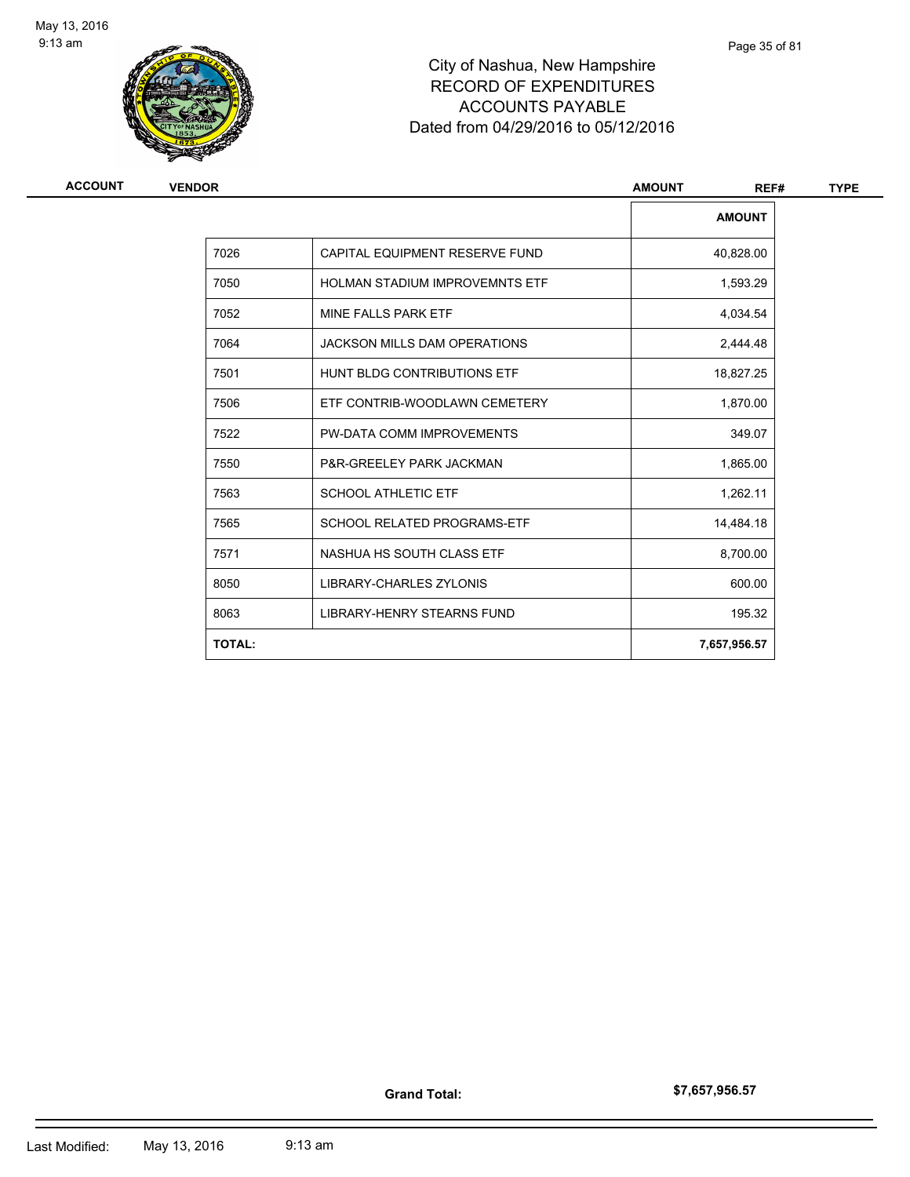

| <b>ACCOUNT</b> | <b>VENDOR</b> |                                       | <b>AMOUNT</b><br>REF# | <b>TYPE</b> |  |
|----------------|---------------|---------------------------------------|-----------------------|-------------|--|
|                |               |                                       | <b>AMOUNT</b>         |             |  |
|                | 7026          | CAPITAL EQUIPMENT RESERVE FUND        | 40,828.00             |             |  |
|                | 7050          | <b>HOLMAN STADIUM IMPROVEMNTS ETF</b> | 1,593.29              |             |  |
|                | 7052          | MINE FALLS PARK ETF                   | 4,034.54              |             |  |
|                | 7064          | <b>JACKSON MILLS DAM OPERATIONS</b>   | 2,444.48              |             |  |
|                | 7501          | HUNT BLDG CONTRIBUTIONS ETF           | 18,827.25             |             |  |
|                | 7506          | ETF CONTRIB-WOODLAWN CEMETERY         | 1,870.00              |             |  |
|                | 7522          | PW-DATA COMM IMPROVEMENTS             | 349.07                |             |  |
|                | 7550          | P&R-GREELEY PARK JACKMAN              | 1,865.00              |             |  |
|                | 7563          | <b>SCHOOL ATHLETIC ETF</b>            | 1,262.11              |             |  |
|                | 7565          | <b>SCHOOL RELATED PROGRAMS-ETF</b>    | 14,484.18             |             |  |
|                | 7571          | NASHUA HS SOUTH CLASS ETF             | 8,700.00              |             |  |
|                | 8050          | LIBRARY-CHARLES ZYLONIS               | 600.00                |             |  |
|                | 8063          | LIBRARY-HENRY STEARNS FUND            | 195.32                |             |  |
|                | <b>TOTAL:</b> |                                       | 7,657,956.57          |             |  |

Page 35 of 81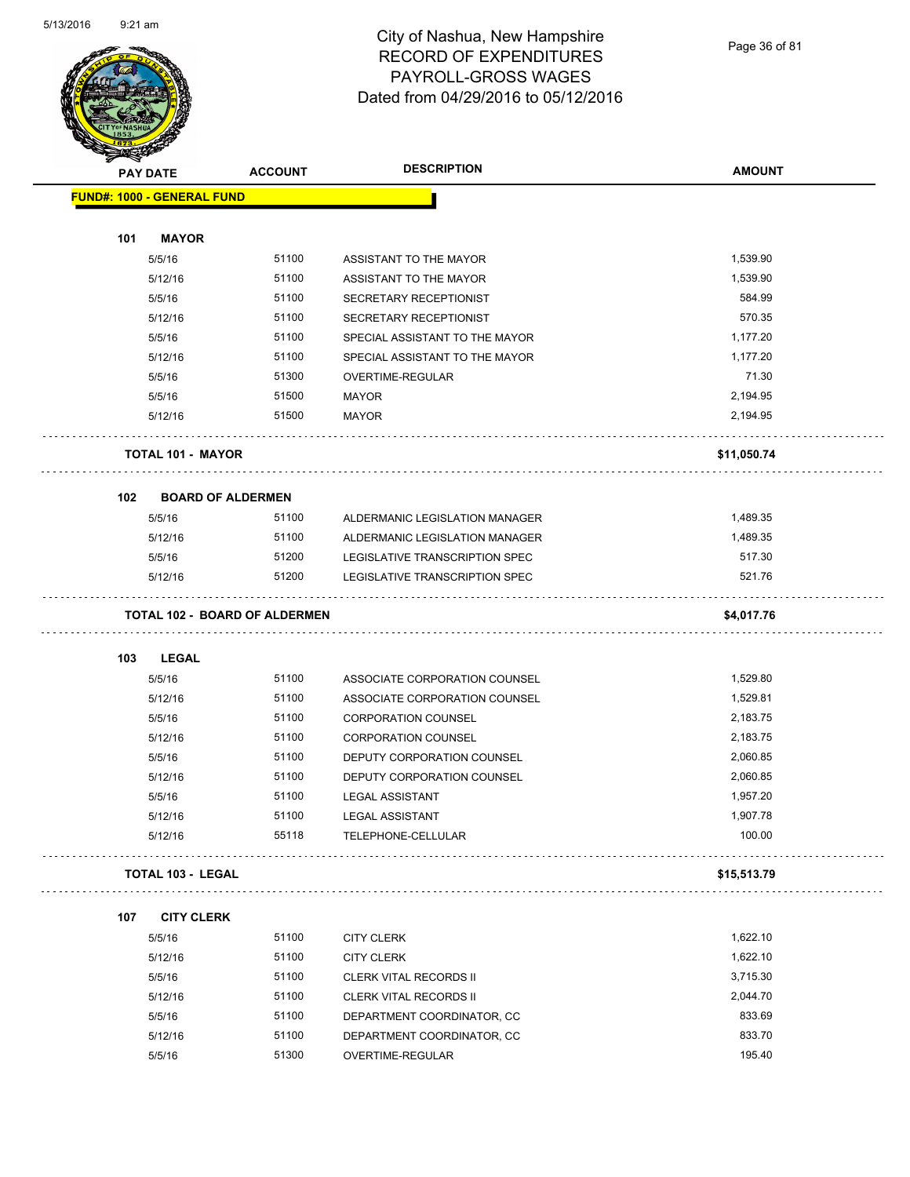

## City of Nashua, New Hampshire RECORD OF EXPENDITURES PAYROLL-GROSS WAGES Dated from 04/29/2016 to 05/12/2016

Page 36 of 81

| <b>ANGELIA</b> |                                   |                                      |                                |               |
|----------------|-----------------------------------|--------------------------------------|--------------------------------|---------------|
|                | <b>PAY DATE</b>                   | <b>ACCOUNT</b>                       | <b>DESCRIPTION</b>             | <b>AMOUNT</b> |
|                | <b>FUND#: 1000 - GENERAL FUND</b> |                                      |                                |               |
|                |                                   |                                      |                                |               |
| 101            | <b>MAYOR</b>                      |                                      |                                |               |
|                | 5/5/16                            | 51100                                | ASSISTANT TO THE MAYOR         | 1,539.90      |
|                | 5/12/16                           | 51100                                | ASSISTANT TO THE MAYOR         | 1,539.90      |
|                | 5/5/16                            | 51100                                | SECRETARY RECEPTIONIST         | 584.99        |
|                | 5/12/16                           | 51100                                | SECRETARY RECEPTIONIST         | 570.35        |
|                | 5/5/16                            | 51100                                | SPECIAL ASSISTANT TO THE MAYOR | 1,177.20      |
|                | 5/12/16                           | 51100                                | SPECIAL ASSISTANT TO THE MAYOR | 1,177.20      |
|                | 5/5/16                            | 51300                                | OVERTIME-REGULAR               | 71.30         |
|                | 5/5/16                            | 51500                                | MAYOR                          | 2,194.95      |
|                | 5/12/16                           | 51500                                | MAYOR                          | 2,194.95      |
|                | <b>TOTAL 101 - MAYOR</b>          |                                      |                                | \$11,050.74   |
| 102            | <b>BOARD OF ALDERMEN</b>          |                                      |                                |               |
|                | 5/5/16                            | 51100                                | ALDERMANIC LEGISLATION MANAGER | 1,489.35      |
|                | 5/12/16                           | 51100                                | ALDERMANIC LEGISLATION MANAGER | 1,489.35      |
|                | 5/5/16                            | 51200                                | LEGISLATIVE TRANSCRIPTION SPEC | 517.30        |
|                | 5/12/16                           | 51200                                | LEGISLATIVE TRANSCRIPTION SPEC | 521.76        |
|                |                                   | <b>TOTAL 102 - BOARD OF ALDERMEN</b> |                                | \$4,017.76    |
| 103            | <b>LEGAL</b>                      |                                      |                                |               |
|                | 5/5/16                            | 51100                                | ASSOCIATE CORPORATION COUNSEL  | 1,529.80      |
|                | 5/12/16                           | 51100                                | ASSOCIATE CORPORATION COUNSEL  | 1,529.81      |
|                | 5/5/16                            | 51100                                | <b>CORPORATION COUNSEL</b>     | 2,183.75      |
|                | 5/12/16                           | 51100                                | <b>CORPORATION COUNSEL</b>     | 2,183.75      |
|                | 5/5/16                            | 51100                                | DEPUTY CORPORATION COUNSEL     | 2,060.85      |
|                | 5/12/16                           | 51100                                | DEPUTY CORPORATION COUNSEL     | 2,060.85      |
|                | 5/5/16                            | 51100                                | <b>LEGAL ASSISTANT</b>         | 1,957.20      |
|                | 5/12/16                           | 51100                                | <b>LEGAL ASSISTANT</b>         | 1,907.78      |
|                | 5/12/16                           | 55118                                | TELEPHONE-CELLULAR             | 100.00        |
|                | <b>TOTAL 103 - LEGAL</b>          |                                      |                                | \$15,513.79   |
| 107            | <b>CITY CLERK</b>                 |                                      |                                |               |
|                | 5/5/16                            | 51100                                | <b>CITY CLERK</b>              | 1,622.10      |
|                | 5/12/16                           | 51100                                | <b>CITY CLERK</b>              | 1,622.10      |
|                | 5/5/16                            | 51100                                | <b>CLERK VITAL RECORDS II</b>  | 3,715.30      |
|                | 5/12/16                           | 51100                                | <b>CLERK VITAL RECORDS II</b>  | 2,044.70      |
|                | 5/5/16                            | 51100                                | DEPARTMENT COORDINATOR, CC     | 833.69        |
|                | 5/12/16                           | 51100                                | DEPARTMENT COORDINATOR, CC     | 833.70        |
|                | 5/5/16                            | 51300                                | OVERTIME-REGULAR               | 195.40        |
|                |                                   |                                      |                                |               |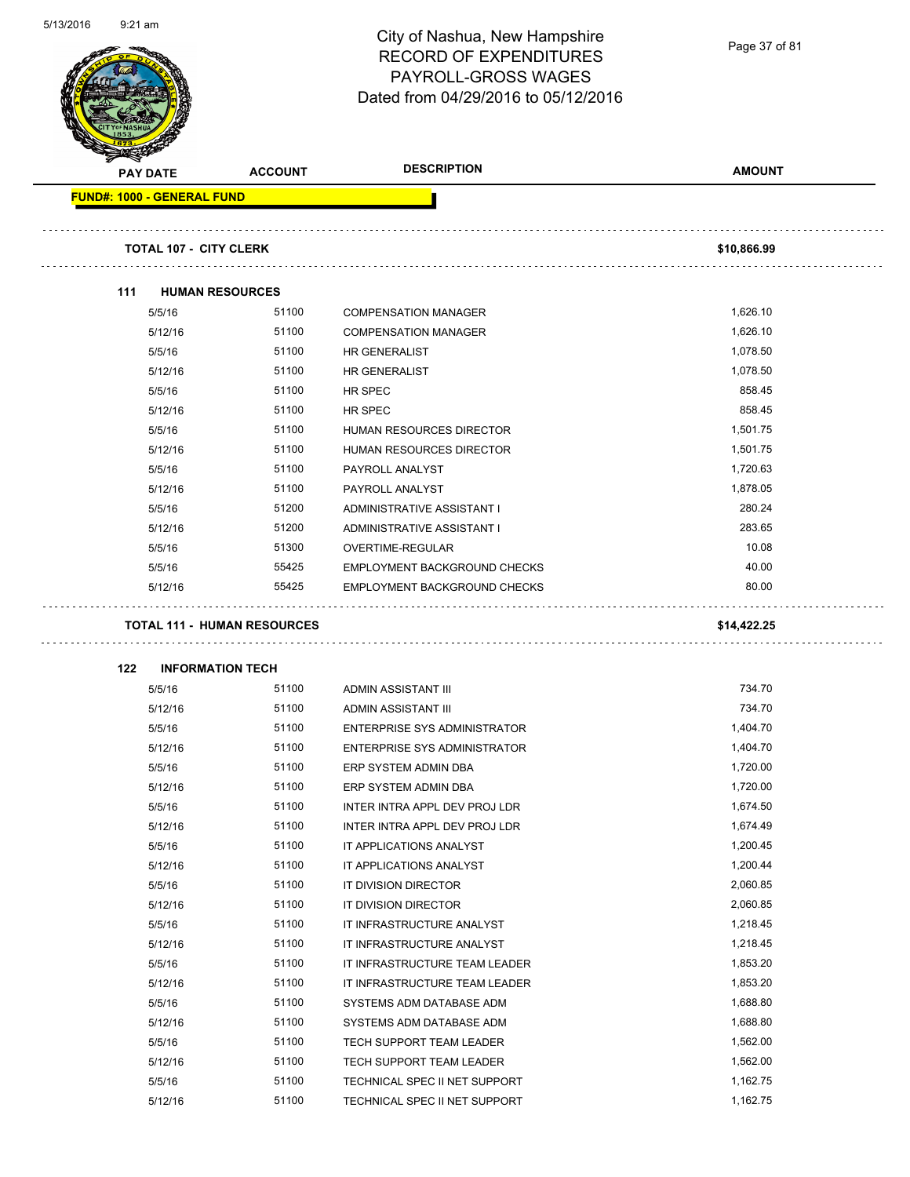|                                   |                                    | City of Nashua, New Hampshire<br><b>RECORD OF EXPENDITURES</b><br>PAYROLL-GROSS WAGES<br>Dated from 04/29/2016 to 05/12/2016 | Page 37 of 81        |
|-----------------------------------|------------------------------------|------------------------------------------------------------------------------------------------------------------------------|----------------------|
| <b>PAY DATE</b>                   | <b>ACCOUNT</b>                     | <b>DESCRIPTION</b>                                                                                                           | <b>AMOUNT</b>        |
| <b>FUND#: 1000 - GENERAL FUND</b> |                                    |                                                                                                                              |                      |
| <b>TOTAL 107 - CITY CLERK</b>     |                                    |                                                                                                                              | \$10,866.99          |
|                                   |                                    |                                                                                                                              |                      |
| 111                               | <b>HUMAN RESOURCES</b>             |                                                                                                                              |                      |
| 5/5/16                            | 51100                              | <b>COMPENSATION MANAGER</b>                                                                                                  | 1,626.10             |
| 5/12/16                           | 51100                              | <b>COMPENSATION MANAGER</b>                                                                                                  | 1,626.10             |
| 5/5/16                            | 51100                              | <b>HR GENERALIST</b>                                                                                                         | 1,078.50             |
| 5/12/16                           | 51100                              | <b>HR GENERALIST</b>                                                                                                         | 1,078.50             |
| 5/5/16                            | 51100                              | HR SPEC                                                                                                                      | 858.45               |
| 5/12/16                           | 51100                              | HR SPEC                                                                                                                      | 858.45               |
| 5/5/16                            | 51100<br>51100                     | HUMAN RESOURCES DIRECTOR                                                                                                     | 1,501.75<br>1,501.75 |
| 5/12/16                           | 51100                              | HUMAN RESOURCES DIRECTOR                                                                                                     | 1,720.63             |
| 5/5/16                            | 51100                              | PAYROLL ANALYST                                                                                                              | 1,878.05             |
| 5/12/16                           |                                    | PAYROLL ANALYST                                                                                                              | 280.24               |
| 5/5/16                            | 51200<br>51200                     | ADMINISTRATIVE ASSISTANT I                                                                                                   | 283.65               |
| 5/12/16                           |                                    | ADMINISTRATIVE ASSISTANT I                                                                                                   | 10.08                |
| 5/5/16                            | 51300                              | OVERTIME-REGULAR                                                                                                             |                      |
| 5/5/16                            | 55425                              | <b>EMPLOYMENT BACKGROUND CHECKS</b>                                                                                          | 40.00<br>80.00       |
| 5/12/16                           | 55425                              | EMPLOYMENT BACKGROUND CHECKS                                                                                                 |                      |
|                                   | <b>TOTAL 111 - HUMAN RESOURCES</b> |                                                                                                                              | \$14,422.25          |
| 122                               | <b>INFORMATION TECH</b>            |                                                                                                                              |                      |
| 5/5/16                            | 51100                              | ADMIN ASSISTANT III                                                                                                          | 734.70               |
| 5/12/16                           | 51100                              | ADMIN ASSISTANT III                                                                                                          | 734.70               |
| 5/5/16                            | 51100                              | ENTERPRISE SYS ADMINISTRATOR                                                                                                 | 1,404.70             |
| 5/12/16                           | 51100                              | ENTERPRISE SYS ADMINISTRATOR                                                                                                 | 1,404.70             |
| 5/5/16                            | 51100                              | ERP SYSTEM ADMIN DBA                                                                                                         | 1,720.00             |
| 5/12/16                           | 51100                              | ERP SYSTEM ADMIN DBA                                                                                                         | 1,720.00             |
| 5/5/16                            | 51100                              | INTER INTRA APPL DEV PROJ LDR                                                                                                | 1,674.50             |
| 5/12/16                           | 51100                              | INTER INTRA APPL DEV PROJ LDR                                                                                                | 1,674.49             |
| 5/5/16                            | 51100                              | IT APPLICATIONS ANALYST                                                                                                      | 1,200.45             |
| 5/12/16                           | 51100                              | IT APPLICATIONS ANALYST                                                                                                      | 1,200.44             |
| 5/5/16                            | 51100                              | IT DIVISION DIRECTOR                                                                                                         | 2,060.85             |
| 5/12/16                           | 51100                              | IT DIVISION DIRECTOR                                                                                                         | 2,060.85             |
| 5/5/16                            | 51100                              | IT INFRASTRUCTURE ANALYST                                                                                                    | 1,218.45             |
| 5/12/16                           | 51100                              | IT INFRASTRUCTURE ANALYST                                                                                                    | 1,218.45             |
| 5/5/16                            | 51100                              | IT INFRASTRUCTURE TEAM LEADER                                                                                                | 1,853.20             |
| 5/12/16                           | 51100                              | IT INFRASTRUCTURE TEAM LEADER                                                                                                | 1,853.20             |
| 5/5/16                            | 51100                              | SYSTEMS ADM DATABASE ADM                                                                                                     | 1,688.80             |
| 5/12/16                           | 51100                              | SYSTEMS ADM DATABASE ADM                                                                                                     | 1,688.80             |
| 5/5/16                            | 51100                              | TECH SUPPORT TEAM LEADER                                                                                                     | 1,562.00             |
| 5/12/16                           | 51100                              | TECH SUPPORT TEAM LEADER                                                                                                     | 1,562.00             |
| 5/5/16                            | 51100                              | TECHNICAL SPEC II NET SUPPORT                                                                                                | 1,162.75             |

5/12/16 51100 TECHNICAL SPEC II NET SUPPORT 1,162.75

5/13/2016 9:21 am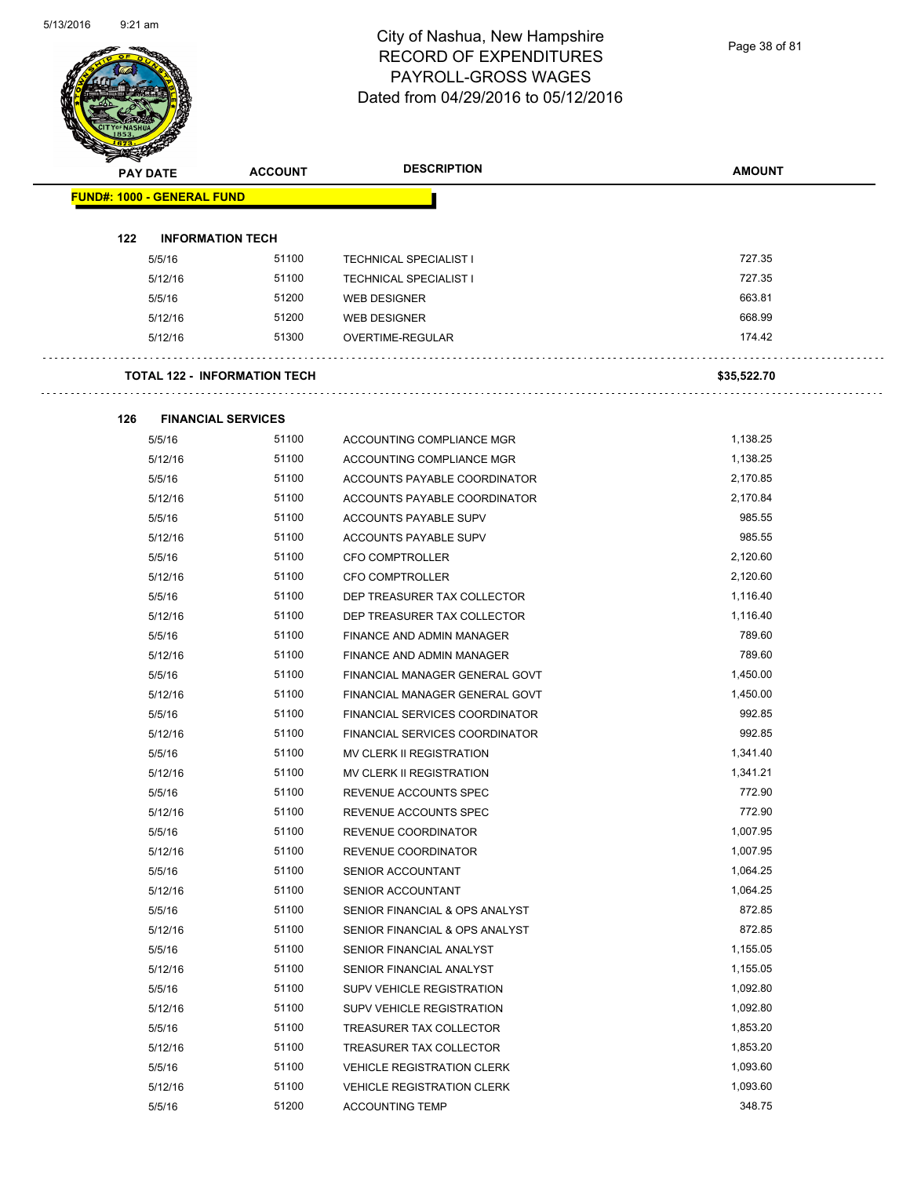Page 38 of 81

|     | <b>PAY DATE</b>                     | <b>ACCOUNT</b> | <b>DESCRIPTION</b>                | <b>AMOUNT</b> |
|-----|-------------------------------------|----------------|-----------------------------------|---------------|
|     |                                     |                |                                   |               |
|     | <b>FUND#: 1000 - GENERAL FUND</b>   |                |                                   |               |
| 122 | <b>INFORMATION TECH</b>             |                |                                   |               |
|     | 5/5/16                              | 51100          | <b>TECHNICAL SPECIALIST I</b>     | 727.35        |
|     | 5/12/16                             | 51100          | <b>TECHNICAL SPECIALIST I</b>     | 727.35        |
|     | 5/5/16                              | 51200          | <b>WEB DESIGNER</b>               | 663.81        |
|     | 5/12/16                             | 51200          | <b>WEB DESIGNER</b>               | 668.99        |
|     | 5/12/16                             | 51300          | OVERTIME-REGULAR                  | 174.42        |
|     | <b>TOTAL 122 - INFORMATION TECH</b> |                |                                   | \$35,522.70   |
|     |                                     |                |                                   |               |
| 126 | <b>FINANCIAL SERVICES</b>           |                |                                   |               |
|     | 5/5/16                              | 51100          | ACCOUNTING COMPLIANCE MGR         | 1,138.25      |
|     | 5/12/16                             | 51100          | ACCOUNTING COMPLIANCE MGR         | 1,138.25      |
|     | 5/5/16                              | 51100          | ACCOUNTS PAYABLE COORDINATOR      | 2,170.85      |
|     | 5/12/16                             | 51100          | ACCOUNTS PAYABLE COORDINATOR      | 2,170.84      |
|     | 5/5/16                              | 51100          | ACCOUNTS PAYABLE SUPV             | 985.55        |
|     | 5/12/16                             | 51100          | ACCOUNTS PAYABLE SUPV             | 985.55        |
|     | 5/5/16                              | 51100          | <b>CFO COMPTROLLER</b>            | 2,120.60      |
|     | 5/12/16                             | 51100          | <b>CFO COMPTROLLER</b>            | 2,120.60      |
|     | 5/5/16                              | 51100          | DEP TREASURER TAX COLLECTOR       | 1,116.40      |
|     | 5/12/16                             | 51100          | DEP TREASURER TAX COLLECTOR       | 1,116.40      |
|     | 5/5/16                              | 51100          | FINANCE AND ADMIN MANAGER         | 789.60        |
|     | 5/12/16                             | 51100          | FINANCE AND ADMIN MANAGER         | 789.60        |
|     | 5/5/16                              | 51100          | FINANCIAL MANAGER GENERAL GOVT    | 1,450.00      |
|     | 5/12/16                             | 51100          | FINANCIAL MANAGER GENERAL GOVT    | 1,450.00      |
|     | 5/5/16                              | 51100          | FINANCIAL SERVICES COORDINATOR    | 992.85        |
|     | 5/12/16                             | 51100          | FINANCIAL SERVICES COORDINATOR    | 992.85        |
|     | 5/5/16                              | 51100          | MV CLERK II REGISTRATION          | 1,341.40      |
|     | 5/12/16                             | 51100          | <b>MV CLERK II REGISTRATION</b>   | 1,341.21      |
|     | 5/5/16                              | 51100          | REVENUE ACCOUNTS SPEC             | 772.90        |
|     | 5/12/16                             | 51100          | REVENUE ACCOUNTS SPEC             | 772.90        |
|     | 5/5/16                              | 51100          | REVENUE COORDINATOR               | 1,007.95      |
|     | 5/12/16                             | 51100          | REVENUE COORDINATOR               | 1,007.95      |
|     | 5/5/16                              | 51100          | SENIOR ACCOUNTANT                 | 1,064.25      |
|     | 5/12/16                             | 51100          | SENIOR ACCOUNTANT                 | 1,064.25      |
|     | 5/5/16                              | 51100          | SENIOR FINANCIAL & OPS ANALYST    | 872.85        |
|     | 5/12/16                             | 51100          | SENIOR FINANCIAL & OPS ANALYST    | 872.85        |
|     | 5/5/16                              | 51100          | SENIOR FINANCIAL ANALYST          | 1,155.05      |
|     | 5/12/16                             | 51100          | SENIOR FINANCIAL ANALYST          | 1,155.05      |
|     | 5/5/16                              | 51100          | SUPV VEHICLE REGISTRATION         | 1,092.80      |
|     | 5/12/16                             | 51100          | SUPV VEHICLE REGISTRATION         | 1,092.80      |
|     | 5/5/16                              | 51100          | TREASURER TAX COLLECTOR           | 1,853.20      |
|     | 5/12/16                             | 51100          | TREASURER TAX COLLECTOR           | 1,853.20      |
|     | 5/5/16                              | 51100          | <b>VEHICLE REGISTRATION CLERK</b> | 1,093.60      |
|     |                                     |                |                                   |               |
|     | 5/12/16                             | 51100          | <b>VEHICLE REGISTRATION CLERK</b> | 1,093.60      |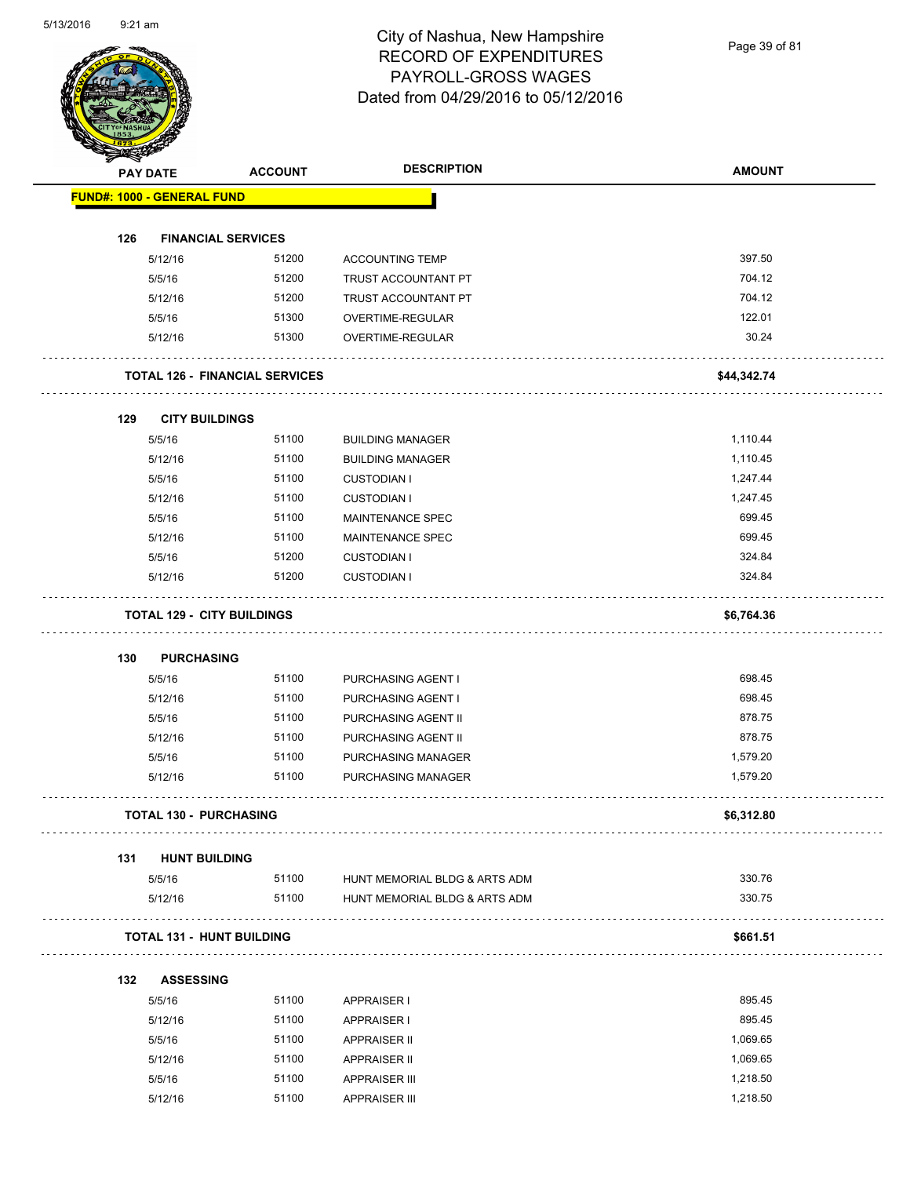Page 39 of 81

|     | <b>PAY DATE</b>                   | <b>ACCOUNT</b>                        | <b>DESCRIPTION</b>                          | <b>AMOUNT</b>        |
|-----|-----------------------------------|---------------------------------------|---------------------------------------------|----------------------|
|     | FUND#: 1000 - GENERAL FUND        |                                       |                                             |                      |
|     |                                   |                                       |                                             |                      |
| 126 | <b>FINANCIAL SERVICES</b>         |                                       |                                             |                      |
|     | 5/12/16                           | 51200                                 | <b>ACCOUNTING TEMP</b>                      | 397.50               |
|     | 5/5/16                            | 51200                                 | TRUST ACCOUNTANT PT                         | 704.12               |
|     | 5/12/16                           | 51200                                 | TRUST ACCOUNTANT PT                         | 704.12               |
|     | 5/5/16                            | 51300                                 | OVERTIME-REGULAR                            | 122.01               |
|     | 5/12/16                           | 51300                                 | OVERTIME-REGULAR                            | 30.24                |
|     |                                   | <b>TOTAL 126 - FINANCIAL SERVICES</b> |                                             | \$44,342.74          |
| 129 | <b>CITY BUILDINGS</b>             |                                       |                                             |                      |
|     | 5/5/16                            | 51100                                 | <b>BUILDING MANAGER</b>                     | 1,110.44             |
|     | 5/12/16                           | 51100                                 | <b>BUILDING MANAGER</b>                     | 1,110.45             |
|     | 5/5/16                            | 51100                                 | <b>CUSTODIAN I</b>                          | 1,247.44             |
|     | 5/12/16                           | 51100                                 | <b>CUSTODIAN I</b>                          | 1,247.45             |
|     | 5/5/16                            | 51100                                 | <b>MAINTENANCE SPEC</b>                     | 699.45               |
|     | 5/12/16                           | 51100                                 | MAINTENANCE SPEC                            | 699.45               |
|     | 5/5/16                            | 51200                                 | <b>CUSTODIAN I</b>                          | 324.84               |
|     | 5/12/16                           | 51200                                 | <b>CUSTODIAN I</b>                          | 324.84               |
|     | <b>TOTAL 129 - CITY BUILDINGS</b> |                                       |                                             | \$6,764.36           |
|     |                                   |                                       |                                             |                      |
| 130 | <b>PURCHASING</b>                 |                                       |                                             |                      |
|     | 5/5/16                            | 51100                                 | PURCHASING AGENT I                          | 698.45               |
|     | 5/12/16                           | 51100                                 | PURCHASING AGENT I                          | 698.45               |
|     | 5/5/16                            | 51100                                 | PURCHASING AGENT II                         | 878.75               |
|     | 5/12/16                           | 51100                                 | PURCHASING AGENT II                         | 878.75               |
|     | 5/5/16                            | 51100                                 | PURCHASING MANAGER                          | 1,579.20             |
|     | 5/12/16                           | 51100                                 | PURCHASING MANAGER                          | 1,579.20             |
|     | <b>TOTAL 130 - PURCHASING</b>     |                                       |                                             | \$6,312.80           |
| 131 | <b>HUNT BUILDING</b>              |                                       |                                             |                      |
|     | 5/5/16                            | 51100                                 | HUNT MEMORIAL BLDG & ARTS ADM               | 330.76               |
|     | 5/12/16                           | 51100                                 | HUNT MEMORIAL BLDG & ARTS ADM               | 330.75               |
|     | <b>TOTAL 131 - HUNT BUILDING</b>  |                                       |                                             | \$661.51             |
| 132 | <b>ASSESSING</b>                  |                                       |                                             |                      |
|     | 5/5/16                            | 51100                                 | <b>APPRAISER I</b>                          | 895.45               |
|     |                                   |                                       |                                             | 895.45               |
|     | 5/12/16                           | 51100                                 | <b>APPRAISER I</b>                          |                      |
|     |                                   |                                       |                                             |                      |
|     | 5/5/16                            | 51100                                 | APPRAISER II                                | 1,069.65             |
|     | 5/12/16<br>5/5/16                 | 51100<br>51100                        | <b>APPRAISER II</b><br><b>APPRAISER III</b> | 1,069.65<br>1,218.50 |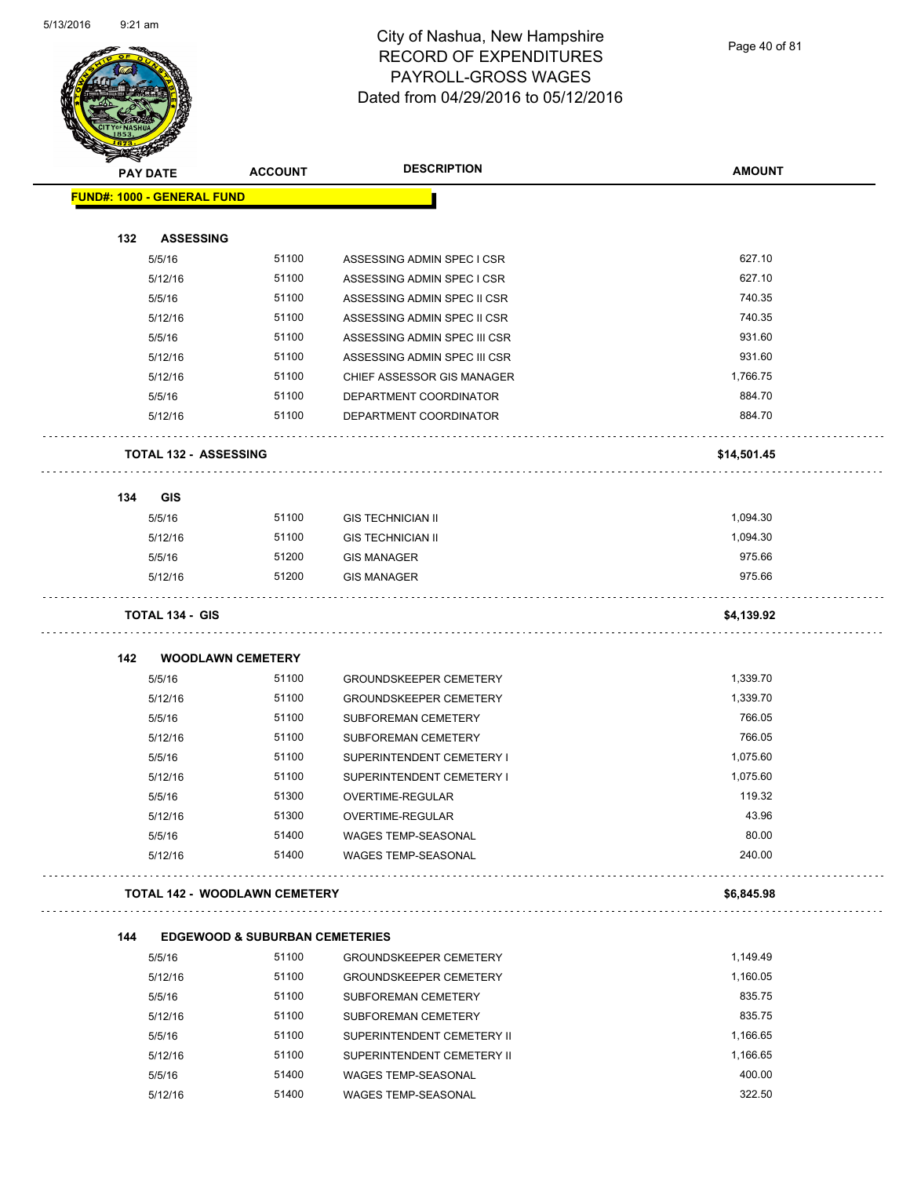

Page 40 of 81

| <b>STARTING CORPORATION</b> | <b>PAY DATE</b>                      | <b>ACCOUNT</b>                            | <b>DESCRIPTION</b>            | <b>AMOUNT</b> |
|-----------------------------|--------------------------------------|-------------------------------------------|-------------------------------|---------------|
|                             | <b>FUND#: 1000 - GENERAL FUND</b>    |                                           |                               |               |
|                             |                                      |                                           |                               |               |
| 132                         | <b>ASSESSING</b>                     |                                           |                               |               |
|                             | 5/5/16                               | 51100                                     | ASSESSING ADMIN SPEC I CSR    | 627.10        |
|                             | 5/12/16                              | 51100                                     | ASSESSING ADMIN SPEC I CSR    | 627.10        |
|                             | 5/5/16                               | 51100                                     | ASSESSING ADMIN SPEC II CSR   | 740.35        |
|                             | 5/12/16                              | 51100                                     | ASSESSING ADMIN SPEC II CSR   | 740.35        |
|                             | 5/5/16                               | 51100                                     | ASSESSING ADMIN SPEC III CSR  | 931.60        |
|                             | 5/12/16                              | 51100                                     | ASSESSING ADMIN SPEC III CSR  | 931.60        |
|                             | 5/12/16                              | 51100                                     | CHIEF ASSESSOR GIS MANAGER    | 1,766.75      |
|                             | 5/5/16                               | 51100                                     | DEPARTMENT COORDINATOR        | 884.70        |
|                             | 5/12/16                              | 51100                                     | DEPARTMENT COORDINATOR        | 884.70        |
|                             | <b>TOTAL 132 - ASSESSING</b>         |                                           |                               | \$14,501.45   |
| 134                         | <b>GIS</b>                           |                                           |                               |               |
|                             | 5/5/16                               | 51100                                     | <b>GIS TECHNICIAN II</b>      | 1,094.30      |
|                             | 5/12/16                              | 51100                                     | <b>GIS TECHNICIAN II</b>      | 1,094.30      |
|                             | 5/5/16                               | 51200                                     | <b>GIS MANAGER</b>            | 975.66        |
|                             | 5/12/16                              | 51200                                     | <b>GIS MANAGER</b>            | 975.66        |
|                             | <b>TOTAL 134 - GIS</b>               |                                           |                               | \$4,139.92    |
| 142                         | <b>WOODLAWN CEMETERY</b>             |                                           |                               |               |
|                             | 5/5/16                               | 51100                                     | <b>GROUNDSKEEPER CEMETERY</b> | 1,339.70      |
|                             | 5/12/16                              | 51100                                     | <b>GROUNDSKEEPER CEMETERY</b> | 1,339.70      |
|                             | 5/5/16                               | 51100                                     | SUBFOREMAN CEMETERY           | 766.05        |
|                             | 5/12/16                              | 51100                                     | SUBFOREMAN CEMETERY           | 766.05        |
|                             | 5/5/16                               | 51100                                     | SUPERINTENDENT CEMETERY I     | 1,075.60      |
|                             | 5/12/16                              | 51100                                     | SUPERINTENDENT CEMETERY I     | 1,075.60      |
|                             | 5/5/16                               | 51300                                     | OVERTIME-REGULAR              | 119.32        |
|                             | 5/12/16                              | 51300                                     | <b>OVERTIME-REGULAR</b>       | 43.96         |
|                             | 5/5/16                               | 51400                                     | WAGES TEMP-SEASONAL           | 80.00         |
|                             | 5/12/16                              | 51400                                     | WAGES TEMP-SEASONAL           | 240.00        |
|                             | <b>TOTAL 142 - WOODLAWN CEMETERY</b> |                                           |                               | \$6,845.98    |
| 144                         |                                      | <b>EDGEWOOD &amp; SUBURBAN CEMETERIES</b> |                               |               |
|                             | 5/5/16                               | 51100                                     | <b>GROUNDSKEEPER CEMETERY</b> | 1,149.49      |
|                             | 5/12/16                              | 51100                                     | <b>GROUNDSKEEPER CEMETERY</b> | 1,160.05      |
|                             | 5/5/16                               | 51100                                     | SUBFOREMAN CEMETERY           | 835.75        |
|                             | 5/12/16                              | 51100                                     | SUBFOREMAN CEMETERY           | 835.75        |
|                             | 5/5/16                               | 51100                                     | SUPERINTENDENT CEMETERY II    | 1,166.65      |
|                             | 5/12/16                              | 51100                                     | SUPERINTENDENT CEMETERY II    | 1,166.65      |
|                             | 5/5/16                               | 51400                                     | WAGES TEMP-SEASONAL           | 400.00        |
|                             | 5/12/16                              | 51400                                     | WAGES TEMP-SEASONAL           | 322.50        |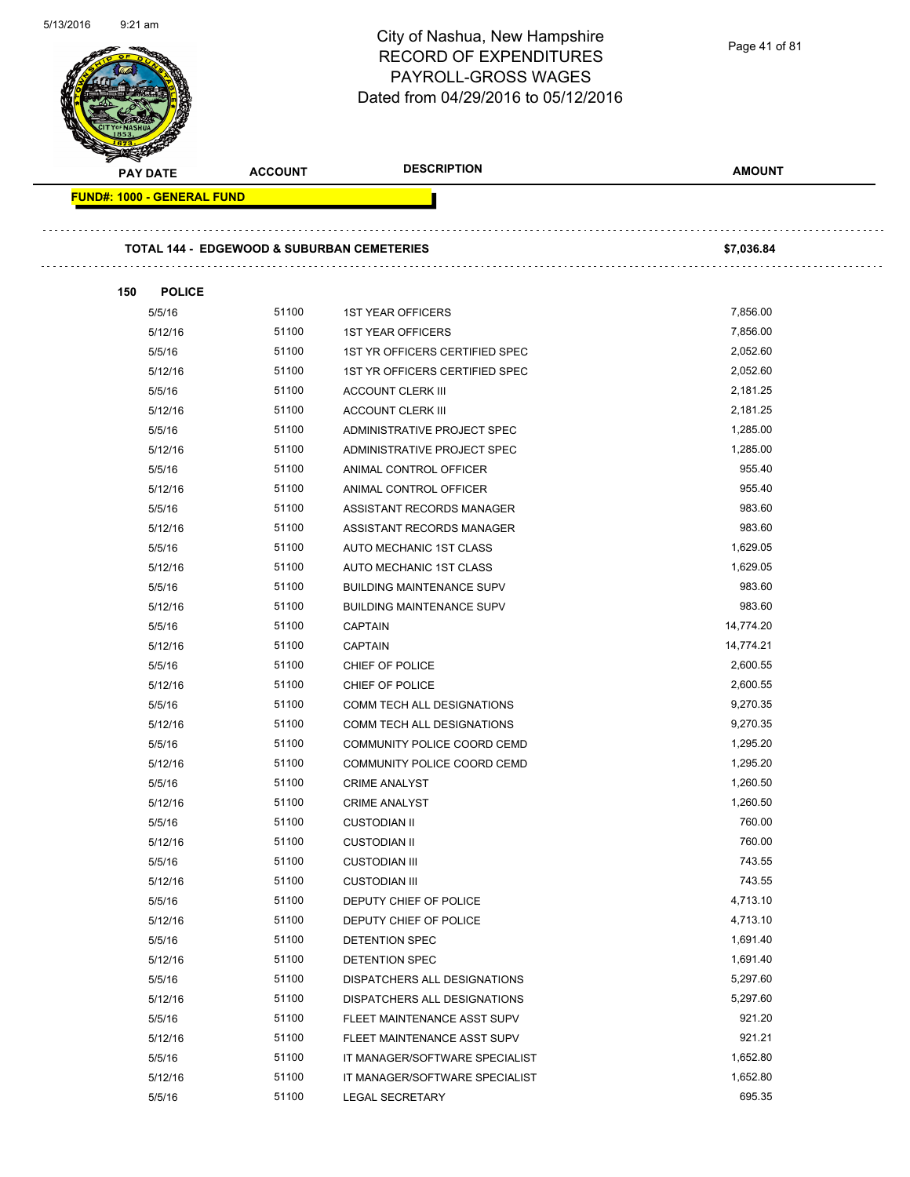|                                                       |                | City of Nashua, New Hampshire<br><b>RECORD OF EXPENDITURES</b><br><b>PAYROLL-GROSS WAGES</b><br>Dated from 04/29/2016 to 05/12/2016 | Page 41 of 81 |
|-------------------------------------------------------|----------------|-------------------------------------------------------------------------------------------------------------------------------------|---------------|
| <b>PAY DATE</b>                                       | <b>ACCOUNT</b> | <b>DESCRIPTION</b>                                                                                                                  | <b>AMOUNT</b> |
| <b>FUND#: 1000 - GENERAL FUND</b>                     |                |                                                                                                                                     |               |
| <b>TOTAL 144 - EDGEWOOD &amp; SUBURBAN CEMETERIES</b> |                |                                                                                                                                     | \$7,036.84    |
| 150<br><b>POLICE</b>                                  |                |                                                                                                                                     | 7,856.00      |
| 5/5/16                                                | 51100          | <b>1ST YEAR OFFICERS</b>                                                                                                            |               |
| 5/12/16                                               | 51100          | <b>1ST YEAR OFFICERS</b>                                                                                                            | 7,856.00      |
| 5/5/16                                                | 51100          | 1ST YR OFFICERS CERTIFIED SPEC                                                                                                      | 2,052.60      |
| 5/12/16                                               | 51100          | 1ST YR OFFICERS CERTIFIED SPEC                                                                                                      | 2,052.60      |
| 5/5/16                                                | 51100          | <b>ACCOUNT CLERK III</b>                                                                                                            | 2,181.25      |
| 5/12/16                                               | 51100          | <b>ACCOUNT CLERK III</b>                                                                                                            | 2,181.25      |
| 5/5/16                                                | 51100          | ADMINISTRATIVE PROJECT SPEC                                                                                                         | 1,285.00      |
| 5/12/16                                               | 51100          | ADMINISTRATIVE PROJECT SPEC                                                                                                         | 1,285.00      |
| 5/5/16                                                | 51100          | ANIMAL CONTROL OFFICER                                                                                                              | 955.40        |
| 5/12/16                                               | 51100          | ANIMAL CONTROL OFFICER                                                                                                              | 955.40        |
| 5/5/16                                                | 51100          | ASSISTANT RECORDS MANAGER                                                                                                           | 983.60        |
| 5/12/16                                               | 51100          | ASSISTANT RECORDS MANAGER                                                                                                           | 983.60        |
| 5/5/16                                                | 51100          | AUTO MECHANIC 1ST CLASS                                                                                                             | 1,629.05      |
| 5/12/16                                               | 51100          | AUTO MECHANIC 1ST CLASS                                                                                                             | 1,629.05      |
| 5/5/16                                                | 51100          | <b>BUILDING MAINTENANCE SUPV</b>                                                                                                    | 983.60        |
| 5/12/16                                               | 51100          | <b>BUILDING MAINTENANCE SUPV</b>                                                                                                    | 983.60        |
| 5/5/16                                                | 51100          | <b>CAPTAIN</b>                                                                                                                      | 14,774.20     |
| 5/12/16                                               | 51100          | <b>CAPTAIN</b>                                                                                                                      | 14,774.21     |
| 5/5/16                                                | 51100          | CHIEF OF POLICE                                                                                                                     | 2,600.55      |
| 5/12/16                                               | 51100          | CHIEF OF POLICE                                                                                                                     | 2,600.55      |
| 5/5/16                                                | 51100          | COMM TECH ALL DESIGNATIONS                                                                                                          | 9,270.35      |
| 5/12/16                                               | 51100          | COMM TECH ALL DESIGNATIONS                                                                                                          | 9,270.35      |
| 5/5/16                                                | 51100          | COMMUNITY POLICE COORD CEMD                                                                                                         | 1,295.20      |
| 5/12/16                                               | 51100          | COMMUNITY POLICE COORD CEMD                                                                                                         | 1,295.20      |
| 5/5/16                                                | 51100          | <b>CRIME ANALYST</b>                                                                                                                | 1,260.50      |
| 5/12/16                                               | 51100          | <b>CRIME ANALYST</b>                                                                                                                | 1,260.50      |
| 5/5/16                                                | 51100          | <b>CUSTODIAN II</b>                                                                                                                 | 760.00        |
| 5/12/16                                               | 51100          | <b>CUSTODIAN II</b>                                                                                                                 | 760.00        |
| 5/5/16                                                | 51100          | <b>CUSTODIAN III</b>                                                                                                                | 743.55        |
| 5/12/16                                               | 51100          | <b>CUSTODIAN III</b>                                                                                                                | 743.55        |
| 5/5/16                                                | 51100          | DEPUTY CHIEF OF POLICE                                                                                                              | 4,713.10      |
| 5/12/16                                               | 51100          | DEPUTY CHIEF OF POLICE                                                                                                              | 4,713.10      |
| 5/5/16                                                | 51100          | DETENTION SPEC                                                                                                                      | 1,691.40      |
| 5/12/16                                               | 51100          | DETENTION SPEC                                                                                                                      | 1,691.40      |
| 5/5/16                                                | 51100          | DISPATCHERS ALL DESIGNATIONS                                                                                                        | 5,297.60      |
| 5/12/16                                               | 51100          | DISPATCHERS ALL DESIGNATIONS                                                                                                        | 5,297.60      |
| 5/5/16                                                | 51100          | FLEET MAINTENANCE ASST SUPV                                                                                                         | 921.20        |
| 5/12/16                                               | 51100          | FLEET MAINTENANCE ASST SUPV                                                                                                         | 921.21        |
| 5/5/16                                                | 51100          | IT MANAGER/SOFTWARE SPECIALIST                                                                                                      | 1,652.80      |
| 5/12/16                                               | 51100          | IT MANAGER/SOFTWARE SPECIALIST                                                                                                      | 1,652.80      |
|                                                       |                |                                                                                                                                     |               |

5/13/2016 9:21 am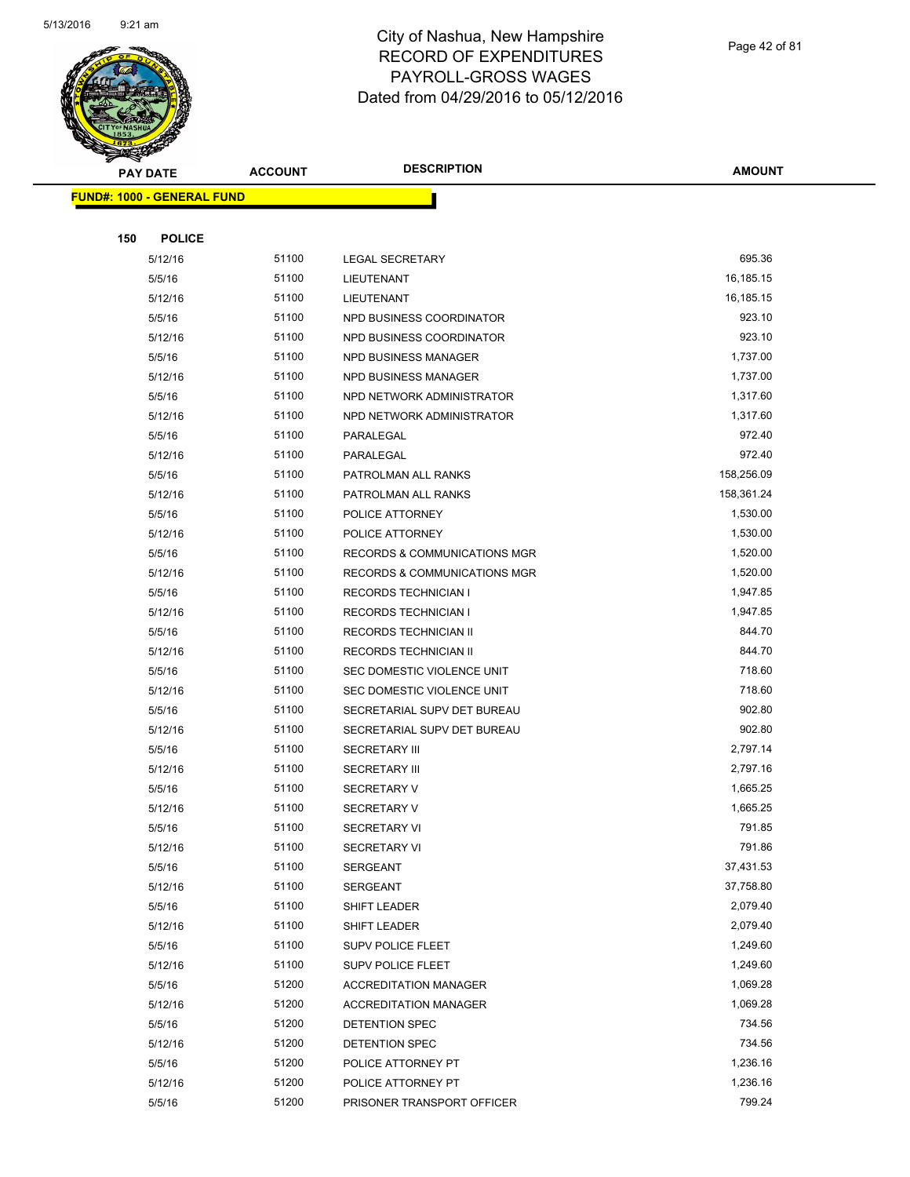

Page 42 of 81

**AMOUNT**

| <b>FUND#: 1000 - GENERAL FUND</b> |       |                                         |            |
|-----------------------------------|-------|-----------------------------------------|------------|
| 150<br><b>POLICE</b>              |       |                                         |            |
|                                   | 51100 |                                         | 695.36     |
| 5/12/16<br>5/5/16                 | 51100 | <b>LEGAL SECRETARY</b><br>LIEUTENANT    | 16,185.15  |
| 5/12/16                           | 51100 | LIEUTENANT                              | 16,185.15  |
| 5/5/16                            | 51100 | NPD BUSINESS COORDINATOR                | 923.10     |
| 5/12/16                           | 51100 | NPD BUSINESS COORDINATOR                | 923.10     |
| 5/5/16                            | 51100 | NPD BUSINESS MANAGER                    | 1,737.00   |
| 5/12/16                           | 51100 | <b>NPD BUSINESS MANAGER</b>             | 1,737.00   |
| 5/5/16                            | 51100 | NPD NETWORK ADMINISTRATOR               | 1,317.60   |
| 5/12/16                           | 51100 | NPD NETWORK ADMINISTRATOR               | 1,317.60   |
| 5/5/16                            | 51100 | PARALEGAL                               | 972.40     |
| 5/12/16                           | 51100 | PARALEGAL                               | 972.40     |
| 5/5/16                            | 51100 | PATROLMAN ALL RANKS                     | 158,256.09 |
| 5/12/16                           | 51100 | PATROLMAN ALL RANKS                     | 158,361.24 |
| 5/5/16                            | 51100 | POLICE ATTORNEY                         | 1,530.00   |
| 5/12/16                           | 51100 | POLICE ATTORNEY                         | 1,530.00   |
| 5/5/16                            | 51100 | <b>RECORDS &amp; COMMUNICATIONS MGR</b> | 1,520.00   |
| 5/12/16                           | 51100 | <b>RECORDS &amp; COMMUNICATIONS MGR</b> | 1,520.00   |
| 5/5/16                            | 51100 | RECORDS TECHNICIAN I                    | 1,947.85   |
| 5/12/16                           | 51100 | RECORDS TECHNICIAN I                    | 1,947.85   |
| 5/5/16                            | 51100 | RECORDS TECHNICIAN II                   | 844.70     |
| 5/12/16                           | 51100 | RECORDS TECHNICIAN II                   | 844.70     |
| 5/5/16                            | 51100 | SEC DOMESTIC VIOLENCE UNIT              | 718.60     |
| 5/12/16                           | 51100 | SEC DOMESTIC VIOLENCE UNIT              | 718.60     |
| 5/5/16                            | 51100 | SECRETARIAL SUPV DET BUREAU             | 902.80     |
| 5/12/16                           | 51100 | SECRETARIAL SUPV DET BUREAU             | 902.80     |
| 5/5/16                            | 51100 | <b>SECRETARY III</b>                    | 2,797.14   |
| 5/12/16                           | 51100 | <b>SECRETARY III</b>                    | 2,797.16   |
| 5/5/16                            | 51100 | <b>SECRETARY V</b>                      | 1,665.25   |
| 5/12/16                           | 51100 | <b>SECRETARY V</b>                      | 1,665.25   |
| 5/5/16                            | 51100 | <b>SECRETARY VI</b>                     | 791.85     |
| 5/12/16                           | 51100 | SECRETARY VI                            | 791.86     |
| 5/5/16                            | 51100 | SERGEANT                                | 37,431.53  |
| 5/12/16                           | 51100 | SERGEANT                                | 37,758.80  |
| 5/5/16                            | 51100 | SHIFT LEADER                            | 2,079.40   |
| 5/12/16                           | 51100 | SHIFT LEADER                            | 2,079.40   |
| 5/5/16                            | 51100 | <b>SUPV POLICE FLEET</b>                | 1,249.60   |
| 5/12/16                           | 51100 | <b>SUPV POLICE FLEET</b>                | 1,249.60   |
| 5/5/16                            | 51200 | <b>ACCREDITATION MANAGER</b>            | 1,069.28   |
| 5/12/16                           | 51200 | <b>ACCREDITATION MANAGER</b>            | 1,069.28   |
| 5/5/16                            | 51200 | DETENTION SPEC                          | 734.56     |
| 5/12/16                           | 51200 | DETENTION SPEC                          | 734.56     |
| 5/5/16                            | 51200 | POLICE ATTORNEY PT                      | 1,236.16   |
| 5/12/16                           | 51200 | POLICE ATTORNEY PT                      | 1,236.16   |
| 5/5/16                            | 51200 | PRISONER TRANSPORT OFFICER              | 799.24     |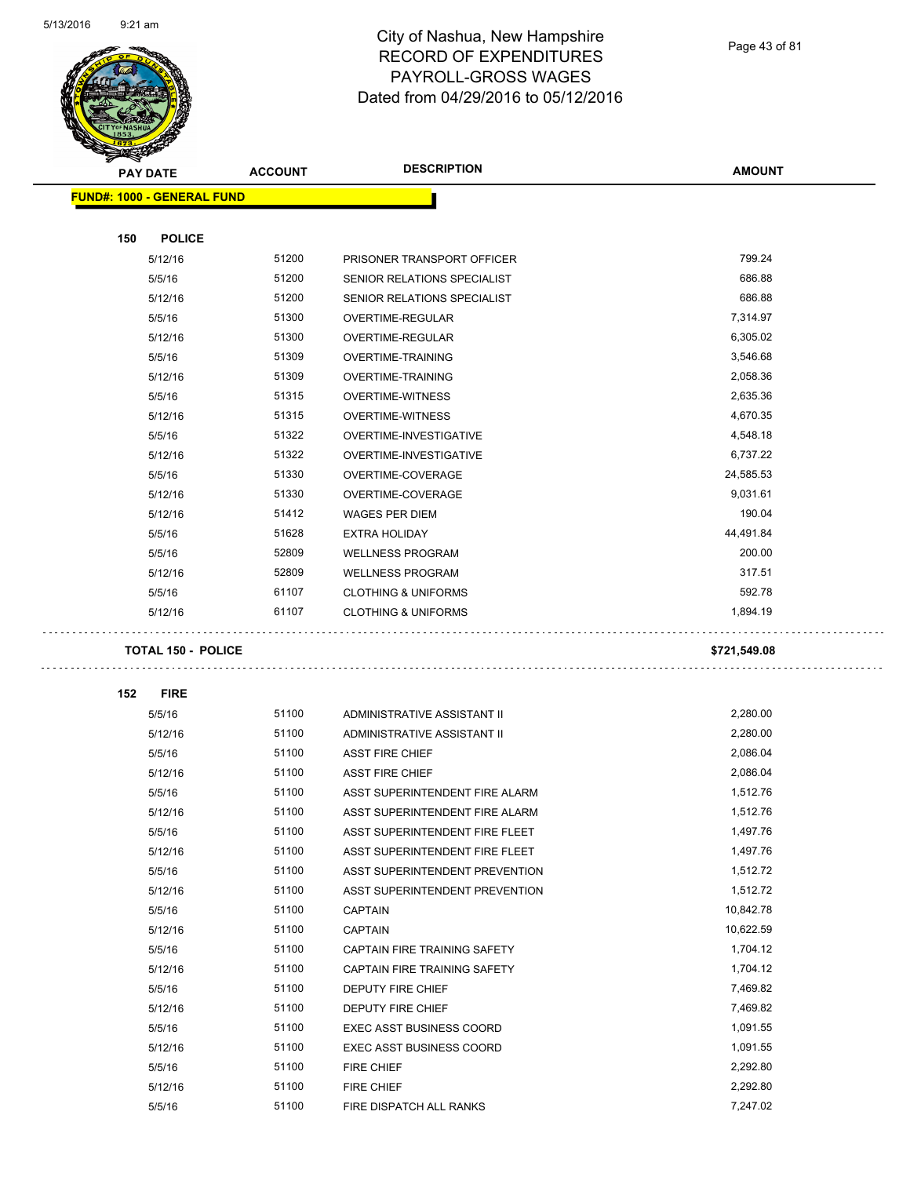

Page 43 of 81

|     | <b>PAY DATE</b>            | <b>ACCOUNT</b> | <b>DESCRIPTION</b>              | <b>AMOUNT</b> |
|-----|----------------------------|----------------|---------------------------------|---------------|
|     | FUND#: 1000 - GENERAL FUND |                |                                 |               |
|     |                            |                |                                 |               |
| 150 | <b>POLICE</b>              |                |                                 |               |
|     | 5/12/16                    | 51200          | PRISONER TRANSPORT OFFICER      | 799.24        |
|     | 5/5/16                     | 51200          | SENIOR RELATIONS SPECIALIST     | 686.88        |
|     | 5/12/16                    | 51200          | SENIOR RELATIONS SPECIALIST     | 686.88        |
|     | 5/5/16                     | 51300          | OVERTIME-REGULAR                | 7,314.97      |
|     | 5/12/16                    | 51300          | OVERTIME-REGULAR                | 6,305.02      |
|     | 5/5/16                     | 51309          | OVERTIME-TRAINING               | 3,546.68      |
|     | 5/12/16                    | 51309          | OVERTIME-TRAINING               | 2,058.36      |
|     | 5/5/16                     | 51315          | <b>OVERTIME-WITNESS</b>         | 2,635.36      |
|     | 5/12/16                    | 51315          | <b>OVERTIME-WITNESS</b>         | 4,670.35      |
|     | 5/5/16                     | 51322          | OVERTIME-INVESTIGATIVE          | 4,548.18      |
|     | 5/12/16                    | 51322          | OVERTIME-INVESTIGATIVE          | 6,737.22      |
|     | 5/5/16                     | 51330          | OVERTIME-COVERAGE               | 24,585.53     |
|     | 5/12/16                    | 51330          | OVERTIME-COVERAGE               | 9,031.61      |
|     | 5/12/16                    | 51412          | <b>WAGES PER DIEM</b>           | 190.04        |
|     | 5/5/16                     | 51628          | <b>EXTRA HOLIDAY</b>            | 44,491.84     |
|     | 5/5/16                     | 52809          | <b>WELLNESS PROGRAM</b>         | 200.00        |
|     | 5/12/16                    | 52809          | <b>WELLNESS PROGRAM</b>         | 317.51        |
|     | 5/5/16                     | 61107          | <b>CLOTHING &amp; UNIFORMS</b>  | 592.78        |
|     | 5/12/16                    | 61107          | <b>CLOTHING &amp; UNIFORMS</b>  | 1,894.19      |
|     | <b>TOTAL 150 - POLICE</b>  |                |                                 | \$721,549.08  |
|     |                            |                |                                 |               |
| 152 | <b>FIRE</b>                |                |                                 |               |
|     | 5/5/16                     | 51100          | ADMINISTRATIVE ASSISTANT II     | 2,280.00      |
|     | 5/12/16                    | 51100          | ADMINISTRATIVE ASSISTANT II     | 2,280.00      |
|     | 5/5/16                     | 51100          | <b>ASST FIRE CHIEF</b>          | 2,086.04      |
|     | 5/12/16                    | 51100          | <b>ASST FIRE CHIEF</b>          | 2,086.04      |
|     | 5/5/16                     | 51100          | ASST SUPERINTENDENT FIRE ALARM  | 1,512.76      |
|     | 5/12/16                    | 51100          | ASST SUPERINTENDENT FIRE ALARM  | 1,512.76      |
|     | 5/5/16                     | 51100          | ASST SUPERINTENDENT FIRE FLEET  | 1,497.76      |
|     | 5/12/16                    | 51100          | ASST SUPERINTENDENT FIRE FLEET  | 1,497.76      |
|     | 5/5/16                     | 51100          | ASST SUPERINTENDENT PREVENTION  | 1,512.72      |
|     | 5/12/16                    | 51100          | ASST SUPERINTENDENT PREVENTION  | 1,512.72      |
|     | 5/5/16                     | 51100          | <b>CAPTAIN</b>                  | 10,842.78     |
|     | 5/12/16                    | 51100          | <b>CAPTAIN</b>                  | 10,622.59     |
|     | 5/5/16                     | 51100          | CAPTAIN FIRE TRAINING SAFETY    | 1,704.12      |
|     | 5/12/16                    | 51100          | CAPTAIN FIRE TRAINING SAFETY    | 1,704.12      |
|     | 5/5/16                     | 51100          | DEPUTY FIRE CHIEF               | 7,469.82      |
|     | 5/12/16                    | 51100          | DEPUTY FIRE CHIEF               | 7,469.82      |
|     | 5/5/16                     | 51100          | <b>EXEC ASST BUSINESS COORD</b> | 1,091.55      |
|     | 5/12/16                    | 51100          | <b>EXEC ASST BUSINESS COORD</b> | 1,091.55      |
|     | 5/5/16                     | 51100          | <b>FIRE CHIEF</b>               | 2,292.80      |
|     | 5/12/16                    | 51100          | <b>FIRE CHIEF</b>               | 2,292.80      |
|     | 5/5/16                     | 51100          | FIRE DISPATCH ALL RANKS         | 7,247.02      |
|     |                            |                |                                 |               |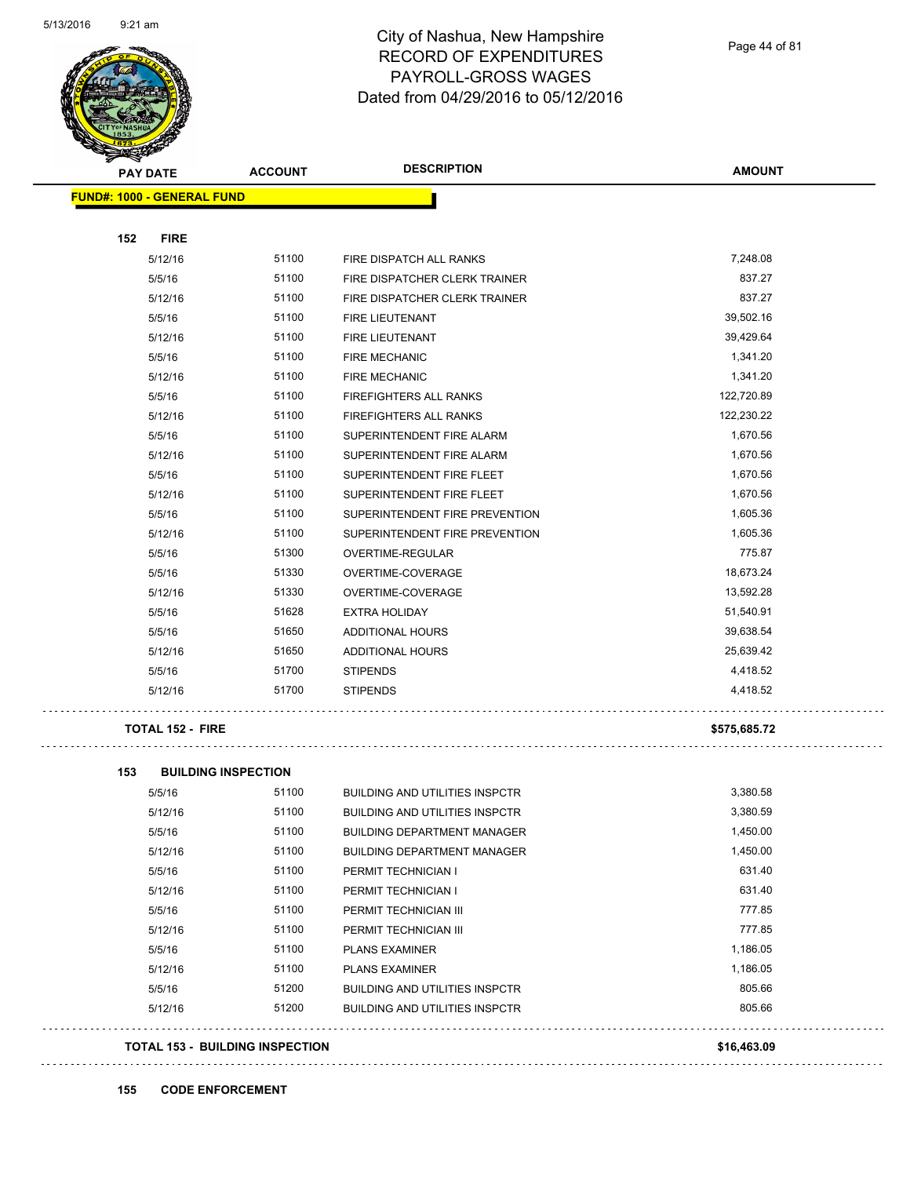

Page 44 of 81

| <b>Allen</b>                      |                            |                                       |               |
|-----------------------------------|----------------------------|---------------------------------------|---------------|
| <b>PAY DATE</b>                   | <b>ACCOUNT</b>             | <b>DESCRIPTION</b>                    | <b>AMOUNT</b> |
| <b>FUND#: 1000 - GENERAL FUND</b> |                            |                                       |               |
|                                   |                            |                                       |               |
| 152<br><b>FIRE</b>                |                            |                                       |               |
| 5/12/16                           | 51100                      | FIRE DISPATCH ALL RANKS               | 7,248.08      |
| 5/5/16                            | 51100                      | FIRE DISPATCHER CLERK TRAINER         | 837.27        |
| 5/12/16                           | 51100                      | FIRE DISPATCHER CLERK TRAINER         | 837.27        |
| 5/5/16                            | 51100                      | FIRE LIEUTENANT                       | 39,502.16     |
| 5/12/16                           | 51100                      | <b>FIRE LIEUTENANT</b>                | 39,429.64     |
| 5/5/16                            | 51100                      | <b>FIRE MECHANIC</b>                  | 1,341.20      |
| 5/12/16                           | 51100                      | FIRE MECHANIC                         | 1,341.20      |
| 5/5/16                            | 51100                      | FIREFIGHTERS ALL RANKS                | 122,720.89    |
| 5/12/16                           | 51100                      | FIREFIGHTERS ALL RANKS                | 122,230.22    |
| 5/5/16                            | 51100                      | SUPERINTENDENT FIRE ALARM             | 1,670.56      |
| 5/12/16                           | 51100                      | SUPERINTENDENT FIRE ALARM             | 1,670.56      |
| 5/5/16                            | 51100                      | SUPERINTENDENT FIRE FLEET             | 1,670.56      |
| 5/12/16                           | 51100                      | SUPERINTENDENT FIRE FLEET             | 1,670.56      |
| 5/5/16                            | 51100                      | SUPERINTENDENT FIRE PREVENTION        | 1,605.36      |
| 5/12/16                           | 51100                      | SUPERINTENDENT FIRE PREVENTION        | 1,605.36      |
| 5/5/16                            | 51300                      | OVERTIME-REGULAR                      | 775.87        |
| 5/5/16                            | 51330                      | OVERTIME-COVERAGE                     | 18,673.24     |
| 5/12/16                           | 51330                      | OVERTIME-COVERAGE                     | 13,592.28     |
| 5/5/16                            | 51628                      | <b>EXTRA HOLIDAY</b>                  | 51,540.91     |
| 5/5/16                            | 51650                      | ADDITIONAL HOURS                      | 39,638.54     |
| 5/12/16                           | 51650                      | ADDITIONAL HOURS                      | 25,639.42     |
| 5/5/16                            | 51700                      | <b>STIPENDS</b>                       | 4,418.52      |
| 5/12/16                           | 51700                      | <b>STIPENDS</b>                       | 4,418.52      |
| <b>TOTAL 152 - FIRE</b>           |                            |                                       | \$575,685.72  |
| 153                               | <b>BUILDING INSPECTION</b> |                                       |               |
| 5/5/16                            | 51100                      | <b>BUILDING AND UTILITIES INSPCTR</b> | 3,380.58      |
| 5/12/16                           | 51100                      | <b>BUILDING AND UTILITIES INSPCTR</b> | 3,380.59      |
|                                   | 51100                      |                                       | 1,450.00      |
| 5/5/16                            | 51100                      | <b>BUILDING DEPARTMENT MANAGER</b>    | 1,450.00      |
| 5/12/16                           |                            | <b>BUILDING DEPARTMENT MANAGER</b>    |               |

5/5/16 51100 PERMIT TECHNICIAN I 631.40 5/12/16 51100 PERMIT TECHNICIAN I 631.40 5/5/16 51100 PERMIT TECHNICIAN III 777.85 5/12/16 51100 PERMIT TECHNICIAN III 777.85 5/5/16 5/100 PLANS EXAMINER 1,186.05 5/12/16 5/1100 PLANS EXAMINER 1,186.05 5/5/16 51200 BUILDING AND UTILITIES INSPCTR 805.66 5/12/16 51200 BUILDING AND UTILITIES INSPCTR 805.66

**TOTAL 153 - BUILDING INSPECTION \$16,463.09**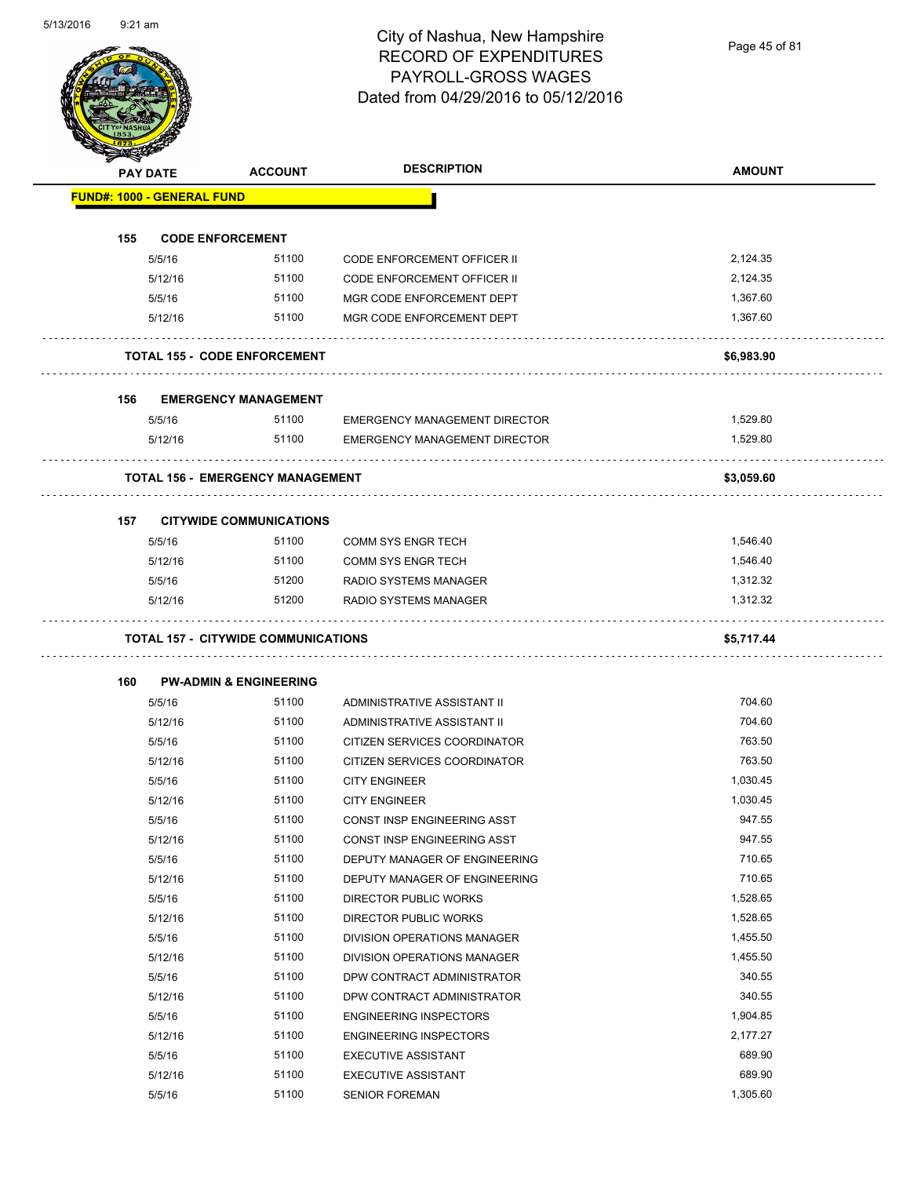Page 45 of 81

| <b>PAY DATE</b>                   | <b>ACCOUNT</b>                             | <b>DESCRIPTION</b>                                       | <b>AMOUNT</b>    |
|-----------------------------------|--------------------------------------------|----------------------------------------------------------|------------------|
| <b>FUND#: 1000 - GENERAL FUND</b> |                                            |                                                          |                  |
| 155                               | <b>CODE ENFORCEMENT</b>                    |                                                          |                  |
| 5/5/16                            | 51100                                      | <b>CODE ENFORCEMENT OFFICER II</b>                       | 2,124.35         |
| 5/12/16                           | 51100                                      | <b>CODE ENFORCEMENT OFFICER II</b>                       | 2,124.35         |
| 5/5/16                            | 51100                                      | MGR CODE ENFORCEMENT DEPT                                | 1,367.60         |
| 5/12/16                           | 51100                                      | MGR CODE ENFORCEMENT DEPT                                | 1,367.60         |
|                                   | <b>TOTAL 155 - CODE ENFORCEMENT</b>        |                                                          | \$6,983.90       |
|                                   |                                            |                                                          |                  |
| 156                               | <b>EMERGENCY MANAGEMENT</b>                |                                                          |                  |
| 5/5/16                            | 51100                                      | <b>EMERGENCY MANAGEMENT DIRECTOR</b>                     | 1,529.80         |
| 5/12/16                           | 51100                                      | <b>EMERGENCY MANAGEMENT DIRECTOR</b>                     | 1,529.80         |
|                                   | <b>TOTAL 156 - EMERGENCY MANAGEMENT</b>    |                                                          | \$3,059.60       |
| 157                               | <b>CITYWIDE COMMUNICATIONS</b>             |                                                          |                  |
| 5/5/16                            | 51100                                      | <b>COMM SYS ENGR TECH</b>                                | 1,546.40         |
| 5/12/16                           | 51100                                      | <b>COMM SYS ENGR TECH</b>                                | 1,546.40         |
| 5/5/16                            | 51200                                      | <b>RADIO SYSTEMS MANAGER</b>                             | 1,312.32         |
|                                   |                                            |                                                          |                  |
| 5/12/16                           | 51200                                      | <b>RADIO SYSTEMS MANAGER</b>                             | 1,312.32         |
|                                   | <b>TOTAL 157 - CITYWIDE COMMUNICATIONS</b> |                                                          | \$5,717.44       |
|                                   |                                            |                                                          |                  |
| 160                               | <b>PW-ADMIN &amp; ENGINEERING</b>          |                                                          |                  |
| 5/5/16                            | 51100                                      | ADMINISTRATIVE ASSISTANT II                              | 704.60           |
| 5/12/16                           | 51100                                      | ADMINISTRATIVE ASSISTANT II                              | 704.60           |
| 5/5/16                            | 51100                                      | CITIZEN SERVICES COORDINATOR                             | 763.50           |
| 5/12/16                           | 51100                                      | CITIZEN SERVICES COORDINATOR                             | 763.50           |
| 5/5/16                            | 51100                                      | <b>CITY ENGINEER</b>                                     | 1,030.45         |
| 5/12/16                           | 51100                                      | <b>CITY ENGINEER</b>                                     | 1,030.45         |
| 5/5/16                            | 51100                                      | CONST INSP ENGINEERING ASST                              | 947.55           |
| 5/12/16                           | 51100                                      | CONST INSP ENGINEERING ASST                              | 947.55           |
| 5/5/16                            | 51100                                      | DEPUTY MANAGER OF ENGINEERING                            | 710.65           |
| 5/12/16                           | 51100                                      | DEPUTY MANAGER OF ENGINEERING                            | 710.65           |
| 5/5/16                            | 51100                                      | DIRECTOR PUBLIC WORKS                                    | 1,528.65         |
| 5/12/16                           | 51100                                      | DIRECTOR PUBLIC WORKS                                    | 1,528.65         |
| 5/5/16                            | 51100                                      | DIVISION OPERATIONS MANAGER                              | 1,455.50         |
| 5/12/16                           | 51100                                      | DIVISION OPERATIONS MANAGER                              | 1,455.50         |
| 5/5/16                            | 51100                                      | DPW CONTRACT ADMINISTRATOR                               | 340.55           |
| 5/12/16                           | 51100                                      | DPW CONTRACT ADMINISTRATOR                               | 340.55           |
| 5/5/16                            | 51100                                      | <b>ENGINEERING INSPECTORS</b>                            | 1,904.85         |
| 5/12/16                           | 51100                                      | <b>ENGINEERING INSPECTORS</b>                            | 2,177.27         |
| 5/5/16<br>5/12/16                 | 51100<br>51100                             | <b>EXECUTIVE ASSISTANT</b><br><b>EXECUTIVE ASSISTANT</b> | 689.90<br>689.90 |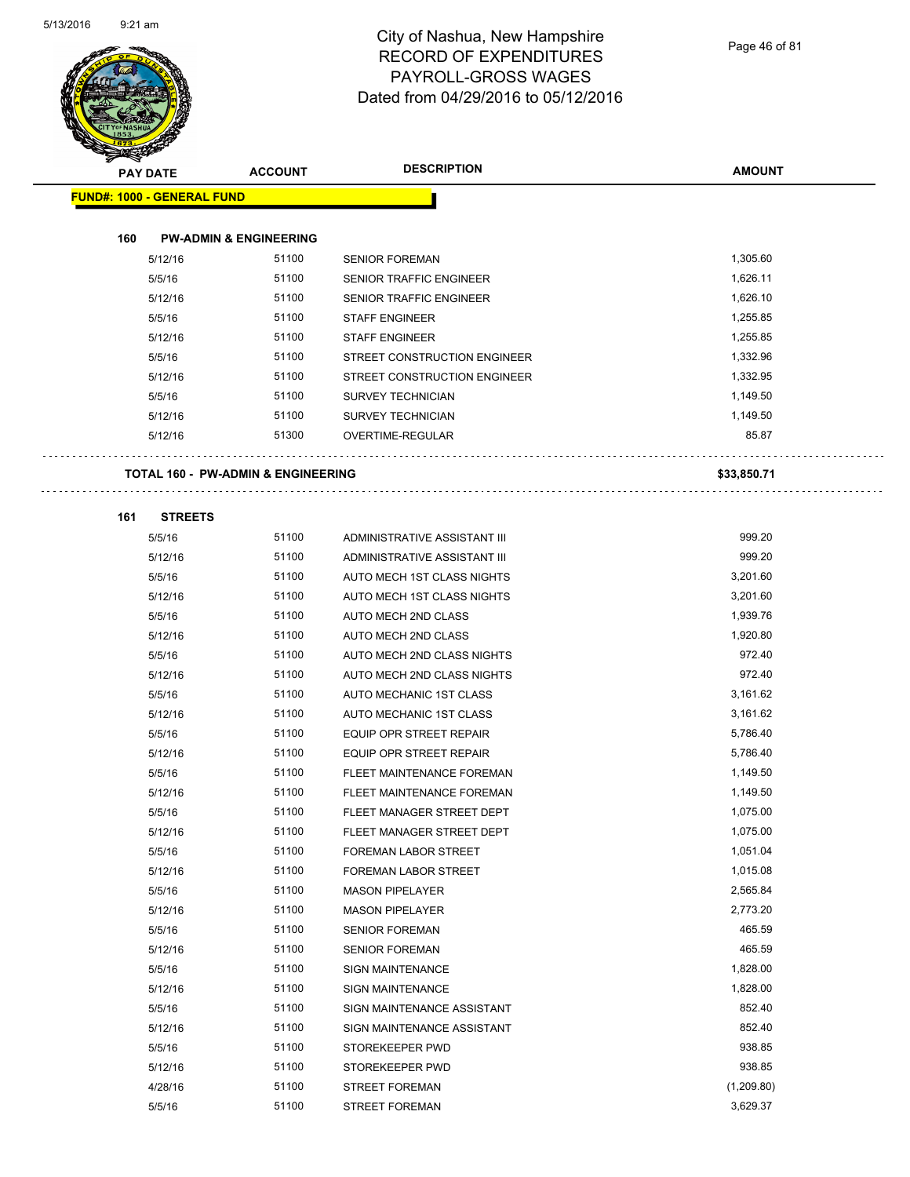Page 46 of 81

| <b>Support Contracts</b> |                                   |                                               |                                |               |
|--------------------------|-----------------------------------|-----------------------------------------------|--------------------------------|---------------|
|                          | <b>PAY DATE</b>                   | <b>ACCOUNT</b>                                | <b>DESCRIPTION</b>             | <b>AMOUNT</b> |
|                          | <b>FUND#: 1000 - GENERAL FUND</b> |                                               |                                |               |
|                          |                                   |                                               |                                |               |
| 160                      |                                   | <b>PW-ADMIN &amp; ENGINEERING</b>             |                                |               |
|                          | 5/12/16                           | 51100                                         | <b>SENIOR FOREMAN</b>          | 1,305.60      |
|                          | 5/5/16                            | 51100                                         | SENIOR TRAFFIC ENGINEER        | 1,626.11      |
|                          | 5/12/16                           | 51100                                         | SENIOR TRAFFIC ENGINEER        | 1,626.10      |
|                          | 5/5/16                            | 51100                                         | <b>STAFF ENGINEER</b>          | 1,255.85      |
|                          | 5/12/16                           | 51100                                         | <b>STAFF ENGINEER</b>          | 1,255.85      |
|                          | 5/5/16                            | 51100                                         | STREET CONSTRUCTION ENGINEER   | 1,332.96      |
|                          | 5/12/16                           | 51100                                         | STREET CONSTRUCTION ENGINEER   | 1,332.95      |
|                          | 5/5/16                            | 51100                                         | SURVEY TECHNICIAN              | 1,149.50      |
|                          | 5/12/16                           | 51100                                         | <b>SURVEY TECHNICIAN</b>       | 1,149.50      |
|                          | 5/12/16                           | 51300                                         | OVERTIME-REGULAR               | 85.87         |
|                          |                                   |                                               |                                |               |
|                          |                                   | <b>TOTAL 160 - PW-ADMIN &amp; ENGINEERING</b> |                                | \$33,850.71   |
|                          |                                   |                                               |                                |               |
| 161                      | <b>STREETS</b>                    |                                               |                                |               |
|                          | 5/5/16                            | 51100                                         | ADMINISTRATIVE ASSISTANT III   | 999.20        |
|                          | 5/12/16                           | 51100                                         | ADMINISTRATIVE ASSISTANT III   | 999.20        |
|                          | 5/5/16                            | 51100                                         | AUTO MECH 1ST CLASS NIGHTS     | 3,201.60      |
|                          | 5/12/16                           | 51100                                         | AUTO MECH 1ST CLASS NIGHTS     | 3,201.60      |
|                          | 5/5/16                            | 51100                                         | AUTO MECH 2ND CLASS            | 1,939.76      |
|                          | 5/12/16                           | 51100                                         | AUTO MECH 2ND CLASS            | 1,920.80      |
|                          | 5/5/16                            | 51100                                         | AUTO MECH 2ND CLASS NIGHTS     | 972.40        |
|                          | 5/12/16                           | 51100                                         | AUTO MECH 2ND CLASS NIGHTS     | 972.40        |
|                          | 5/5/16                            | 51100                                         | AUTO MECHANIC 1ST CLASS        | 3,161.62      |
|                          | 5/12/16                           | 51100                                         | AUTO MECHANIC 1ST CLASS        | 3,161.62      |
|                          | 5/5/16                            | 51100                                         | EQUIP OPR STREET REPAIR        | 5,786.40      |
|                          | 5/12/16                           | 51100                                         | <b>EQUIP OPR STREET REPAIR</b> | 5,786.40      |
|                          | 5/5/16                            | 51100                                         | FLEET MAINTENANCE FOREMAN      | 1,149.50      |
|                          | 5/12/16                           | 51100                                         | FLEET MAINTENANCE FOREMAN      | 1,149.50      |
|                          | 5/5/16                            | 51100                                         | FLEET MANAGER STREET DEPT      | 1,075.00      |
|                          | 5/12/16                           | 51100                                         | FLEET MANAGER STREET DEPT      | 1,075.00      |
|                          | 5/5/16                            | 51100                                         | FOREMAN LABOR STREET           | 1,051.04      |
|                          | 5/12/16                           | 51100                                         | FOREMAN LABOR STREET           | 1,015.08      |
|                          | 5/5/16                            | 51100                                         | <b>MASON PIPELAYER</b>         | 2,565.84      |
|                          | 5/12/16                           | 51100                                         | <b>MASON PIPELAYER</b>         | 2,773.20      |
|                          | 5/5/16                            | 51100                                         | <b>SENIOR FOREMAN</b>          | 465.59        |
|                          | 5/12/16                           | 51100                                         | <b>SENIOR FOREMAN</b>          | 465.59        |
|                          | 5/5/16                            | 51100                                         | <b>SIGN MAINTENANCE</b>        | 1,828.00      |
|                          | 5/12/16                           | 51100                                         | <b>SIGN MAINTENANCE</b>        | 1,828.00      |
|                          | 5/5/16                            | 51100                                         | SIGN MAINTENANCE ASSISTANT     | 852.40        |
|                          | 5/12/16                           | 51100                                         | SIGN MAINTENANCE ASSISTANT     | 852.40        |
|                          | 5/5/16                            | 51100                                         | STOREKEEPER PWD                | 938.85        |
|                          | 5/12/16                           | 51100                                         | STOREKEEPER PWD                | 938.85        |
|                          | 4/28/16                           | 51100                                         | <b>STREET FOREMAN</b>          | (1,209.80)    |
|                          | 5/5/16                            | 51100                                         | STREET FOREMAN                 | 3,629.37      |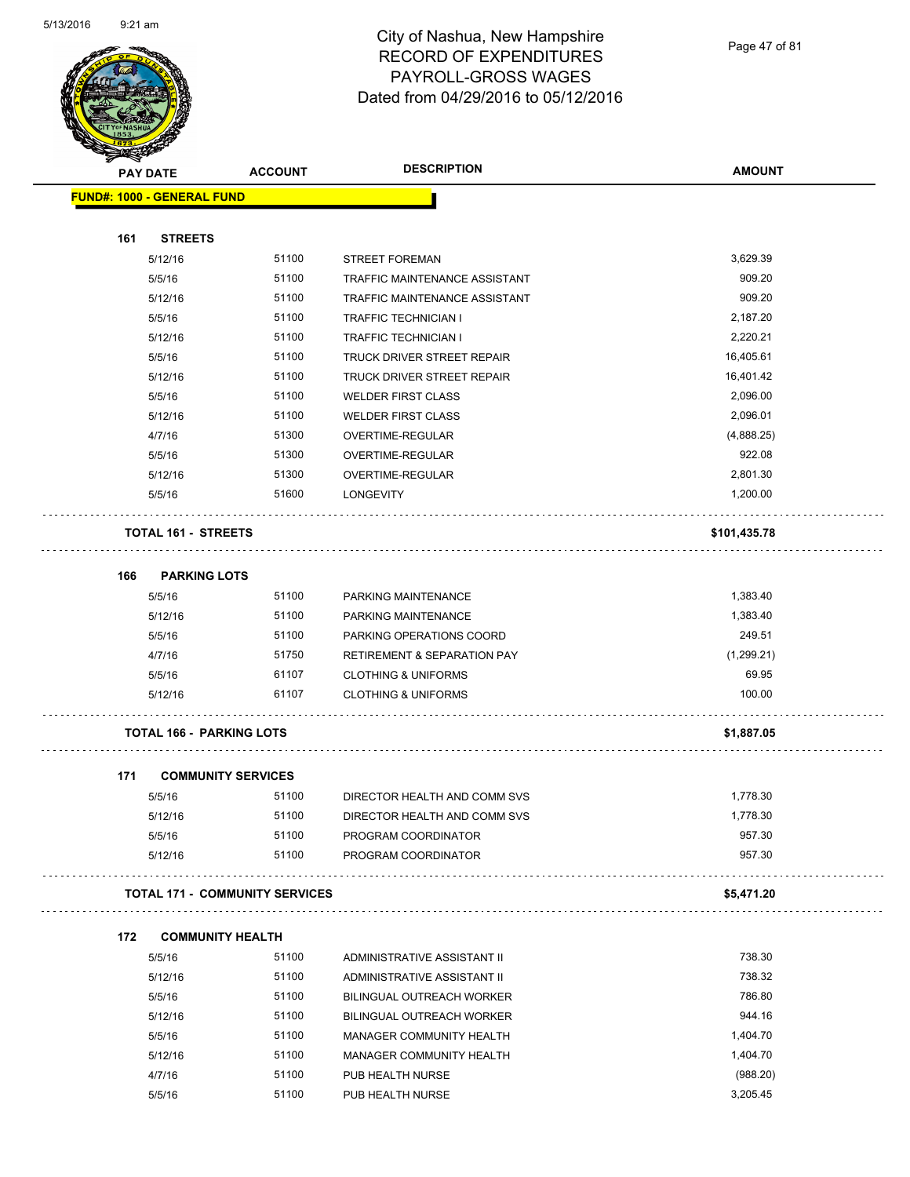

Page 47 of 81

| <b>PAY DATE</b>                   | <b>ACCOUNT</b>                        | <b>DESCRIPTION</b>                     | <b>AMOUNT</b> |
|-----------------------------------|---------------------------------------|----------------------------------------|---------------|
| <b>FUND#: 1000 - GENERAL FUND</b> |                                       |                                        |               |
| 161                               | <b>STREETS</b>                        |                                        |               |
| 5/12/16                           | 51100                                 | <b>STREET FOREMAN</b>                  | 3,629.39      |
| 5/5/16                            | 51100                                 | TRAFFIC MAINTENANCE ASSISTANT          | 909.20        |
| 5/12/16                           | 51100                                 | TRAFFIC MAINTENANCE ASSISTANT          | 909.20        |
| 5/5/16                            | 51100                                 | TRAFFIC TECHNICIAN I                   | 2,187.20      |
| 5/12/16                           | 51100                                 | <b>TRAFFIC TECHNICIAN I</b>            | 2,220.21      |
| 5/5/16                            | 51100                                 | TRUCK DRIVER STREET REPAIR             | 16,405.61     |
| 5/12/16                           | 51100                                 | TRUCK DRIVER STREET REPAIR             | 16,401.42     |
| 5/5/16                            | 51100                                 | <b>WELDER FIRST CLASS</b>              | 2,096.00      |
| 5/12/16                           | 51100                                 | <b>WELDER FIRST CLASS</b>              | 2,096.01      |
| 4/7/16                            | 51300                                 | OVERTIME-REGULAR                       | (4,888.25)    |
| 5/5/16                            | 51300                                 | OVERTIME-REGULAR                       | 922.08        |
| 5/12/16                           | 51300                                 | <b>OVERTIME-REGULAR</b>                | 2,801.30      |
| 5/5/16                            | 51600                                 | <b>LONGEVITY</b>                       | 1,200.00      |
|                                   | <b>TOTAL 161 - STREETS</b>            |                                        | \$101,435.78  |
| 166                               | <b>PARKING LOTS</b>                   |                                        |               |
| 5/5/16                            | 51100                                 | PARKING MAINTENANCE                    | 1,383.40      |
| 5/12/16                           | 51100                                 | PARKING MAINTENANCE                    | 1,383.40      |
| 5/5/16                            | 51100                                 | PARKING OPERATIONS COORD               | 249.51        |
| 4/7/16                            | 51750                                 | <b>RETIREMENT &amp; SEPARATION PAY</b> | (1,299.21)    |
| 5/5/16                            | 61107                                 | <b>CLOTHING &amp; UNIFORMS</b>         | 69.95         |
| 5/12/16                           | 61107                                 | <b>CLOTHING &amp; UNIFORMS</b>         | 100.00        |
|                                   | <b>TOTAL 166 - PARKING LOTS</b>       |                                        | \$1,887.05    |
| 171                               | <b>COMMUNITY SERVICES</b>             |                                        |               |
| 5/5/16                            | 51100                                 | DIRECTOR HEALTH AND COMM SVS           | 1,778.30      |
| 5/12/16                           | 51100                                 | DIRECTOR HEALTH AND COMM SVS           | 1,778.30      |
| 5/5/16                            | 51100                                 | PROGRAM COORDINATOR                    | 957.30        |
| 5/12/16                           | 51100                                 | PROGRAM COORDINATOR                    | 957.30        |
|                                   | <b>TOTAL 171 - COMMUNITY SERVICES</b> |                                        | \$5,471.20    |
| 172                               | <b>COMMUNITY HEALTH</b>               |                                        |               |
| 5/5/16                            | 51100                                 | ADMINISTRATIVE ASSISTANT II            | 738.30        |
| 5/12/16                           | 51100                                 | ADMINISTRATIVE ASSISTANT II            | 738.32        |
| 5/5/16                            | 51100                                 | <b>BILINGUAL OUTREACH WORKER</b>       | 786.80        |
| 5/12/16                           | 51100                                 | <b>BILINGUAL OUTREACH WORKER</b>       | 944.16        |
| 5/5/16                            | 51100                                 | MANAGER COMMUNITY HEALTH               | 1,404.70      |
| 5/12/16                           | 51100                                 | MANAGER COMMUNITY HEALTH               | 1,404.70      |
| 4/7/16                            | 51100                                 | PUB HEALTH NURSE                       | (988.20)      |

5/5/16 51100 PUB HEALTH NURSE 3,205.45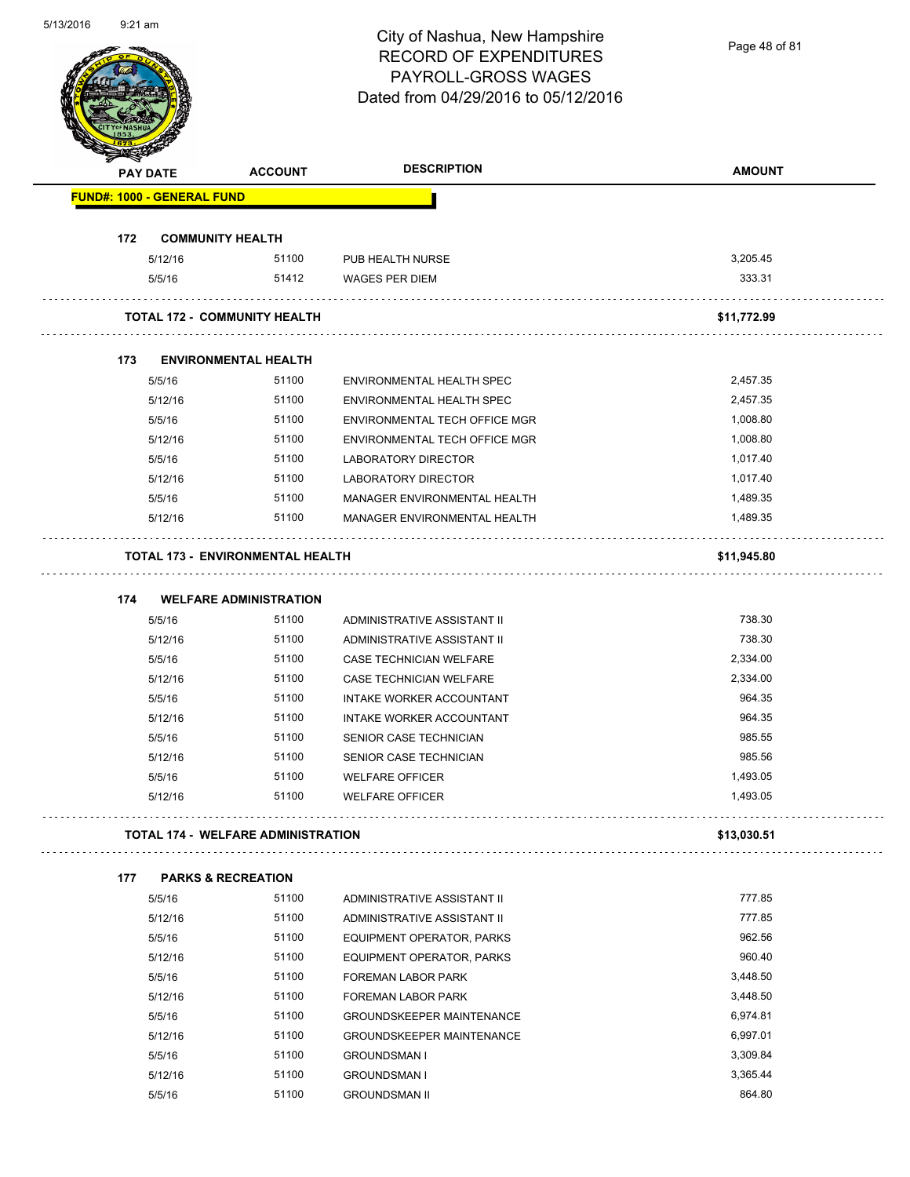Page 48 of 81

|     | <b>PAY DATE</b>                   | <b>ACCOUNT</b>                            | <b>DESCRIPTION</b>               | <b>AMOUNT</b> |
|-----|-----------------------------------|-------------------------------------------|----------------------------------|---------------|
|     | <b>FUND#: 1000 - GENERAL FUND</b> |                                           |                                  |               |
| 172 | <b>COMMUNITY HEALTH</b>           |                                           |                                  |               |
|     | 5/12/16                           | 51100                                     | PUB HEALTH NURSE                 | 3,205.45      |
|     | 5/5/16                            | 51412                                     | <b>WAGES PER DIEM</b>            | 333.31        |
|     |                                   | <b>TOTAL 172 - COMMUNITY HEALTH</b>       |                                  | \$11,772.99   |
| 173 |                                   | <b>ENVIRONMENTAL HEALTH</b>               |                                  |               |
|     | 5/5/16                            | 51100                                     | ENVIRONMENTAL HEALTH SPEC        | 2,457.35      |
|     | 5/12/16                           | 51100                                     | ENVIRONMENTAL HEALTH SPEC        | 2,457.35      |
|     | 5/5/16                            | 51100                                     | ENVIRONMENTAL TECH OFFICE MGR    | 1,008.80      |
|     | 5/12/16                           | 51100                                     | ENVIRONMENTAL TECH OFFICE MGR    | 1,008.80      |
|     | 5/5/16                            | 51100                                     | LABORATORY DIRECTOR              | 1,017.40      |
|     | 5/12/16                           | 51100                                     | <b>LABORATORY DIRECTOR</b>       | 1,017.40      |
|     | 5/5/16                            | 51100                                     | MANAGER ENVIRONMENTAL HEALTH     | 1,489.35      |
|     | 5/12/16                           | 51100                                     | MANAGER ENVIRONMENTAL HEALTH     | 1.489.35      |
|     |                                   | <b>TOTAL 173 - ENVIRONMENTAL HEALTH</b>   |                                  | \$11,945.80   |
| 174 |                                   | <b>WELFARE ADMINISTRATION</b>             |                                  |               |
|     | 5/5/16                            | 51100                                     | ADMINISTRATIVE ASSISTANT II      | 738.30        |
|     | 5/12/16                           | 51100                                     | ADMINISTRATIVE ASSISTANT II      | 738.30        |
|     | 5/5/16                            | 51100                                     | CASE TECHNICIAN WELFARE          | 2,334.00      |
|     | 5/12/16                           | 51100                                     | CASE TECHNICIAN WELFARE          | 2,334.00      |
|     | 5/5/16                            | 51100                                     | INTAKE WORKER ACCOUNTANT         | 964.35        |
|     | 5/12/16                           | 51100                                     | INTAKE WORKER ACCOUNTANT         | 964.35        |
|     | 5/5/16                            | 51100                                     | SENIOR CASE TECHNICIAN           | 985.55        |
|     | 5/12/16                           | 51100                                     | SENIOR CASE TECHNICIAN           | 985.56        |
|     | 5/5/16                            | 51100                                     | <b>WELFARE OFFICER</b>           | 1,493.05      |
|     | 5/12/16                           | 51100                                     | <b>WELFARE OFFICER</b>           | 1,493.05      |
|     |                                   | <b>TOTAL 174 - WELFARE ADMINISTRATION</b> |                                  | \$13,030.51   |
| 177 |                                   | <b>PARKS &amp; RECREATION</b>             |                                  |               |
|     | 5/5/16                            | 51100                                     | ADMINISTRATIVE ASSISTANT II      | 777.85        |
|     | 5/12/16                           | 51100                                     | ADMINISTRATIVE ASSISTANT II      | 777.85        |
|     | 5/5/16                            | 51100                                     | EQUIPMENT OPERATOR, PARKS        | 962.56        |
|     | 5/12/16                           | 51100                                     | EQUIPMENT OPERATOR, PARKS        | 960.40        |
|     | 5/5/16                            | 51100                                     | FOREMAN LABOR PARK               | 3,448.50      |
|     | 5/12/16                           | 51100                                     | FOREMAN LABOR PARK               | 3,448.50      |
|     | 5/5/16                            | 51100                                     | <b>GROUNDSKEEPER MAINTENANCE</b> | 6,974.81      |
|     | 5/12/16                           | 51100                                     | <b>GROUNDSKEEPER MAINTENANCE</b> | 6,997.01      |
|     | 5/5/16                            | 51100                                     | <b>GROUNDSMAN I</b>              | 3,309.84      |
|     | 5/12/16                           | 51100                                     | <b>GROUNDSMAN I</b>              | 3,365.44      |
|     |                                   |                                           |                                  |               |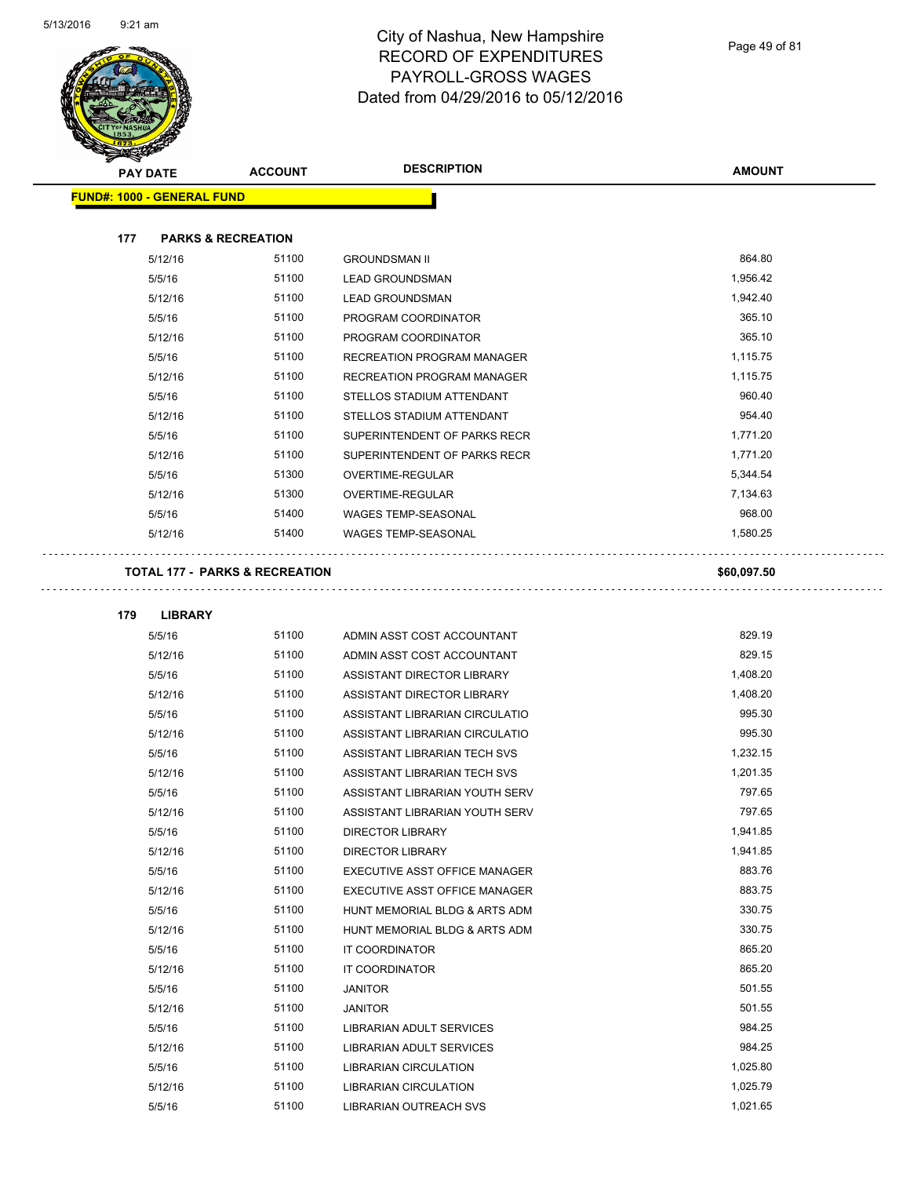

**179 LIBRARY**

#### City of Nashua, New Hampshire RECORD OF EXPENDITURES PAYROLL-GROSS WAGES Dated from 04/29/2016 to 05/12/2016

 $\ddot{\phantom{a}}$ 

г.,

| $\mathscr{D} \rightarrow \mathscr{D}$<br><b>PAY DATE</b> | <b>ACCOUNT</b>                            | <b>DESCRIPTION</b>                | <b>AMOUNT</b> |
|----------------------------------------------------------|-------------------------------------------|-----------------------------------|---------------|
| <b>FUND#: 1000 - GENERAL FUND</b>                        |                                           |                                   |               |
|                                                          |                                           |                                   |               |
| 177                                                      | <b>PARKS &amp; RECREATION</b>             |                                   |               |
| 5/12/16                                                  | 51100                                     | <b>GROUNDSMAN II</b>              | 864.80        |
| 5/5/16                                                   | 51100                                     | <b>LEAD GROUNDSMAN</b>            | 1,956.42      |
| 5/12/16                                                  | 51100                                     | <b>LEAD GROUNDSMAN</b>            | 1,942.40      |
| 5/5/16                                                   | 51100                                     | PROGRAM COORDINATOR               | 365.10        |
| 5/12/16                                                  | 51100                                     | PROGRAM COORDINATOR               | 365.10        |
| 5/5/16                                                   | 51100                                     | <b>RECREATION PROGRAM MANAGER</b> | 1,115.75      |
| 5/12/16                                                  | 51100                                     | <b>RECREATION PROGRAM MANAGER</b> | 1,115.75      |
| 5/5/16                                                   | 51100                                     | STELLOS STADIUM ATTENDANT         | 960.40        |
| 5/12/16                                                  | 51100                                     | STELLOS STADIUM ATTENDANT         | 954.40        |
| 5/5/16                                                   | 51100                                     | SUPERINTENDENT OF PARKS RECR      | 1,771.20      |
| 5/12/16                                                  | 51100                                     | SUPERINTENDENT OF PARKS RECR      | 1,771.20      |
| 5/5/16                                                   | 51300                                     | <b>OVERTIME-REGULAR</b>           | 5,344.54      |
| 5/12/16                                                  | 51300                                     | <b>OVERTIME-REGULAR</b>           | 7,134.63      |
| 5/5/16                                                   | 51400                                     | <b>WAGES TEMP-SEASONAL</b>        | 968.00        |
| 5/12/16                                                  | 51400                                     | <b>WAGES TEMP-SEASONAL</b>        | 1,580.25      |
|                                                          | <b>TOTAL 177 - PARKS &amp; RECREATION</b> |                                   | \$60,097.50   |
|                                                          |                                           |                                   |               |

| 5/5/16  | 51100 | ADMIN ASST COST ACCOUNTANT      | 829.19   |
|---------|-------|---------------------------------|----------|
| 5/12/16 | 51100 | ADMIN ASST COST ACCOUNTANT      | 829.15   |
| 5/5/16  | 51100 | ASSISTANT DIRECTOR LIBRARY      | 1,408.20 |
| 5/12/16 | 51100 | ASSISTANT DIRECTOR LIBRARY      | 1,408.20 |
| 5/5/16  | 51100 | ASSISTANT LIBRARIAN CIRCULATIO  | 995.30   |
| 5/12/16 | 51100 | ASSISTANT LIBRARIAN CIRCULATIO  | 995.30   |
| 5/5/16  | 51100 | ASSISTANT LIBRARIAN TECH SVS    | 1,232.15 |
| 5/12/16 | 51100 | ASSISTANT LIBRARIAN TECH SVS    | 1,201.35 |
| 5/5/16  | 51100 | ASSISTANT LIBRARIAN YOUTH SERV  | 797.65   |
| 5/12/16 | 51100 | ASSISTANT LIBRARIAN YOUTH SERV  | 797.65   |
| 5/5/16  | 51100 | <b>DIRECTOR LIBRARY</b>         | 1,941.85 |
| 5/12/16 | 51100 | <b>DIRECTOR LIBRARY</b>         | 1,941.85 |
| 5/5/16  | 51100 | EXECUTIVE ASST OFFICE MANAGER   | 883.76   |
| 5/12/16 | 51100 | EXECUTIVE ASST OFFICE MANAGER   | 883.75   |
| 5/5/16  | 51100 | HUNT MEMORIAL BLDG & ARTS ADM   | 330.75   |
| 5/12/16 | 51100 | HUNT MEMORIAL BLDG & ARTS ADM   | 330.75   |
| 5/5/16  | 51100 | <b>IT COORDINATOR</b>           | 865.20   |
| 5/12/16 | 51100 | <b>IT COORDINATOR</b>           | 865.20   |
| 5/5/16  | 51100 | <b>JANITOR</b>                  | 501.55   |
| 5/12/16 | 51100 | <b>JANITOR</b>                  | 501.55   |
| 5/5/16  | 51100 | <b>LIBRARIAN ADULT SERVICES</b> | 984.25   |
| 5/12/16 | 51100 | <b>LIBRARIAN ADULT SERVICES</b> | 984.25   |
| 5/5/16  | 51100 | <b>LIBRARIAN CIRCULATION</b>    | 1,025.80 |
| 5/12/16 | 51100 | <b>LIBRARIAN CIRCULATION</b>    | 1,025.79 |
| 5/5/16  | 51100 | <b>LIBRARIAN OUTREACH SVS</b>   | 1,021.65 |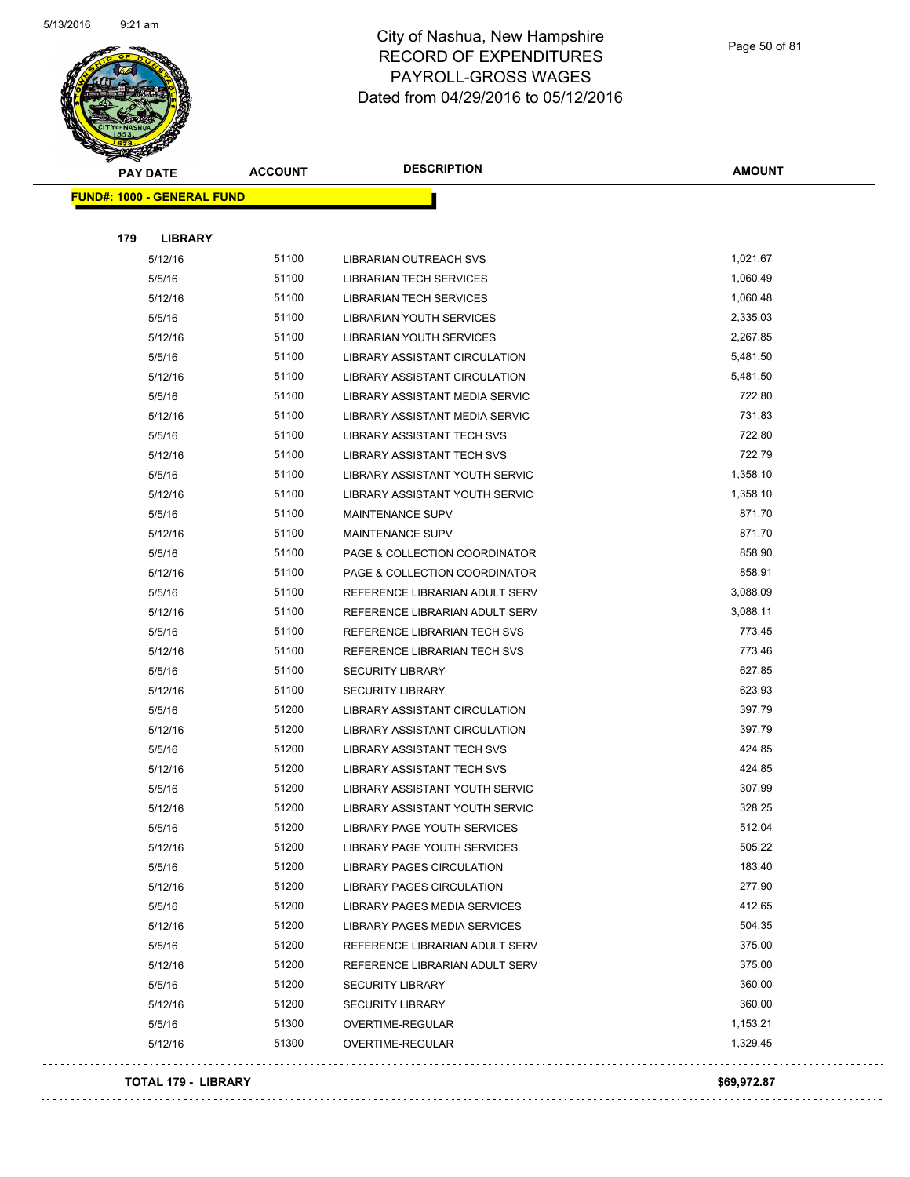

Page 50 of 81

|     | <b>PAY DATE</b>                   | <b>ACCOUNT</b> | <b>DESCRIPTION</b>                | <b>AMOUNT</b> |
|-----|-----------------------------------|----------------|-----------------------------------|---------------|
|     | <b>FUND#: 1000 - GENERAL FUND</b> |                |                                   |               |
|     |                                   |                |                                   |               |
| 179 | <b>LIBRARY</b>                    |                |                                   |               |
|     | 5/12/16                           | 51100          | LIBRARIAN OUTREACH SVS            | 1,021.67      |
|     | 5/5/16                            | 51100          | <b>LIBRARIAN TECH SERVICES</b>    | 1,060.49      |
|     | 5/12/16                           | 51100          | <b>LIBRARIAN TECH SERVICES</b>    | 1,060.48      |
|     | 5/5/16                            | 51100          | <b>LIBRARIAN YOUTH SERVICES</b>   | 2,335.03      |
|     | 5/12/16                           | 51100          | LIBRARIAN YOUTH SERVICES          | 2,267.85      |
|     | 5/5/16                            | 51100          | LIBRARY ASSISTANT CIRCULATION     | 5,481.50      |
|     | 5/12/16                           | 51100          | LIBRARY ASSISTANT CIRCULATION     | 5,481.50      |
|     | 5/5/16                            | 51100          | LIBRARY ASSISTANT MEDIA SERVIC    | 722.80        |
|     | 5/12/16                           | 51100          | LIBRARY ASSISTANT MEDIA SERVIC    | 731.83        |
|     | 5/5/16                            | 51100          | LIBRARY ASSISTANT TECH SVS        | 722.80        |
|     | 5/12/16                           | 51100          | LIBRARY ASSISTANT TECH SVS        | 722.79        |
|     | 5/5/16                            | 51100          | LIBRARY ASSISTANT YOUTH SERVIC    | 1,358.10      |
|     | 5/12/16                           | 51100          | LIBRARY ASSISTANT YOUTH SERVIC    | 1,358.10      |
|     | 5/5/16                            | 51100          | <b>MAINTENANCE SUPV</b>           | 871.70        |
|     | 5/12/16                           | 51100          | <b>MAINTENANCE SUPV</b>           | 871.70        |
|     | 5/5/16                            | 51100          | PAGE & COLLECTION COORDINATOR     | 858.90        |
|     | 5/12/16                           | 51100          | PAGE & COLLECTION COORDINATOR     | 858.91        |
|     | 5/5/16                            | 51100          | REFERENCE LIBRARIAN ADULT SERV    | 3,088.09      |
|     | 5/12/16                           | 51100          | REFERENCE LIBRARIAN ADULT SERV    | 3,088.11      |
|     | 5/5/16                            | 51100          | REFERENCE LIBRARIAN TECH SVS      | 773.45        |
|     | 5/12/16                           | 51100          | REFERENCE LIBRARIAN TECH SVS      | 773.46        |
|     | 5/5/16                            | 51100          | <b>SECURITY LIBRARY</b>           | 627.85        |
|     | 5/12/16                           | 51100          | <b>SECURITY LIBRARY</b>           | 623.93        |
|     | 5/5/16                            | 51200          | LIBRARY ASSISTANT CIRCULATION     | 397.79        |
|     | 5/12/16                           | 51200          | LIBRARY ASSISTANT CIRCULATION     | 397.79        |
|     | 5/5/16                            | 51200          | LIBRARY ASSISTANT TECH SVS        | 424.85        |
|     | 5/12/16                           | 51200          | <b>LIBRARY ASSISTANT TECH SVS</b> | 424.85        |
|     | 5/5/16                            | 51200          | LIBRARY ASSISTANT YOUTH SERVIC    | 307.99        |
|     | 5/12/16                           | 51200          | LIBRARY ASSISTANT YOUTH SERVIC    | 328.25        |
|     | 5/5/16                            | 51200          | LIBRARY PAGE YOUTH SERVICES       | 512.04        |
|     | 5/12/16                           | 51200          | LIBRARY PAGE YOUTH SERVICES       | 505.22        |
|     | 5/5/16                            | 51200          | LIBRARY PAGES CIRCULATION         | 183.40        |
|     | 5/12/16                           | 51200          | <b>LIBRARY PAGES CIRCULATION</b>  | 277.90        |
|     | 5/5/16                            | 51200          | LIBRARY PAGES MEDIA SERVICES      | 412.65        |
|     | 5/12/16                           | 51200          | LIBRARY PAGES MEDIA SERVICES      | 504.35        |
|     | 5/5/16                            | 51200          | REFERENCE LIBRARIAN ADULT SERV    | 375.00        |
|     | 5/12/16                           | 51200          | REFERENCE LIBRARIAN ADULT SERV    | 375.00        |
|     | 5/5/16                            | 51200          | <b>SECURITY LIBRARY</b>           | 360.00        |
|     | 5/12/16                           | 51200          | <b>SECURITY LIBRARY</b>           | 360.00        |
|     | 5/5/16                            | 51300          | OVERTIME-REGULAR                  | 1,153.21      |
|     | 5/12/16                           | 51300          | OVERTIME-REGULAR                  | 1,329.45      |
|     |                                   |                |                                   |               |

#### **TOTAL 179 - LIBRARY \$69,972.87**

 $\Box$  .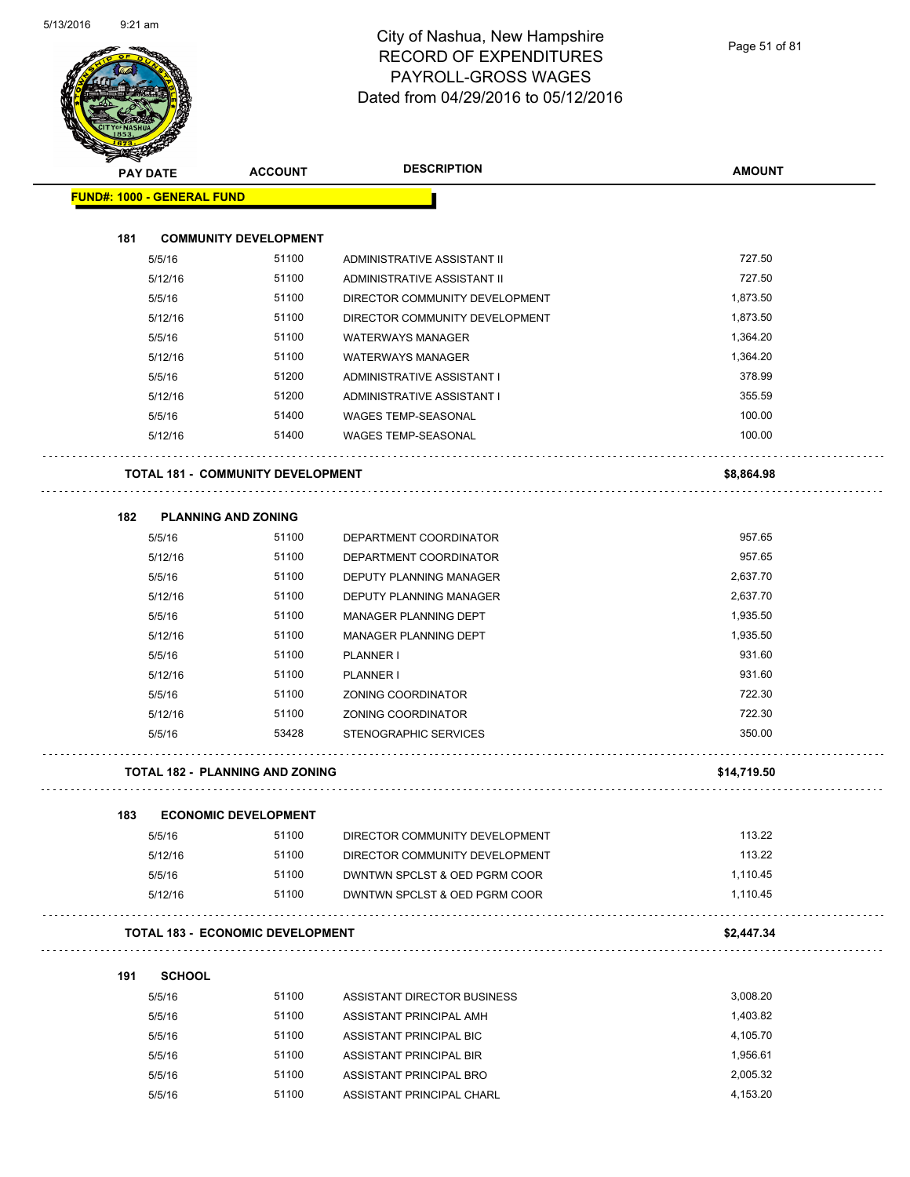|     | <b>PAY DATE</b>                   | <b>ACCOUNT</b>                           | <b>DESCRIPTION</b>             | <b>AMOUNT</b> |
|-----|-----------------------------------|------------------------------------------|--------------------------------|---------------|
|     | <b>FUND#: 1000 - GENERAL FUND</b> |                                          |                                |               |
| 181 |                                   | <b>COMMUNITY DEVELOPMENT</b>             |                                |               |
|     | 5/5/16                            | 51100                                    | ADMINISTRATIVE ASSISTANT II    | 727.50        |
|     | 5/12/16                           | 51100                                    | ADMINISTRATIVE ASSISTANT II    | 727.50        |
|     | 5/5/16                            | 51100                                    | DIRECTOR COMMUNITY DEVELOPMENT | 1,873.50      |
|     | 5/12/16                           | 51100                                    | DIRECTOR COMMUNITY DEVELOPMENT | 1,873.50      |
|     | 5/5/16                            | 51100                                    | <b>WATERWAYS MANAGER</b>       | 1,364.20      |
|     | 5/12/16                           | 51100                                    | <b>WATERWAYS MANAGER</b>       | 1,364.20      |
|     | 5/5/16                            | 51200                                    | ADMINISTRATIVE ASSISTANT I     | 378.99        |
|     | 5/12/16                           | 51200                                    | ADMINISTRATIVE ASSISTANT I     | 355.59        |
|     | 5/5/16                            | 51400                                    | <b>WAGES TEMP-SEASONAL</b>     | 100.00        |
|     | 5/12/16                           | 51400                                    | <b>WAGES TEMP-SEASONAL</b>     | 100.00        |
|     |                                   | <b>TOTAL 181 - COMMUNITY DEVELOPMENT</b> |                                | \$8,864.98    |
| 182 | <b>PLANNING AND ZONING</b>        |                                          |                                |               |
|     | 5/5/16                            | 51100                                    | DEPARTMENT COORDINATOR         | 957.65        |
|     | 5/12/16                           | 51100                                    | DEPARTMENT COORDINATOR         | 957.65        |
|     | 5/5/16                            | 51100                                    | DEPUTY PLANNING MANAGER        | 2,637.70      |
|     | 5/12/16                           | 51100                                    | DEPUTY PLANNING MANAGER        | 2,637.70      |
|     | 5/5/16                            | 51100                                    | MANAGER PLANNING DEPT          | 1,935.50      |
|     | 5/12/16                           | 51100                                    | <b>MANAGER PLANNING DEPT</b>   | 1,935.50      |
|     | 5/5/16                            | 51100                                    | PLANNER I                      | 931.60        |
|     | 5/12/16                           | 51100                                    | PLANNER I                      | 931.60        |
|     | 5/5/16                            | 51100                                    | ZONING COORDINATOR             | 722.30        |
|     | 5/12/16                           | 51100                                    | <b>ZONING COORDINATOR</b>      | 722.30        |
|     | 5/5/16                            | 53428                                    | STENOGRAPHIC SERVICES          | 350.00        |
|     |                                   | <b>TOTAL 182 - PLANNING AND ZONING</b>   |                                | \$14,719.50   |
| 183 |                                   | <b>ECONOMIC DEVELOPMENT</b>              |                                |               |
|     | 5/5/16                            | 51100                                    | DIRECTOR COMMUNITY DEVELOPMENT | 113.22        |
|     | 5/12/16                           | 51100                                    | DIRECTOR COMMUNITY DEVELOPMENT | 113.22        |
|     | 5/5/16                            | 51100                                    | DWNTWN SPCLST & OED PGRM COOR  | 1,110.45      |
|     | 5/12/16                           | 51100                                    | DWNTWN SPCLST & OED PGRM COOR  | 1,110.45      |
|     |                                   | <b>TOTAL 183 - ECONOMIC DEVELOPMENT</b>  |                                | \$2,447.34    |
| 191 | <b>SCHOOL</b>                     |                                          |                                |               |
|     | 5/5/16                            | 51100                                    | ASSISTANT DIRECTOR BUSINESS    | 3,008.20      |
|     | 5/5/16                            | 51100                                    | ASSISTANT PRINCIPAL AMH        | 1,403.82      |
|     | 5/5/16                            | 51100                                    | ASSISTANT PRINCIPAL BIC        | 4,105.70      |
|     | 5/5/16                            | 51100                                    | ASSISTANT PRINCIPAL BIR        | 1,956.61      |

5/5/16 51100 ASSISTANT PRINCIPAL BRO 2,005.32 5/5/16 51100 ASSISTANT PRINCIPAL CHARL 4,153.20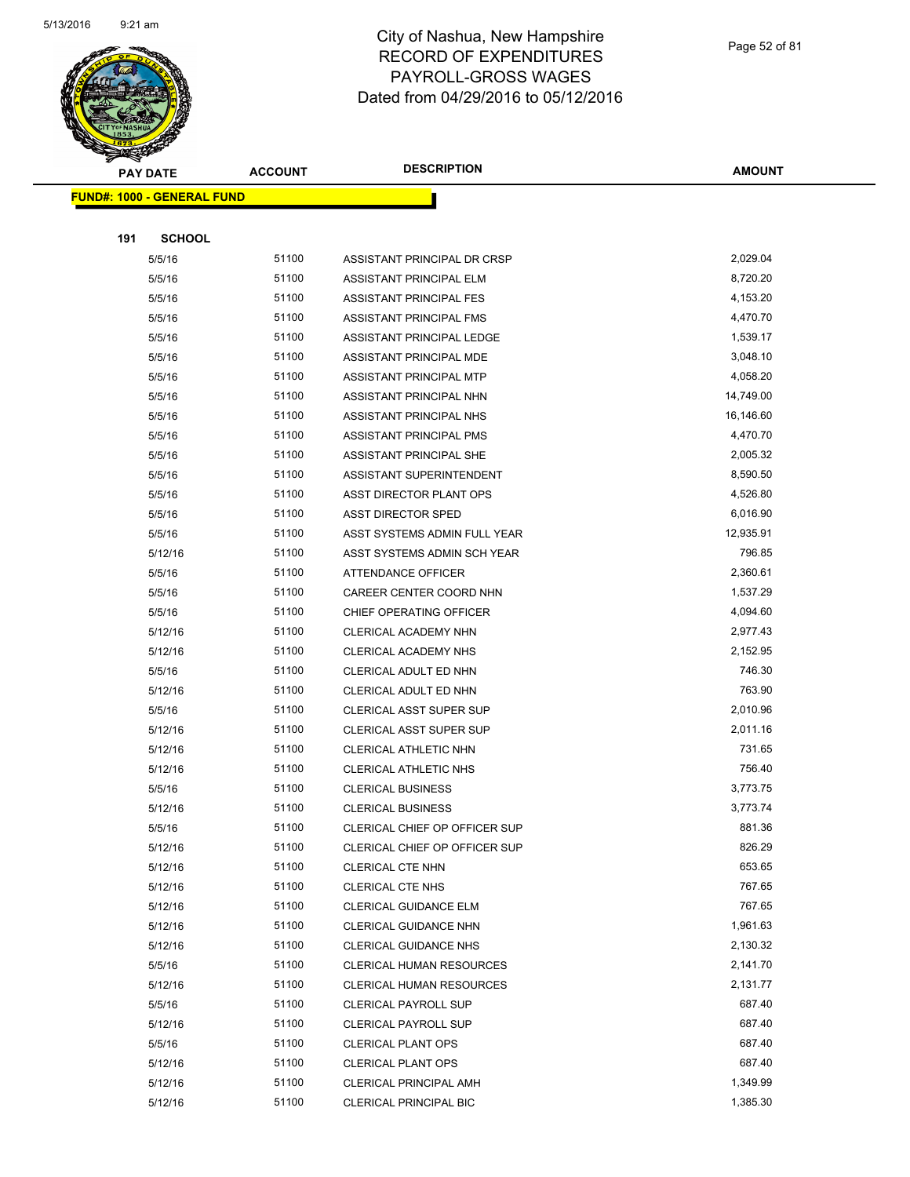

Page 52 of 81

|     | <b>PAY DATE</b>                   | <b>ACCOUNT</b> | <b>DESCRIPTION</b>                               | <b>AMOUNT</b>    |
|-----|-----------------------------------|----------------|--------------------------------------------------|------------------|
|     | <b>FUND#: 1000 - GENERAL FUND</b> |                |                                                  |                  |
|     |                                   |                |                                                  |                  |
| 191 | <b>SCHOOL</b>                     |                |                                                  |                  |
|     | 5/5/16                            | 51100          | ASSISTANT PRINCIPAL DR CRSP                      | 2,029.04         |
|     | 5/5/16                            | 51100          | ASSISTANT PRINCIPAL ELM                          | 8,720.20         |
|     | 5/5/16                            | 51100          | ASSISTANT PRINCIPAL FES                          | 4,153.20         |
|     | 5/5/16                            | 51100          | ASSISTANT PRINCIPAL FMS                          | 4,470.70         |
|     | 5/5/16                            | 51100          | ASSISTANT PRINCIPAL LEDGE                        | 1,539.17         |
|     | 5/5/16                            | 51100          | ASSISTANT PRINCIPAL MDE                          | 3,048.10         |
|     | 5/5/16                            | 51100          | ASSISTANT PRINCIPAL MTP                          | 4,058.20         |
|     | 5/5/16                            | 51100          | ASSISTANT PRINCIPAL NHN                          | 14,749.00        |
|     | 5/5/16                            | 51100          | ASSISTANT PRINCIPAL NHS                          | 16,146.60        |
|     | 5/5/16                            | 51100          | ASSISTANT PRINCIPAL PMS                          | 4,470.70         |
|     | 5/5/16                            | 51100          | ASSISTANT PRINCIPAL SHE                          | 2,005.32         |
|     | 5/5/16                            | 51100          | ASSISTANT SUPERINTENDENT                         | 8,590.50         |
|     | 5/5/16                            | 51100          | ASST DIRECTOR PLANT OPS                          | 4,526.80         |
|     | 5/5/16                            | 51100          | <b>ASST DIRECTOR SPED</b>                        | 6,016.90         |
|     | 5/5/16                            | 51100          | ASST SYSTEMS ADMIN FULL YEAR                     | 12,935.91        |
|     | 5/12/16                           | 51100          | ASST SYSTEMS ADMIN SCH YEAR                      | 796.85           |
|     | 5/5/16                            | 51100          | ATTENDANCE OFFICER                               | 2,360.61         |
|     | 5/5/16                            | 51100          | CAREER CENTER COORD NHN                          | 1,537.29         |
|     | 5/5/16                            | 51100          | CHIEF OPERATING OFFICER                          | 4,094.60         |
|     | 5/12/16                           | 51100          | CLERICAL ACADEMY NHN                             | 2,977.43         |
|     | 5/12/16                           | 51100          | CLERICAL ACADEMY NHS                             | 2,152.95         |
|     | 5/5/16                            | 51100          | CLERICAL ADULT ED NHN                            | 746.30           |
|     | 5/12/16                           | 51100          | CLERICAL ADULT ED NHN                            | 763.90           |
|     | 5/5/16                            | 51100          | CLERICAL ASST SUPER SUP                          | 2,010.96         |
|     | 5/12/16                           | 51100          | CLERICAL ASST SUPER SUP                          | 2,011.16         |
|     | 5/12/16                           | 51100          | CLERICAL ATHLETIC NHN                            | 731.65           |
|     | 5/12/16                           | 51100          | <b>CLERICAL ATHLETIC NHS</b>                     | 756.40           |
|     | 5/5/16                            | 51100          | <b>CLERICAL BUSINESS</b>                         | 3,773.75         |
|     | 5/12/16                           | 51100          | <b>CLERICAL BUSINESS</b>                         | 3,773.74         |
|     | 5/5/16                            | 51100          | CLERICAL CHIEF OP OFFICER SUP                    | 881.36           |
|     | 5/12/16                           | 51100<br>51100 | CLERICAL CHIEF OP OFFICER SUP                    | 826.29<br>653.65 |
|     | 5/12/16                           | 51100          | <b>CLERICAL CTE NHN</b>                          | 767.65           |
|     | 5/12/16<br>5/12/16                | 51100          | CLERICAL CTE NHS<br><b>CLERICAL GUIDANCE ELM</b> | 767.65           |
|     | 5/12/16                           | 51100          | <b>CLERICAL GUIDANCE NHN</b>                     | 1,961.63         |
|     | 5/12/16                           | 51100          | <b>CLERICAL GUIDANCE NHS</b>                     | 2,130.32         |
|     | 5/5/16                            | 51100          | CLERICAL HUMAN RESOURCES                         | 2,141.70         |
|     | 5/12/16                           | 51100          | CLERICAL HUMAN RESOURCES                         | 2,131.77         |
|     | 5/5/16                            | 51100          | <b>CLERICAL PAYROLL SUP</b>                      | 687.40           |
|     | 5/12/16                           | 51100          | <b>CLERICAL PAYROLL SUP</b>                      | 687.40           |
|     | 5/5/16                            | 51100          | <b>CLERICAL PLANT OPS</b>                        | 687.40           |
|     | 5/12/16                           | 51100          | <b>CLERICAL PLANT OPS</b>                        | 687.40           |
|     | 5/12/16                           | 51100          | CLERICAL PRINCIPAL AMH                           | 1,349.99         |
|     | 5/12/16                           | 51100          | <b>CLERICAL PRINCIPAL BIC</b>                    | 1,385.30         |
|     |                                   |                |                                                  |                  |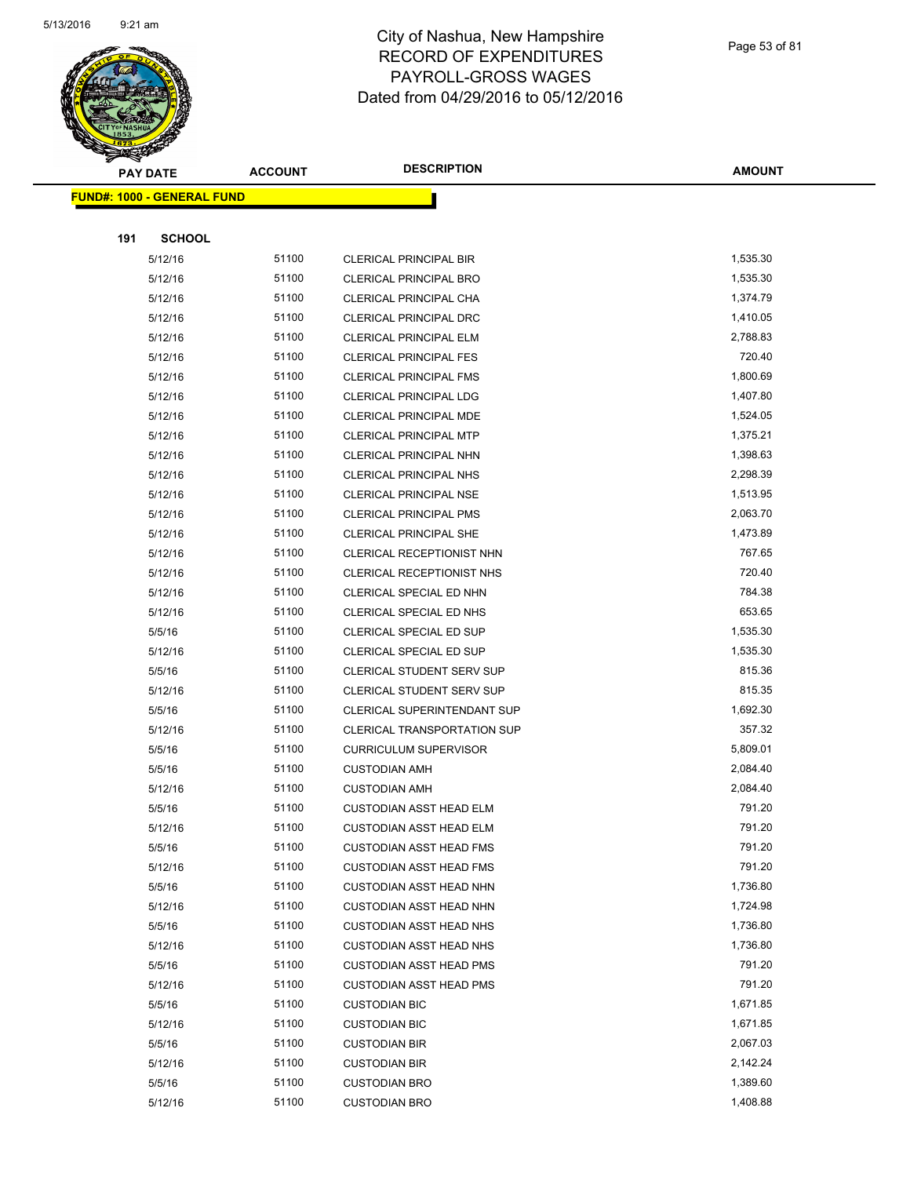

Page 53 of 81

|     | <b>PAY DATE</b>                    | <b>ACCOUNT</b> | <b>DESCRIPTION</b>                                     | <b>AMOUNT</b>        |
|-----|------------------------------------|----------------|--------------------------------------------------------|----------------------|
|     | <u> FUND#: 1000 - GENERAL FUND</u> |                |                                                        |                      |
|     |                                    |                |                                                        |                      |
| 191 | <b>SCHOOL</b>                      |                |                                                        |                      |
|     | 5/12/16                            | 51100          | <b>CLERICAL PRINCIPAL BIR</b>                          | 1,535.30             |
|     | 5/12/16                            | 51100          | <b>CLERICAL PRINCIPAL BRO</b>                          | 1,535.30             |
|     | 5/12/16                            | 51100          | CLERICAL PRINCIPAL CHA                                 | 1,374.79             |
|     | 5/12/16                            | 51100          | <b>CLERICAL PRINCIPAL DRC</b>                          | 1,410.05             |
|     | 5/12/16                            | 51100          | CLERICAL PRINCIPAL ELM                                 | 2,788.83             |
|     | 5/12/16                            | 51100          | <b>CLERICAL PRINCIPAL FES</b>                          | 720.40               |
|     | 5/12/16                            | 51100          | <b>CLERICAL PRINCIPAL FMS</b>                          | 1,800.69             |
|     | 5/12/16                            | 51100          | CLERICAL PRINCIPAL LDG                                 | 1,407.80             |
|     | 5/12/16                            | 51100          | CLERICAL PRINCIPAL MDE                                 | 1,524.05             |
|     | 5/12/16                            | 51100          | <b>CLERICAL PRINCIPAL MTP</b>                          | 1,375.21             |
|     | 5/12/16                            | 51100          | CLERICAL PRINCIPAL NHN                                 | 1,398.63             |
|     | 5/12/16                            | 51100          | <b>CLERICAL PRINCIPAL NHS</b>                          | 2,298.39             |
|     | 5/12/16                            | 51100          | <b>CLERICAL PRINCIPAL NSE</b>                          | 1,513.95             |
|     | 5/12/16                            | 51100          | <b>CLERICAL PRINCIPAL PMS</b>                          | 2,063.70             |
|     | 5/12/16                            | 51100          | <b>CLERICAL PRINCIPAL SHE</b>                          | 1,473.89             |
|     | 5/12/16                            | 51100          | CLERICAL RECEPTIONIST NHN                              | 767.65               |
|     | 5/12/16                            | 51100          | CLERICAL RECEPTIONIST NHS                              | 720.40               |
|     | 5/12/16                            | 51100          | CLERICAL SPECIAL ED NHN                                | 784.38               |
|     | 5/12/16                            | 51100          | CLERICAL SPECIAL ED NHS                                | 653.65               |
|     | 5/5/16                             | 51100          | CLERICAL SPECIAL ED SUP                                | 1,535.30             |
|     | 5/12/16                            | 51100          | CLERICAL SPECIAL ED SUP                                | 1,535.30             |
|     | 5/5/16                             | 51100          | CLERICAL STUDENT SERV SUP                              | 815.36               |
|     | 5/12/16                            | 51100          | CLERICAL STUDENT SERV SUP                              | 815.35               |
|     | 5/5/16                             | 51100          | CLERICAL SUPERINTENDANT SUP                            | 1,692.30             |
|     | 5/12/16                            | 51100          | CLERICAL TRANSPORTATION SUP                            | 357.32               |
|     | 5/5/16                             | 51100          | <b>CURRICULUM SUPERVISOR</b>                           | 5,809.01             |
|     | 5/5/16                             | 51100          | <b>CUSTODIAN AMH</b>                                   | 2,084.40             |
|     | 5/12/16                            | 51100          | <b>CUSTODIAN AMH</b>                                   | 2,084.40             |
|     | 5/5/16                             | 51100          | <b>CUSTODIAN ASST HEAD ELM</b>                         | 791.20               |
|     | 5/12/16                            | 51100          | CUSTODIAN ASST HEAD ELM                                | 791.20               |
|     | 5/5/16                             | 51100          | <b>CUSTODIAN ASST HEAD FMS</b>                         | 791.20               |
|     | 5/12/16                            | 51100          | <b>CUSTODIAN ASST HEAD FMS</b>                         | 791.20               |
|     | 5/5/16                             | 51100          | <b>CUSTODIAN ASST HEAD NHN</b>                         | 1,736.80             |
|     | 5/12/16                            | 51100          | <b>CUSTODIAN ASST HEAD NHN</b>                         | 1,724.98             |
|     | 5/5/16                             | 51100          | <b>CUSTODIAN ASST HEAD NHS</b>                         | 1,736.80<br>1,736.80 |
|     | 5/12/16                            | 51100<br>51100 | <b>CUSTODIAN ASST HEAD NHS</b>                         | 791.20               |
|     | 5/5/16                             |                | <b>CUSTODIAN ASST HEAD PMS</b>                         | 791.20               |
|     | 5/12/16<br>5/5/16                  | 51100<br>51100 | <b>CUSTODIAN ASST HEAD PMS</b><br><b>CUSTODIAN BIC</b> | 1,671.85             |
|     | 5/12/16                            | 51100          |                                                        | 1,671.85             |
|     | 5/5/16                             | 51100          | <b>CUSTODIAN BIC</b><br><b>CUSTODIAN BIR</b>           | 2,067.03             |
|     | 5/12/16                            | 51100          | <b>CUSTODIAN BIR</b>                                   | 2,142.24             |
|     | 5/5/16                             | 51100          | <b>CUSTODIAN BRO</b>                                   | 1,389.60             |
|     | 5/12/16                            | 51100          | <b>CUSTODIAN BRO</b>                                   | 1,408.88             |
|     |                                    |                |                                                        |                      |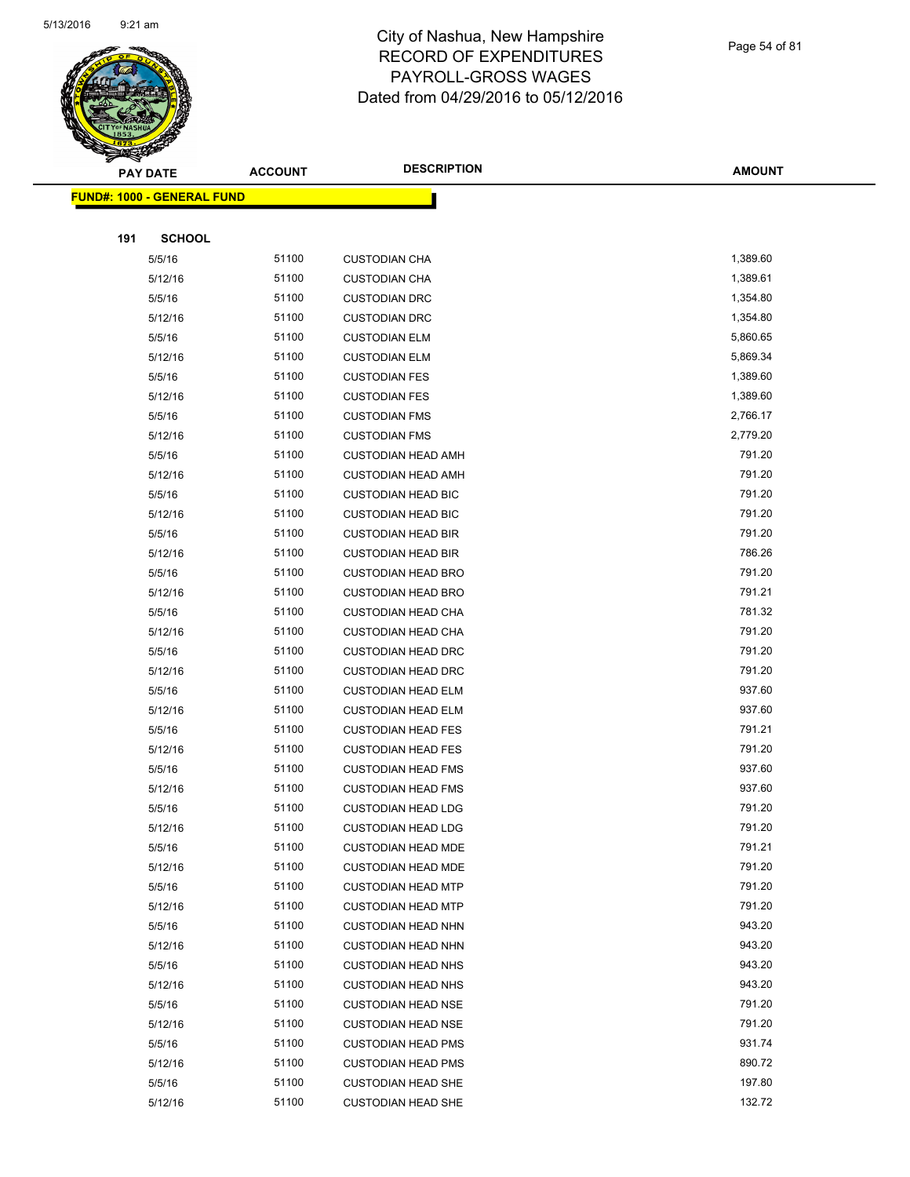

Page 54 of 81

|     | <b>PAY DATE</b>                   | <b>ACCOUNT</b> | <b>DESCRIPTION</b>                                     | <b>AMOUNT</b>    |
|-----|-----------------------------------|----------------|--------------------------------------------------------|------------------|
|     | <b>FUND#: 1000 - GENERAL FUND</b> |                |                                                        |                  |
|     |                                   |                |                                                        |                  |
| 191 | <b>SCHOOL</b>                     |                |                                                        |                  |
|     | 5/5/16                            | 51100          | <b>CUSTODIAN CHA</b>                                   | 1,389.60         |
|     | 5/12/16                           | 51100          | <b>CUSTODIAN CHA</b>                                   | 1,389.61         |
|     | 5/5/16                            | 51100          | <b>CUSTODIAN DRC</b>                                   | 1,354.80         |
|     | 5/12/16                           | 51100          | <b>CUSTODIAN DRC</b>                                   | 1,354.80         |
|     | 5/5/16                            | 51100          | <b>CUSTODIAN ELM</b>                                   | 5,860.65         |
|     | 5/12/16                           | 51100          | <b>CUSTODIAN ELM</b>                                   | 5,869.34         |
|     | 5/5/16                            | 51100          | <b>CUSTODIAN FES</b>                                   | 1,389.60         |
|     | 5/12/16                           | 51100          | <b>CUSTODIAN FES</b>                                   | 1,389.60         |
|     | 5/5/16                            | 51100          | <b>CUSTODIAN FMS</b>                                   | 2,766.17         |
|     | 5/12/16                           | 51100          | <b>CUSTODIAN FMS</b>                                   | 2,779.20         |
|     | 5/5/16                            | 51100          | <b>CUSTODIAN HEAD AMH</b>                              | 791.20           |
|     | 5/12/16                           | 51100          | <b>CUSTODIAN HEAD AMH</b>                              | 791.20           |
|     | 5/5/16                            | 51100          | <b>CUSTODIAN HEAD BIC</b>                              | 791.20           |
|     | 5/12/16                           | 51100          | <b>CUSTODIAN HEAD BIC</b>                              | 791.20           |
|     | 5/5/16                            | 51100          | <b>CUSTODIAN HEAD BIR</b>                              | 791.20           |
|     | 5/12/16                           | 51100          | <b>CUSTODIAN HEAD BIR</b>                              | 786.26           |
|     | 5/5/16                            | 51100          | <b>CUSTODIAN HEAD BRO</b>                              | 791.20           |
|     | 5/12/16                           | 51100          | <b>CUSTODIAN HEAD BRO</b>                              | 791.21           |
|     | 5/5/16                            | 51100          | <b>CUSTODIAN HEAD CHA</b>                              | 781.32           |
|     | 5/12/16                           | 51100          | <b>CUSTODIAN HEAD CHA</b>                              | 791.20           |
|     | 5/5/16                            | 51100          | <b>CUSTODIAN HEAD DRC</b>                              | 791.20           |
|     | 5/12/16                           | 51100          | <b>CUSTODIAN HEAD DRC</b>                              | 791.20           |
|     | 5/5/16                            | 51100          | <b>CUSTODIAN HEAD ELM</b>                              | 937.60           |
|     | 5/12/16                           | 51100          | <b>CUSTODIAN HEAD ELM</b>                              | 937.60           |
|     | 5/5/16                            | 51100          | <b>CUSTODIAN HEAD FES</b>                              | 791.21           |
|     | 5/12/16                           | 51100          | <b>CUSTODIAN HEAD FES</b>                              | 791.20           |
|     | 5/5/16                            | 51100          | <b>CUSTODIAN HEAD FMS</b>                              | 937.60           |
|     | 5/12/16                           | 51100          | <b>CUSTODIAN HEAD FMS</b>                              | 937.60<br>791.20 |
|     | 5/5/16                            | 51100<br>51100 | <b>CUSTODIAN HEAD LDG</b>                              | 791.20           |
|     | 5/12/16<br>5/5/16                 | 51100          | <b>CUSTODIAN HEAD LDG</b><br><b>CUSTODIAN HEAD MDE</b> | 791.21           |
|     | 5/12/16                           | 51100          | <b>CUSTODIAN HEAD MDE</b>                              | 791.20           |
|     | 5/5/16                            | 51100          | <b>CUSTODIAN HEAD MTP</b>                              | 791.20           |
|     | 5/12/16                           | 51100          | <b>CUSTODIAN HEAD MTP</b>                              | 791.20           |
|     | 5/5/16                            | 51100          | <b>CUSTODIAN HEAD NHN</b>                              | 943.20           |
|     | 5/12/16                           | 51100          | <b>CUSTODIAN HEAD NHN</b>                              | 943.20           |
|     | 5/5/16                            | 51100          | <b>CUSTODIAN HEAD NHS</b>                              | 943.20           |
|     | 5/12/16                           | 51100          | <b>CUSTODIAN HEAD NHS</b>                              | 943.20           |
|     | 5/5/16                            | 51100          | <b>CUSTODIAN HEAD NSE</b>                              | 791.20           |
|     | 5/12/16                           | 51100          | <b>CUSTODIAN HEAD NSE</b>                              | 791.20           |
|     | 5/5/16                            | 51100          | <b>CUSTODIAN HEAD PMS</b>                              | 931.74           |
|     | 5/12/16                           | 51100          | <b>CUSTODIAN HEAD PMS</b>                              | 890.72           |
|     | 5/5/16                            | 51100          | <b>CUSTODIAN HEAD SHE</b>                              | 197.80           |
|     | 5/12/16                           | 51100          | <b>CUSTODIAN HEAD SHE</b>                              | 132.72           |
|     |                                   |                |                                                        |                  |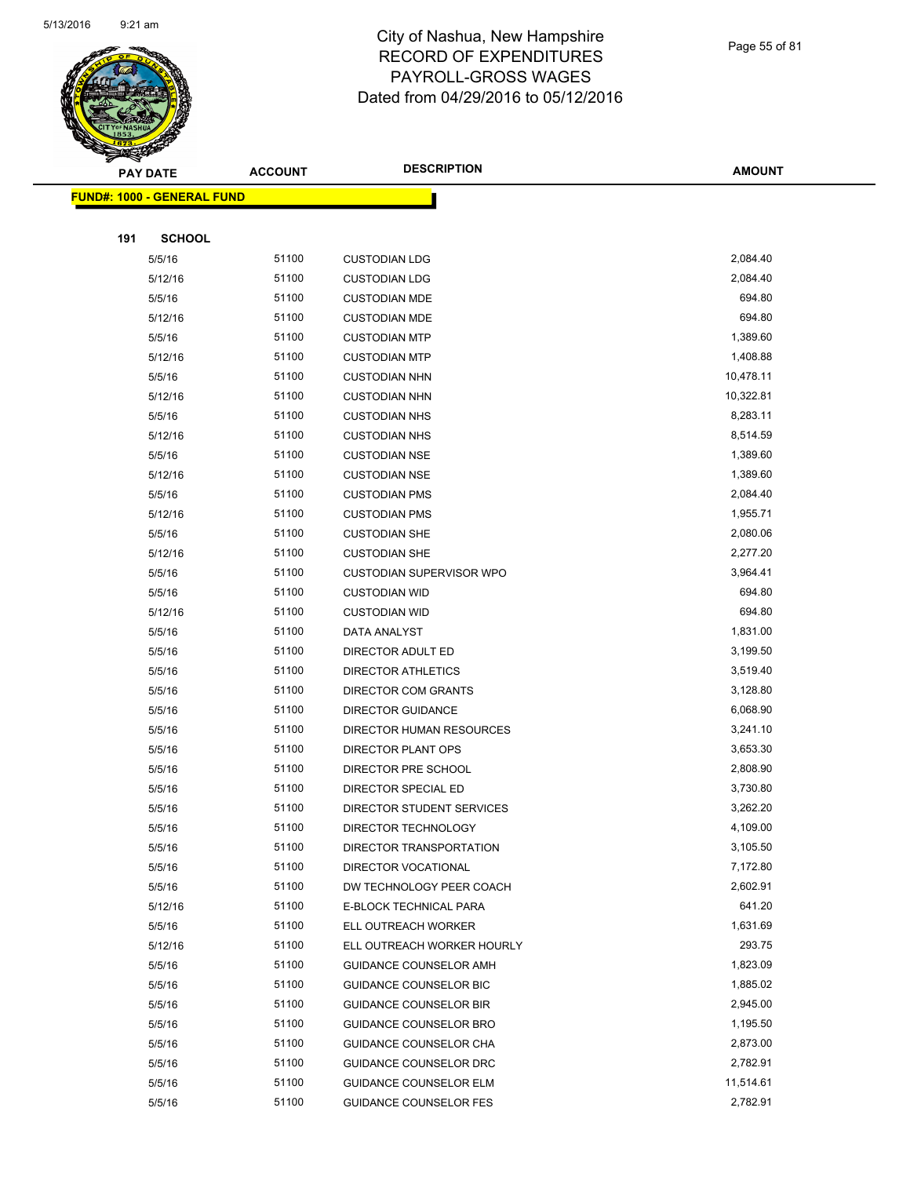

Page 55 of 81

| <b>PAY DATE</b>                   | <b>ACCOUNT</b> | <b>DESCRIPTION</b>                               | <b>AMOUNT</b>        |
|-----------------------------------|----------------|--------------------------------------------------|----------------------|
| <b>FUND#: 1000 - GENERAL FUND</b> |                |                                                  |                      |
|                                   |                |                                                  |                      |
| <b>SCHOOL</b><br>191              |                |                                                  |                      |
| 5/5/16                            | 51100          | <b>CUSTODIAN LDG</b>                             | 2,084.40             |
| 5/12/16                           | 51100          | <b>CUSTODIAN LDG</b>                             | 2,084.40             |
| 5/5/16                            | 51100          | <b>CUSTODIAN MDE</b>                             | 694.80               |
| 5/12/16                           | 51100          | <b>CUSTODIAN MDE</b>                             | 694.80               |
| 5/5/16                            | 51100          | <b>CUSTODIAN MTP</b>                             | 1,389.60             |
| 5/12/16                           | 51100          | <b>CUSTODIAN MTP</b>                             | 1,408.88             |
| 5/5/16                            | 51100          | <b>CUSTODIAN NHN</b>                             | 10,478.11            |
| 5/12/16                           | 51100          | <b>CUSTODIAN NHN</b>                             | 10,322.81            |
| 5/5/16                            | 51100          | <b>CUSTODIAN NHS</b>                             | 8,283.11             |
| 5/12/16                           | 51100          | <b>CUSTODIAN NHS</b>                             | 8,514.59             |
| 5/5/16                            | 51100          | <b>CUSTODIAN NSE</b>                             | 1,389.60             |
| 5/12/16                           | 51100          | <b>CUSTODIAN NSE</b>                             | 1,389.60             |
| 5/5/16                            | 51100          | <b>CUSTODIAN PMS</b>                             | 2,084.40             |
| 5/12/16                           | 51100          | <b>CUSTODIAN PMS</b>                             | 1,955.71             |
| 5/5/16                            | 51100          | <b>CUSTODIAN SHE</b>                             | 2,080.06             |
| 5/12/16                           | 51100          | <b>CUSTODIAN SHE</b>                             | 2,277.20             |
| 5/5/16                            | 51100          | <b>CUSTODIAN SUPERVISOR WPO</b>                  | 3,964.41             |
| 5/5/16                            | 51100          | <b>CUSTODIAN WID</b>                             | 694.80               |
| 5/12/16                           | 51100          | <b>CUSTODIAN WID</b>                             | 694.80               |
| 5/5/16                            | 51100          | DATA ANALYST                                     | 1,831.00             |
| 5/5/16                            | 51100          | DIRECTOR ADULT ED                                | 3,199.50             |
| 5/5/16                            | 51100          | DIRECTOR ATHLETICS                               | 3,519.40             |
| 5/5/16                            | 51100          | DIRECTOR COM GRANTS                              | 3,128.80             |
| 5/5/16                            | 51100          | <b>DIRECTOR GUIDANCE</b>                         | 6,068.90             |
| 5/5/16                            | 51100          | DIRECTOR HUMAN RESOURCES                         | 3,241.10             |
| 5/5/16                            | 51100          | <b>DIRECTOR PLANT OPS</b>                        | 3,653.30             |
| 5/5/16                            | 51100          | DIRECTOR PRE SCHOOL                              | 2,808.90             |
| 5/5/16                            | 51100          | DIRECTOR SPECIAL ED                              | 3,730.80             |
| 5/5/16                            | 51100          | DIRECTOR STUDENT SERVICES                        | 3,262.20             |
| 5/5/16                            | 51100          | DIRECTOR TECHNOLOGY                              | 4,109.00             |
| 5/5/16                            | 51100          | DIRECTOR TRANSPORTATION                          | 3,105.50             |
| 5/5/16                            | 51100          | DIRECTOR VOCATIONAL                              | 7,172.80             |
| 5/5/16                            | 51100          | DW TECHNOLOGY PEER COACH                         | 2,602.91             |
| 5/12/16                           | 51100          | E-BLOCK TECHNICAL PARA                           | 641.20               |
| 5/5/16                            | 51100          | ELL OUTREACH WORKER                              | 1,631.69             |
| 5/12/16                           | 51100          | ELL OUTREACH WORKER HOURLY                       | 293.75<br>1,823.09   |
| 5/5/16                            | 51100          | GUIDANCE COUNSELOR AMH                           |                      |
| 5/5/16                            | 51100          | GUIDANCE COUNSELOR BIC                           | 1,885.02<br>2,945.00 |
| 5/5/16                            | 51100          | <b>GUIDANCE COUNSELOR BIR</b>                    |                      |
| 5/5/16<br>5/5/16                  | 51100<br>51100 | GUIDANCE COUNSELOR BRO                           | 1,195.50<br>2,873.00 |
| 5/5/16                            | 51100          | GUIDANCE COUNSELOR CHA<br>GUIDANCE COUNSELOR DRC | 2,782.91             |
| 5/5/16                            | 51100          | <b>GUIDANCE COUNSELOR ELM</b>                    | 11,514.61            |
| 5/5/16                            | 51100          | <b>GUIDANCE COUNSELOR FES</b>                    | 2,782.91             |
|                                   |                |                                                  |                      |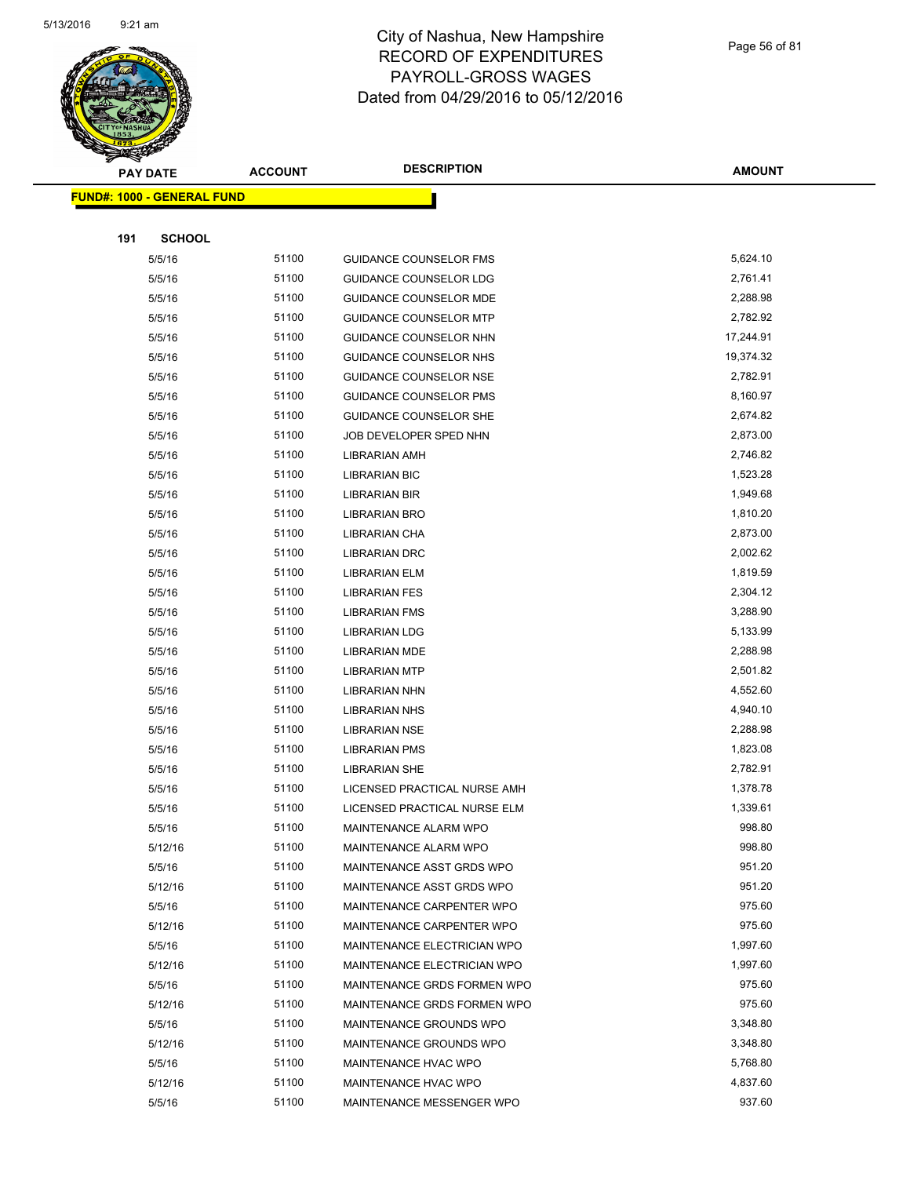

Page 56 of 81

|     | <b>PAY DATE</b>                    | <b>ACCOUNT</b> | <b>DESCRIPTION</b>            | <b>AMOUNT</b> |
|-----|------------------------------------|----------------|-------------------------------|---------------|
|     | <u> FUND#: 1000 - GENERAL FUND</u> |                |                               |               |
|     |                                    |                |                               |               |
| 191 | <b>SCHOOL</b>                      |                |                               |               |
|     | 5/5/16                             | 51100          | <b>GUIDANCE COUNSELOR FMS</b> | 5,624.10      |
|     | 5/5/16                             | 51100          | <b>GUIDANCE COUNSELOR LDG</b> | 2,761.41      |
|     | 5/5/16                             | 51100          | <b>GUIDANCE COUNSELOR MDE</b> | 2,288.98      |
|     | 5/5/16                             | 51100          | <b>GUIDANCE COUNSELOR MTP</b> | 2,782.92      |
|     | 5/5/16                             | 51100          | GUIDANCE COUNSELOR NHN        | 17,244.91     |
|     | 5/5/16                             | 51100          | GUIDANCE COUNSELOR NHS        | 19,374.32     |
|     | 5/5/16                             | 51100          | <b>GUIDANCE COUNSELOR NSE</b> | 2,782.91      |
|     | 5/5/16                             | 51100          | <b>GUIDANCE COUNSELOR PMS</b> | 8,160.97      |
|     | 5/5/16                             | 51100          | <b>GUIDANCE COUNSELOR SHE</b> | 2,674.82      |
|     | 5/5/16                             | 51100          | JOB DEVELOPER SPED NHN        | 2,873.00      |
|     | 5/5/16                             | 51100          | LIBRARIAN AMH                 | 2,746.82      |
|     | 5/5/16                             | 51100          | <b>LIBRARIAN BIC</b>          | 1,523.28      |
|     | 5/5/16                             | 51100          | LIBRARIAN BIR                 | 1,949.68      |
|     | 5/5/16                             | 51100          | <b>LIBRARIAN BRO</b>          | 1,810.20      |
|     | 5/5/16                             | 51100          | LIBRARIAN CHA                 | 2,873.00      |
|     | 5/5/16                             | 51100          | <b>LIBRARIAN DRC</b>          | 2,002.62      |
|     | 5/5/16                             | 51100          | <b>LIBRARIAN ELM</b>          | 1,819.59      |
|     | 5/5/16                             | 51100          | <b>LIBRARIAN FES</b>          | 2,304.12      |
|     | 5/5/16                             | 51100          | <b>LIBRARIAN FMS</b>          | 3,288.90      |
|     | 5/5/16                             | 51100          | <b>LIBRARIAN LDG</b>          | 5,133.99      |
|     | 5/5/16                             | 51100          | <b>LIBRARIAN MDE</b>          | 2,288.98      |
|     | 5/5/16                             | 51100          | <b>LIBRARIAN MTP</b>          | 2,501.82      |
|     | 5/5/16                             | 51100          | <b>LIBRARIAN NHN</b>          | 4,552.60      |
|     | 5/5/16                             | 51100          | <b>LIBRARIAN NHS</b>          | 4,940.10      |
|     | 5/5/16                             | 51100          | <b>LIBRARIAN NSE</b>          | 2,288.98      |
|     | 5/5/16                             | 51100          | <b>LIBRARIAN PMS</b>          | 1,823.08      |
|     | 5/5/16                             | 51100          | <b>LIBRARIAN SHE</b>          | 2,782.91      |
|     | 5/5/16                             | 51100          | LICENSED PRACTICAL NURSE AMH  | 1,378.78      |
|     | 5/5/16                             | 51100          | LICENSED PRACTICAL NURSE ELM  | 1,339.61      |
|     | 5/5/16                             | 51100          | MAINTENANCE ALARM WPO         | 998.80        |
|     | 5/12/16                            | 51100          | MAINTENANCE ALARM WPO         | 998.80        |
|     | 5/5/16                             | 51100          | MAINTENANCE ASST GRDS WPO     | 951.20        |
|     | 5/12/16                            | 51100          | MAINTENANCE ASST GRDS WPO     | 951.20        |
|     | 5/5/16                             | 51100          | MAINTENANCE CARPENTER WPO     | 975.60        |
|     | 5/12/16                            | 51100          | MAINTENANCE CARPENTER WPO     | 975.60        |
|     | 5/5/16                             | 51100          | MAINTENANCE ELECTRICIAN WPO   | 1,997.60      |
|     | 5/12/16                            | 51100          | MAINTENANCE ELECTRICIAN WPO   | 1,997.60      |
|     | 5/5/16                             | 51100          | MAINTENANCE GRDS FORMEN WPO   | 975.60        |
|     | 5/12/16                            | 51100          | MAINTENANCE GRDS FORMEN WPO   | 975.60        |
|     | 5/5/16                             | 51100          | MAINTENANCE GROUNDS WPO       | 3,348.80      |
|     | 5/12/16                            | 51100          | MAINTENANCE GROUNDS WPO       | 3,348.80      |
|     | 5/5/16                             | 51100          | MAINTENANCE HVAC WPO          | 5,768.80      |
|     | 5/12/16                            | 51100          | MAINTENANCE HVAC WPO          | 4,837.60      |
|     | 5/5/16                             | 51100          | MAINTENANCE MESSENGER WPO     | 937.60        |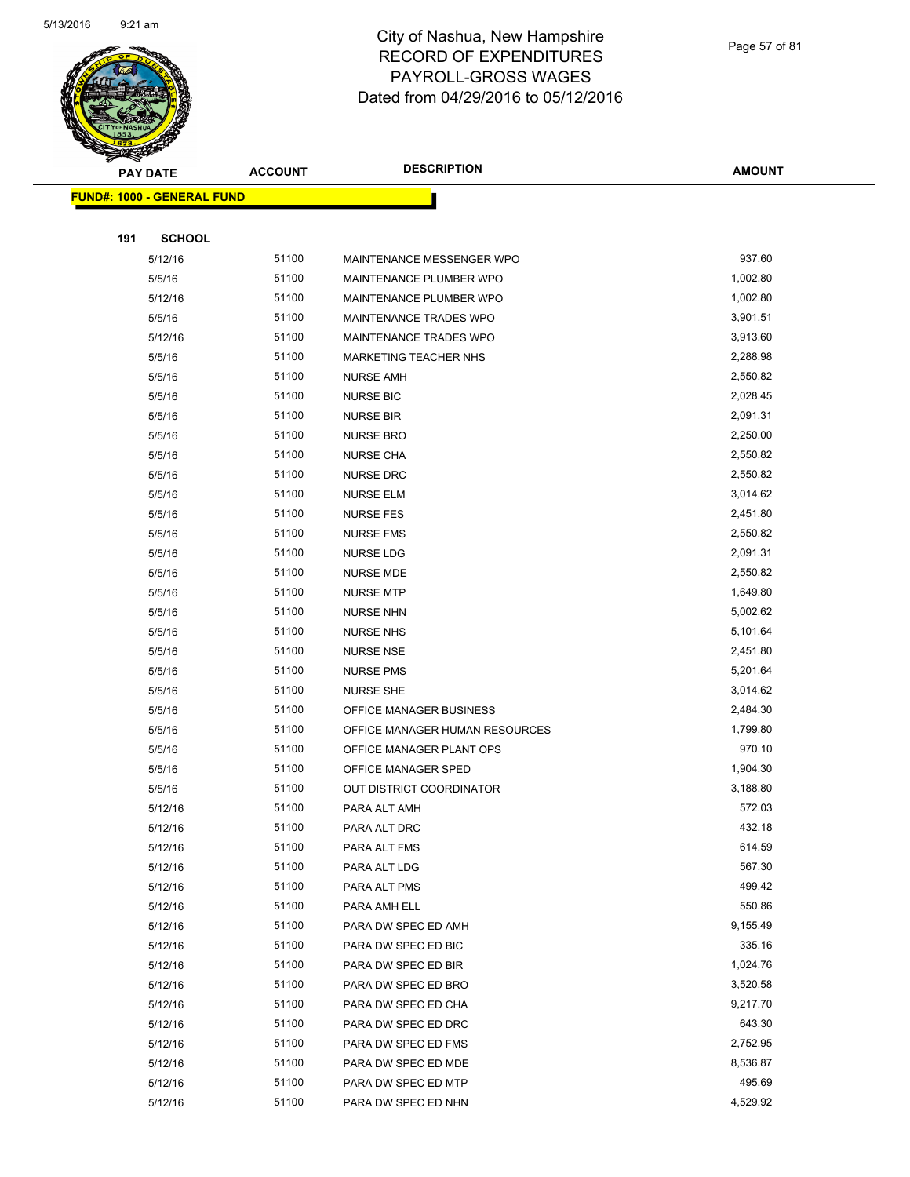

Page 57 of 81

|     | <b>PAY DATE</b>                   | <b>ACCOUNT</b> | <b>DESCRIPTION</b>             | <b>AMOUNT</b> |
|-----|-----------------------------------|----------------|--------------------------------|---------------|
|     | <b>FUND#: 1000 - GENERAL FUND</b> |                |                                |               |
|     |                                   |                |                                |               |
| 191 | <b>SCHOOL</b>                     |                |                                |               |
|     | 5/12/16                           | 51100          | MAINTENANCE MESSENGER WPO      | 937.60        |
|     | 5/5/16                            | 51100          | MAINTENANCE PLUMBER WPO        | 1,002.80      |
|     | 5/12/16                           | 51100          | MAINTENANCE PLUMBER WPO        | 1,002.80      |
|     | 5/5/16                            | 51100          | <b>MAINTENANCE TRADES WPO</b>  | 3,901.51      |
|     | 5/12/16                           | 51100          | MAINTENANCE TRADES WPO         | 3,913.60      |
|     | 5/5/16                            | 51100          | <b>MARKETING TEACHER NHS</b>   | 2,288.98      |
|     | 5/5/16                            | 51100          | <b>NURSE AMH</b>               | 2,550.82      |
|     | 5/5/16                            | 51100          | <b>NURSE BIC</b>               | 2,028.45      |
|     | 5/5/16                            | 51100          | <b>NURSE BIR</b>               | 2,091.31      |
|     | 5/5/16                            | 51100          | <b>NURSE BRO</b>               | 2,250.00      |
|     | 5/5/16                            | 51100          | NURSE CHA                      | 2,550.82      |
|     | 5/5/16                            | 51100          | <b>NURSE DRC</b>               | 2,550.82      |
|     | 5/5/16                            | 51100          | <b>NURSE ELM</b>               | 3,014.62      |
|     | 5/5/16                            | 51100          | <b>NURSE FES</b>               | 2,451.80      |
|     | 5/5/16                            | 51100          | <b>NURSE FMS</b>               | 2,550.82      |
|     | 5/5/16                            | 51100          | <b>NURSE LDG</b>               | 2,091.31      |
|     | 5/5/16                            | 51100          | <b>NURSE MDE</b>               | 2,550.82      |
|     | 5/5/16                            | 51100          | <b>NURSE MTP</b>               | 1,649.80      |
|     | 5/5/16                            | 51100          | <b>NURSE NHN</b>               | 5,002.62      |
|     | 5/5/16                            | 51100          | <b>NURSE NHS</b>               | 5,101.64      |
|     | 5/5/16                            | 51100          | <b>NURSE NSE</b>               | 2,451.80      |
|     | 5/5/16                            | 51100          | <b>NURSE PMS</b>               | 5,201.64      |
|     | 5/5/16                            | 51100          | <b>NURSE SHE</b>               | 3,014.62      |
|     | 5/5/16                            | 51100          | OFFICE MANAGER BUSINESS        | 2,484.30      |
|     | 5/5/16                            | 51100          | OFFICE MANAGER HUMAN RESOURCES | 1,799.80      |
|     | 5/5/16                            | 51100          | OFFICE MANAGER PLANT OPS       | 970.10        |
|     | 5/5/16                            | 51100          | OFFICE MANAGER SPED            | 1,904.30      |
|     | 5/5/16                            | 51100          | OUT DISTRICT COORDINATOR       | 3,188.80      |
|     | 5/12/16                           | 51100          | PARA ALT AMH                   | 572.03        |
|     | 5/12/16                           | 51100          | PARA ALT DRC                   | 432.18        |
|     | 5/12/16                           | 51100          | PARA ALT FMS                   | 614.59        |
|     | 5/12/16                           | 51100          | PARA ALT LDG                   | 567.30        |
|     | 5/12/16                           | 51100          | PARA ALT PMS                   | 499.42        |
|     | 5/12/16                           | 51100          | PARA AMH ELL                   | 550.86        |
|     | 5/12/16                           | 51100          | PARA DW SPEC ED AMH            | 9,155.49      |
|     | 5/12/16                           | 51100          | PARA DW SPEC ED BIC            | 335.16        |
|     | 5/12/16                           | 51100          | PARA DW SPEC ED BIR            | 1,024.76      |
|     | 5/12/16                           | 51100          | PARA DW SPEC ED BRO            | 3,520.58      |
|     | 5/12/16                           | 51100          | PARA DW SPEC ED CHA            | 9,217.70      |
|     | 5/12/16                           | 51100          | PARA DW SPEC ED DRC            | 643.30        |
|     | 5/12/16                           | 51100          | PARA DW SPEC ED FMS            | 2,752.95      |
|     | 5/12/16                           | 51100          | PARA DW SPEC ED MDE            | 8,536.87      |
|     | 5/12/16                           | 51100          | PARA DW SPEC ED MTP            | 495.69        |
|     | 5/12/16                           | 51100          | PARA DW SPEC ED NHN            | 4,529.92      |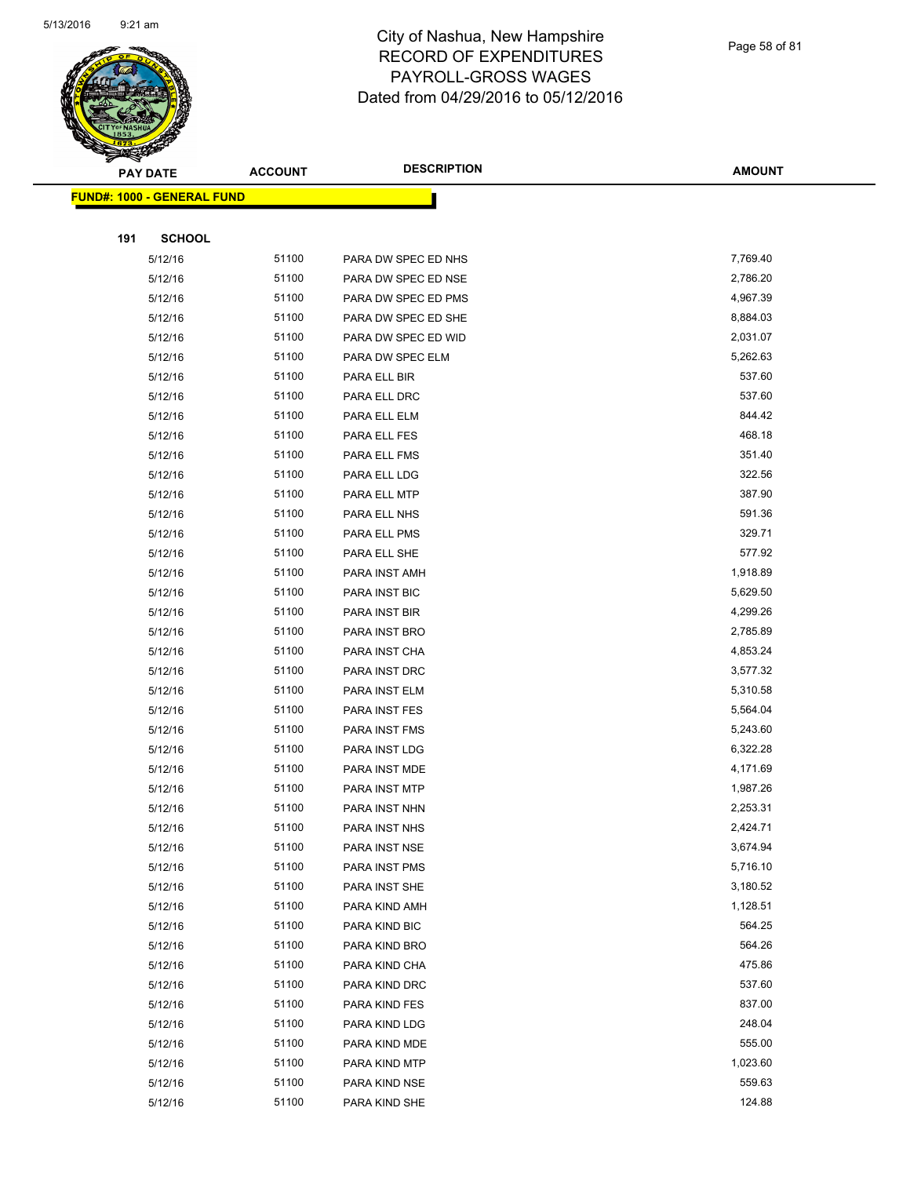

Page 58 of 81

| <b>PAY DATE</b>                   | <b>ACCOUNT</b> | <b>DESCRIPTION</b>  | <b>AMOUNT</b> |
|-----------------------------------|----------------|---------------------|---------------|
| <b>FUND#: 1000 - GENERAL FUND</b> |                |                     |               |
|                                   |                |                     |               |
| 191<br><b>SCHOOL</b>              |                |                     |               |
| 5/12/16                           | 51100          | PARA DW SPEC ED NHS | 7,769.40      |
| 5/12/16                           | 51100          | PARA DW SPEC ED NSE | 2,786.20      |
| 5/12/16                           | 51100          | PARA DW SPEC ED PMS | 4,967.39      |
| 5/12/16                           | 51100          | PARA DW SPEC ED SHE | 8,884.03      |
| 5/12/16                           | 51100          | PARA DW SPEC ED WID | 2,031.07      |
| 5/12/16                           | 51100          | PARA DW SPEC ELM    | 5,262.63      |
| 5/12/16                           | 51100          | PARA ELL BIR        | 537.60        |
| 5/12/16                           | 51100          | PARA ELL DRC        | 537.60        |
| 5/12/16                           | 51100          | PARA ELL ELM        | 844.42        |
| 5/12/16                           | 51100          | PARA ELL FES        | 468.18        |
| 5/12/16                           | 51100          | PARA ELL FMS        | 351.40        |
| 5/12/16                           | 51100          | PARA ELL LDG        | 322.56        |
| 5/12/16                           | 51100          | PARA ELL MTP        | 387.90        |
| 5/12/16                           | 51100          | PARA ELL NHS        | 591.36        |
| 5/12/16                           | 51100          | PARA ELL PMS        | 329.71        |
| 5/12/16                           | 51100          | PARA ELL SHE        | 577.92        |
| 5/12/16                           | 51100          | PARA INST AMH       | 1,918.89      |
| 5/12/16                           | 51100          | PARA INST BIC       | 5,629.50      |
| 5/12/16                           | 51100          | PARA INST BIR       | 4,299.26      |
| 5/12/16                           | 51100          | PARA INST BRO       | 2,785.89      |
| 5/12/16                           | 51100          | PARA INST CHA       | 4,853.24      |
| 5/12/16                           | 51100          | PARA INST DRC       | 3,577.32      |
| 5/12/16                           | 51100          | PARA INST ELM       | 5,310.58      |
| 5/12/16                           | 51100          | PARA INST FES       | 5,564.04      |
| 5/12/16                           | 51100          | PARA INST FMS       | 5,243.60      |
| 5/12/16                           | 51100          | PARA INST LDG       | 6,322.28      |
| 5/12/16                           | 51100          | PARA INST MDE       | 4,171.69      |
| 5/12/16                           | 51100          | PARA INST MTP       | 1,987.26      |
| 5/12/16                           | 51100          | PARA INST NHN       | 2,253.31      |
| 5/12/16                           | 51100          | PARA INST NHS       | 2,424.71      |
| 5/12/16                           | 51100          | PARA INST NSE       | 3,674.94      |
| 5/12/16                           | 51100          | PARA INST PMS       | 5,716.10      |
| 5/12/16                           | 51100          | PARA INST SHE       | 3,180.52      |
| 5/12/16                           | 51100          | PARA KIND AMH       | 1,128.51      |
| 5/12/16                           | 51100          | PARA KIND BIC       | 564.25        |
| 5/12/16                           | 51100          | PARA KIND BRO       | 564.26        |
| 5/12/16                           | 51100          | PARA KIND CHA       | 475.86        |
| 5/12/16                           | 51100          | PARA KIND DRC       | 537.60        |
| 5/12/16                           | 51100          | PARA KIND FES       | 837.00        |
| 5/12/16                           | 51100          | PARA KIND LDG       | 248.04        |
| 5/12/16                           | 51100          | PARA KIND MDE       | 555.00        |
| 5/12/16                           | 51100          | PARA KIND MTP       | 1,023.60      |
| 5/12/16                           | 51100          | PARA KIND NSE       | 559.63        |
| 5/12/16                           | 51100          | PARA KIND SHE       | 124.88        |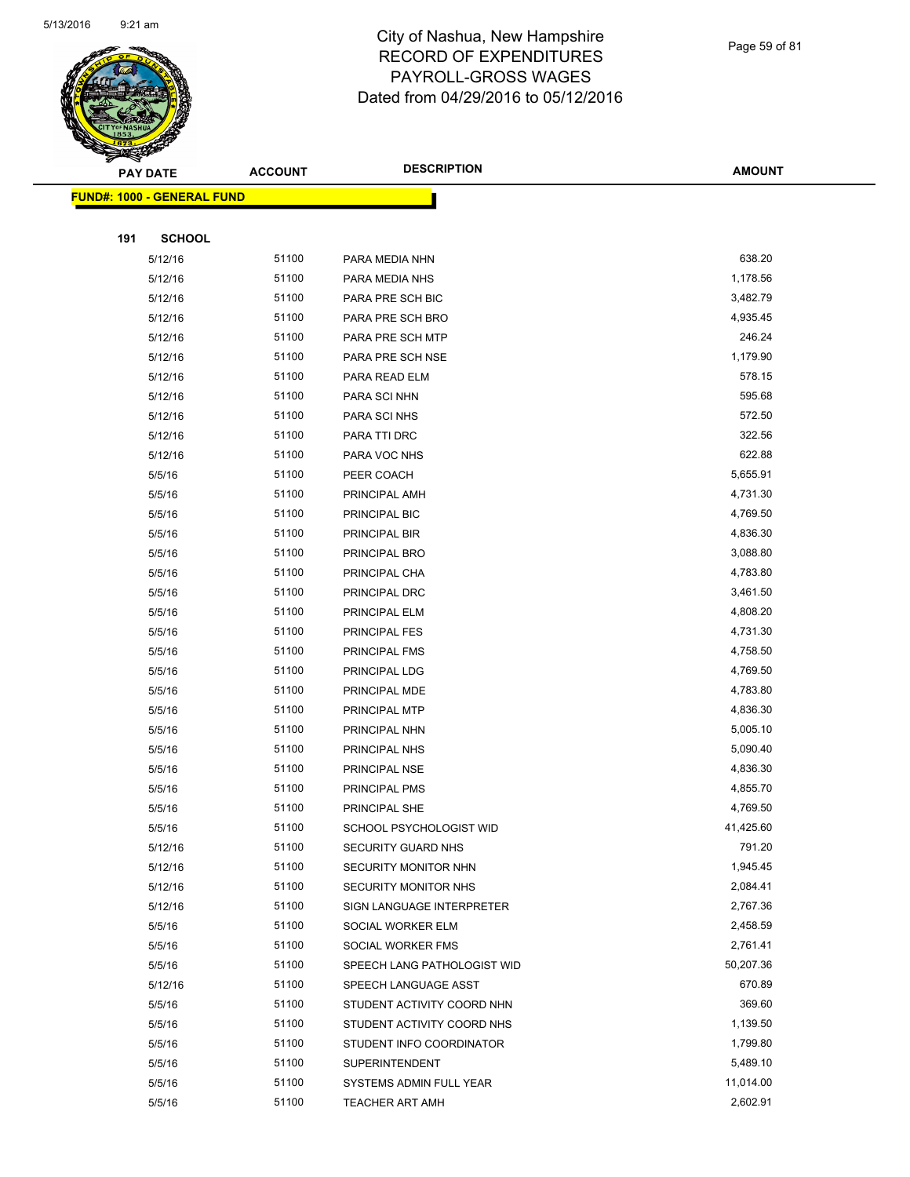

Page 59 of 81

| <b>PAY DATE</b> |                                   | <b>DESCRIPTION</b><br><b>ACCOUNT</b> |                                        | <b>AMOUNT</b>        |
|-----------------|-----------------------------------|--------------------------------------|----------------------------------------|----------------------|
|                 | <b>FUND#: 1000 - GENERAL FUND</b> |                                      |                                        |                      |
|                 |                                   |                                      |                                        |                      |
| 191             | <b>SCHOOL</b>                     |                                      |                                        |                      |
|                 | 5/12/16                           | 51100                                | PARA MEDIA NHN                         | 638.20               |
|                 | 5/12/16                           | 51100                                | PARA MEDIA NHS                         | 1,178.56             |
|                 | 5/12/16                           | 51100                                | PARA PRE SCH BIC                       | 3,482.79             |
|                 | 5/12/16                           | 51100                                | PARA PRE SCH BRO                       | 4,935.45             |
|                 | 5/12/16                           | 51100                                | PARA PRE SCH MTP                       | 246.24               |
|                 | 5/12/16                           | 51100                                | PARA PRE SCH NSE                       | 1,179.90             |
|                 | 5/12/16                           | 51100                                | PARA READ ELM                          | 578.15               |
|                 | 5/12/16                           | 51100                                | PARA SCI NHN                           | 595.68               |
|                 | 5/12/16                           | 51100                                | PARA SCI NHS                           | 572.50               |
|                 | 5/12/16                           | 51100                                | PARA TTI DRC                           | 322.56               |
|                 | 5/12/16                           | 51100                                | PARA VOC NHS                           | 622.88               |
|                 | 5/5/16                            | 51100                                | PEER COACH                             | 5,655.91             |
|                 | 5/5/16                            | 51100                                | PRINCIPAL AMH                          | 4,731.30             |
|                 | 5/5/16                            | 51100                                | PRINCIPAL BIC                          | 4,769.50             |
|                 | 5/5/16                            | 51100                                | PRINCIPAL BIR                          | 4,836.30             |
|                 | 5/5/16                            | 51100                                | PRINCIPAL BRO                          | 3,088.80             |
|                 | 5/5/16                            | 51100                                | PRINCIPAL CHA                          | 4,783.80             |
|                 | 5/5/16                            | 51100                                | PRINCIPAL DRC                          | 3,461.50             |
|                 | 5/5/16                            | 51100                                | PRINCIPAL ELM                          | 4,808.20             |
|                 | 5/5/16                            | 51100                                | PRINCIPAL FES                          | 4,731.30             |
|                 | 5/5/16                            | 51100                                | PRINCIPAL FMS                          | 4,758.50             |
|                 | 5/5/16                            | 51100                                | PRINCIPAL LDG                          | 4,769.50             |
|                 | 5/5/16                            | 51100                                | PRINCIPAL MDE                          | 4,783.80             |
|                 | 5/5/16                            | 51100                                | PRINCIPAL MTP                          | 4,836.30             |
|                 | 5/5/16                            | 51100                                | PRINCIPAL NHN                          | 5,005.10             |
|                 | 5/5/16                            | 51100                                | PRINCIPAL NHS                          | 5,090.40             |
|                 | 5/5/16                            | 51100                                | PRINCIPAL NSE                          | 4,836.30             |
|                 | 5/5/16                            | 51100                                | PRINCIPAL PMS                          | 4,855.70             |
|                 | 5/5/16                            | 51100                                | PRINCIPAL SHE                          | 4,769.50             |
|                 | 5/5/16                            | 51100                                | SCHOOL PSYCHOLOGIST WID                | 41,425.60            |
|                 | 5/12/16                           | 51100                                | <b>SECURITY GUARD NHS</b>              | 791.20               |
|                 | 5/12/16                           | 51100                                | SECURITY MONITOR NHN                   | 1,945.45             |
|                 | 5/12/16                           | 51100                                | SECURITY MONITOR NHS                   | 2,084.41<br>2,767.36 |
|                 | 5/12/16                           | 51100<br>51100                       | SIGN LANGUAGE INTERPRETER              | 2,458.59             |
|                 | 5/5/16<br>5/5/16                  | 51100                                | SOCIAL WORKER ELM<br>SOCIAL WORKER FMS | 2,761.41             |
|                 | 5/5/16                            | 51100                                | SPEECH LANG PATHOLOGIST WID            | 50,207.36            |
|                 | 5/12/16                           | 51100                                | SPEECH LANGUAGE ASST                   | 670.89               |
|                 | 5/5/16                            | 51100                                | STUDENT ACTIVITY COORD NHN             | 369.60               |
|                 | 5/5/16                            | 51100                                | STUDENT ACTIVITY COORD NHS             | 1,139.50             |
|                 | 5/5/16                            | 51100                                | STUDENT INFO COORDINATOR               | 1,799.80             |
|                 | 5/5/16                            | 51100                                | <b>SUPERINTENDENT</b>                  | 5,489.10             |
|                 | 5/5/16                            | 51100                                | SYSTEMS ADMIN FULL YEAR                | 11,014.00            |
|                 | 5/5/16                            | 51100                                | TEACHER ART AMH                        | 2,602.91             |
|                 |                                   |                                      |                                        |                      |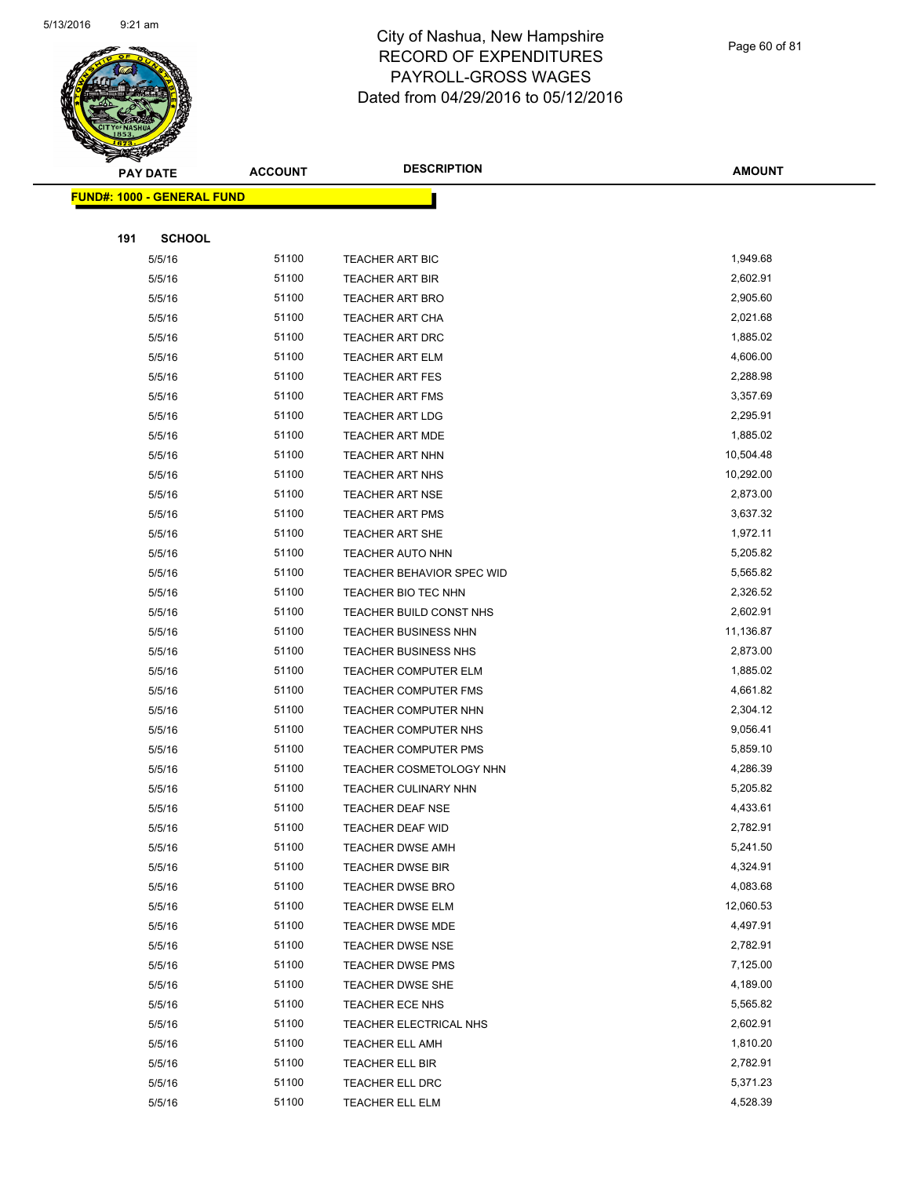

Page 60 of 81

| <b>PAY DATE</b>                    | <b>ACCOUNT</b> | <b>DESCRIPTION</b>               | <b>AMOUNT</b> |
|------------------------------------|----------------|----------------------------------|---------------|
| <u> FUND#: 1000 - GENERAL FUND</u> |                |                                  |               |
|                                    |                |                                  |               |
| 191<br><b>SCHOOL</b>               |                |                                  |               |
| 5/5/16                             | 51100          | TEACHER ART BIC                  | 1,949.68      |
| 5/5/16                             | 51100          | <b>TEACHER ART BIR</b>           | 2,602.91      |
| 5/5/16                             | 51100          | <b>TEACHER ART BRO</b>           | 2,905.60      |
| 5/5/16                             | 51100          | <b>TEACHER ART CHA</b>           | 2,021.68      |
| 5/5/16                             | 51100          | <b>TEACHER ART DRC</b>           | 1,885.02      |
| 5/5/16                             | 51100          | <b>TEACHER ART ELM</b>           | 4,606.00      |
| 5/5/16                             | 51100          | <b>TEACHER ART FES</b>           | 2,288.98      |
| 5/5/16                             | 51100          | <b>TEACHER ART FMS</b>           | 3,357.69      |
| 5/5/16                             | 51100          | <b>TEACHER ART LDG</b>           | 2,295.91      |
| 5/5/16                             | 51100          | <b>TEACHER ART MDE</b>           | 1,885.02      |
| 5/5/16                             | 51100          | TEACHER ART NHN                  | 10,504.48     |
| 5/5/16                             | 51100          | <b>TEACHER ART NHS</b>           | 10,292.00     |
| 5/5/16                             | 51100          | <b>TEACHER ART NSE</b>           | 2,873.00      |
| 5/5/16                             | 51100          | <b>TEACHER ART PMS</b>           | 3,637.32      |
| 5/5/16                             | 51100          | <b>TEACHER ART SHE</b>           | 1,972.11      |
| 5/5/16                             | 51100          | <b>TEACHER AUTO NHN</b>          | 5,205.82      |
| 5/5/16                             | 51100          | <b>TEACHER BEHAVIOR SPEC WID</b> | 5,565.82      |
| 5/5/16                             | 51100          | TEACHER BIO TEC NHN              | 2,326.52      |
| 5/5/16                             | 51100          | TEACHER BUILD CONST NHS          | 2,602.91      |
| 5/5/16                             | 51100          | TEACHER BUSINESS NHN             | 11,136.87     |
| 5/5/16                             | 51100          | TEACHER BUSINESS NHS             | 2,873.00      |
| 5/5/16                             | 51100          | <b>TEACHER COMPUTER ELM</b>      | 1,885.02      |
| 5/5/16                             | 51100          | <b>TEACHER COMPUTER FMS</b>      | 4,661.82      |
| 5/5/16                             | 51100          | TEACHER COMPUTER NHN             | 2,304.12      |
| 5/5/16                             | 51100          | <b>TEACHER COMPUTER NHS</b>      | 9,056.41      |
| 5/5/16                             | 51100          | TEACHER COMPUTER PMS             | 5,859.10      |
| 5/5/16                             | 51100          | <b>TEACHER COSMETOLOGY NHN</b>   | 4,286.39      |
| 5/5/16                             | 51100          | TEACHER CULINARY NHN             | 5,205.82      |
| 5/5/16                             | 51100          | TEACHER DEAF NSE                 | 4,433.61      |
| 5/5/16                             | 51100          | <b>TEACHER DEAF WID</b>          | 2,782.91      |
| 5/5/16                             | 51100          | TEACHER DWSE AMH                 | 5,241.50      |
| 5/5/16                             | 51100          | <b>TEACHER DWSE BIR</b>          | 4,324.91      |
| 5/5/16                             | 51100          | TEACHER DWSE BRO                 | 4,083.68      |
| 5/5/16                             | 51100          | TEACHER DWSE ELM                 | 12,060.53     |
| 5/5/16                             | 51100          | TEACHER DWSE MDE                 | 4,497.91      |
| 5/5/16                             | 51100          | TEACHER DWSE NSE                 | 2,782.91      |
| 5/5/16                             | 51100          | <b>TEACHER DWSE PMS</b>          | 7,125.00      |
| 5/5/16                             | 51100          | TEACHER DWSE SHE                 | 4,189.00      |
| 5/5/16                             | 51100          | TEACHER ECE NHS                  | 5,565.82      |
| 5/5/16                             | 51100          | TEACHER ELECTRICAL NHS           | 2,602.91      |
| 5/5/16                             | 51100          | TEACHER ELL AMH                  | 1,810.20      |
| 5/5/16                             | 51100          | TEACHER ELL BIR                  | 2,782.91      |
| 5/5/16                             | 51100          | TEACHER ELL DRC                  | 5,371.23      |
| 5/5/16                             | 51100          | TEACHER ELL ELM                  | 4,528.39      |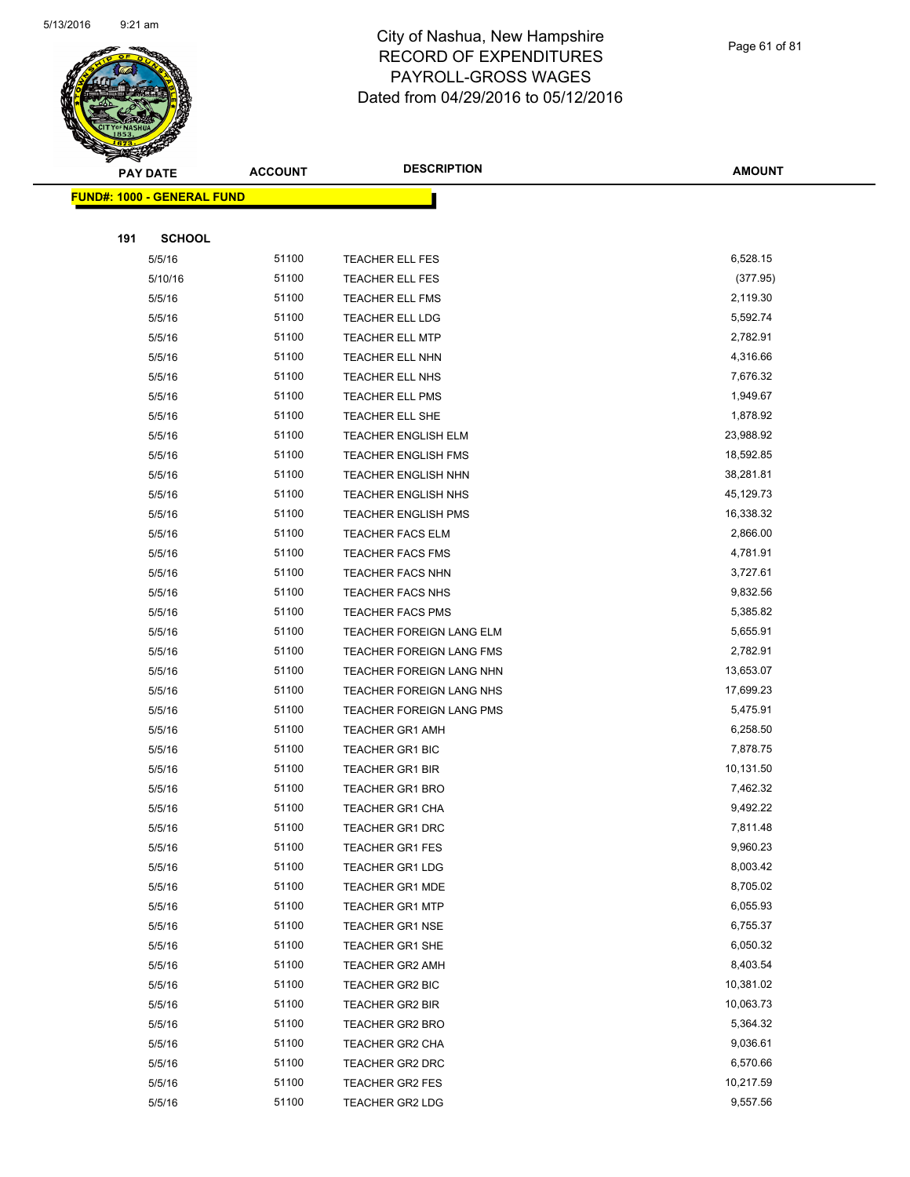

Page 61 of 81

**AMOUNT**

|     | <u> FUND#: 1000 - GENERAL FUND</u> |       |                            |           |
|-----|------------------------------------|-------|----------------------------|-----------|
|     |                                    |       |                            |           |
| 191 | <b>SCHOOL</b>                      |       |                            |           |
|     | 5/5/16                             | 51100 | TEACHER ELL FES            | 6,528.15  |
|     | 5/10/16                            | 51100 | <b>TEACHER ELL FES</b>     | (377.95)  |
|     | 5/5/16                             | 51100 | TEACHER ELL FMS            | 2,119.30  |
|     | 5/5/16                             | 51100 | <b>TEACHER ELL LDG</b>     | 5,592.74  |
|     | 5/5/16                             | 51100 | <b>TEACHER ELL MTP</b>     | 2,782.91  |
|     | 5/5/16                             | 51100 | <b>TEACHER ELL NHN</b>     | 4,316.66  |
|     | 5/5/16                             | 51100 | TEACHER ELL NHS            | 7,676.32  |
|     | 5/5/16                             | 51100 | <b>TEACHER ELL PMS</b>     | 1,949.67  |
|     | 5/5/16                             | 51100 | TEACHER ELL SHE            | 1,878.92  |
|     | 5/5/16                             | 51100 | TEACHER ENGLISH ELM        | 23,988.92 |
|     | 5/5/16                             | 51100 | <b>TEACHER ENGLISH FMS</b> | 18,592.85 |
|     | 5/5/16                             | 51100 | <b>TEACHER ENGLISH NHN</b> | 38,281.81 |
|     | 5/5/16                             | 51100 | <b>TEACHER ENGLISH NHS</b> | 45,129.73 |
|     | 5/5/16                             | 51100 | <b>TEACHER ENGLISH PMS</b> | 16,338.32 |
|     | 5/5/16                             | 51100 | <b>TEACHER FACS ELM</b>    | 2,866.00  |
|     | 5/5/16                             | 51100 | <b>TEACHER FACS FMS</b>    | 4,781.91  |
|     | 5/5/16                             | 51100 | <b>TEACHER FACS NHN</b>    | 3,727.61  |
|     | 5/5/16                             | 51100 | <b>TEACHER FACS NHS</b>    | 9,832.56  |
|     | 5/5/16                             | 51100 | <b>TEACHER FACS PMS</b>    | 5,385.82  |
|     | 5/5/16                             | 51100 | TEACHER FOREIGN LANG ELM   | 5,655.91  |
|     | 5/5/16                             | 51100 | TEACHER FOREIGN LANG FMS   | 2,782.91  |
|     | 5/5/16                             | 51100 | TEACHER FOREIGN LANG NHN   | 13,653.07 |
|     | 5/5/16                             | 51100 | TEACHER FOREIGN LANG NHS   | 17,699.23 |
|     | 5/5/16                             | 51100 | TEACHER FOREIGN LANG PMS   | 5,475.91  |
|     | 5/5/16                             | 51100 | <b>TEACHER GR1 AMH</b>     | 6,258.50  |
|     | 5/5/16                             | 51100 | <b>TEACHER GR1 BIC</b>     | 7,878.75  |
|     | 5/5/16                             | 51100 | <b>TEACHER GR1 BIR</b>     | 10,131.50 |
|     | 5/5/16                             | 51100 | <b>TEACHER GR1 BRO</b>     | 7,462.32  |
|     | 5/5/16                             | 51100 | <b>TEACHER GR1 CHA</b>     | 9,492.22  |
|     | 5/5/16                             | 51100 | <b>TEACHER GR1 DRC</b>     | 7,811.48  |
|     | 5/5/16                             | 51100 | <b>TEACHER GR1 FES</b>     | 9,960.23  |
|     | 5/5/16                             | 51100 | <b>TEACHER GR1 LDG</b>     | 8,003.42  |
|     | 5/5/16                             | 51100 | <b>TEACHER GR1 MDE</b>     | 8,705.02  |
|     | 5/5/16                             | 51100 | <b>TEACHER GR1 MTP</b>     | 6,055.93  |
|     | 5/5/16                             | 51100 | TEACHER GR1 NSE            | 6,755.37  |
|     | 5/5/16                             | 51100 | <b>TEACHER GR1 SHE</b>     | 6,050.32  |
|     | 5/5/16                             | 51100 | <b>TEACHER GR2 AMH</b>     | 8,403.54  |
|     | 5/5/16                             | 51100 | TEACHER GR2 BIC            | 10,381.02 |
|     | 5/5/16                             | 51100 | TEACHER GR2 BIR            | 10,063.73 |
|     | 5/5/16                             | 51100 | TEACHER GR2 BRO            | 5,364.32  |
|     | 5/5/16                             | 51100 | TEACHER GR2 CHA            | 9,036.61  |
|     | 5/5/16                             | 51100 | TEACHER GR2 DRC            | 6,570.66  |
|     | 5/5/16                             | 51100 | TEACHER GR2 FES            | 10,217.59 |
|     | 5/5/16                             | 51100 | TEACHER GR2 LDG            | 9,557.56  |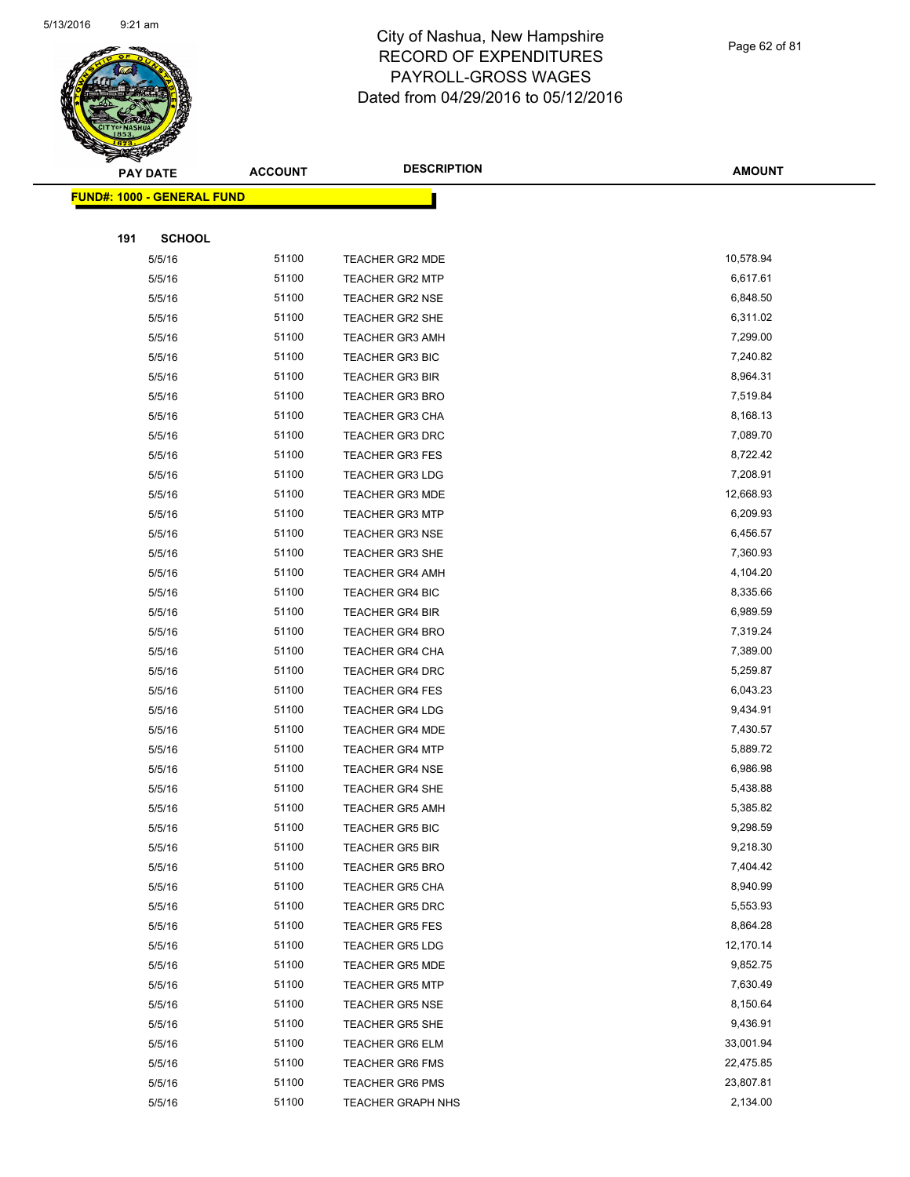

Page 62 of 81

|     | <b>PAY DATE</b>                   | <b>ACCOUNT</b> | <b>DESCRIPTION</b>       | <b>AMOUNT</b> |
|-----|-----------------------------------|----------------|--------------------------|---------------|
|     | <b>FUND#: 1000 - GENERAL FUND</b> |                |                          |               |
|     |                                   |                |                          |               |
| 191 | <b>SCHOOL</b>                     |                |                          |               |
|     | 5/5/16                            | 51100          | TEACHER GR2 MDE          | 10,578.94     |
|     | 5/5/16                            | 51100          | <b>TEACHER GR2 MTP</b>   | 6,617.61      |
|     | 5/5/16                            | 51100          | <b>TEACHER GR2 NSE</b>   | 6,848.50      |
|     | 5/5/16                            | 51100          | <b>TEACHER GR2 SHE</b>   | 6,311.02      |
|     | 5/5/16                            | 51100          | <b>TEACHER GR3 AMH</b>   | 7,299.00      |
|     | 5/5/16                            | 51100          | <b>TEACHER GR3 BIC</b>   | 7,240.82      |
|     | 5/5/16                            | 51100          | <b>TEACHER GR3 BIR</b>   | 8,964.31      |
|     | 5/5/16                            | 51100          | <b>TEACHER GR3 BRO</b>   | 7,519.84      |
|     | 5/5/16                            | 51100          | <b>TEACHER GR3 CHA</b>   | 8,168.13      |
|     | 5/5/16                            | 51100          | <b>TEACHER GR3 DRC</b>   | 7,089.70      |
|     | 5/5/16                            | 51100          | <b>TEACHER GR3 FES</b>   | 8,722.42      |
|     | 5/5/16                            | 51100          | <b>TEACHER GR3 LDG</b>   | 7,208.91      |
|     | 5/5/16                            | 51100          | <b>TEACHER GR3 MDE</b>   | 12,668.93     |
|     | 5/5/16                            | 51100          | <b>TEACHER GR3 MTP</b>   | 6,209.93      |
|     | 5/5/16                            | 51100          | <b>TEACHER GR3 NSE</b>   | 6,456.57      |
|     | 5/5/16                            | 51100          | <b>TEACHER GR3 SHE</b>   | 7,360.93      |
|     | 5/5/16                            | 51100          | <b>TEACHER GR4 AMH</b>   | 4,104.20      |
|     | 5/5/16                            | 51100          | <b>TEACHER GR4 BIC</b>   | 8,335.66      |
|     | 5/5/16                            | 51100          | <b>TEACHER GR4 BIR</b>   | 6,989.59      |
|     | 5/5/16                            | 51100          | <b>TEACHER GR4 BRO</b>   | 7,319.24      |
|     | 5/5/16                            | 51100          | <b>TEACHER GR4 CHA</b>   | 7,389.00      |
|     | 5/5/16                            | 51100          | <b>TEACHER GR4 DRC</b>   | 5,259.87      |
|     | 5/5/16                            | 51100          | <b>TEACHER GR4 FES</b>   | 6,043.23      |
|     | 5/5/16                            | 51100          | <b>TEACHER GR4 LDG</b>   | 9,434.91      |
|     | 5/5/16                            | 51100          | <b>TEACHER GR4 MDE</b>   | 7,430.57      |
|     | 5/5/16                            | 51100          | <b>TEACHER GR4 MTP</b>   | 5,889.72      |
|     | 5/5/16                            | 51100          | <b>TEACHER GR4 NSE</b>   | 6,986.98      |
|     | 5/5/16                            | 51100          | <b>TEACHER GR4 SHE</b>   | 5,438.88      |
|     | 5/5/16                            | 51100          | <b>TEACHER GR5 AMH</b>   | 5,385.82      |
|     | 5/5/16                            | 51100          | <b>TEACHER GR5 BIC</b>   | 9,298.59      |
|     | 5/5/16                            | 51100          | <b>TEACHER GR5 BIR</b>   | 9,218.30      |
|     | 5/5/16                            | 51100          | <b>TEACHER GR5 BRO</b>   | 7,404.42      |
|     | 5/5/16                            | 51100          | <b>TEACHER GR5 CHA</b>   | 8,940.99      |
|     | 5/5/16                            | 51100          | <b>TEACHER GR5 DRC</b>   | 5,553.93      |
|     | 5/5/16                            | 51100          | <b>TEACHER GR5 FES</b>   | 8,864.28      |
|     | 5/5/16                            | 51100          | <b>TEACHER GR5 LDG</b>   | 12,170.14     |
|     | 5/5/16                            | 51100          | <b>TEACHER GR5 MDE</b>   | 9,852.75      |
|     | 5/5/16                            | 51100          | <b>TEACHER GR5 MTP</b>   | 7,630.49      |
|     | 5/5/16                            | 51100          | <b>TEACHER GR5 NSE</b>   | 8,150.64      |
|     | 5/5/16                            | 51100          | <b>TEACHER GR5 SHE</b>   | 9,436.91      |
|     | 5/5/16                            | 51100          | <b>TEACHER GR6 ELM</b>   | 33,001.94     |
|     | 5/5/16                            | 51100          | <b>TEACHER GR6 FMS</b>   | 22,475.85     |
|     | 5/5/16                            | 51100          | <b>TEACHER GR6 PMS</b>   | 23,807.81     |
|     | 5/5/16                            | 51100          | <b>TEACHER GRAPH NHS</b> | 2,134.00      |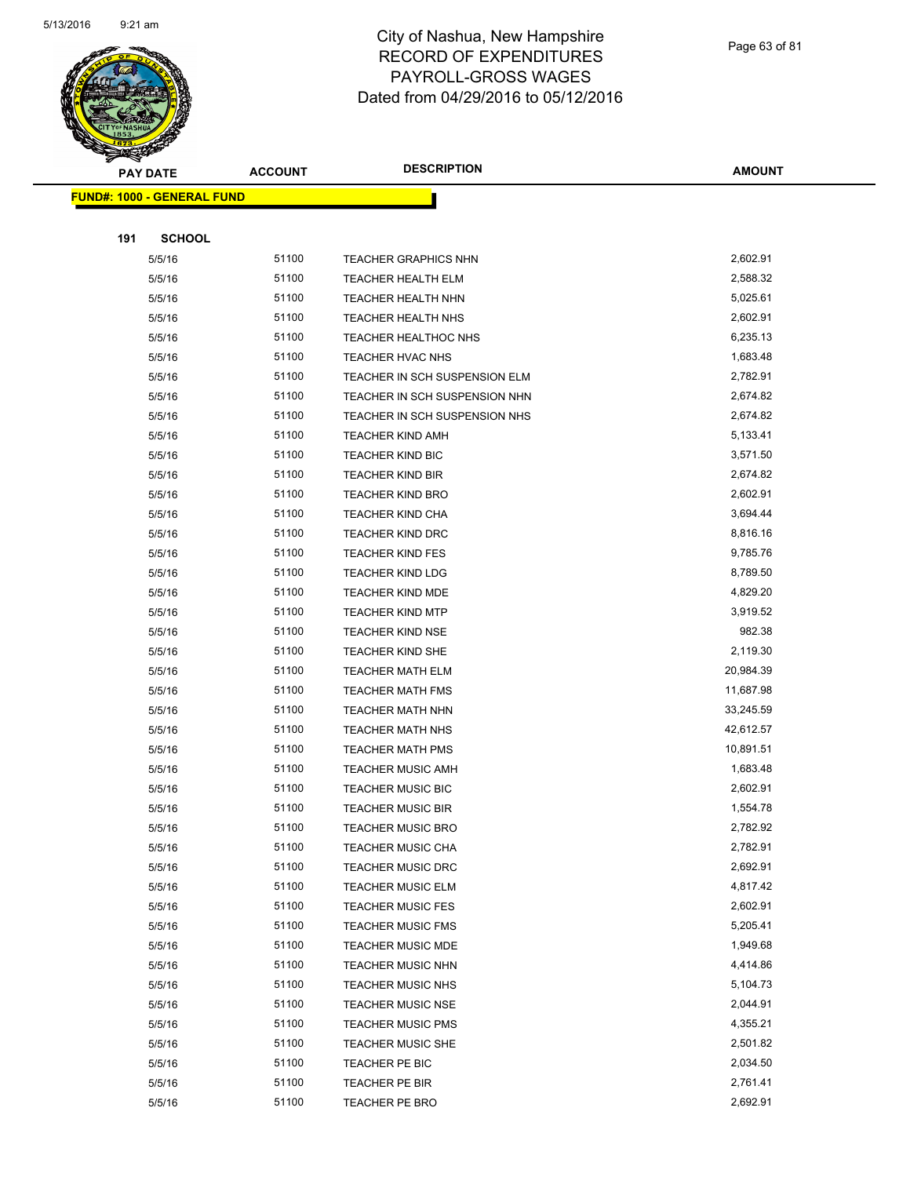

Page 63 of 81

| $\tilde{\phantom{a}}$<br><b>PAY DATE</b> | <b>ACCOUNT</b> | <b>DESCRIPTION</b>                                   | <b>AMOUNT</b>        |
|------------------------------------------|----------------|------------------------------------------------------|----------------------|
| <b>FUND#: 1000 - GENERAL FUND</b>        |                |                                                      |                      |
|                                          |                |                                                      |                      |
| 191<br><b>SCHOOL</b>                     |                |                                                      |                      |
| 5/5/16                                   | 51100          | <b>TEACHER GRAPHICS NHN</b>                          | 2,602.91             |
| 5/5/16                                   | 51100          | TEACHER HEALTH ELM                                   | 2,588.32             |
| 5/5/16                                   | 51100          | TEACHER HEALTH NHN                                   | 5,025.61             |
| 5/5/16                                   | 51100          | TEACHER HEALTH NHS                                   | 2,602.91             |
| 5/5/16                                   | 51100          | TEACHER HEALTHOC NHS                                 | 6,235.13             |
| 5/5/16                                   | 51100          | TEACHER HVAC NHS                                     | 1,683.48             |
| 5/5/16                                   | 51100          | TEACHER IN SCH SUSPENSION ELM                        | 2,782.91             |
| 5/5/16                                   | 51100          | TEACHER IN SCH SUSPENSION NHN                        | 2,674.82             |
| 5/5/16                                   | 51100          | TEACHER IN SCH SUSPENSION NHS                        | 2,674.82             |
| 5/5/16                                   | 51100          | <b>TEACHER KIND AMH</b>                              | 5,133.41             |
| 5/5/16                                   | 51100          | <b>TEACHER KIND BIC</b>                              | 3,571.50             |
| 5/5/16                                   | 51100          | <b>TEACHER KIND BIR</b>                              | 2,674.82             |
| 5/5/16                                   | 51100          | <b>TEACHER KIND BRO</b>                              | 2,602.91             |
| 5/5/16                                   | 51100          | <b>TEACHER KIND CHA</b>                              | 3,694.44             |
| 5/5/16                                   | 51100          | TEACHER KIND DRC                                     | 8,816.16             |
| 5/5/16                                   | 51100          | <b>TEACHER KIND FES</b>                              | 9,785.76             |
| 5/5/16                                   | 51100          | <b>TEACHER KIND LDG</b>                              | 8,789.50             |
| 5/5/16                                   | 51100          | <b>TEACHER KIND MDE</b>                              | 4,829.20             |
| 5/5/16                                   | 51100          | <b>TEACHER KIND MTP</b>                              | 3,919.52             |
| 5/5/16                                   | 51100          | <b>TEACHER KIND NSE</b>                              | 982.38               |
| 5/5/16                                   | 51100          | TEACHER KIND SHE                                     | 2,119.30             |
| 5/5/16                                   | 51100          | TEACHER MATH ELM                                     | 20,984.39            |
| 5/5/16                                   | 51100          | <b>TEACHER MATH FMS</b>                              | 11,687.98            |
| 5/5/16                                   | 51100          | <b>TEACHER MATH NHN</b>                              | 33,245.59            |
| 5/5/16                                   | 51100          | <b>TEACHER MATH NHS</b>                              | 42,612.57            |
| 5/5/16                                   | 51100          | <b>TEACHER MATH PMS</b>                              | 10,891.51            |
| 5/5/16                                   | 51100          | <b>TEACHER MUSIC AMH</b>                             | 1,683.48             |
| 5/5/16                                   | 51100          | TEACHER MUSIC BIC                                    | 2,602.91             |
| 5/5/16                                   | 51100          | <b>TEACHER MUSIC BIR</b>                             | 1,554.78             |
| 5/5/16                                   | 51100          | TEACHER MUSIC BRO                                    | 2,782.92             |
| 5/5/16                                   | 51100          | <b>TEACHER MUSIC CHA</b>                             | 2,782.91             |
| 5/5/16                                   | 51100          | <b>TEACHER MUSIC DRC</b>                             | 2,692.91             |
| 5/5/16                                   | 51100          | <b>TEACHER MUSIC ELM</b><br><b>TEACHER MUSIC FES</b> | 4,817.42<br>2,602.91 |
| 5/5/16                                   | 51100<br>51100 | <b>TEACHER MUSIC FMS</b>                             | 5,205.41             |
| 5/5/16<br>5/5/16                         | 51100          | <b>TEACHER MUSIC MDE</b>                             | 1,949.68             |
| 5/5/16                                   | 51100          | TEACHER MUSIC NHN                                    | 4,414.86             |
| 5/5/16                                   | 51100          | <b>TEACHER MUSIC NHS</b>                             | 5,104.73             |
| 5/5/16                                   | 51100          | <b>TEACHER MUSIC NSE</b>                             | 2,044.91             |
| 5/5/16                                   | 51100          | <b>TEACHER MUSIC PMS</b>                             | 4,355.21             |
| 5/5/16                                   | 51100          | <b>TEACHER MUSIC SHE</b>                             | 2,501.82             |
| 5/5/16                                   | 51100          | TEACHER PE BIC                                       | 2,034.50             |
| 5/5/16                                   | 51100          | TEACHER PE BIR                                       | 2,761.41             |
| 5/5/16                                   | 51100          | TEACHER PE BRO                                       | 2,692.91             |
|                                          |                |                                                      |                      |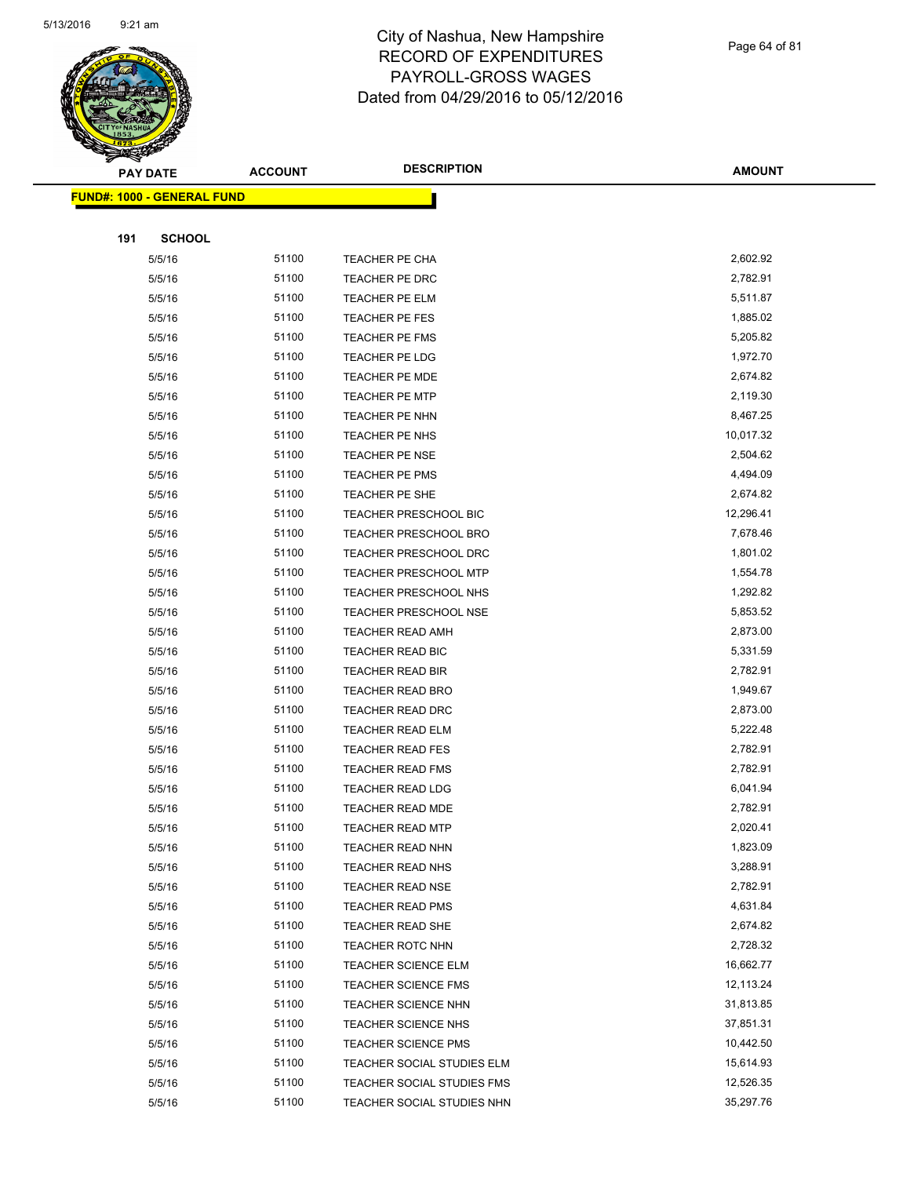

Page 64 of 81

|     | <b>PAY DATE</b>                   | <b>ACCOUNT</b> | <b>DESCRIPTION</b>           | <b>AMOUNT</b> |
|-----|-----------------------------------|----------------|------------------------------|---------------|
|     | <b>FUND#: 1000 - GENERAL FUND</b> |                |                              |               |
|     |                                   |                |                              |               |
| 191 | <b>SCHOOL</b>                     |                |                              |               |
|     | 5/5/16                            | 51100          | TEACHER PE CHA               | 2,602.92      |
|     | 5/5/16                            | 51100          | TEACHER PE DRC               | 2,782.91      |
|     | 5/5/16                            | 51100          | <b>TEACHER PE ELM</b>        | 5,511.87      |
|     | 5/5/16                            | 51100          | TEACHER PE FES               | 1,885.02      |
|     | 5/5/16                            | 51100          | TEACHER PE FMS               | 5,205.82      |
|     | 5/5/16                            | 51100          | <b>TEACHER PE LDG</b>        | 1,972.70      |
|     | 5/5/16                            | 51100          | <b>TEACHER PE MDE</b>        | 2,674.82      |
|     | 5/5/16                            | 51100          | <b>TEACHER PE MTP</b>        | 2,119.30      |
|     | 5/5/16                            | 51100          | TEACHER PE NHN               | 8,467.25      |
|     | 5/5/16                            | 51100          | TEACHER PE NHS               | 10,017.32     |
|     | 5/5/16                            | 51100          | <b>TEACHER PE NSE</b>        | 2,504.62      |
|     | 5/5/16                            | 51100          | TEACHER PE PMS               | 4,494.09      |
|     | 5/5/16                            | 51100          | TEACHER PE SHE               | 2,674.82      |
|     | 5/5/16                            | 51100          | <b>TEACHER PRESCHOOL BIC</b> | 12,296.41     |
|     | 5/5/16                            | 51100          | TEACHER PRESCHOOL BRO        | 7,678.46      |
|     | 5/5/16                            | 51100          | TEACHER PRESCHOOL DRC        | 1,801.02      |
|     | 5/5/16                            | 51100          | <b>TEACHER PRESCHOOL MTP</b> | 1,554.78      |
|     | 5/5/16                            | 51100          | <b>TEACHER PRESCHOOL NHS</b> | 1,292.82      |
|     | 5/5/16                            | 51100          | <b>TEACHER PRESCHOOL NSE</b> | 5,853.52      |
|     | 5/5/16                            | 51100          | TEACHER READ AMH             | 2,873.00      |
|     | 5/5/16                            | 51100          | TEACHER READ BIC             | 5,331.59      |
|     | 5/5/16                            | 51100          | <b>TEACHER READ BIR</b>      | 2,782.91      |
|     | 5/5/16                            | 51100          | TEACHER READ BRO             | 1,949.67      |
|     | 5/5/16                            | 51100          | <b>TEACHER READ DRC</b>      | 2,873.00      |
|     | 5/5/16                            | 51100          | <b>TEACHER READ ELM</b>      | 5,222.48      |
|     | 5/5/16                            | 51100          | <b>TEACHER READ FES</b>      | 2,782.91      |
|     | 5/5/16                            | 51100          | <b>TEACHER READ FMS</b>      | 2,782.91      |
|     | 5/5/16                            | 51100          | <b>TEACHER READ LDG</b>      | 6,041.94      |
|     | 5/5/16                            | 51100          | TEACHER READ MDE             | 2,782.91      |
|     | 5/5/16                            | 51100          | <b>TEACHER READ MTP</b>      | 2,020.41      |
|     | 5/5/16                            | 51100          | TEACHER READ NHN             | 1,823.09      |
|     | 5/5/16                            | 51100          | TEACHER READ NHS             | 3,288.91      |
|     | 5/5/16                            | 51100          | <b>TEACHER READ NSE</b>      | 2,782.91      |
|     | 5/5/16                            | 51100          | TEACHER READ PMS             | 4,631.84      |
|     | 5/5/16                            | 51100          | TEACHER READ SHE             | 2,674.82      |
|     | 5/5/16                            | 51100          | <b>TEACHER ROTC NHN</b>      | 2,728.32      |
|     | 5/5/16                            | 51100          | <b>TEACHER SCIENCE ELM</b>   | 16,662.77     |
|     | 5/5/16                            | 51100          | <b>TEACHER SCIENCE FMS</b>   | 12,113.24     |
|     | 5/5/16                            | 51100          | TEACHER SCIENCE NHN          | 31,813.85     |
|     | 5/5/16                            | 51100          | <b>TEACHER SCIENCE NHS</b>   | 37,851.31     |
|     | 5/5/16                            | 51100          | <b>TEACHER SCIENCE PMS</b>   | 10,442.50     |
|     | 5/5/16                            | 51100          | TEACHER SOCIAL STUDIES ELM   | 15,614.93     |
|     | 5/5/16                            | 51100          | TEACHER SOCIAL STUDIES FMS   | 12,526.35     |
|     | 5/5/16                            | 51100          | TEACHER SOCIAL STUDIES NHN   | 35,297.76     |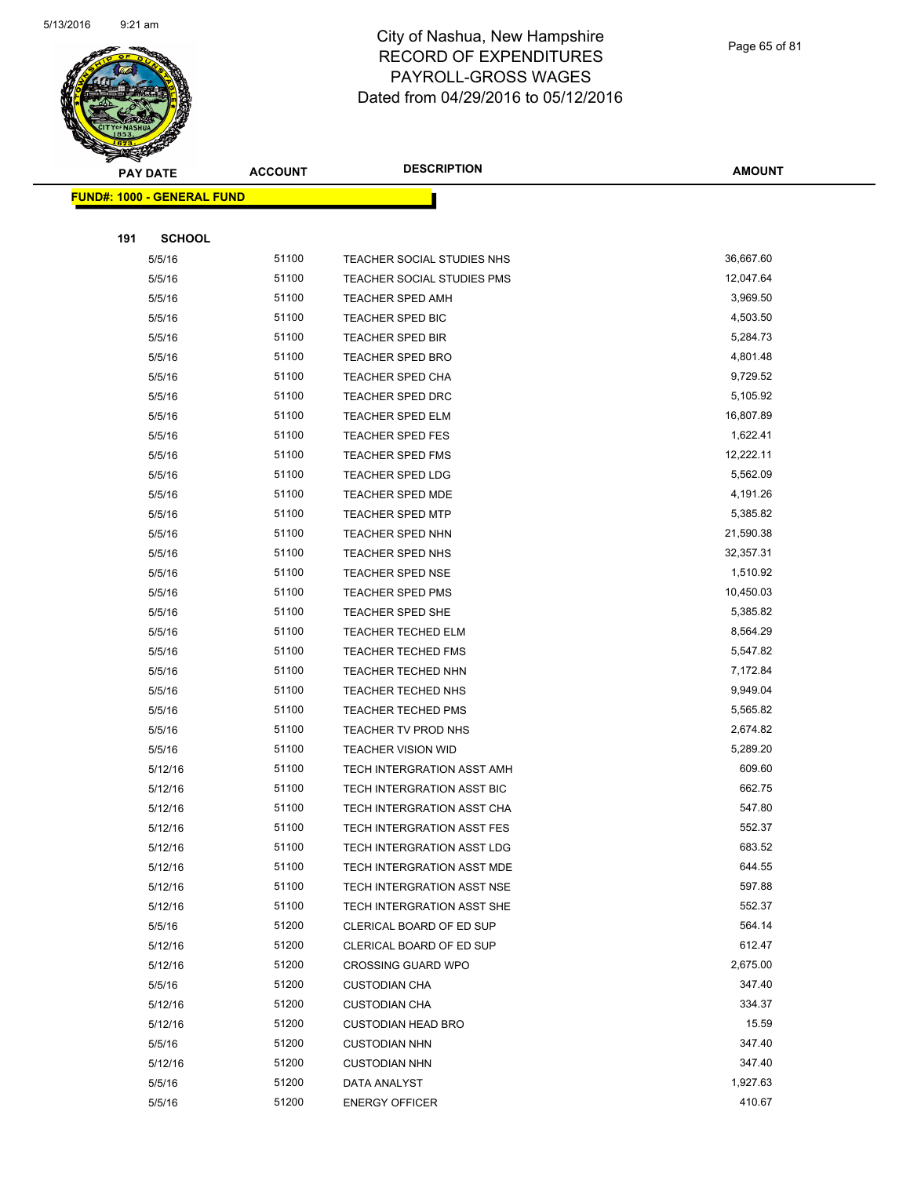

Page 65 of 81

|     | <b>PAY DATE</b>                   | <b>ACCOUNT</b> | <b>DESCRIPTION</b>         | AMOUNT    |
|-----|-----------------------------------|----------------|----------------------------|-----------|
|     | <b>FUND#: 1000 - GENERAL FUND</b> |                |                            |           |
|     |                                   |                |                            |           |
| 191 | <b>SCHOOL</b>                     |                |                            |           |
|     | 5/5/16                            | 51100          | TEACHER SOCIAL STUDIES NHS | 36,667.60 |
|     | 5/5/16                            | 51100          | TEACHER SOCIAL STUDIES PMS | 12,047.64 |
|     | 5/5/16                            | 51100          | <b>TEACHER SPED AMH</b>    | 3,969.50  |
|     | 5/5/16                            | 51100          | <b>TEACHER SPED BIC</b>    | 4,503.50  |
|     | 5/5/16                            | 51100          | TEACHER SPED BIR           | 5,284.73  |
|     | 5/5/16                            | 51100          | TEACHER SPED BRO           | 4,801.48  |
|     | 5/5/16                            | 51100          | <b>TEACHER SPED CHA</b>    | 9,729.52  |
|     | 5/5/16                            | 51100          | TEACHER SPED DRC           | 5,105.92  |
|     | 5/5/16                            | 51100          | <b>TEACHER SPED ELM</b>    | 16,807.89 |
|     | 5/5/16                            | 51100          | TEACHER SPED FES           | 1,622.41  |
|     | 5/5/16                            | 51100          | <b>TEACHER SPED FMS</b>    | 12,222.11 |
|     | 5/5/16                            | 51100          | <b>TEACHER SPED LDG</b>    | 5,562.09  |
|     | 5/5/16                            | 51100          | <b>TEACHER SPED MDE</b>    | 4,191.26  |
|     | 5/5/16                            | 51100          | <b>TEACHER SPED MTP</b>    | 5,385.82  |
|     | 5/5/16                            | 51100          | TEACHER SPED NHN           | 21,590.38 |
|     | 5/5/16                            | 51100          | TEACHER SPED NHS           | 32,357.31 |
|     | 5/5/16                            | 51100          | <b>TEACHER SPED NSE</b>    | 1,510.92  |
|     | 5/5/16                            | 51100          | <b>TEACHER SPED PMS</b>    | 10,450.03 |
|     | 5/5/16                            | 51100          | <b>TEACHER SPED SHE</b>    | 5,385.82  |
|     | 5/5/16                            | 51100          | <b>TEACHER TECHED ELM</b>  | 8,564.29  |
|     | 5/5/16                            | 51100          | <b>TEACHER TECHED FMS</b>  | 5,547.82  |
|     | 5/5/16                            | 51100          | <b>TEACHER TECHED NHN</b>  | 7,172.84  |
|     | 5/5/16                            | 51100          | <b>TEACHER TECHED NHS</b>  | 9,949.04  |
|     | 5/5/16                            | 51100          | <b>TEACHER TECHED PMS</b>  | 5,565.82  |
|     | 5/5/16                            | 51100          | TEACHER TV PROD NHS        | 2,674.82  |
|     | 5/5/16                            | 51100          | <b>TEACHER VISION WID</b>  | 5,289.20  |
|     | 5/12/16                           | 51100          | TECH INTERGRATION ASST AMH | 609.60    |
|     | 5/12/16                           | 51100          | TECH INTERGRATION ASST BIC | 662.75    |
|     | 5/12/16                           | 51100          | TECH INTERGRATION ASST CHA | 547.80    |
|     | 5/12/16                           | 51100          | TECH INTERGRATION ASST FES | 552.37    |
|     | 5/12/16                           | 51100          | TECH INTERGRATION ASST LDG | 683.52    |
|     | 5/12/16                           | 51100          | TECH INTERGRATION ASST MDE | 644.55    |
|     | 5/12/16                           | 51100          | TECH INTERGRATION ASST NSE | 597.88    |
|     | 5/12/16                           | 51100          | TECH INTERGRATION ASST SHE | 552.37    |
|     | 5/5/16                            | 51200          | CLERICAL BOARD OF ED SUP   | 564.14    |
|     | 5/12/16                           | 51200          | CLERICAL BOARD OF ED SUP   | 612.47    |
|     | 5/12/16                           | 51200          | <b>CROSSING GUARD WPO</b>  | 2,675.00  |
|     | 5/5/16                            | 51200          | <b>CUSTODIAN CHA</b>       | 347.40    |
|     | 5/12/16                           | 51200          | <b>CUSTODIAN CHA</b>       | 334.37    |
|     | 5/12/16                           | 51200          | <b>CUSTODIAN HEAD BRO</b>  | 15.59     |
|     | 5/5/16                            | 51200          | <b>CUSTODIAN NHN</b>       | 347.40    |
|     | 5/12/16                           | 51200          | <b>CUSTODIAN NHN</b>       | 347.40    |
|     | 5/5/16                            | 51200          | DATA ANALYST               | 1,927.63  |
|     | 5/5/16                            | 51200          | <b>ENERGY OFFICER</b>      | 410.67    |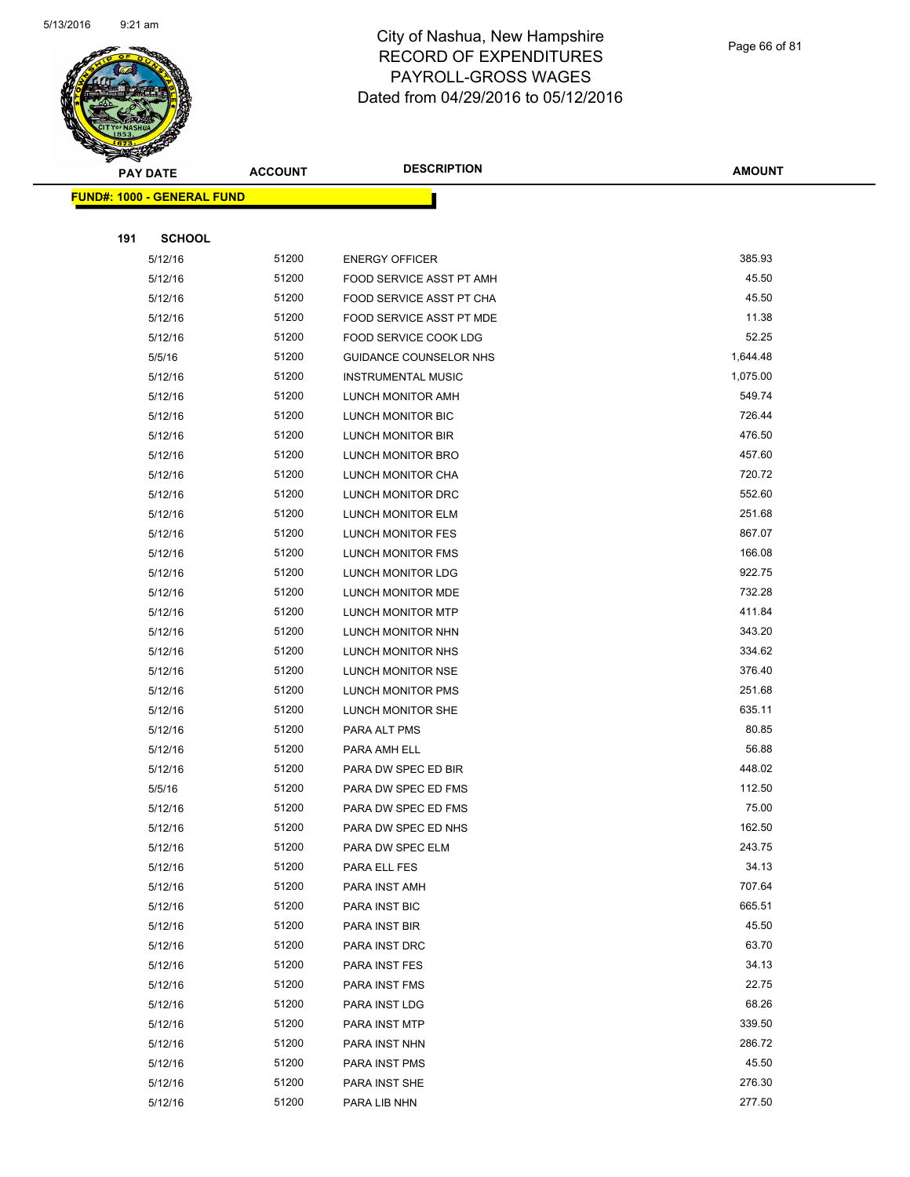

Page 66 of 81

| <b>PAY DATE</b>                   | <b>ACCOUNT</b> | <b>DESCRIPTION</b>            | <b>AMOUNT</b>    |
|-----------------------------------|----------------|-------------------------------|------------------|
| <b>FUND#: 1000 - GENERAL FUND</b> |                |                               |                  |
|                                   |                |                               |                  |
| 191<br><b>SCHOOL</b>              |                |                               |                  |
| 5/12/16                           | 51200          | <b>ENERGY OFFICER</b>         | 385.93           |
| 5/12/16                           | 51200          | FOOD SERVICE ASST PT AMH      | 45.50            |
| 5/12/16                           | 51200          | FOOD SERVICE ASST PT CHA      | 45.50            |
| 5/12/16                           | 51200          | FOOD SERVICE ASST PT MDE      | 11.38            |
| 5/12/16                           | 51200          | <b>FOOD SERVICE COOK LDG</b>  | 52.25            |
| 5/5/16                            | 51200          | <b>GUIDANCE COUNSELOR NHS</b> | 1,644.48         |
| 5/12/16                           | 51200          | <b>INSTRUMENTAL MUSIC</b>     | 1,075.00         |
| 5/12/16                           | 51200          | LUNCH MONITOR AMH             | 549.74           |
| 5/12/16                           | 51200          | LUNCH MONITOR BIC             | 726.44           |
| 5/12/16                           | 51200          | LUNCH MONITOR BIR             | 476.50           |
| 5/12/16                           | 51200          | LUNCH MONITOR BRO             | 457.60           |
| 5/12/16                           | 51200          | LUNCH MONITOR CHA             | 720.72           |
| 5/12/16                           | 51200          | LUNCH MONITOR DRC             | 552.60           |
| 5/12/16                           | 51200          | LUNCH MONITOR ELM             | 251.68           |
| 5/12/16                           | 51200          | LUNCH MONITOR FES             | 867.07           |
| 5/12/16                           | 51200          | LUNCH MONITOR FMS             | 166.08           |
| 5/12/16                           | 51200          | LUNCH MONITOR LDG             | 922.75           |
| 5/12/16                           | 51200          | LUNCH MONITOR MDE             | 732.28           |
| 5/12/16                           | 51200          | LUNCH MONITOR MTP             | 411.84           |
| 5/12/16                           | 51200          | LUNCH MONITOR NHN             | 343.20           |
| 5/12/16                           | 51200          | LUNCH MONITOR NHS             | 334.62           |
| 5/12/16                           | 51200          | LUNCH MONITOR NSE             | 376.40           |
| 5/12/16                           | 51200          | LUNCH MONITOR PMS             | 251.68           |
| 5/12/16                           | 51200          | LUNCH MONITOR SHE             | 635.11           |
| 5/12/16                           | 51200          | PARA ALT PMS                  | 80.85            |
| 5/12/16                           | 51200          | PARA AMH ELL                  | 56.88            |
| 5/12/16                           | 51200          | PARA DW SPEC ED BIR           | 448.02           |
| 5/5/16                            | 51200          | PARA DW SPEC ED FMS           | 112.50           |
| 5/12/16                           | 51200          | PARA DW SPEC ED FMS           | 75.00            |
| 5/12/16                           | 51200          | PARA DW SPEC ED NHS           | 162.50           |
| 5/12/16                           | 51200          | PARA DW SPEC ELM              | 243.75           |
| 5/12/16                           | 51200          | PARA ELL FES                  | 34.13            |
| 5/12/16                           | 51200          | PARA INST AMH                 | 707.64           |
| 5/12/16                           | 51200          | PARA INST BIC                 | 665.51           |
| 5/12/16                           | 51200          | PARA INST BIR                 | 45.50            |
| 5/12/16                           | 51200          | PARA INST DRC                 | 63.70            |
| 5/12/16                           | 51200          | PARA INST FES                 | 34.13            |
| 5/12/16                           | 51200          | PARA INST FMS                 | 22.75            |
| 5/12/16                           | 51200          | PARA INST LDG                 | 68.26            |
| 5/12/16                           | 51200          | PARA INST MTP                 | 339.50           |
| 5/12/16                           | 51200          | PARA INST NHN                 | 286.72           |
| 5/12/16                           | 51200          | PARA INST PMS                 | 45.50            |
| 5/12/16                           | 51200<br>51200 | PARA INST SHE                 | 276.30<br>277.50 |
| 5/12/16                           |                | PARA LIB NHN                  |                  |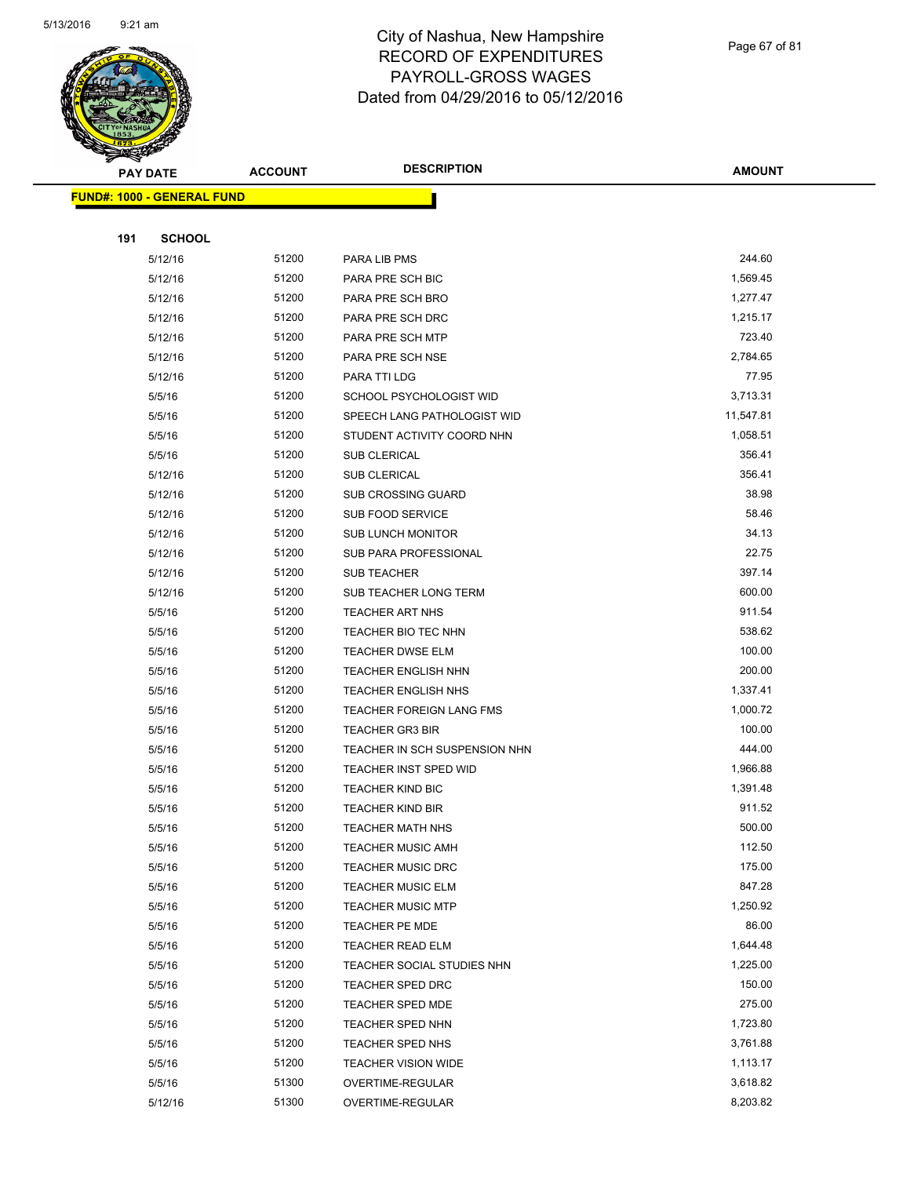

Page 67 of 81

**AMOUNT PAY DATE ACCOUNT DESCRIPTION FUND#: 1000 - GENERAL FUND 191 SCHOOL** 5/12/16 51200 PARA LIB PMS 244.60 5/12/16 51200 PARA PRE SCH BIC 1,569.45 5/12/16 51200 PARA PRE SCH BRO 5/12/16 1,277.47 5/12/16 51200 PARA PRE SCH DRC 6 1,215.17 5/12/16 51200 PARA PRE SCH MTP 723.40 5/12/16 51200 PARA PRE SCH NSE 2,784.65 5/12/16 51200 PARA TTI LDG 50 12/16 77.95 5/5/16 51200 SCHOOL PSYCHOLOGIST WID 3,713.31 5/5/16 51200 SPEECH LANG PATHOLOGIST WID 11,547.81 5/5/16 51200 STUDENT ACTIVITY COORD NHN 5100 51200 51200 5/5/16 51200 SUB CLERICAL 356.41 5/12/16 51200 SUB CLERICAL 356.41 5/12/16 51200 SUB CROSSING GUARD 38.98 5/12/16 51200 SUB FOOD SERVICE 58.46 5/12/16 51200 SUB LUNCH MONITOR 34.13 5/12/16 51200 SUB PARA PROFESSIONAL 22.75 5/12/16 51200 SUB TEACHER 397.14 5/12/16 51200 SUB TEACHER LONG TERM 600.00 5/5/16 51200 TEACHER ART NHS 911.54 5/5/16 51200 TEACHER BIO TEC NHN 538.62 5/5/16 51200 TEACHER DWSE ELM 100.00 5/5/16 51200 TEACHER ENGLISH NHN 200.00 5/5/16 51200 TEACHER ENGLISH NHS 5/6/10 11337.41 5/5/16 51200 TEACHER FOREIGN LANG FMS 1,000.72 5/5/16 51200 TEACHER GR3 BIR 100.00 5/5/16 51200 TEACHER IN SCH SUSPENSION NHN 444.00 5/5/16 51200 TEACHER INST SPED WID 1,966.88 5/5/16 51200 TEACHER KIND BIC 5000 5000 5000 51.391.48 5/5/16 51200 TEACHER KIND BIR 911.52 5/5/16 5/1200 TEACHER MATH NHS 500.00 5/5/16 51200 TEACHER MUSIC AMH 112.50 5/5/16 51200 TEACHER MUSIC DRC 175.00 5/5/16 51200 TEACHER MUSIC ELM 847.28 5/5/16 51200 TEACHER MUSIC MTP 1,250.92 5/5/16 51200 TEACHER PE MDE 5/5/16 51200 TEACHER READ ELM 1,644.48 5/5/16 51200 TEACHER SOCIAL STUDIES NHN 1,225.00 5/5/16 51200 TEACHER SPED DRC 150.00 5/5/16 51200 TEACHER SPED MDE 275.00 5/5/16 51200 TEACHER SPED NHN 1,723.80

5/5/16 51200 TEACHER SPED NHS 3,761.88 5/5/16 51200 TEACHER VISION WIDE 1,113.17 5/5/16 51300 OVERTIME-REGULAR 3,618.82 5/12/16 51300 OVERTIME-REGULAR 8,203.82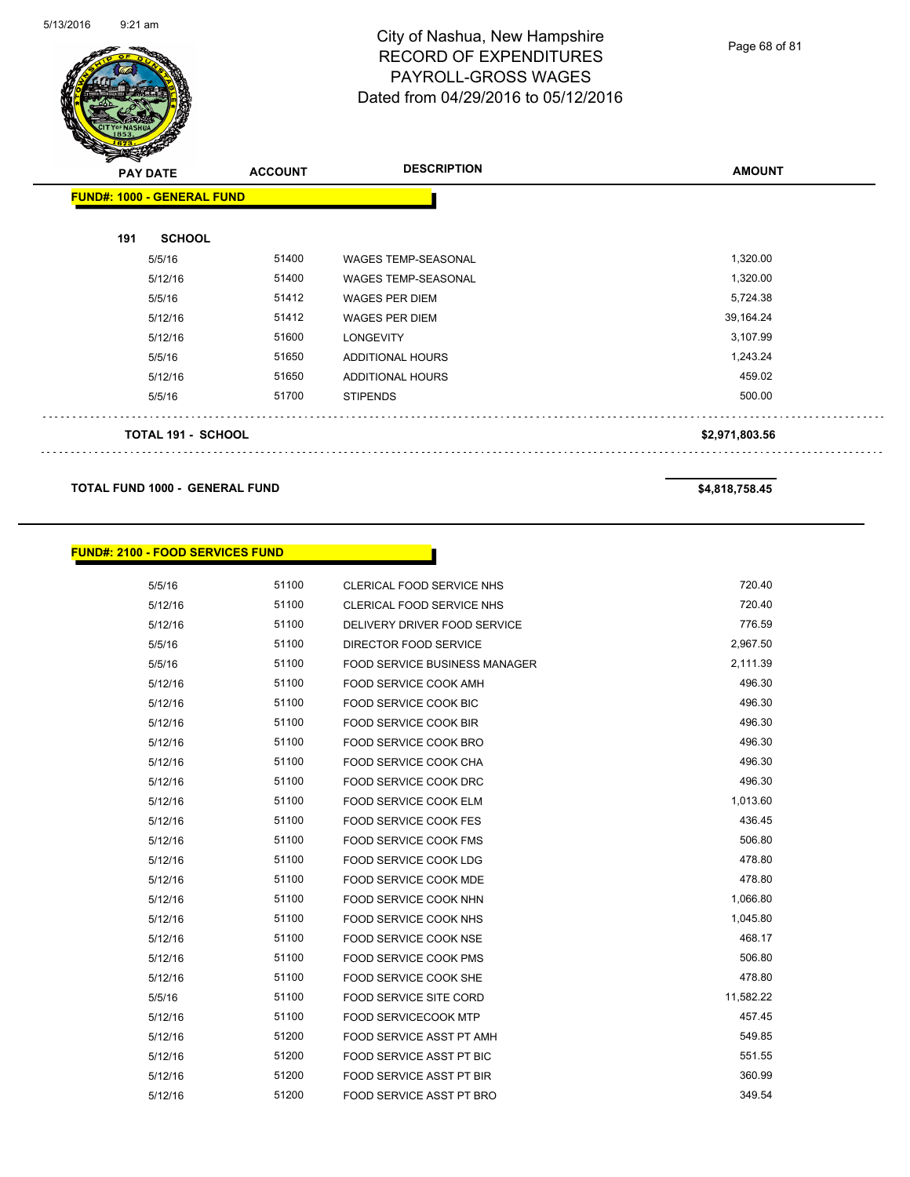

Page 68 of 81

| <u>Anda</u><br><b>PAY DATE</b>    | <b>ACCOUNT</b> | <b>DESCRIPTION</b>         | <b>AMOUNT</b>  |
|-----------------------------------|----------------|----------------------------|----------------|
| <b>FUND#: 1000 - GENERAL FUND</b> |                |                            |                |
| 191<br><b>SCHOOL</b>              |                |                            |                |
| 5/5/16                            | 51400          | <b>WAGES TEMP-SEASONAL</b> | 1,320.00       |
| 5/12/16                           | 51400          | <b>WAGES TEMP-SEASONAL</b> | 1,320.00       |
| 5/5/16                            | 51412          | <b>WAGES PER DIEM</b>      | 5,724.38       |
| 5/12/16                           | 51412          | <b>WAGES PER DIEM</b>      | 39,164.24      |
| 5/12/16                           | 51600          | <b>LONGEVITY</b>           | 3,107.99       |
| 5/5/16                            | 51650          | ADDITIONAL HOURS           | 1,243.24       |
| 5/12/16                           | 51650          | <b>ADDITIONAL HOURS</b>    | 459.02         |
| 5/5/16                            | 51700          | <b>STIPENDS</b>            | 500.00         |
| <b>TOTAL 191 - SCHOOL</b>         |                |                            | \$2,971,803.56 |
|                                   |                |                            |                |

#### **TOTAL FUND 1000 - GENERAL FUND \$4,818,758.45**

#### **FUND#: 2100 - FOOD SERVICES FUND**

5/5/16 51100 CLERICAL FOOD SERVICE NHS 720.40 5/12/16 51100 CLERICAL FOOD SERVICE NHS 720.40 5/12/16 51100 DELIVERY DRIVER FOOD SERVICE 776.59 5/5/16 51100 DIRECTOR FOOD SERVICE 2,967.50 5/5/16 51100 FOOD SERVICE BUSINESS MANAGER 2,111.39 5/12/16 51100 FOOD SERVICE COOK AMH 496.30 5/12/16 51100 FOOD SERVICE COOK BIC 496.30 5/12/16 51100 FOOD SERVICE COOK BIR 496.30 5/12/16 51100 FOOD SERVICE COOK BRO 496.30 5/12/16 51100 FOOD SERVICE COOK CHA 496.30 5/12/16 51100 FOOD SERVICE COOK DRC 496.30 5/12/16 51100 FOOD SERVICE COOK ELM 5000 1,013.60 5/12/16 51100 FOOD SERVICE COOK FES 436.45 5/12/16 51100 FOOD SERVICE COOK FMS 506.80 5/12/16 51100 FOOD SERVICE COOK LDG 478.80 5/12/16 51100 FOOD SERVICE COOK MDE 478.80 5/12/16 51100 FOOD SERVICE COOK NHN 1,066.80 5/12/16 51100 FOOD SERVICE COOK NHS 5/12/16 51100 51100 5/12/16 51100 FOOD SERVICE COOK NSE 468.17 5/12/16 51100 FOOD SERVICE COOK PMS 506.80 5/12/16 51100 FOOD SERVICE COOK SHE 478.80 5/5/16 51100 FOOD SERVICE SITE CORD 11,582.22 5/12/16 51100 FOOD SERVICECOOK MTP 457.45

5/12/16 51200 FOOD SERVICE ASST PT AMH 5/12/16 51200 FOOD SERVICE ASST PT BIC 551.55 551.55 5/12/16 51200 FOOD SERVICE ASST PT BIR 360.99 5/12/16 51200 FOOD SERVICE ASST PT BRO 349.54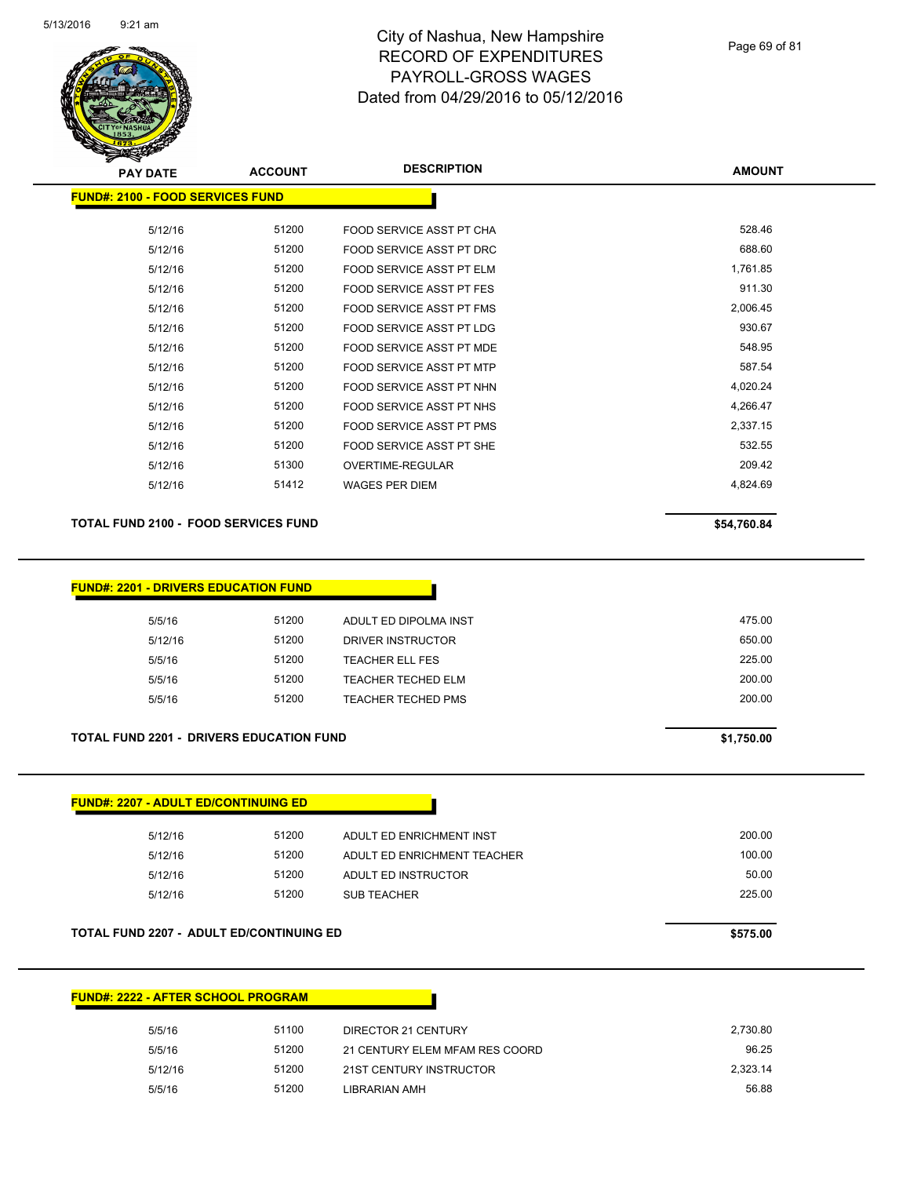

| <b>PAY DATE</b>                         | <b>ACCOUNT</b> | <b>DESCRIPTION</b>              | <b>AMOUNT</b> |
|-----------------------------------------|----------------|---------------------------------|---------------|
| <b>FUND#: 2100 - FOOD SERVICES FUND</b> |                |                                 |               |
| 5/12/16                                 | 51200          | FOOD SERVICE ASST PT CHA        | 528.46        |
| 5/12/16                                 | 51200          | FOOD SERVICE ASST PT DRC        | 688.60        |
| 5/12/16                                 | 51200          | FOOD SERVICE ASST PT ELM        | 1,761.85      |
| 5/12/16                                 | 51200          | <b>FOOD SERVICE ASST PT FES</b> | 911.30        |
| 5/12/16                                 | 51200          | FOOD SERVICE ASST PT FMS        | 2,006.45      |
| 5/12/16                                 | 51200          | <b>FOOD SERVICE ASST PT LDG</b> | 930.67        |
| 5/12/16                                 | 51200          | FOOD SERVICE ASST PT MDE        | 548.95        |
| 5/12/16                                 | 51200          | FOOD SERVICE ASST PT MTP        | 587.54        |
| 5/12/16                                 | 51200          | FOOD SERVICE ASST PT NHN        | 4,020.24      |
| 5/12/16                                 | 51200          | FOOD SERVICE ASST PT NHS        | 4,266.47      |
| 5/12/16                                 | 51200          | FOOD SERVICE ASST PT PMS        | 2,337.15      |
| 5/12/16                                 | 51200          | FOOD SERVICE ASST PT SHE        | 532.55        |
| 5/12/16                                 | 51300          | OVERTIME-REGULAR                | 209.42        |
| 5/12/16                                 | 51412          | <b>WAGES PER DIEM</b>           | 4,824.69      |
|                                         |                |                                 |               |

#### TOTAL FUND 2100 - FOOD SERVICES FUND<br>
\$54,760.84

|         | <b>FUND#: 2201 - DRIVERS EDUCATION FUND</b> |                        |  |
|---------|---------------------------------------------|------------------------|--|
| 5/5/16  | 51200                                       | ADULT ED DIPOLMA INST  |  |
| 5/12/16 | 51200                                       | DRIVER INSTRUCTOR      |  |
| 5/5/16  | 51200                                       | <b>TEACHER ELL FES</b> |  |
| 5/5/16  | 51200                                       | TEACHER TECHED ELM     |  |
| 5/5/16  | 51200                                       | TEACHER TECHED PMS     |  |
|         |                                             |                        |  |

#### **TOTAL FUND 2201 - DRIVERS EDUCATION FUND \$1,750.00**

| <b>FUND#: 2207 - ADULT ED/CONTINUING ED</b>     |       |                             |          |
|-------------------------------------------------|-------|-----------------------------|----------|
| 5/12/16                                         | 51200 | ADULT ED ENRICHMENT INST    | 200.00   |
| 5/12/16                                         | 51200 | ADULT ED ENRICHMENT TEACHER | 100.00   |
| 5/12/16                                         | 51200 | ADULT ED INSTRUCTOR         | 50.00    |
| 5/12/16                                         | 51200 | <b>SUB TEACHER</b>          | 225.00   |
|                                                 |       |                             |          |
| <b>TOTAL FUND 2207 - ADULT ED/CONTINUING ED</b> |       |                             | \$575.00 |

#### **FUND#: 2222 - AFTER SCHOOL PROGRAM**

| 5/5/16  | 51100 | DIRECTOR 21 CENTURY            | 2.730.80 |
|---------|-------|--------------------------------|----------|
| 5/5/16  | 51200 | 21 CENTURY ELEM MFAM RES COORD | 96.25    |
| 5/12/16 | 51200 | 21ST CENTURY INSTRUCTOR        | 2.323.14 |
| 5/5/16  | 51200 | LIBRARIAN AMH                  | 56.88    |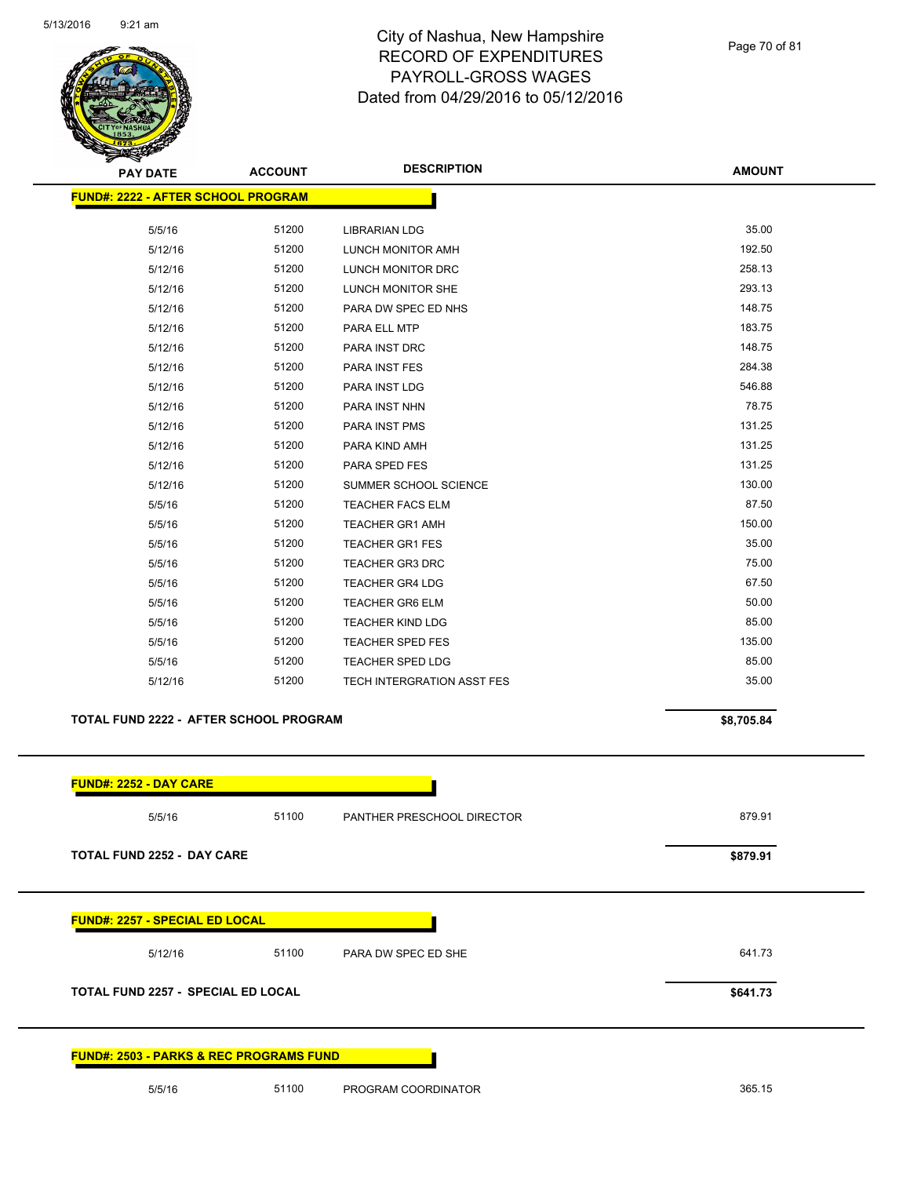

Page 70 of 81

| ॼ<br><b>PAY DATE</b>                      | <b>ACCOUNT</b>                         | <b>DESCRIPTION</b>         | <b>AMOUNT</b> |
|-------------------------------------------|----------------------------------------|----------------------------|---------------|
| <b>FUND#: 2222 - AFTER SCHOOL PROGRAM</b> |                                        |                            |               |
| 5/5/16                                    | 51200                                  | <b>LIBRARIAN LDG</b>       | 35.00         |
| 5/12/16                                   | 51200                                  | LUNCH MONITOR AMH          | 192.50        |
| 5/12/16                                   | 51200                                  | <b>LUNCH MONITOR DRC</b>   | 258.13        |
| 5/12/16                                   | 51200                                  | LUNCH MONITOR SHE          | 293.13        |
| 5/12/16                                   | 51200                                  | PARA DW SPEC ED NHS        | 148.75        |
| 5/12/16                                   | 51200                                  | PARA ELL MTP               | 183.75        |
| 5/12/16                                   | 51200                                  | PARA INST DRC              | 148.75        |
| 5/12/16                                   | 51200                                  | PARA INST FES              | 284.38        |
| 5/12/16                                   | 51200                                  | PARA INST LDG              | 546.88        |
| 5/12/16                                   | 51200                                  | PARA INST NHN              | 78.75         |
| 5/12/16                                   | 51200                                  | PARA INST PMS              | 131.25        |
| 5/12/16                                   | 51200                                  | PARA KIND AMH              | 131.25        |
| 5/12/16                                   | 51200                                  | PARA SPED FES              | 131.25        |
| 5/12/16                                   | 51200                                  | SUMMER SCHOOL SCIENCE      | 130.00        |
| 5/5/16                                    | 51200                                  | <b>TEACHER FACS ELM</b>    | 87.50         |
| 5/5/16                                    | 51200                                  | <b>TEACHER GR1 AMH</b>     | 150.00        |
| 5/5/16                                    | 51200                                  | <b>TEACHER GR1 FES</b>     | 35.00         |
| 5/5/16                                    | 51200                                  | <b>TEACHER GR3 DRC</b>     | 75.00         |
| 5/5/16                                    | 51200                                  | <b>TEACHER GR4 LDG</b>     | 67.50         |
| 5/5/16                                    | 51200                                  | <b>TEACHER GR6 ELM</b>     | 50.00         |
| 5/5/16                                    | 51200                                  | <b>TEACHER KIND LDG</b>    | 85.00         |
| 5/5/16                                    | 51200                                  | <b>TEACHER SPED FES</b>    | 135.00        |
| 5/5/16                                    | 51200                                  | <b>TEACHER SPED LDG</b>    | 85.00         |
| 5/12/16                                   | 51200                                  | TECH INTERGRATION ASST FES | 35.00         |
|                                           | TOTAL FUND 2222 - AFTER SCHOOL PROGRAM |                            |               |

|                                           | <b>FUND#: 2252 - DAY CARE</b>         |       |                            |          |
|-------------------------------------------|---------------------------------------|-------|----------------------------|----------|
|                                           | 5/5/16                                | 51100 | PANTHER PRESCHOOL DIRECTOR | 879.91   |
|                                           | <b>TOTAL FUND 2252 - DAY CARE</b>     |       |                            | \$879.91 |
|                                           | <b>FUND#: 2257 - SPECIAL ED LOCAL</b> |       |                            |          |
|                                           | 5/12/16                               | 51100 | PARA DW SPEC ED SHE        | 641.73   |
| <b>TOTAL FUND 2257 - SPECIAL ED LOCAL</b> |                                       |       | \$641.73                   |          |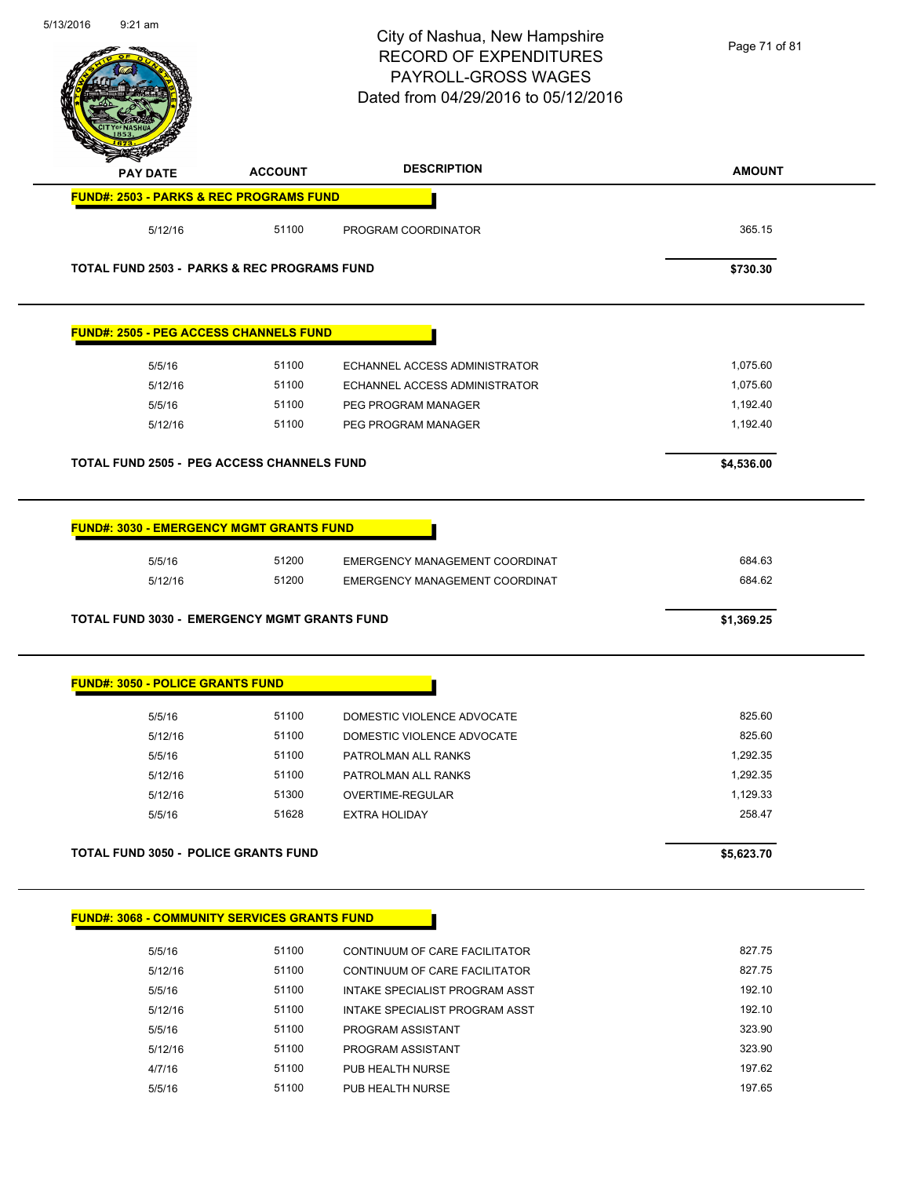| 5/13/2016 | $9:21$ am                                              |                | City of Nashua, New Hampshire<br><b>RECORD OF EXPENDITURES</b><br>PAYROLL-GROSS WAGES<br>Dated from 04/29/2016 to 05/12/2016 | Page 71 of 81 |
|-----------|--------------------------------------------------------|----------------|------------------------------------------------------------------------------------------------------------------------------|---------------|
|           | <b>PAY DATE</b>                                        | <b>ACCOUNT</b> | <b>DESCRIPTION</b>                                                                                                           | <b>AMOUNT</b> |
|           | <b>FUND#: 2503 - PARKS &amp; REC PROGRAMS FUND</b>     |                |                                                                                                                              |               |
|           | 5/12/16                                                | 51100          | PROGRAM COORDINATOR                                                                                                          | 365.15        |
|           | <b>TOTAL FUND 2503 - PARKS &amp; REC PROGRAMS FUND</b> | \$730.30       |                                                                                                                              |               |
|           | <b>FUND#: 2505 - PEG ACCESS CHANNELS FUND</b>          |                |                                                                                                                              |               |
|           | 5/5/16                                                 | 51100          | <b>ECHANNEL ACCESS ADMINISTRATOR</b>                                                                                         | 1,075.60      |
|           | 5/12/16                                                | 51100          | ECHANNEL ACCESS ADMINISTRATOR                                                                                                | 1,075.60      |
|           | 5/5/16                                                 | 51100          | PEG PROGRAM MANAGER                                                                                                          | 1,192.40      |
|           | 5/12/16                                                | 51100          | PEG PROGRAM MANAGER                                                                                                          | 1,192.40      |
|           | <b>TOTAL FUND 2505 - PEG ACCESS CHANNELS FUND</b>      |                |                                                                                                                              | \$4,536.00    |
|           | <b>FUND#: 3030 - EMERGENCY MGMT GRANTS FUND</b>        |                |                                                                                                                              |               |
|           | 5/5/16                                                 | 51200          | EMERGENCY MANAGEMENT COORDINAT                                                                                               | 684.63        |
|           | 5/12/16                                                | 51200          | EMERGENCY MANAGEMENT COORDINAT                                                                                               | 684.62        |
|           | <b>TOTAL FUND 3030 - EMERGENCY MGMT GRANTS FUND</b>    |                |                                                                                                                              | \$1,369.25    |
|           | <b>FUND#: 3050 - POLICE GRANTS FUND</b>                |                |                                                                                                                              |               |
|           | 5/5/16                                                 | 51100          | DOMESTIC VIOLENCE ADVOCATE                                                                                                   | 825.60        |
|           | 5/12/16                                                | 51100          | DOMESTIC VIOLENCE ADVOCATE                                                                                                   | 825.60        |
|           | 5/5/16                                                 | 51100          | PATROLMAN ALL RANKS                                                                                                          | 1,292.35      |
|           | 5/12/16                                                | 51100          | PATROLMAN ALL RANKS                                                                                                          | 1,292.35      |
|           | 5/12/16                                                | 51300          | <b>OVERTIME-REGULAR</b>                                                                                                      | 1,129.33      |
|           | 5/5/16                                                 | 51628          | <b>EXTRA HOLIDAY</b>                                                                                                         | 258.47        |
|           | <b>TOTAL FUND 3050 - POLICE GRANTS FUND</b>            |                |                                                                                                                              | \$5,623.70    |
|           | <b>FUND#: 3068 - COMMUNITY SERVICES GRANTS FUND</b>    |                |                                                                                                                              |               |
|           |                                                        |                |                                                                                                                              |               |
|           | 5/5/16                                                 | 51100          | CONTINUUM OF CARE FACILITATOR                                                                                                | 827.75        |
|           | 5/12/16                                                | 51100          | CONTINUUM OF CARE FACILITATOR                                                                                                | 827.75        |
|           | 5/5/16                                                 | 51100          | INTAKE SPECIALIST PROGRAM ASST                                                                                               | 192.10        |
|           | 5/12/16                                                | 51100          | INTAKE SPECIALIST PROGRAM ASST                                                                                               | 192.10        |
|           | 5/5/16                                                 | 51100          | PROGRAM ASSISTANT                                                                                                            | 323.90        |
|           | 5/12/16                                                | 51100          | PROGRAM ASSISTANT                                                                                                            | 323.90        |
|           | 4/7/16                                                 | 51100          | PUB HEALTH NURSE                                                                                                             | 197.62        |
|           | 5/5/16                                                 | 51100          | PUB HEALTH NURSE                                                                                                             | 197.65        |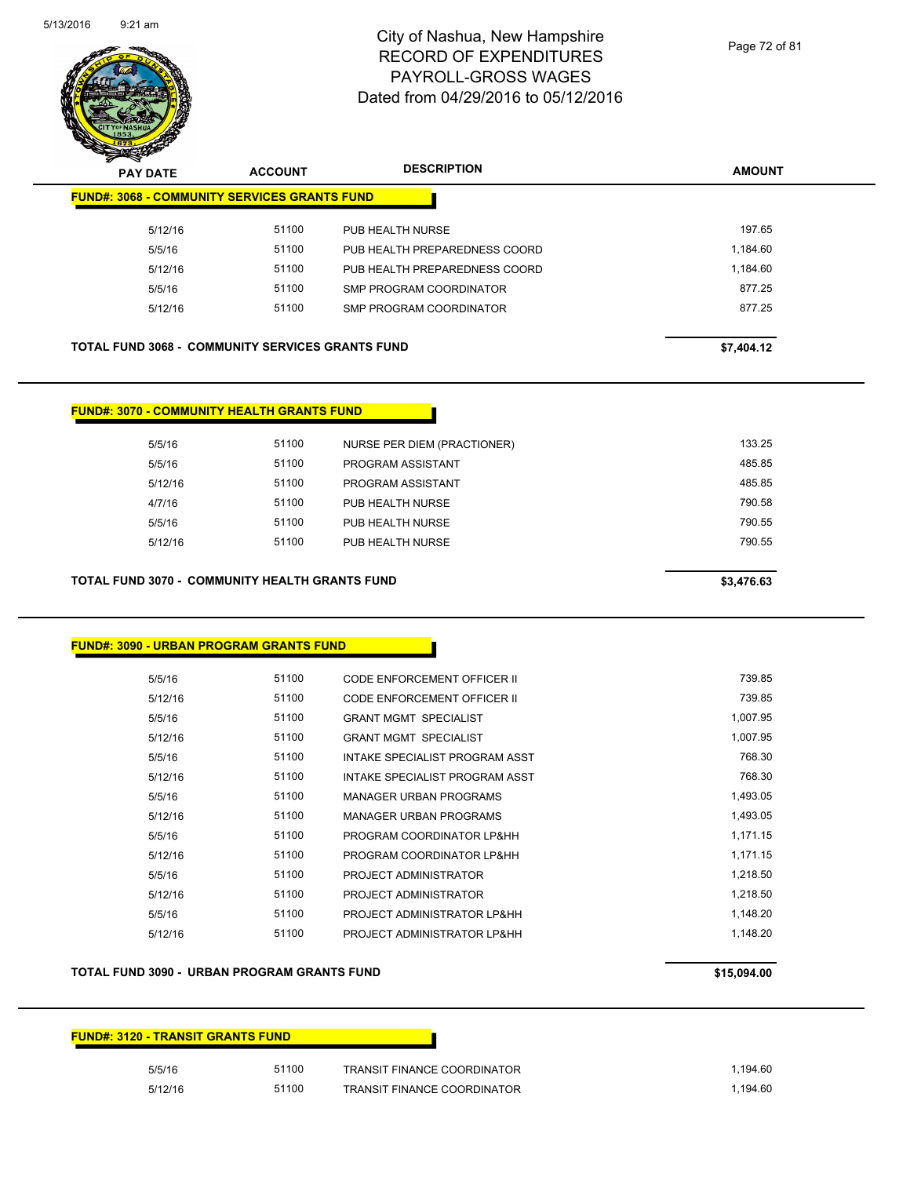

|                                                         | $\mathbf{z}$<br>◅<br><b>PAY DATE</b>                | <b>ACCOUNT</b> | <b>DESCRIPTION</b>             | <b>AMOUNT</b> |
|---------------------------------------------------------|-----------------------------------------------------|----------------|--------------------------------|---------------|
|                                                         | <b>FUND#: 3068 - COMMUNITY SERVICES GRANTS FUND</b> |                |                                |               |
|                                                         | 5/12/16                                             | 51100          | PUB HEALTH NURSE               | 197.65        |
|                                                         | 5/5/16                                              | 51100          | PUB HEALTH PREPAREDNESS COORD  | 1.184.60      |
|                                                         | 5/12/16                                             | 51100          | PUB HEALTH PREPAREDNESS COORD  | 1,184.60      |
|                                                         | 5/5/16                                              | 51100          | <b>SMP PROGRAM COORDINATOR</b> | 877.25        |
|                                                         | 5/12/16                                             | 51100          | SMP PROGRAM COORDINATOR        | 877.25        |
|                                                         |                                                     |                |                                |               |
| <b>TOTAL FUND 3068 - COMMUNITY SERVICES GRANTS FUND</b> |                                                     |                |                                | \$7,404.12    |
|                                                         |                                                     |                |                                |               |

| <b>FUND#: 3070 - COMMUNITY HEALTH GRANTS FUND</b> |                                                       |                             |  |            |
|---------------------------------------------------|-------------------------------------------------------|-----------------------------|--|------------|
| 5/5/16                                            | 51100                                                 | NURSE PER DIEM (PRACTIONER) |  | 133.25     |
| 5/5/16                                            | 51100                                                 | PROGRAM ASSISTANT           |  | 485.85     |
| 5/12/16                                           | 51100                                                 | PROGRAM ASSISTANT           |  | 485.85     |
| 4/7/16                                            | 51100                                                 | PUB HEALTH NURSE            |  | 790.58     |
| 5/5/16                                            | 51100                                                 | PUB HEALTH NURSE            |  | 790.55     |
| 5/12/16                                           | 51100                                                 | PUB HEALTH NURSE            |  | 790.55     |
|                                                   |                                                       |                             |  |            |
|                                                   | <b>TOTAL FUND 3070 - COMMUNITY HEALTH GRANTS FUND</b> |                             |  | \$3,476.63 |

#### **FUND#: 3090 - URBAN PROGRAM GRANTS FUND**

| 5/5/16  | 51100 | CODE ENFORCEMENT OFFICER II    | 739.85   |
|---------|-------|--------------------------------|----------|
| 5/12/16 | 51100 | CODE ENFORCEMENT OFFICER II    | 739.85   |
| 5/5/16  | 51100 | <b>GRANT MGMT SPECIALIST</b>   | 1,007.95 |
| 5/12/16 | 51100 | <b>GRANT MGMT SPECIALIST</b>   | 1,007.95 |
| 5/5/16  | 51100 | INTAKE SPECIALIST PROGRAM ASST | 768.30   |
| 5/12/16 | 51100 | INTAKE SPECIALIST PROGRAM ASST | 768.30   |
| 5/5/16  | 51100 | MANAGER URBAN PROGRAMS         | 1,493.05 |
| 5/12/16 | 51100 | <b>MANAGER URBAN PROGRAMS</b>  | 1,493.05 |
| 5/5/16  | 51100 | PROGRAM COORDINATOR LP&HH      | 1.171.15 |
| 5/12/16 | 51100 | PROGRAM COORDINATOR LP&HH      | 1,171.15 |
| 5/5/16  | 51100 | PROJECT ADMINISTRATOR          | 1.218.50 |
| 5/12/16 | 51100 | PROJECT ADMINISTRATOR          | 1,218.50 |
| 5/5/16  | 51100 | PROJECT ADMINISTRATOR LP&HH    | 1.148.20 |
| 5/12/16 | 51100 | PROJECT ADMINISTRATOR LP&HH    | 1.148.20 |
|         |       |                                |          |

#### **TOTAL FUND 3090 - URBAN PROGRAM GRANTS FUND \$15,094.00**

# **FUND#: 3120 - TRANSIT GRANTS FUND** 5/5/16 51100 TRANSIT FINANCE COORDINATOR 1,194.60 5/12/16 51100 TRANSIT FINANCE COORDINATOR 1,194.60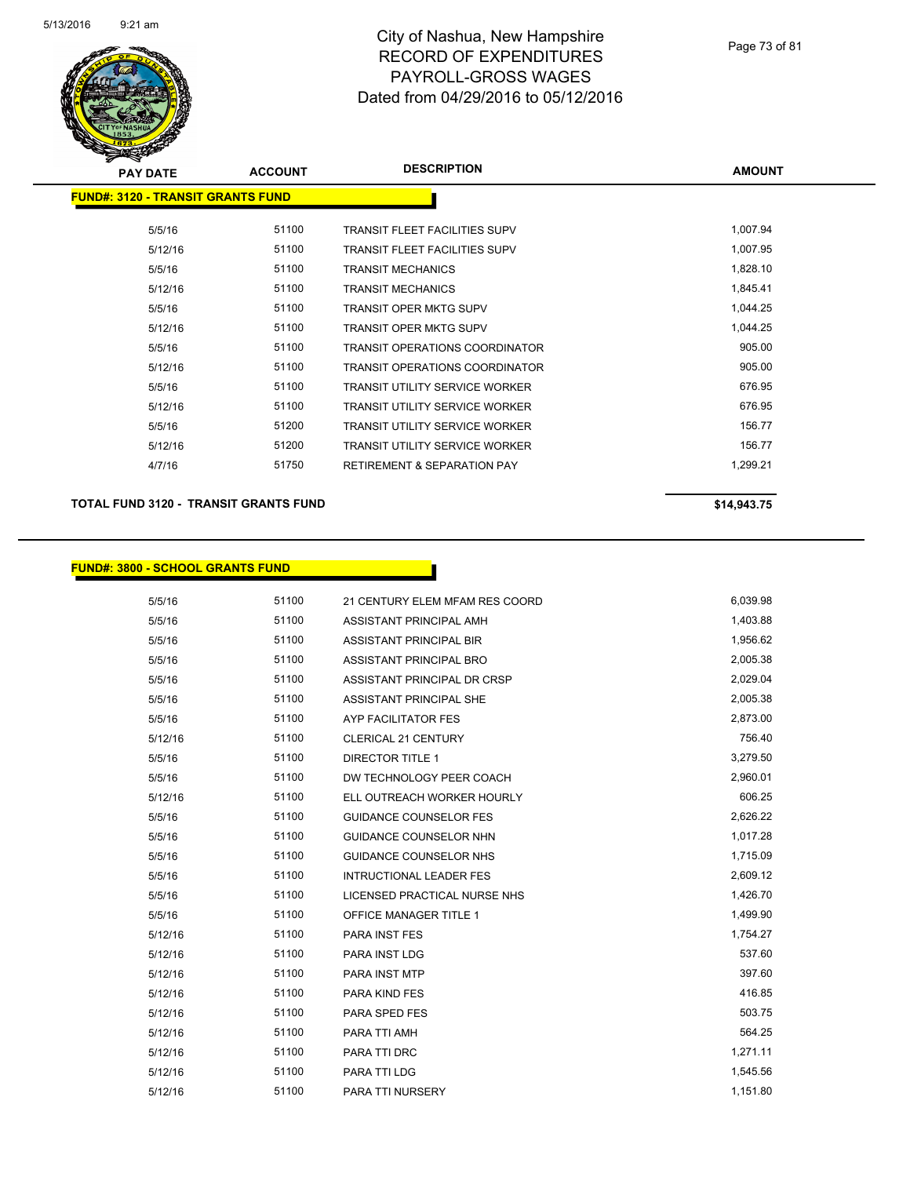

| <b>PAY DATE</b>                           | <b>ACCOUNT</b> | <b>DESCRIPTION</b>                     | <b>AMOUNT</b> |
|-------------------------------------------|----------------|----------------------------------------|---------------|
| <u> FUND#: 3120 - TRANSIT GRANTS FUND</u> |                |                                        |               |
| 5/5/16                                    | 51100          | <b>TRANSIT FLEET FACILITIES SUPV</b>   | 1,007.94      |
| 5/12/16                                   | 51100          | <b>TRANSIT FLEET FACILITIES SUPV</b>   | 1,007.95      |
| 5/5/16                                    | 51100          | <b>TRANSIT MECHANICS</b>               | 1,828.10      |
| 5/12/16                                   | 51100          | <b>TRANSIT MECHANICS</b>               | 1,845.41      |
| 5/5/16                                    | 51100          | <b>TRANSIT OPER MKTG SUPV</b>          | 1,044.25      |
| 5/12/16                                   | 51100          | <b>TRANSIT OPER MKTG SUPV</b>          | 1,044.25      |
| 5/5/16                                    | 51100          | TRANSIT OPERATIONS COORDINATOR         | 905.00        |
| 5/12/16                                   | 51100          | <b>TRANSIT OPERATIONS COORDINATOR</b>  | 905.00        |
| 5/5/16                                    | 51100          | <b>TRANSIT UTILITY SERVICE WORKER</b>  | 676.95        |
| 5/12/16                                   | 51100          | <b>TRANSIT UTILITY SERVICE WORKER</b>  | 676.95        |
| 5/5/16                                    | 51200          | <b>TRANSIT UTILITY SERVICE WORKER</b>  | 156.77        |
| 5/12/16                                   | 51200          | <b>TRANSIT UTILITY SERVICE WORKER</b>  | 156.77        |
| 4/7/16                                    | 51750          | <b>RETIREMENT &amp; SEPARATION PAY</b> | 1,299.21      |
|                                           |                |                                        |               |

**TOTAL FUND 3120 - TRANSIT GRANTS FUND \$14,943.75** 

## **FUND#: 3800 - SCHOOL GRANTS FUND**

| 5/5/16  | 51100 | 21 CENTURY ELEM MFAM RES COORD | 6,039.98 |
|---------|-------|--------------------------------|----------|
| 5/5/16  | 51100 | ASSISTANT PRINCIPAL AMH        | 1,403.88 |
| 5/5/16  | 51100 | <b>ASSISTANT PRINCIPAL BIR</b> | 1,956.62 |
| 5/5/16  | 51100 | ASSISTANT PRINCIPAL BRO        | 2,005.38 |
| 5/5/16  | 51100 | ASSISTANT PRINCIPAL DR CRSP    | 2,029.04 |
| 5/5/16  | 51100 | ASSISTANT PRINCIPAL SHE        | 2,005.38 |
| 5/5/16  | 51100 | AYP FACILITATOR FES            | 2,873.00 |
| 5/12/16 | 51100 | <b>CLERICAL 21 CENTURY</b>     | 756.40   |
| 5/5/16  | 51100 | <b>DIRECTOR TITLE 1</b>        | 3,279.50 |
| 5/5/16  | 51100 | DW TECHNOLOGY PEER COACH       | 2,960.01 |
| 5/12/16 | 51100 | ELL OUTREACH WORKER HOURLY     | 606.25   |
| 5/5/16  | 51100 | <b>GUIDANCE COUNSELOR FES</b>  | 2,626.22 |
| 5/5/16  | 51100 | <b>GUIDANCE COUNSELOR NHN</b>  | 1,017.28 |
| 5/5/16  | 51100 | <b>GUIDANCE COUNSELOR NHS</b>  | 1,715.09 |
| 5/5/16  | 51100 | <b>INTRUCTIONAL LEADER FES</b> | 2,609.12 |
| 5/5/16  | 51100 | LICENSED PRACTICAL NURSE NHS   | 1,426.70 |
| 5/5/16  | 51100 | <b>OFFICE MANAGER TITLE 1</b>  | 1,499.90 |
| 5/12/16 | 51100 | <b>PARA INST FES</b>           | 1,754.27 |
| 5/12/16 | 51100 | PARA INST LDG                  | 537.60   |
| 5/12/16 | 51100 | <b>PARA INST MTP</b>           | 397.60   |
| 5/12/16 | 51100 | <b>PARA KIND FES</b>           | 416.85   |
| 5/12/16 | 51100 | <b>PARA SPED FES</b>           | 503.75   |
| 5/12/16 | 51100 | PARA TTI AMH                   | 564.25   |
| 5/12/16 | 51100 | PARA TTI DRC                   | 1,271.11 |
| 5/12/16 | 51100 | PARA TTI LDG                   | 1,545.56 |
| 5/12/16 | 51100 | <b>PARA TTI NURSERY</b>        | 1,151.80 |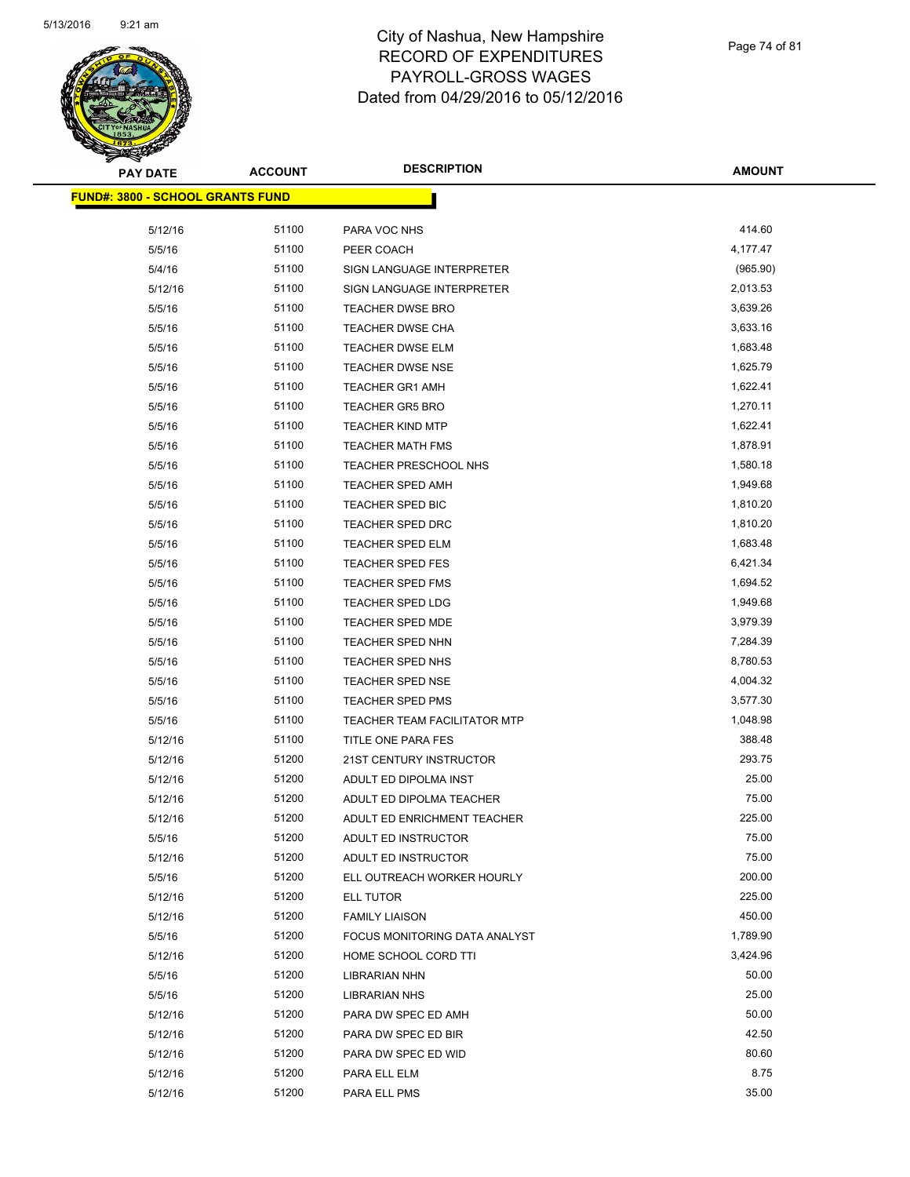

| <b>PAY DATE</b>                          | <b>ACCOUNT</b> | <b>DESCRIPTION</b>            | <b>AMOUNT</b> |
|------------------------------------------|----------------|-------------------------------|---------------|
| <u> FUND#: 3800 - SCHOOL GRANTS FUND</u> |                |                               |               |
|                                          |                |                               |               |
| 5/12/16                                  | 51100          | PARA VOC NHS                  | 414.60        |
| 5/5/16                                   | 51100          | PEER COACH                    | 4,177.47      |
| 5/4/16                                   | 51100          | SIGN LANGUAGE INTERPRETER     | (965.90)      |
| 5/12/16                                  | 51100          | SIGN LANGUAGE INTERPRETER     | 2,013.53      |
| 5/5/16                                   | 51100          | <b>TEACHER DWSE BRO</b>       | 3,639.26      |
| 5/5/16                                   | 51100          | <b>TEACHER DWSE CHA</b>       | 3,633.16      |
| 5/5/16                                   | 51100          | <b>TEACHER DWSE ELM</b>       | 1,683.48      |
| 5/5/16                                   | 51100          | <b>TEACHER DWSE NSE</b>       | 1,625.79      |
| 5/5/16                                   | 51100          | <b>TEACHER GR1 AMH</b>        | 1,622.41      |
| 5/5/16                                   | 51100          | <b>TEACHER GR5 BRO</b>        | 1,270.11      |
| 5/5/16                                   | 51100          | <b>TEACHER KIND MTP</b>       | 1,622.41      |
| 5/5/16                                   | 51100          | <b>TEACHER MATH FMS</b>       | 1,878.91      |
| 5/5/16                                   | 51100          | TEACHER PRESCHOOL NHS         | 1,580.18      |
| 5/5/16                                   | 51100          | <b>TEACHER SPED AMH</b>       | 1,949.68      |
| 5/5/16                                   | 51100          | TEACHER SPED BIC              | 1,810.20      |
| 5/5/16                                   | 51100          | <b>TEACHER SPED DRC</b>       | 1,810.20      |
| 5/5/16                                   | 51100          | <b>TEACHER SPED ELM</b>       | 1,683.48      |
| 5/5/16                                   | 51100          | <b>TEACHER SPED FES</b>       | 6,421.34      |
| 5/5/16                                   | 51100          | <b>TEACHER SPED FMS</b>       | 1,694.52      |
| 5/5/16                                   | 51100          | <b>TEACHER SPED LDG</b>       | 1,949.68      |
| 5/5/16                                   | 51100          | TEACHER SPED MDE              | 3,979.39      |
| 5/5/16                                   | 51100          | <b>TEACHER SPED NHN</b>       | 7,284.39      |
| 5/5/16                                   | 51100          | <b>TEACHER SPED NHS</b>       | 8,780.53      |
| 5/5/16                                   | 51100          | TEACHER SPED NSE              | 4,004.32      |
| 5/5/16                                   | 51100          | <b>TEACHER SPED PMS</b>       | 3,577.30      |
| 5/5/16                                   | 51100          | TEACHER TEAM FACILITATOR MTP  | 1,048.98      |
| 5/12/16                                  | 51100          | TITLE ONE PARA FES            | 388.48        |
| 5/12/16                                  | 51200          | 21ST CENTURY INSTRUCTOR       | 293.75        |
| 5/12/16                                  | 51200          | ADULT ED DIPOLMA INST         | 25.00         |
| 5/12/16                                  | 51200          | ADULT ED DIPOLMA TEACHER      | 75.00         |
| 5/12/16                                  | 51200          | ADULT ED ENRICHMENT TEACHER   | 225.00        |
| 5/5/16                                   | 51200          | ADULT ED INSTRUCTOR           | 75.00         |
| 5/12/16                                  | 51200          | ADULT ED INSTRUCTOR           | 75.00         |
| 5/5/16                                   | 51200          | ELL OUTREACH WORKER HOURLY    | 200.00        |
| 5/12/16                                  | 51200          | ELL TUTOR                     | 225.00        |
| 5/12/16                                  | 51200          | <b>FAMILY LIAISON</b>         | 450.00        |
| 5/5/16                                   | 51200          | FOCUS MONITORING DATA ANALYST | 1,789.90      |
| 5/12/16                                  | 51200          | HOME SCHOOL CORD TTI          | 3,424.96      |
| 5/5/16                                   | 51200          | <b>LIBRARIAN NHN</b>          | 50.00         |
| 5/5/16                                   | 51200          | LIBRARIAN NHS                 | 25.00         |
| 5/12/16                                  | 51200          | PARA DW SPEC ED AMH           | 50.00         |
| 5/12/16                                  | 51200          | PARA DW SPEC ED BIR           | 42.50         |
| 5/12/16                                  | 51200          | PARA DW SPEC ED WID           | 80.60         |
| 5/12/16                                  | 51200          | PARA ELL ELM                  | 8.75          |
| 5/12/16                                  | 51200          | PARA ELL PMS                  | 35.00         |
|                                          |                |                               |               |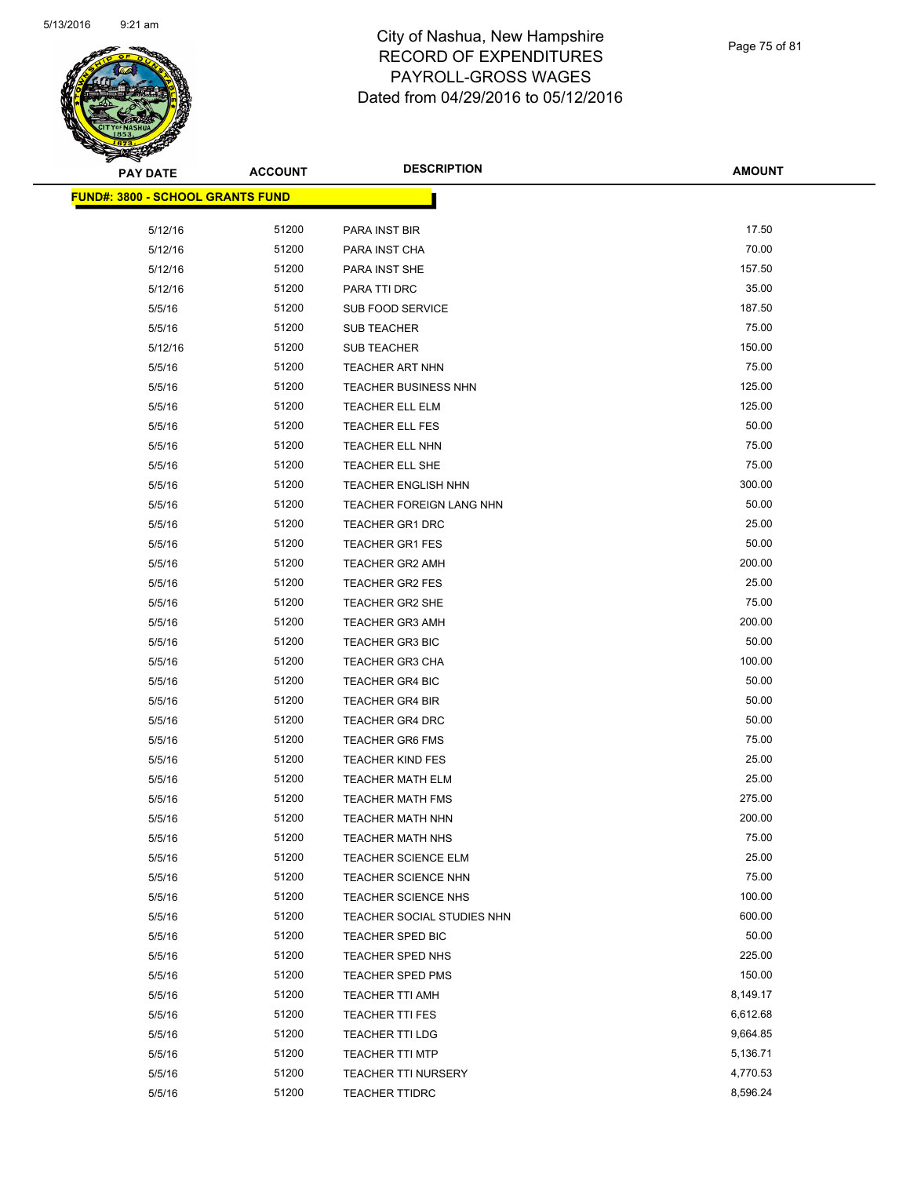

Page 75 of 81

| <b>PAY DATE</b>                         | <b>ACCOUNT</b> | <b>DESCRIPTION</b>         | <b>AMOUNT</b> |
|-----------------------------------------|----------------|----------------------------|---------------|
| <b>FUND#: 3800 - SCHOOL GRANTS FUND</b> |                |                            |               |
|                                         |                |                            |               |
| 5/12/16                                 | 51200          | PARA INST BIR              | 17.50         |
| 5/12/16                                 | 51200          | PARA INST CHA              | 70.00         |
| 5/12/16                                 | 51200          | PARA INST SHE              | 157.50        |
| 5/12/16                                 | 51200          | PARA TTI DRC               | 35.00         |
| 5/5/16                                  | 51200          | <b>SUB FOOD SERVICE</b>    | 187.50        |
| 5/5/16                                  | 51200          | <b>SUB TEACHER</b>         | 75.00         |
| 5/12/16                                 | 51200          | <b>SUB TEACHER</b>         | 150.00        |
| 5/5/16                                  | 51200          | <b>TEACHER ART NHN</b>     | 75.00         |
| 5/5/16                                  | 51200          | TEACHER BUSINESS NHN       | 125.00        |
| 5/5/16                                  | 51200          | <b>TEACHER ELL ELM</b>     | 125.00        |
| 5/5/16                                  | 51200          | <b>TEACHER ELL FES</b>     | 50.00         |
| 5/5/16                                  | 51200          | TEACHER ELL NHN            | 75.00         |
| 5/5/16                                  | 51200          | <b>TEACHER ELL SHE</b>     | 75.00         |
| 5/5/16                                  | 51200          | TEACHER ENGLISH NHN        | 300.00        |
| 5/5/16                                  | 51200          | TEACHER FOREIGN LANG NHN   | 50.00         |
| 5/5/16                                  | 51200          | TEACHER GR1 DRC            | 25.00         |
| 5/5/16                                  | 51200          | <b>TEACHER GR1 FES</b>     | 50.00         |
| 5/5/16                                  | 51200          | <b>TEACHER GR2 AMH</b>     | 200.00        |
| 5/5/16                                  | 51200          | <b>TEACHER GR2 FES</b>     | 25.00         |
| 5/5/16                                  | 51200          | <b>TEACHER GR2 SHE</b>     | 75.00         |
| 5/5/16                                  | 51200          | <b>TEACHER GR3 AMH</b>     | 200.00        |
| 5/5/16                                  | 51200          | <b>TEACHER GR3 BIC</b>     | 50.00         |
| 5/5/16                                  | 51200          | <b>TEACHER GR3 CHA</b>     | 100.00        |
| 5/5/16                                  | 51200          | <b>TEACHER GR4 BIC</b>     | 50.00         |
| 5/5/16                                  | 51200          | <b>TEACHER GR4 BIR</b>     | 50.00         |
| 5/5/16                                  | 51200          | <b>TEACHER GR4 DRC</b>     | 50.00         |
| 5/5/16                                  | 51200          | <b>TEACHER GR6 FMS</b>     | 75.00         |
| 5/5/16                                  | 51200          | <b>TEACHER KIND FES</b>    | 25.00         |
| 5/5/16                                  | 51200          | <b>TEACHER MATH ELM</b>    | 25.00         |
| 5/5/16                                  | 51200          | <b>TEACHER MATH FMS</b>    | 275.00        |
| 5/5/16                                  | 51200          | <b>TEACHER MATH NHN</b>    | 200.00        |
| 5/5/16                                  | 51200          | <b>TEACHER MATH NHS</b>    | 75.00         |
| 5/5/16                                  | 51200          | <b>TEACHER SCIENCE ELM</b> | 25.00         |
| 5/5/16                                  | 51200          | TEACHER SCIENCE NHN        | 75.00         |
| 5/5/16                                  | 51200          | TEACHER SCIENCE NHS        | 100.00        |
| 5/5/16                                  | 51200          | TEACHER SOCIAL STUDIES NHN | 600.00        |
| 5/5/16                                  | 51200          | TEACHER SPED BIC           | 50.00         |
| 5/5/16                                  | 51200          | <b>TEACHER SPED NHS</b>    | 225.00        |
| 5/5/16                                  | 51200          | <b>TEACHER SPED PMS</b>    | 150.00        |
| 5/5/16                                  | 51200          | <b>TEACHER TTI AMH</b>     | 8,149.17      |
| 5/5/16                                  | 51200          | <b>TEACHER TTI FES</b>     | 6,612.68      |
| 5/5/16                                  | 51200          | <b>TEACHER TTI LDG</b>     | 9,664.85      |
| 5/5/16                                  | 51200          | <b>TEACHER TTI MTP</b>     | 5,136.71      |
| 5/5/16                                  | 51200          | <b>TEACHER TTI NURSERY</b> | 4,770.53      |
| 5/5/16                                  | 51200          | <b>TEACHER TTIDRC</b>      | 8,596.24      |
|                                         |                |                            |               |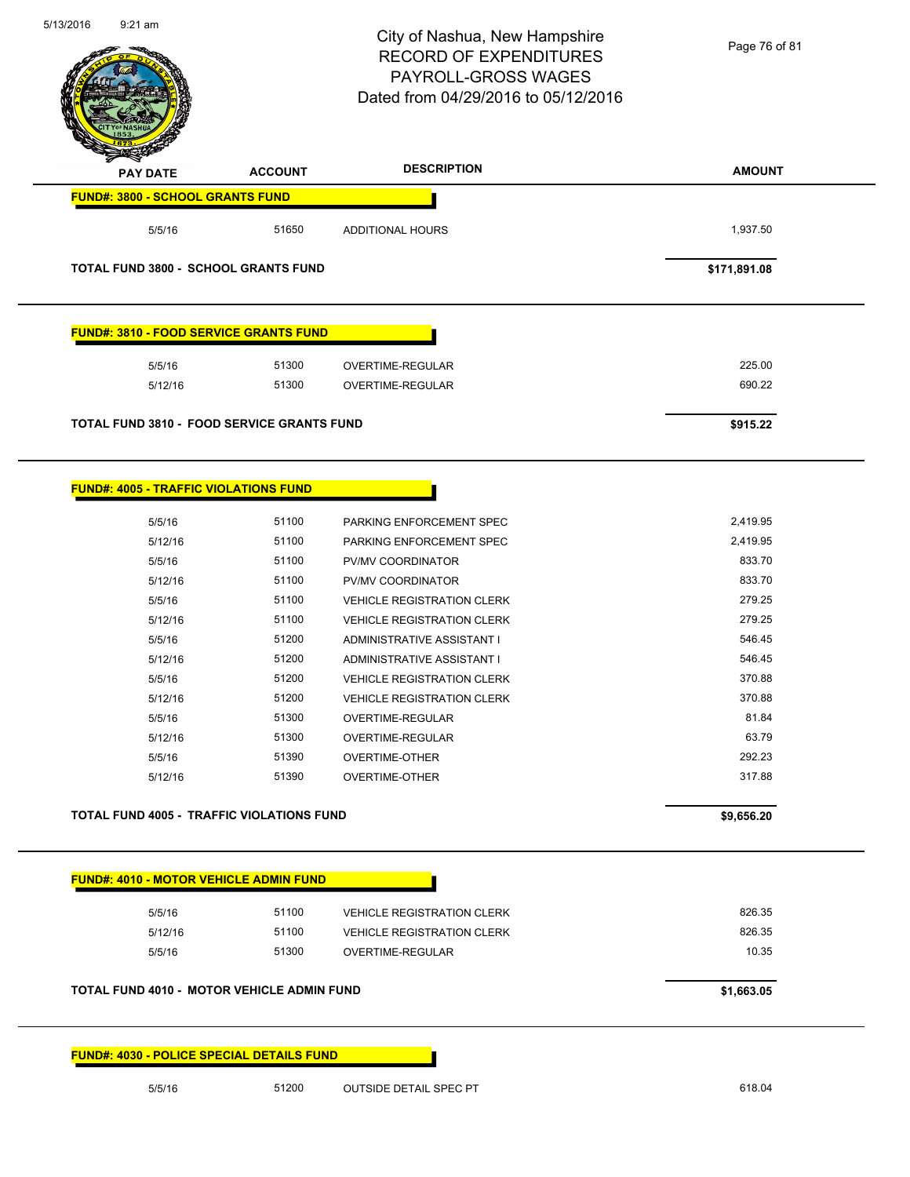| 5/13/2016<br>$9:21$ am                            |                | City of Nashua, New Hampshire<br><b>RECORD OF EXPENDITURES</b><br>PAYROLL-GROSS WAGES<br>Dated from 04/29/2016 to 05/12/2016 | Page 76 of 81 |
|---------------------------------------------------|----------------|------------------------------------------------------------------------------------------------------------------------------|---------------|
| PAY DATE                                          | <b>ACCOUNT</b> | <b>DESCRIPTION</b>                                                                                                           | <b>AMOUNT</b> |
| <b>FUND#: 3800 - SCHOOL GRANTS FUND</b>           |                |                                                                                                                              |               |
| 5/5/16                                            | 51650          | <b>ADDITIONAL HOURS</b>                                                                                                      | 1,937.50      |
| <b>TOTAL FUND 3800 - SCHOOL GRANTS FUND</b>       |                |                                                                                                                              | \$171,891.08  |
| <b>FUND#: 3810 - FOOD SERVICE GRANTS FUND</b>     |                |                                                                                                                              |               |
| 5/5/16                                            | 51300          | OVERTIME-REGULAR                                                                                                             | 225.00        |
| 5/12/16                                           | 51300          | <b>OVERTIME-REGULAR</b>                                                                                                      | 690.22        |
| <b>TOTAL FUND 3810 - FOOD SERVICE GRANTS FUND</b> |                |                                                                                                                              | \$915.22      |
| <b>FUND#: 4005 - TRAFFIC VIOLATIONS FUND</b>      |                |                                                                                                                              |               |
| 5/5/16                                            | 51100          | PARKING ENFORCEMENT SPEC                                                                                                     | 2,419.95      |
| 5/12/16                                           | 51100          | PARKING ENFORCEMENT SPEC                                                                                                     | 2,419.95      |
| 5/5/16                                            | 51100          | PV/MV COORDINATOR                                                                                                            | 833.70        |
| 5/12/16                                           | 51100          | PV/MV COORDINATOR                                                                                                            | 833.70        |
| 5/5/16                                            | 51100          | <b>VEHICLE REGISTRATION CLERK</b>                                                                                            | 279.25        |
| 5/12/16                                           | 51100          | <b>VEHICLE REGISTRATION CLERK</b>                                                                                            | 279.25        |
| 5/5/16                                            | 51200          | ADMINISTRATIVE ASSISTANT I                                                                                                   | 546.45        |
| 5/12/16                                           | 51200          | ADMINISTRATIVE ASSISTANT I                                                                                                   | 546.45        |
| 5/5/16                                            | 51200          | <b>VEHICLE REGISTRATION CLERK</b>                                                                                            | 370.88        |
| 5/12/16                                           | 51200          | <b>VEHICLE REGISTRATION CLERK</b>                                                                                            | 370.88        |
| 5/5/16                                            | 51300          | OVERTIME-REGULAR                                                                                                             | 81.84         |
| 5/12/16                                           | 51300          | <b>OVERTIME-REGULAR</b>                                                                                                      | 63.79         |
| 5/5/16                                            | 51390          | <b>OVERTIME-OTHER</b>                                                                                                        | 292.23        |
| 5/12/16                                           | 51390          | <b>OVERTIME-OTHER</b>                                                                                                        | 317.88        |
| <b>TOTAL FUND 4005 - TRAFFIC VIOLATIONS FUND</b>  |                |                                                                                                                              | \$9,656.20    |
| FUND#: 4010 - MOTOR VEHICLE ADMIN FUND            |                |                                                                                                                              |               |
|                                                   | 51100          |                                                                                                                              | 826.35        |
| 5/5/16<br>5/12/16                                 | 51100          | <b>VEHICLE REGISTRATION CLERK</b><br><b>VEHICLE REGISTRATION CLERK</b>                                                       | 826.35        |
| 5/5/16                                            | 51300          | OVERTIME-REGULAR                                                                                                             | 10.35         |
| <b>TOTAL FUND 4010 - MOTOR VEHICLE ADMIN FUND</b> |                |                                                                                                                              | \$1,663.05    |
| <b>FUND#: 4030 - POLICE SPECIAL DETAILS FUND</b>  |                |                                                                                                                              |               |
| 5/5/16                                            | 51200          | <b>OUTSIDE DETAIL SPEC PT</b>                                                                                                | 618.04        |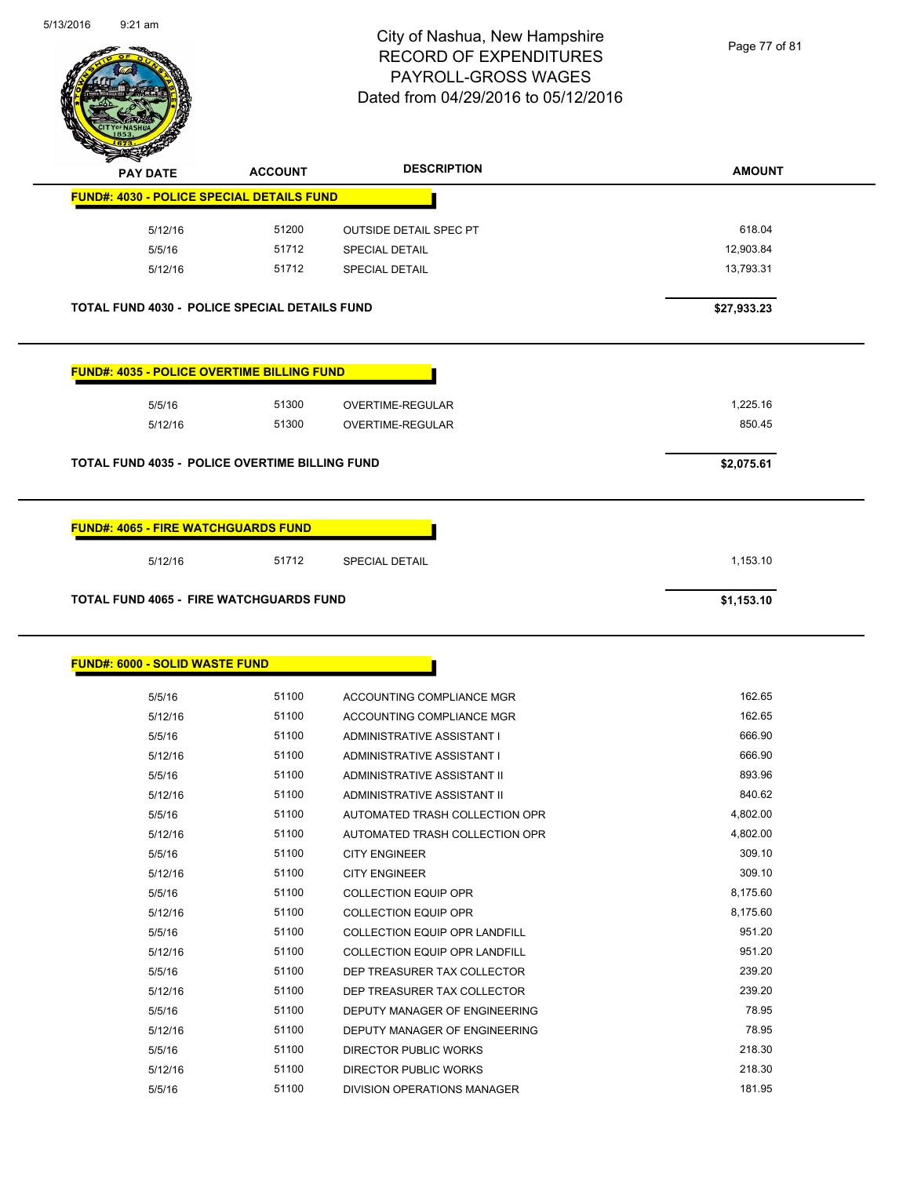

Page 77 of 81

| <b>PAY DATE</b>                                       | <b>ACCOUNT</b> | <b>DESCRIPTION</b>            | <b>AMOUNT</b> |
|-------------------------------------------------------|----------------|-------------------------------|---------------|
| FUND#: 4030 - POLICE SPECIAL DETAILS FUND             |                |                               |               |
| 5/12/16                                               | 51200          | <b>OUTSIDE DETAIL SPEC PT</b> | 618.04        |
| 5/5/16                                                | 51712          | <b>SPECIAL DETAIL</b>         | 12,903.84     |
| 5/12/16                                               | 51712          | <b>SPECIAL DETAIL</b>         | 13,793.31     |
| TOTAL FUND 4030 - POLICE SPECIAL DETAILS FUND         |                |                               | \$27,933.23   |
| <b>FUND#: 4035 - POLICE OVERTIME BILLING FUND</b>     |                |                               |               |
| 5/5/16                                                | 51300          | <b>OVERTIME-REGULAR</b>       | 1,225.16      |
| 5/12/16                                               | 51300          | <b>OVERTIME-REGULAR</b>       | 850.45        |
| <b>TOTAL FUND 4035 - POLICE OVERTIME BILLING FUND</b> |                |                               | \$2,075.61    |
| <b>FUND#: 4065 - FIRE WATCHGUARDS FUND</b>            |                |                               |               |
| 5/12/16                                               | 51712          | <b>SPECIAL DETAIL</b>         | 1,153.10      |
| <b>TOTAL FUND 4065 - FIRE WATCHGUARDS FUND</b>        |                |                               | \$1,153.10    |
| <b>FUND#: 6000 - SOLID WASTE FUND</b>                 |                |                               |               |
| 5/5/16                                                | 51100          | ACCOUNTING COMPLIANCE MGR     | 162.65        |
| E14914C                                               | 51100          | ACCOUNTING COMPLIANCE MCD     | 16265         |

| טו וטוט | <b>JIIUU</b> | ACCOUNTING COMPLIANCE MGR            | 1 U.C. U.U |
|---------|--------------|--------------------------------------|------------|
| 5/12/16 | 51100        | ACCOUNTING COMPLIANCE MGR            | 162.65     |
| 5/5/16  | 51100        | ADMINISTRATIVE ASSISTANT I           | 666.90     |
| 5/12/16 | 51100        | ADMINISTRATIVE ASSISTANT I           | 666.90     |
| 5/5/16  | 51100        | ADMINISTRATIVE ASSISTANT II          | 893.96     |
| 5/12/16 | 51100        | ADMINISTRATIVE ASSISTANT II          | 840.62     |
| 5/5/16  | 51100        | AUTOMATED TRASH COLLECTION OPR       | 4,802.00   |
| 5/12/16 | 51100        | AUTOMATED TRASH COLLECTION OPR       | 4,802.00   |
| 5/5/16  | 51100        | <b>CITY ENGINEER</b>                 | 309.10     |
| 5/12/16 | 51100        | <b>CITY ENGINEER</b>                 | 309.10     |
| 5/5/16  | 51100        | <b>COLLECTION EQUIP OPR</b>          | 8,175.60   |
| 5/12/16 | 51100        | <b>COLLECTION EQUIP OPR</b>          | 8,175.60   |
| 5/5/16  | 51100        | COLLECTION EQUIP OPR LANDFILL        | 951.20     |
| 5/12/16 | 51100        | <b>COLLECTION EQUIP OPR LANDFILL</b> | 951.20     |
| 5/5/16  | 51100        | DEP TREASURER TAX COLLECTOR          | 239.20     |
| 5/12/16 | 51100        | DEP TREASURER TAX COLLECTOR          | 239.20     |
| 5/5/16  | 51100        | DEPUTY MANAGER OF ENGINEERING        | 78.95      |
| 5/12/16 | 51100        | DEPUTY MANAGER OF ENGINEERING        | 78.95      |
| 5/5/16  | 51100        | DIRECTOR PUBLIC WORKS                | 218.30     |
| 5/12/16 | 51100        | DIRECTOR PUBLIC WORKS                | 218.30     |
| 5/5/16  | 51100        | <b>DIVISION OPERATIONS MANAGER</b>   | 181.95     |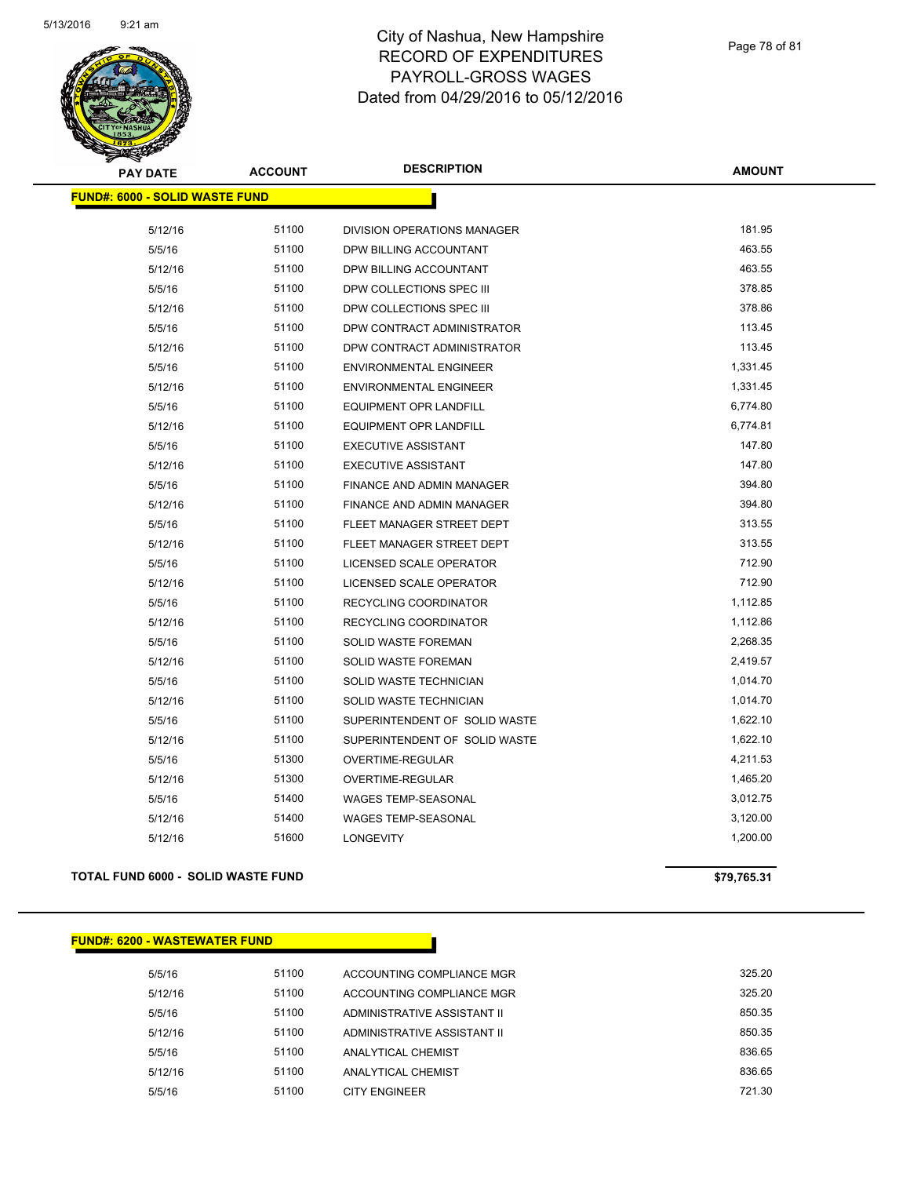

| <b>PAY DATE</b>                       | <b>ACCOUNT</b> | <b>DESCRIPTION</b>               | <b>AMOUNT</b> |
|---------------------------------------|----------------|----------------------------------|---------------|
| <b>FUND#: 6000 - SOLID WASTE FUND</b> |                |                                  |               |
| 5/12/16                               | 51100          | DIVISION OPERATIONS MANAGER      | 181.95        |
| 5/5/16                                | 51100          | DPW BILLING ACCOUNTANT           | 463.55        |
| 5/12/16                               | 51100          | DPW BILLING ACCOUNTANT           | 463.55        |
| 5/5/16                                | 51100          | DPW COLLECTIONS SPEC III         | 378.85        |
| 5/12/16                               | 51100          | DPW COLLECTIONS SPEC III         | 378.86        |
| 5/5/16                                | 51100          | DPW CONTRACT ADMINISTRATOR       | 113.45        |
| 5/12/16                               | 51100          | DPW CONTRACT ADMINISTRATOR       | 113.45        |
| 5/5/16                                | 51100          | <b>ENVIRONMENTAL ENGINEER</b>    | 1,331.45      |
| 5/12/16                               | 51100          | <b>ENVIRONMENTAL ENGINEER</b>    | 1,331.45      |
| 5/5/16                                | 51100          | <b>EQUIPMENT OPR LANDFILL</b>    | 6,774.80      |
| 5/12/16                               | 51100          | <b>EQUIPMENT OPR LANDFILL</b>    | 6,774.81      |
| 5/5/16                                | 51100          | <b>EXECUTIVE ASSISTANT</b>       | 147.80        |
| 5/12/16                               | 51100          | <b>EXECUTIVE ASSISTANT</b>       | 147.80        |
| 5/5/16                                | 51100          | FINANCE AND ADMIN MANAGER        | 394.80        |
| 5/12/16                               | 51100          | <b>FINANCE AND ADMIN MANAGER</b> | 394.80        |
| 5/5/16                                | 51100          | FLEET MANAGER STREET DEPT        | 313.55        |
| 5/12/16                               | 51100          | FLEET MANAGER STREET DEPT        | 313.55        |
| 5/5/16                                | 51100          | LICENSED SCALE OPERATOR          | 712.90        |
| 5/12/16                               | 51100          | LICENSED SCALE OPERATOR          | 712.90        |
| 5/5/16                                | 51100          | RECYCLING COORDINATOR            | 1,112.85      |
| 5/12/16                               | 51100          | RECYCLING COORDINATOR            | 1,112.86      |
| 5/5/16                                | 51100          | SOLID WASTE FOREMAN              | 2,268.35      |
| 5/12/16                               | 51100          | SOLID WASTE FOREMAN              | 2,419.57      |
| 5/5/16                                | 51100          | <b>SOLID WASTE TECHNICIAN</b>    | 1,014.70      |
| 5/12/16                               | 51100          | SOLID WASTE TECHNICIAN           | 1,014.70      |
| 5/5/16                                | 51100          | SUPERINTENDENT OF SOLID WASTE    | 1,622.10      |
| 5/12/16                               | 51100          | SUPERINTENDENT OF SOLID WASTE    | 1,622.10      |
| 5/5/16                                | 51300          | OVERTIME-REGULAR                 | 4,211.53      |
| 5/12/16                               | 51300          | OVERTIME-REGULAR                 | 1,465.20      |
| 5/5/16                                | 51400          | <b>WAGES TEMP-SEASONAL</b>       | 3,012.75      |
| 5/12/16                               | 51400          | <b>WAGES TEMP-SEASONAL</b>       | 3,120.00      |
| 5/12/16                               | 51600          | <b>LONGEVITY</b>                 | 1,200.00      |
|                                       |                |                                  |               |

## **TOTAL FUND 6000 - SOLID WASTE FUND \$79,765.31**

#### **FUND#: 6200 - WASTEWATER FUND**

5/5/16 51100 ACCOUNTING COMPLIANCE MGR 325.20 5/12/16 51100 ACCOUNTING COMPLIANCE MGR 325.20 5/5/16 51100 ADMINISTRATIVE ASSISTANT II 850.35 5/12/16 51100 ADMINISTRATIVE ASSISTANT II 850.35 5/5/16 51100 ANALYTICAL CHEMIST 836.65 5/12/16 51100 ANALYTICAL CHEMIST 836.65 5/5/16 51100 CITY ENGINEER 721.30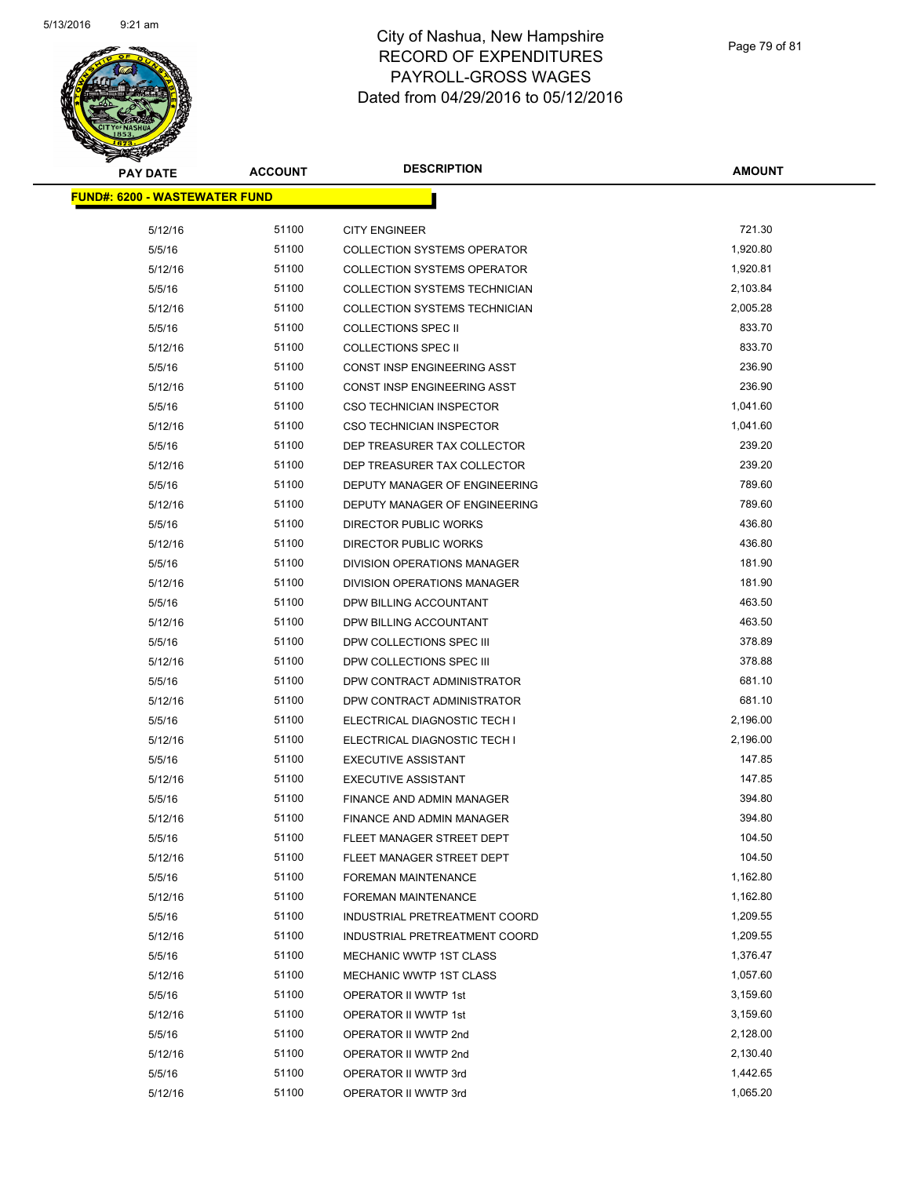

| <b>PAY DATE</b> | <b>ACCOUNT</b>                        | <b>DESCRIPTION</b>                 | AMOUNT   |
|-----------------|---------------------------------------|------------------------------------|----------|
|                 | <u> FUND#: 6200 - WASTEWATER FUND</u> |                                    |          |
|                 |                                       |                                    |          |
| 5/12/16         | 51100                                 | <b>CITY ENGINEER</b>               | 721.30   |
| 5/5/16          | 51100                                 | <b>COLLECTION SYSTEMS OPERATOR</b> | 1,920.80 |
| 5/12/16         | 51100                                 | <b>COLLECTION SYSTEMS OPERATOR</b> | 1,920.81 |
| 5/5/16          | 51100                                 | COLLECTION SYSTEMS TECHNICIAN      | 2,103.84 |
| 5/12/16         | 51100                                 | COLLECTION SYSTEMS TECHNICIAN      | 2,005.28 |
| 5/5/16          | 51100                                 | <b>COLLECTIONS SPEC II</b>         | 833.70   |
| 5/12/16         | 51100                                 | <b>COLLECTIONS SPEC II</b>         | 833.70   |
| 5/5/16          | 51100                                 | CONST INSP ENGINEERING ASST        | 236.90   |
| 5/12/16         | 51100                                 | CONST INSP ENGINEERING ASST        | 236.90   |
| 5/5/16          | 51100                                 | <b>CSO TECHNICIAN INSPECTOR</b>    | 1,041.60 |
| 5/12/16         | 51100                                 | <b>CSO TECHNICIAN INSPECTOR</b>    | 1,041.60 |
| 5/5/16          | 51100                                 | DEP TREASURER TAX COLLECTOR        | 239.20   |
| 5/12/16         | 51100                                 | DEP TREASURER TAX COLLECTOR        | 239.20   |
| 5/5/16          | 51100                                 | DEPUTY MANAGER OF ENGINEERING      | 789.60   |
| 5/12/16         | 51100                                 | DEPUTY MANAGER OF ENGINEERING      | 789.60   |
| 5/5/16          | 51100                                 | DIRECTOR PUBLIC WORKS              | 436.80   |
| 5/12/16         | 51100                                 | DIRECTOR PUBLIC WORKS              | 436.80   |
| 5/5/16          | 51100                                 | DIVISION OPERATIONS MANAGER        | 181.90   |
| 5/12/16         | 51100                                 | DIVISION OPERATIONS MANAGER        | 181.90   |
| 5/5/16          | 51100                                 | DPW BILLING ACCOUNTANT             | 463.50   |
| 5/12/16         | 51100                                 | DPW BILLING ACCOUNTANT             | 463.50   |
| 5/5/16          | 51100                                 | DPW COLLECTIONS SPEC III           | 378.89   |
| 5/12/16         | 51100                                 | DPW COLLECTIONS SPEC III           | 378.88   |
| 5/5/16          | 51100                                 | DPW CONTRACT ADMINISTRATOR         | 681.10   |
| 5/12/16         | 51100                                 | DPW CONTRACT ADMINISTRATOR         | 681.10   |
| 5/5/16          | 51100                                 | ELECTRICAL DIAGNOSTIC TECH I       | 2,196.00 |
| 5/12/16         | 51100                                 | ELECTRICAL DIAGNOSTIC TECH I       | 2,196.00 |
| 5/5/16          | 51100                                 | <b>EXECUTIVE ASSISTANT</b>         | 147.85   |
| 5/12/16         | 51100                                 | <b>EXECUTIVE ASSISTANT</b>         | 147.85   |
| 5/5/16          | 51100                                 | FINANCE AND ADMIN MANAGER          | 394.80   |
| 5/12/16         | 51100                                 | <b>FINANCE AND ADMIN MANAGER</b>   | 394.80   |
| 5/5/16          | 51100                                 | FLEET MANAGER STREET DEPT          | 104.50   |
| 5/12/16         | 51100                                 | FLEET MANAGER STREET DEPT          | 104.50   |
| 5/5/16          | 51100                                 | FOREMAN MAINTENANCE                | 1,162.80 |
| 5/12/16         | 51100                                 | FOREMAN MAINTENANCE                | 1,162.80 |
| 5/5/16          | 51100                                 | INDUSTRIAL PRETREATMENT COORD      | 1,209.55 |
| 5/12/16         | 51100                                 | INDUSTRIAL PRETREATMENT COORD      | 1,209.55 |
| 5/5/16          | 51100                                 | MECHANIC WWTP 1ST CLASS            | 1,376.47 |
| 5/12/16         | 51100                                 | <b>MECHANIC WWTP 1ST CLASS</b>     | 1,057.60 |
| 5/5/16          | 51100                                 | OPERATOR II WWTP 1st               | 3,159.60 |
| 5/12/16         | 51100                                 | OPERATOR II WWTP 1st               | 3,159.60 |
| 5/5/16          | 51100                                 | OPERATOR II WWTP 2nd               | 2,128.00 |
| 5/12/16         | 51100                                 | OPERATOR II WWTP 2nd               | 2,130.40 |
| 5/5/16          | 51100                                 | OPERATOR II WWTP 3rd               | 1,442.65 |
| 5/12/16         | 51100                                 | OPERATOR II WWTP 3rd               | 1,065.20 |
|                 |                                       |                                    |          |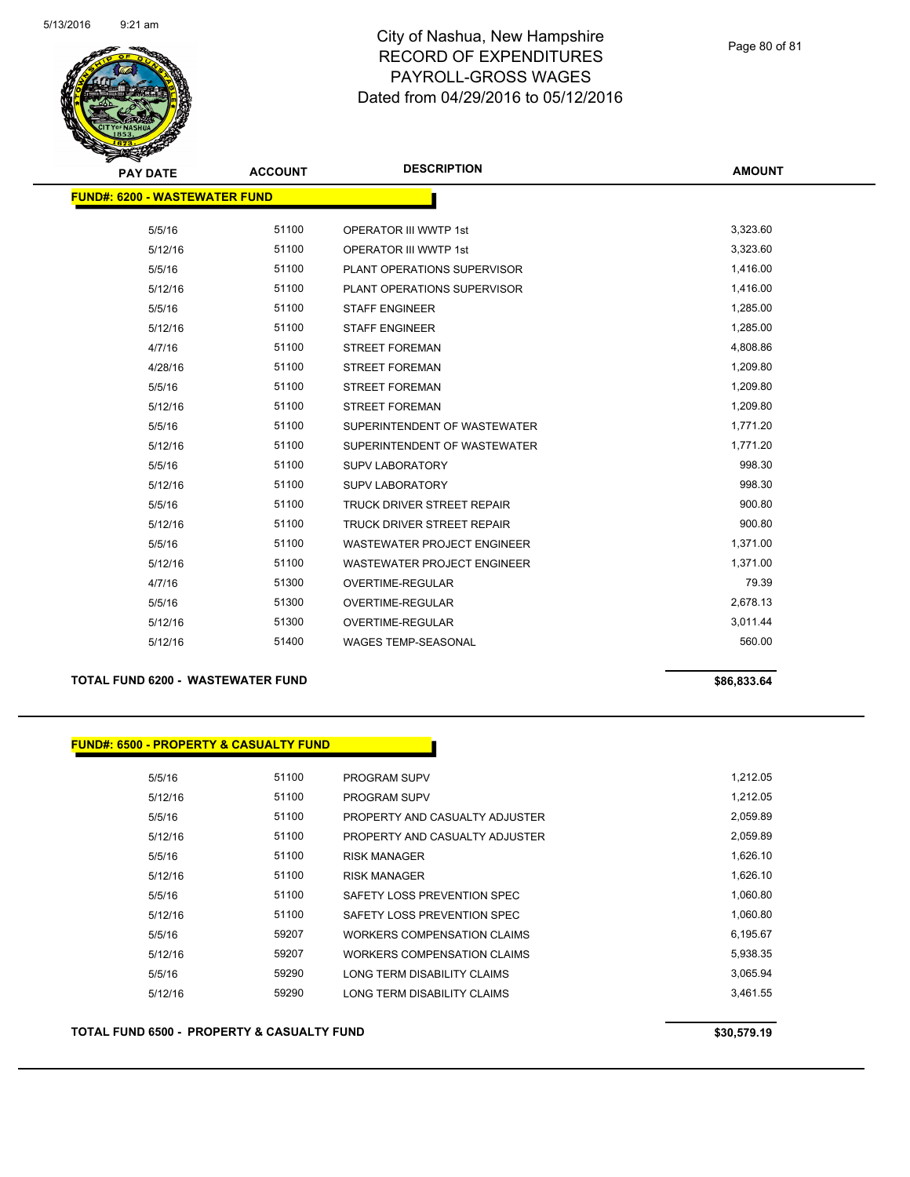

Page 80 of 81

| <b>PAY DATE</b>                      | <b>ACCOUNT</b> | <b>DESCRIPTION</b>                 | <b>AMOUNT</b> |
|--------------------------------------|----------------|------------------------------------|---------------|
| <b>FUND#: 6200 - WASTEWATER FUND</b> |                |                                    |               |
| 5/5/16                               | 51100          | <b>OPERATOR III WWTP 1st</b>       | 3,323.60      |
| 5/12/16                              | 51100          | <b>OPERATOR III WWTP 1st</b>       | 3,323.60      |
|                                      | 51100          |                                    | 1,416.00      |
| 5/5/16                               |                | PLANT OPERATIONS SUPERVISOR        |               |
| 5/12/16                              | 51100          | PLANT OPERATIONS SUPERVISOR        | 1,416.00      |
| 5/5/16                               | 51100          | <b>STAFF ENGINEER</b>              | 1,285.00      |
| 5/12/16                              | 51100          | <b>STAFF ENGINEER</b>              | 1,285.00      |
| 4/7/16                               | 51100          | <b>STREET FOREMAN</b>              | 4,808.86      |
| 4/28/16                              | 51100          | <b>STREET FOREMAN</b>              | 1,209.80      |
| 5/5/16                               | 51100          | <b>STREET FOREMAN</b>              | 1,209.80      |
| 5/12/16                              | 51100          | <b>STREET FOREMAN</b>              | 1,209.80      |
| 5/5/16                               | 51100          | SUPERINTENDENT OF WASTEWATER       | 1,771.20      |
| 5/12/16                              | 51100          | SUPERINTENDENT OF WASTEWATER       | 1,771.20      |
| 5/5/16                               | 51100          | <b>SUPV LABORATORY</b>             | 998.30        |
| 5/12/16                              | 51100          | <b>SUPV LABORATORY</b>             | 998.30        |
| 5/5/16                               | 51100          | <b>TRUCK DRIVER STREET REPAIR</b>  | 900.80        |
| 5/12/16                              | 51100          | TRUCK DRIVER STREET REPAIR         | 900.80        |
| 5/5/16                               | 51100          | <b>WASTEWATER PROJECT ENGINEER</b> | 1,371.00      |
| 5/12/16                              | 51100          | <b>WASTEWATER PROJECT ENGINEER</b> | 1,371.00      |
| 4/7/16                               | 51300          | OVERTIME-REGULAR                   | 79.39         |
| 5/5/16                               | 51300          | <b>OVERTIME-REGULAR</b>            | 2,678.13      |
| 5/12/16                              | 51300          | <b>OVERTIME-REGULAR</b>            | 3,011.44      |
| 5/12/16                              | 51400          | <b>WAGES TEMP-SEASONAL</b>         | 560.00        |
|                                      |                |                                    |               |

## **TOTAL FUND 6200 - WASTEWATER FUND \$86,833.64**

**FUND#: 6500 - PROPERTY & CASUALTY FUND**

| 5/5/16  | 51100 | <b>PROGRAM SUPV</b>                | 1,212.05 |
|---------|-------|------------------------------------|----------|
| 5/12/16 | 51100 | <b>PROGRAM SUPV</b>                | 1,212.05 |
| 5/5/16  | 51100 | PROPERTY AND CASUALTY ADJUSTER     | 2,059.89 |
| 5/12/16 | 51100 | PROPERTY AND CASUALTY ADJUSTER     | 2,059.89 |
| 5/5/16  | 51100 | <b>RISK MANAGER</b>                | 1,626.10 |
| 5/12/16 | 51100 | <b>RISK MANAGER</b>                | 1,626.10 |
| 5/5/16  | 51100 | SAFETY LOSS PREVENTION SPEC        | 1,060.80 |
| 5/12/16 | 51100 | SAFETY LOSS PREVENTION SPEC        | 1,060.80 |
| 5/5/16  | 59207 | WORKERS COMPENSATION CLAIMS        | 6,195.67 |
| 5/12/16 | 59207 | <b>WORKERS COMPENSATION CLAIMS</b> | 5.938.35 |
| 5/5/16  | 59290 | LONG TERM DISABILITY CLAIMS        | 3,065.94 |
| 5/12/16 | 59290 | LONG TERM DISABILITY CLAIMS        | 3.461.55 |

### **TOTAL FUND 6500 - PROPERTY & CASUALTY FUND \$30,579.19**